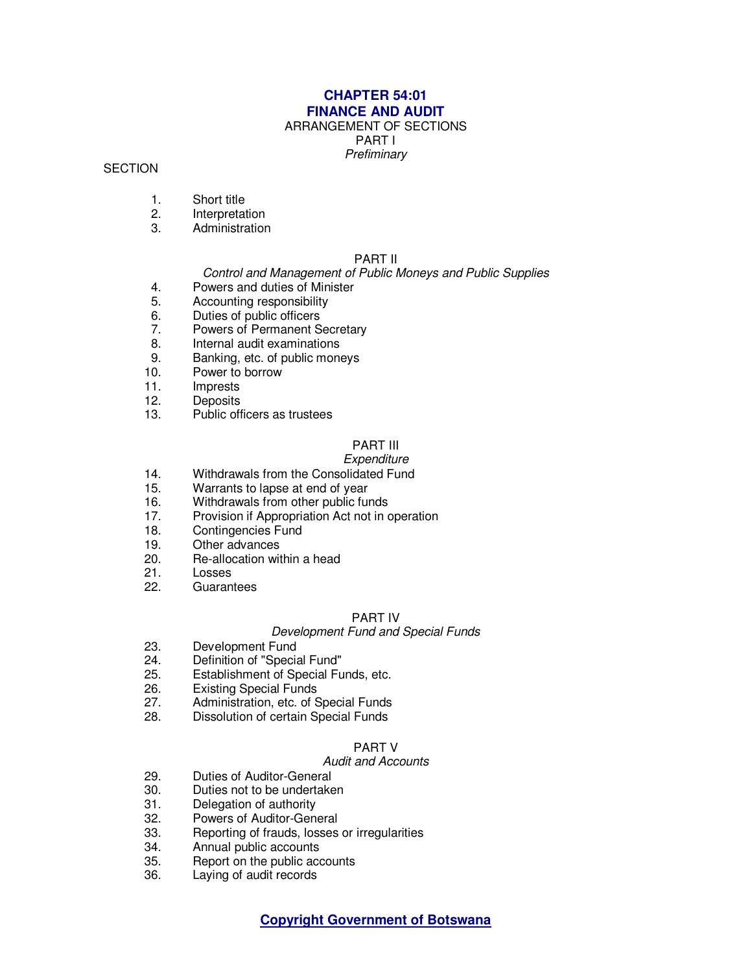### **CHAPTER 54:01 FINANCE AND AUDIT**

# ARRANGEMENT OF SECTIONS

PART I

**Prefiminary** 

#### **SECTION**

- 1. Short title
- 2. Interpretation
- 3. Administration

#### PART II

#### Control and Management of Public Moneys and Public Supplies

- 4. Powers and duties of Minister
- 5. Accounting responsibility<br>6. Duties of public officers
- 6. Duties of public officers<br>7. Powers of Permanent S
- Powers of Permanent Secretary
- 8. Internal audit examinations<br>9. Banking etc of public mone
- Banking, etc. of public moneys
- 10. Power to borrow
- 11. Imprests<br>12. Deposits
- **Deposits**
- 13. Public officers as trustees

## PART III

#### **Expenditure**

- 14. Withdrawals from the Consolidated Fund<br>15. Warrants to lapse at end of vear
- Warrants to lapse at end of year
- 16. Withdrawals from other public funds
- 17. Provision if Appropriation Act not in operation<br>18. Contingencies Fund
- Contingencies Fund
- 19. Other advances
- 20. Re-allocation within a head<br>21. Losses
- **Losses**
- 22. Guarantees

#### PART IV

#### Development Fund and Special Funds

- 23. Development Fund
- 24. Definition of "Special Fund"
- 25. Establishment of Special Funds, etc.
- 26. Existing Special Funds<br>27. Administration, etc. of S
- Administration, etc. of Special Funds
- 28. Dissolution of certain Special Funds

#### PART V

#### Audit and Accounts

- 29. Duties of Auditor-General<br>30. Duties not to be undertake
- Duties not to be undertaken
- 31. Delegation of authority
- 32. Powers of Auditor-General<br>33. Reporting of frauds, losses
- Reporting of frauds, losses or irregularities
- 34. Annual public accounts
- 35. Report on the public accounts
- 36. Laying of audit records

**Copyright Government of Botswana**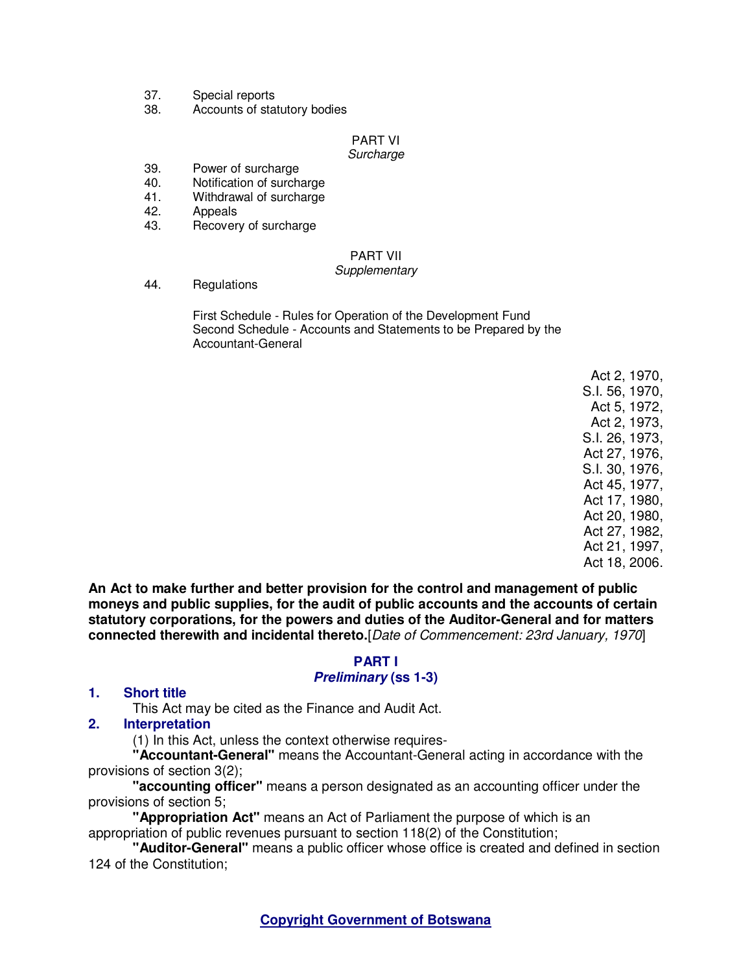- 37. Special reports
- 38. Accounts of statutory bodies

#### PART VI **Surcharge**

## 39. Power of surcharge

- 40. Notification of surcharge
- 41. Withdrawal of surcharge
- 42. Appeals
- 43. Recovery of surcharge

# PART VII

#### **Supplementary**

44. Regulations

 First Schedule - Rules for Operation of the Development Fund Second Schedule - Accounts and Statements to be Prepared by the Accountant-General

> Act 2, 1970, S.I. 56, 1970, Act 5, 1972, Act 2, 1973, S.I. 26, 1973, Act 27, 1976, S.I. 30, 1976, Act 45, 1977, Act 17, 1980, Act 20, 1980, Act 27, 1982, Act 21, 1997, Act 18, 2006.

**An Act to make further and better provision for the control and management of public moneys and public supplies, for the audit of public accounts and the accounts of certain statutory corporations, for the powers and duties of the Auditor-General and for matters connected therewith and incidental thereto.**[Date of Commencement: 23rd January, 1970]

# **PART I**

## **Preliminary (ss 1-3)**

## **1. Short title**

This Act may be cited as the Finance and Audit Act.

**2. Interpretation** 

(1) In this Act, unless the context otherwise requires-

**"Accountant-General"** means the Accountant-General acting in accordance with the provisions of section 3(2);

**"accounting officer"** means a person designated as an accounting officer under the provisions of section 5;

**"Appropriation Act"** means an Act of Parliament the purpose of which is an appropriation of public revenues pursuant to section 118(2) of the Constitution;

**"Auditor-General"** means a public officer whose office is created and defined in section 124 of the Constitution;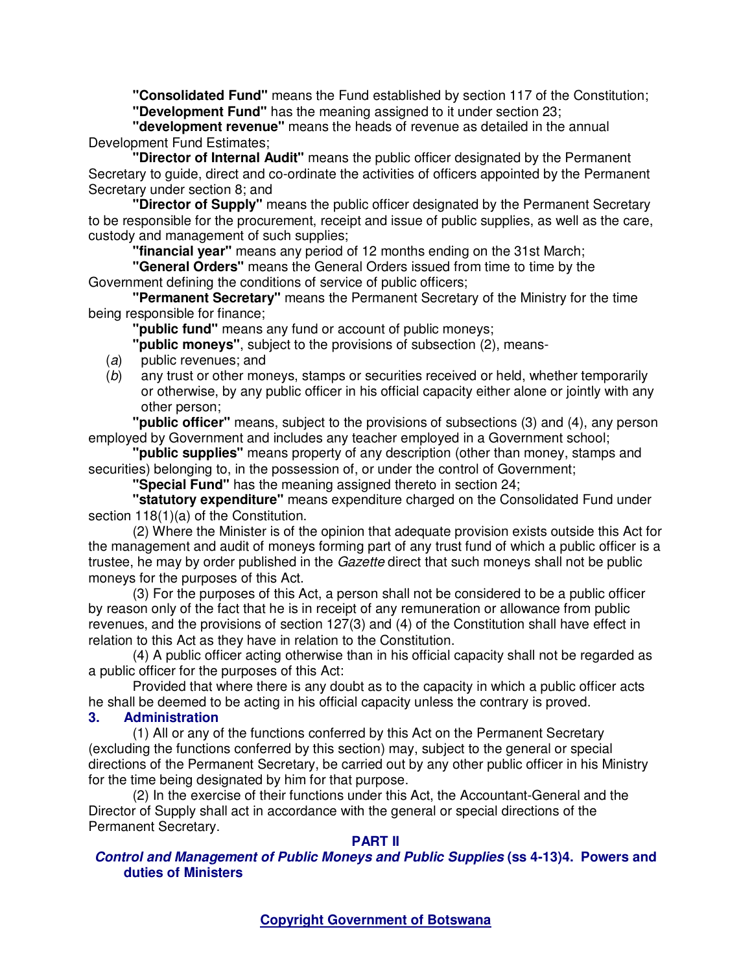**"Consolidated Fund"** means the Fund established by section 117 of the Constitution; **"Development Fund"** has the meaning assigned to it under section 23;

**"development revenue"** means the heads of revenue as detailed in the annual Development Fund Estimates;

**"Director of Internal Audit"** means the public officer designated by the Permanent Secretary to guide, direct and co-ordinate the activities of officers appointed by the Permanent Secretary under section 8; and

**"Director of Supply"** means the public officer designated by the Permanent Secretary to be responsible for the procurement, receipt and issue of public supplies, as well as the care, custody and management of such supplies;

**"financial year"** means any period of 12 months ending on the 31st March;

**"General Orders"** means the General Orders issued from time to time by the Government defining the conditions of service of public officers;

**"Permanent Secretary"** means the Permanent Secretary of the Ministry for the time being responsible for finance;

**"public fund"** means any fund or account of public moneys;

**"public moneys"**, subject to the provisions of subsection (2), means-

- (a) public revenues; and
- (b) any trust or other moneys, stamps or securities received or held, whether temporarily or otherwise, by any public officer in his official capacity either alone or jointly with any other person;

**"public officer"** means, subject to the provisions of subsections (3) and (4), any person employed by Government and includes any teacher employed in a Government school;

**"public supplies"** means property of any description (other than money, stamps and securities) belonging to, in the possession of, or under the control of Government;

**"Special Fund"** has the meaning assigned thereto in section 24;

**"statutory expenditure"** means expenditure charged on the Consolidated Fund under section 118(1)(a) of the Constitution.

(2) Where the Minister is of the opinion that adequate provision exists outside this Act for the management and audit of moneys forming part of any trust fund of which a public officer is a trustee, he may by order published in the *Gazette* direct that such moneys shall not be public moneys for the purposes of this Act.

(3) For the purposes of this Act, a person shall not be considered to be a public officer by reason only of the fact that he is in receipt of any remuneration or allowance from public revenues, and the provisions of section 127(3) and (4) of the Constitution shall have effect in relation to this Act as they have in relation to the Constitution.

(4) A public officer acting otherwise than in his official capacity shall not be regarded as a public officer for the purposes of this Act:

Provided that where there is any doubt as to the capacity in which a public officer acts he shall be deemed to be acting in his official capacity unless the contrary is proved.

## **3. Administration**

(1) All or any of the functions conferred by this Act on the Permanent Secretary (excluding the functions conferred by this section) may, subject to the general or special directions of the Permanent Secretary, be carried out by any other public officer in his Ministry for the time being designated by him for that purpose.

(2) In the exercise of their functions under this Act, the Accountant-General and the Director of Supply shall act in accordance with the general or special directions of the Permanent Secretary.

## **PART II**

## **Control and Management of Public Moneys and Public Supplies (ss 4-13)4. Powers and duties of Ministers**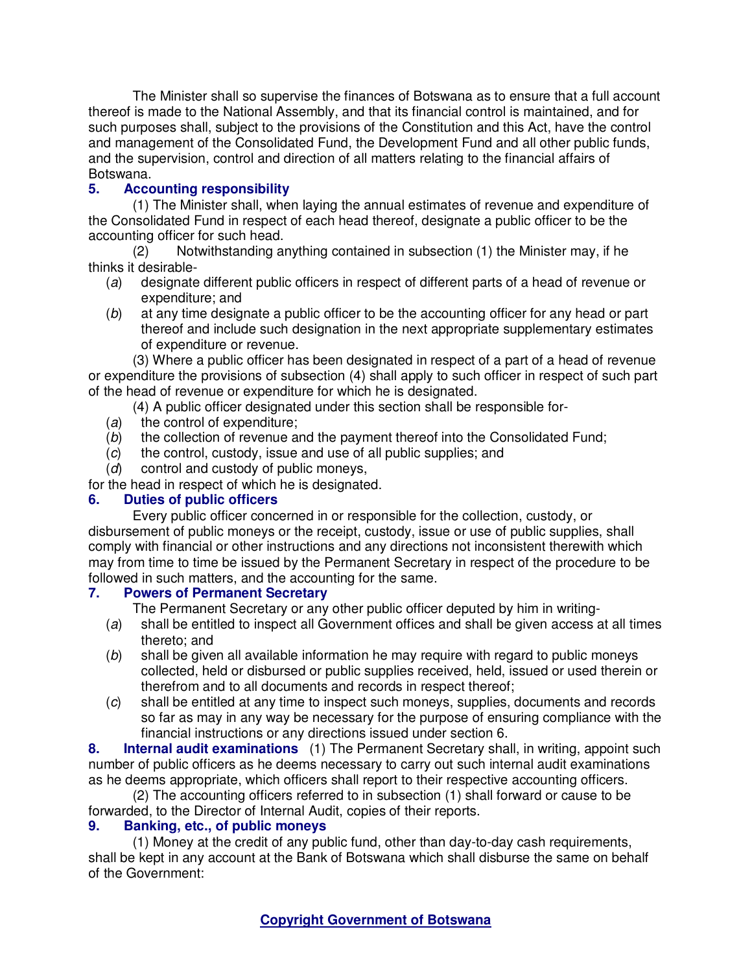The Minister shall so supervise the finances of Botswana as to ensure that a full account thereof is made to the National Assembly, and that its financial control is maintained, and for such purposes shall, subject to the provisions of the Constitution and this Act, have the control and management of the Consolidated Fund, the Development Fund and all other public funds, and the supervision, control and direction of all matters relating to the financial affairs of Botswana.<br>5. **Acco** 

# **5. Accounting responsibility**

(1) The Minister shall, when laying the annual estimates of revenue and expenditure of the Consolidated Fund in respect of each head thereof, designate a public officer to be the accounting officer for such head.

(2) Notwithstanding anything contained in subsection (1) the Minister may, if he thinks it desirable-

- (a) designate different public officers in respect of different parts of a head of revenue or expenditure; and
- (b) at any time designate a public officer to be the accounting officer for any head or part thereof and include such designation in the next appropriate supplementary estimates of expenditure or revenue.

(3) Where a public officer has been designated in respect of a part of a head of revenue or expenditure the provisions of subsection (4) shall apply to such officer in respect of such part of the head of revenue or expenditure for which he is designated.

(4) A public officer designated under this section shall be responsible for-

- (a) the control of expenditure;
- (b) the collection of revenue and the payment thereof into the Consolidated Fund;
- (c) the control, custody, issue and use of all public supplies; and
- (d) control and custody of public moneys,
- for the head in respect of which he is designated.

# **6. Duties of public officers**

Every public officer concerned in or responsible for the collection, custody, or disbursement of public moneys or the receipt, custody, issue or use of public supplies, shall comply with financial or other instructions and any directions not inconsistent therewith which may from time to time be issued by the Permanent Secretary in respect of the procedure to be followed in such matters, and the accounting for the same.

## **7. Powers of Permanent Secretary**

The Permanent Secretary or any other public officer deputed by him in writing-

- (a) shall be entitled to inspect all Government offices and shall be given access at all times thereto; and
- (b) shall be given all available information he may require with regard to public moneys collected, held or disbursed or public supplies received, held, issued or used therein or therefrom and to all documents and records in respect thereof;
- (c) shall be entitled at any time to inspect such moneys, supplies, documents and records so far as may in any way be necessary for the purpose of ensuring compliance with the financial instructions or any directions issued under section 6.

**8. Internal audit examinations** (1) The Permanent Secretary shall, in writing, appoint such number of public officers as he deems necessary to carry out such internal audit examinations as he deems appropriate, which officers shall report to their respective accounting officers.

(2) The accounting officers referred to in subsection (1) shall forward or cause to be forwarded, to the Director of Internal Audit, copies of their reports.

## **9. Banking, etc., of public moneys**

(1) Money at the credit of any public fund, other than day-to-day cash requirements, shall be kept in any account at the Bank of Botswana which shall disburse the same on behalf of the Government: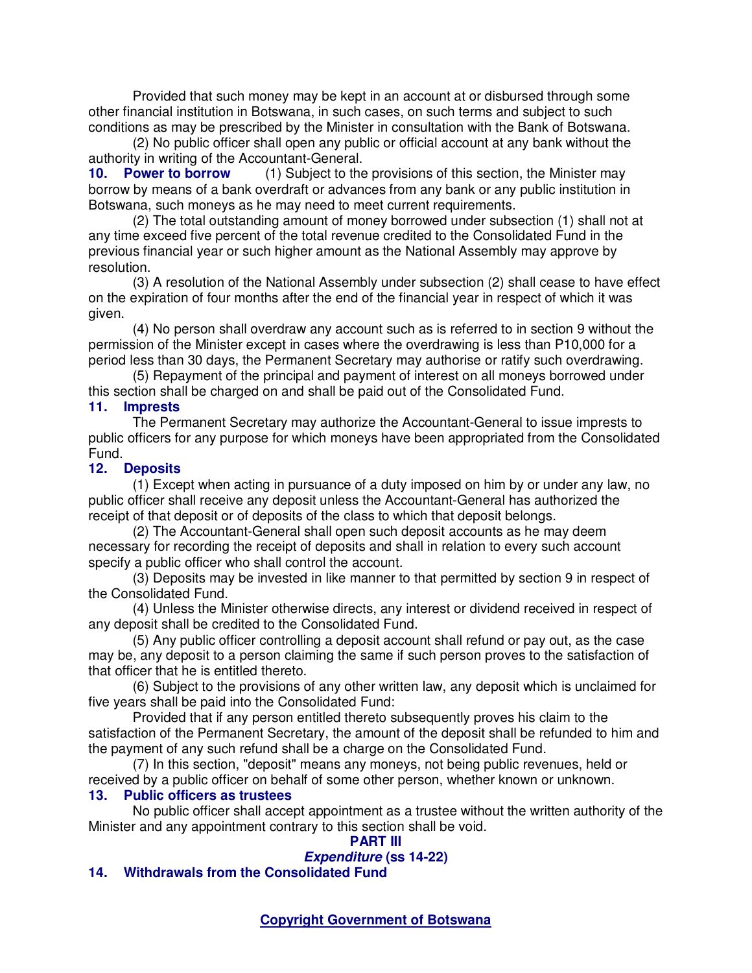Provided that such money may be kept in an account at or disbursed through some other financial institution in Botswana, in such cases, on such terms and subject to such conditions as may be prescribed by the Minister in consultation with the Bank of Botswana.

(2) No public officer shall open any public or official account at any bank without the authority in writing of the Accountant-General.

**10. Power to borrow** (1) Subject to the provisions of this section, the Minister may borrow by means of a bank overdraft or advances from any bank or any public institution in Botswana, such moneys as he may need to meet current requirements.

(2) The total outstanding amount of money borrowed under subsection (1) shall not at any time exceed five percent of the total revenue credited to the Consolidated Fund in the previous financial year or such higher amount as the National Assembly may approve by resolution.

(3) A resolution of the National Assembly under subsection (2) shall cease to have effect on the expiration of four months after the end of the financial year in respect of which it was given.

(4) No person shall overdraw any account such as is referred to in section 9 without the permission of the Minister except in cases where the overdrawing is less than P10,000 for a period less than 30 days, the Permanent Secretary may authorise or ratify such overdrawing.

(5) Repayment of the principal and payment of interest on all moneys borrowed under this section shall be charged on and shall be paid out of the Consolidated Fund.

## **11. Imprests**

The Permanent Secretary may authorize the Accountant-General to issue imprests to public officers for any purpose for which moneys have been appropriated from the Consolidated Fund.

### **12. Deposits**

(1) Except when acting in pursuance of a duty imposed on him by or under any law, no public officer shall receive any deposit unless the Accountant-General has authorized the receipt of that deposit or of deposits of the class to which that deposit belongs.

(2) The Accountant-General shall open such deposit accounts as he may deem necessary for recording the receipt of deposits and shall in relation to every such account specify a public officer who shall control the account.

(3) Deposits may be invested in like manner to that permitted by section 9 in respect of the Consolidated Fund.

(4) Unless the Minister otherwise directs, any interest or dividend received in respect of any deposit shall be credited to the Consolidated Fund.

(5) Any public officer controlling a deposit account shall refund or pay out, as the case may be, any deposit to a person claiming the same if such person proves to the satisfaction of that officer that he is entitled thereto.

(6) Subject to the provisions of any other written law, any deposit which is unclaimed for five years shall be paid into the Consolidated Fund:

Provided that if any person entitled thereto subsequently proves his claim to the satisfaction of the Permanent Secretary, the amount of the deposit shall be refunded to him and the payment of any such refund shall be a charge on the Consolidated Fund.

(7) In this section, "deposit" means any moneys, not being public revenues, held or received by a public officer on behalf of some other person, whether known or unknown.

### **13. Public officers as trustees**

No public officer shall accept appointment as a trustee without the written authority of the Minister and any appointment contrary to this section shall be void.

### **PART III**

## **Expenditure (ss 14-22)**

## **14. Withdrawals from the Consolidated Fund**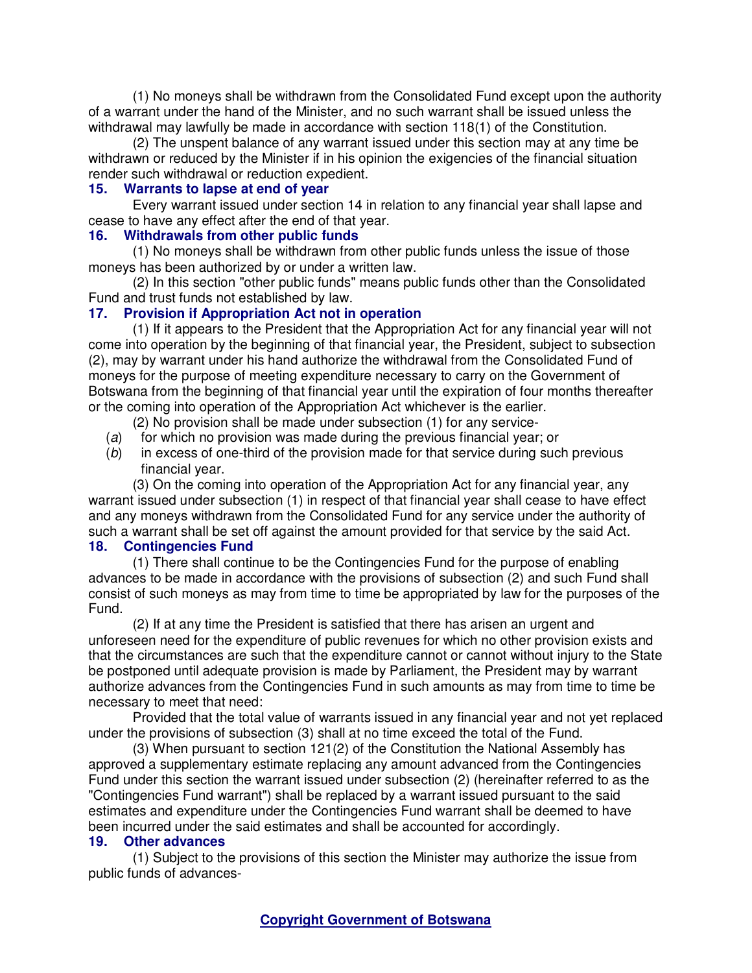(1) No moneys shall be withdrawn from the Consolidated Fund except upon the authority of a warrant under the hand of the Minister, and no such warrant shall be issued unless the withdrawal may lawfully be made in accordance with section 118(1) of the Constitution.

(2) The unspent balance of any warrant issued under this section may at any time be withdrawn or reduced by the Minister if in his opinion the exigencies of the financial situation render such withdrawal or reduction expedient.

### **15. Warrants to lapse at end of year**

Every warrant issued under section 14 in relation to any financial year shall lapse and cease to have any effect after the end of that year.

### **16. Withdrawals from other public funds**

(1) No moneys shall be withdrawn from other public funds unless the issue of those moneys has been authorized by or under a written law.

(2) In this section "other public funds" means public funds other than the Consolidated Fund and trust funds not established by law.

## **17. Provision if Appropriation Act not in operation**

(1) If it appears to the President that the Appropriation Act for any financial year will not come into operation by the beginning of that financial year, the President, subject to subsection (2), may by warrant under his hand authorize the withdrawal from the Consolidated Fund of moneys for the purpose of meeting expenditure necessary to carry on the Government of Botswana from the beginning of that financial year until the expiration of four months thereafter or the coming into operation of the Appropriation Act whichever is the earlier.

- (2) No provision shall be made under subsection (1) for any service-
- (a) for which no provision was made during the previous financial year; or
- (b) in excess of one-third of the provision made for that service during such previous financial year.

(3) On the coming into operation of the Appropriation Act for any financial year, any warrant issued under subsection (1) in respect of that financial year shall cease to have effect and any moneys withdrawn from the Consolidated Fund for any service under the authority of such a warrant shall be set off against the amount provided for that service by the said Act.<br>18. Contingencies Fund **18. Contingencies Fund** 

(1) There shall continue to be the Contingencies Fund for the purpose of enabling advances to be made in accordance with the provisions of subsection (2) and such Fund shall consist of such moneys as may from time to time be appropriated by law for the purposes of the Fund.

(2) If at any time the President is satisfied that there has arisen an urgent and unforeseen need for the expenditure of public revenues for which no other provision exists and that the circumstances are such that the expenditure cannot or cannot without injury to the State be postponed until adequate provision is made by Parliament, the President may by warrant authorize advances from the Contingencies Fund in such amounts as may from time to time be necessary to meet that need:

Provided that the total value of warrants issued in any financial year and not yet replaced under the provisions of subsection (3) shall at no time exceed the total of the Fund.

(3) When pursuant to section 121(2) of the Constitution the National Assembly has approved a supplementary estimate replacing any amount advanced from the Contingencies Fund under this section the warrant issued under subsection (2) (hereinafter referred to as the "Contingencies Fund warrant") shall be replaced by a warrant issued pursuant to the said estimates and expenditure under the Contingencies Fund warrant shall be deemed to have been incurred under the said estimates and shall be accounted for accordingly.

### **19. Other advances**

(1) Subject to the provisions of this section the Minister may authorize the issue from public funds of advances-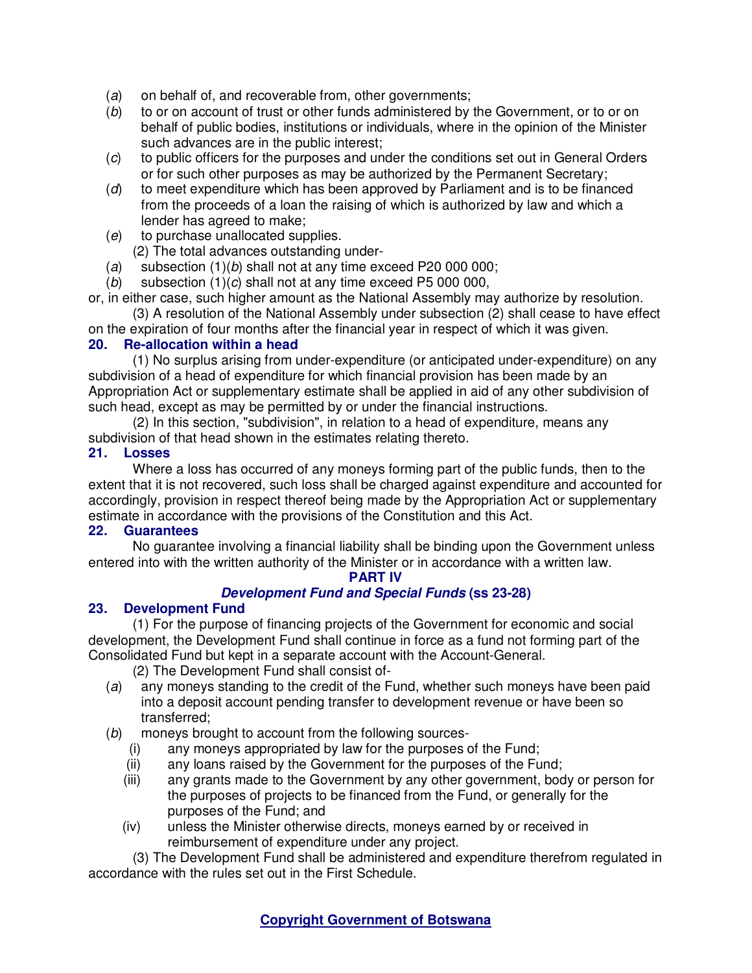- (a) on behalf of, and recoverable from, other governments;
- (b) to or on account of trust or other funds administered by the Government, or to or on behalf of public bodies, institutions or individuals, where in the opinion of the Minister such advances are in the public interest;
- (c) to public officers for the purposes and under the conditions set out in General Orders or for such other purposes as may be authorized by the Permanent Secretary;
- (d) to meet expenditure which has been approved by Parliament and is to be financed from the proceeds of a loan the raising of which is authorized by law and which a lender has agreed to make;
- (e) to purchase unallocated supplies.
	- (2) The total advances outstanding under-
- (a) subsection  $(1)(b)$  shall not at any time exceed P20 000 000;
- (b) subsection  $(1)(c)$  shall not at any time exceed P5 000 000,

or, in either case, such higher amount as the National Assembly may authorize by resolution.

(3) A resolution of the National Assembly under subsection (2) shall cease to have effect on the expiration of four months after the financial year in respect of which it was given.

### **20. Re-allocation within a head**

(1) No surplus arising from under-expenditure (or anticipated under-expenditure) on any subdivision of a head of expenditure for which financial provision has been made by an Appropriation Act or supplementary estimate shall be applied in aid of any other subdivision of such head, except as may be permitted by or under the financial instructions.

(2) In this section, "subdivision", in relation to a head of expenditure, means any subdivision of that head shown in the estimates relating thereto.

### **21. Losses**

Where a loss has occurred of any moneys forming part of the public funds, then to the extent that it is not recovered, such loss shall be charged against expenditure and accounted for accordingly, provision in respect thereof being made by the Appropriation Act or supplementary estimate in accordance with the provisions of the Constitution and this Act.

### **22. Guarantees**

No guarantee involving a financial liability shall be binding upon the Government unless entered into with the written authority of the Minister or in accordance with a written law.

### **PART IV**

## **Development Fund and Special Funds (ss 23-28)**

## **23. Development Fund**

(1) For the purpose of financing projects of the Government for economic and social development, the Development Fund shall continue in force as a fund not forming part of the Consolidated Fund but kept in a separate account with the Account-General.

(2) The Development Fund shall consist of-

- (a) any moneys standing to the credit of the Fund, whether such moneys have been paid into a deposit account pending transfer to development revenue or have been so transferred;
- (b) moneys brought to account from the following sources-
	- (i) any moneys appropriated by law for the purposes of the Fund;
	- (ii) any loans raised by the Government for the purposes of the Fund;
	- (iii) any grants made to the Government by any other government, body or person for the purposes of projects to be financed from the Fund, or generally for the purposes of the Fund; and
	- (iv) unless the Minister otherwise directs, moneys earned by or received in reimbursement of expenditure under any project.

(3) The Development Fund shall be administered and expenditure therefrom regulated in accordance with the rules set out in the First Schedule.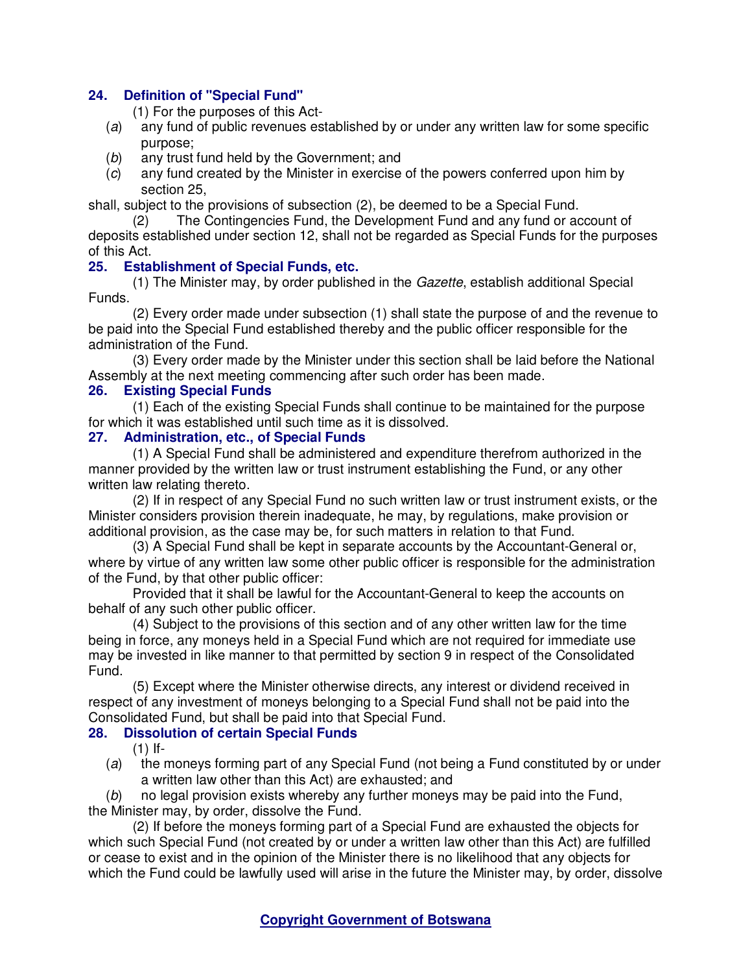## **24. Definition of "Special Fund"**

(1) For the purposes of this Act-

- (a) any fund of public revenues established by or under any written law for some specific purpose;
- (b) any trust fund held by the Government; and
- (c) any fund created by the Minister in exercise of the powers conferred upon him by section 25,

shall, subject to the provisions of subsection (2), be deemed to be a Special Fund.

(2) The Contingencies Fund, the Development Fund and any fund or account of deposits established under section 12, shall not be regarded as Special Funds for the purposes of this Act.

### **25. Establishment of Special Funds, etc.**

(1) The Minister may, by order published in the Gazette, establish additional Special Funds.

(2) Every order made under subsection (1) shall state the purpose of and the revenue to be paid into the Special Fund established thereby and the public officer responsible for the administration of the Fund.

(3) Every order made by the Minister under this section shall be laid before the National Assembly at the next meeting commencing after such order has been made.

### **26. Existing Special Funds**

(1) Each of the existing Special Funds shall continue to be maintained for the purpose for which it was established until such time as it is dissolved.

### **27. Administration, etc., of Special Funds**

(1) A Special Fund shall be administered and expenditure therefrom authorized in the manner provided by the written law or trust instrument establishing the Fund, or any other written law relating thereto.

(2) If in respect of any Special Fund no such written law or trust instrument exists, or the Minister considers provision therein inadequate, he may, by regulations, make provision or additional provision, as the case may be, for such matters in relation to that Fund.

(3) A Special Fund shall be kept in separate accounts by the Accountant-General or, where by virtue of any written law some other public officer is responsible for the administration of the Fund, by that other public officer:

Provided that it shall be lawful for the Accountant-General to keep the accounts on behalf of any such other public officer.

(4) Subject to the provisions of this section and of any other written law for the time being in force, any moneys held in a Special Fund which are not required for immediate use may be invested in like manner to that permitted by section 9 in respect of the Consolidated Fund.

(5) Except where the Minister otherwise directs, any interest or dividend received in respect of any investment of moneys belonging to a Special Fund shall not be paid into the Consolidated Fund, but shall be paid into that Special Fund.

## **28. Dissolution of certain Special Funds**

 $(1)$  If-

(a) the moneys forming part of any Special Fund (not being a Fund constituted by or under a written law other than this Act) are exhausted; and

(b) no legal provision exists whereby any further moneys may be paid into the Fund, the Minister may, by order, dissolve the Fund.

(2) If before the moneys forming part of a Special Fund are exhausted the objects for which such Special Fund (not created by or under a written law other than this Act) are fulfilled or cease to exist and in the opinion of the Minister there is no likelihood that any objects for which the Fund could be lawfully used will arise in the future the Minister may, by order, dissolve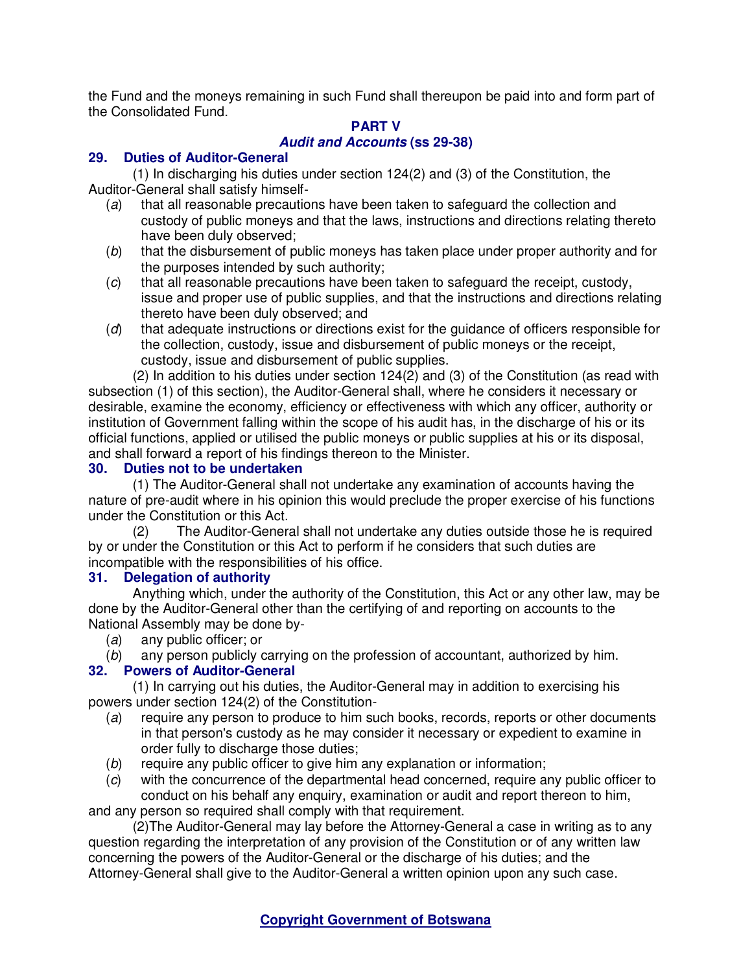the Fund and the moneys remaining in such Fund shall thereupon be paid into and form part of the Consolidated Fund.

# **PART V**

# **Audit and Accounts (ss 29-38)**

# **29. Duties of Auditor-General**

(1) In discharging his duties under section 124(2) and (3) of the Constitution, the Auditor-General shall satisfy himself-

- (a) that all reasonable precautions have been taken to safeguard the collection and custody of public moneys and that the laws, instructions and directions relating thereto have been duly observed;
- (b) that the disbursement of public moneys has taken place under proper authority and for the purposes intended by such authority;
- (c) that all reasonable precautions have been taken to safeguard the receipt, custody, issue and proper use of public supplies, and that the instructions and directions relating thereto have been duly observed; and
- (d) that adequate instructions or directions exist for the guidance of officers responsible for the collection, custody, issue and disbursement of public moneys or the receipt, custody, issue and disbursement of public supplies.

(2) In addition to his duties under section 124(2) and (3) of the Constitution (as read with subsection (1) of this section), the Auditor-General shall, where he considers it necessary or desirable, examine the economy, efficiency or effectiveness with which any officer, authority or institution of Government falling within the scope of his audit has, in the discharge of his or its official functions, applied or utilised the public moneys or public supplies at his or its disposal, and shall forward a report of his findings thereon to the Minister.

# **30. Duties not to be undertaken**

(1) The Auditor-General shall not undertake any examination of accounts having the nature of pre-audit where in his opinion this would preclude the proper exercise of his functions under the Constitution or this Act.

(2) The Auditor-General shall not undertake any duties outside those he is required by or under the Constitution or this Act to perform if he considers that such duties are incompatible with the responsibilities of his office.

## **31. Delegation of authority**

Anything which, under the authority of the Constitution, this Act or any other law, may be done by the Auditor-General other than the certifying of and reporting on accounts to the National Assembly may be done by-

- (a) any public officer; or
- (b) any person publicly carrying on the profession of accountant, authorized by him.

# **32. Powers of Auditor-General**

(1) In carrying out his duties, the Auditor-General may in addition to exercising his powers under section 124(2) of the Constitution-

- (a) require any person to produce to him such books, records, reports or other documents in that person's custody as he may consider it necessary or expedient to examine in order fully to discharge those duties;
- (b) require any public officer to give him any explanation or information;
- (c) with the concurrence of the departmental head concerned, require any public officer to conduct on his behalf any enquiry, examination or audit and report thereon to him,

and any person so required shall comply with that requirement.

(2)The Auditor-General may lay before the Attorney-General a case in writing as to any question regarding the interpretation of any provision of the Constitution or of any written law concerning the powers of the Auditor-General or the discharge of his duties; and the Attorney-General shall give to the Auditor-General a written opinion upon any such case.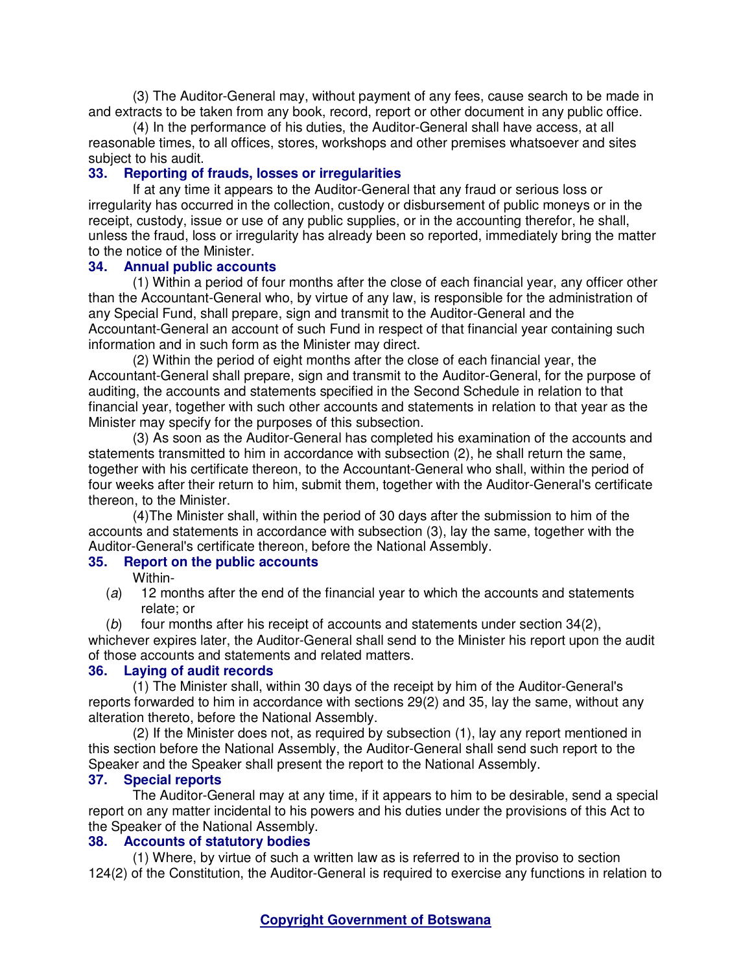(3) The Auditor-General may, without payment of any fees, cause search to be made in and extracts to be taken from any book, record, report or other document in any public office.

(4) In the performance of his duties, the Auditor-General shall have access, at all reasonable times, to all offices, stores, workshops and other premises whatsoever and sites subject to his audit.

#### **33. Reporting of frauds, losses or irregularities**

If at any time it appears to the Auditor-General that any fraud or serious loss or irregularity has occurred in the collection, custody or disbursement of public moneys or in the receipt, custody, issue or use of any public supplies, or in the accounting therefor, he shall, unless the fraud, loss or irregularity has already been so reported, immediately bring the matter to the notice of the Minister.

### **34. Annual public accounts**

(1) Within a period of four months after the close of each financial year, any officer other than the Accountant-General who, by virtue of any law, is responsible for the administration of any Special Fund, shall prepare, sign and transmit to the Auditor-General and the Accountant-General an account of such Fund in respect of that financial year containing such information and in such form as the Minister may direct.

(2) Within the period of eight months after the close of each financial year, the Accountant-General shall prepare, sign and transmit to the Auditor-General, for the purpose of auditing, the accounts and statements specified in the Second Schedule in relation to that financial year, together with such other accounts and statements in relation to that year as the Minister may specify for the purposes of this subsection.

(3) As soon as the Auditor-General has completed his examination of the accounts and statements transmitted to him in accordance with subsection (2), he shall return the same, together with his certificate thereon, to the Accountant-General who shall, within the period of four weeks after their return to him, submit them, together with the Auditor-General's certificate thereon, to the Minister.

(4)The Minister shall, within the period of 30 days after the submission to him of the accounts and statements in accordance with subsection (3), lay the same, together with the Auditor-General's certificate thereon, before the National Assembly.

#### **35. Report on the public accounts**

Within-

- (a) 12 months after the end of the financial year to which the accounts and statements relate; or
- (b) four months after his receipt of accounts and statements under section 34(2),

whichever expires later, the Auditor-General shall send to the Minister his report upon the audit of those accounts and statements and related matters.

### **36. Laying of audit records**

(1) The Minister shall, within 30 days of the receipt by him of the Auditor-General's reports forwarded to him in accordance with sections 29(2) and 35, lay the same, without any alteration thereto, before the National Assembly.

(2) If the Minister does not, as required by subsection (1), lay any report mentioned in this section before the National Assembly, the Auditor-General shall send such report to the Speaker and the Speaker shall present the report to the National Assembly.

### **37. Special reports**

The Auditor-General may at any time, if it appears to him to be desirable, send a special report on any matter incidental to his powers and his duties under the provisions of this Act to the Speaker of the National Assembly.

### **38. Accounts of statutory bodies**

(1) Where, by virtue of such a written law as is referred to in the proviso to section 124(2) of the Constitution, the Auditor-General is required to exercise any functions in relation to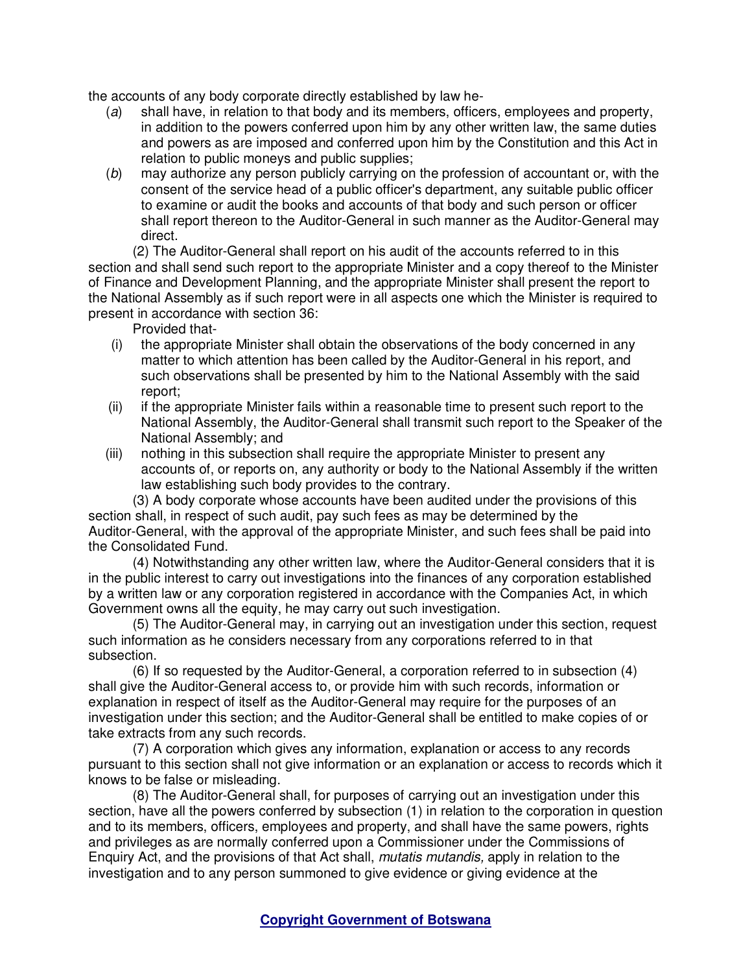the accounts of any body corporate directly established by law he-

- (a) shall have, in relation to that body and its members, officers, employees and property, in addition to the powers conferred upon him by any other written law, the same duties and powers as are imposed and conferred upon him by the Constitution and this Act in relation to public moneys and public supplies;
- (b) may authorize any person publicly carrying on the profession of accountant or, with the consent of the service head of a public officer's department, any suitable public officer to examine or audit the books and accounts of that body and such person or officer shall report thereon to the Auditor-General in such manner as the Auditor-General may direct.

(2) The Auditor-General shall report on his audit of the accounts referred to in this section and shall send such report to the appropriate Minister and a copy thereof to the Minister of Finance and Development Planning, and the appropriate Minister shall present the report to the National Assembly as if such report were in all aspects one which the Minister is required to present in accordance with section 36:

Provided that-

- (i) the appropriate Minister shall obtain the observations of the body concerned in any matter to which attention has been called by the Auditor-General in his report, and such observations shall be presented by him to the National Assembly with the said report;
- (ii) if the appropriate Minister fails within a reasonable time to present such report to the National Assembly, the Auditor-General shall transmit such report to the Speaker of the National Assembly; and
- (iii) nothing in this subsection shall require the appropriate Minister to present any accounts of, or reports on, any authority or body to the National Assembly if the written law establishing such body provides to the contrary.

(3) A body corporate whose accounts have been audited under the provisions of this section shall, in respect of such audit, pay such fees as may be determined by the Auditor-General, with the approval of the appropriate Minister, and such fees shall be paid into the Consolidated Fund.

(4) Notwithstanding any other written law, where the Auditor-General considers that it is in the public interest to carry out investigations into the finances of any corporation established by a written law or any corporation registered in accordance with the Companies Act, in which Government owns all the equity, he may carry out such investigation.

(5) The Auditor-General may, in carrying out an investigation under this section, request such information as he considers necessary from any corporations referred to in that subsection.

(6) If so requested by the Auditor-General, a corporation referred to in subsection (4) shall give the Auditor-General access to, or provide him with such records, information or explanation in respect of itself as the Auditor-General may require for the purposes of an investigation under this section; and the Auditor-General shall be entitled to make copies of or take extracts from any such records.

(7) A corporation which gives any information, explanation or access to any records pursuant to this section shall not give information or an explanation or access to records which it knows to be false or misleading.

(8) The Auditor-General shall, for purposes of carrying out an investigation under this section, have all the powers conferred by subsection (1) in relation to the corporation in question and to its members, officers, employees and property, and shall have the same powers, rights and privileges as are normally conferred upon a Commissioner under the Commissions of Enquiry Act, and the provisions of that Act shall, *mutatis mutandis*, apply in relation to the investigation and to any person summoned to give evidence or giving evidence at the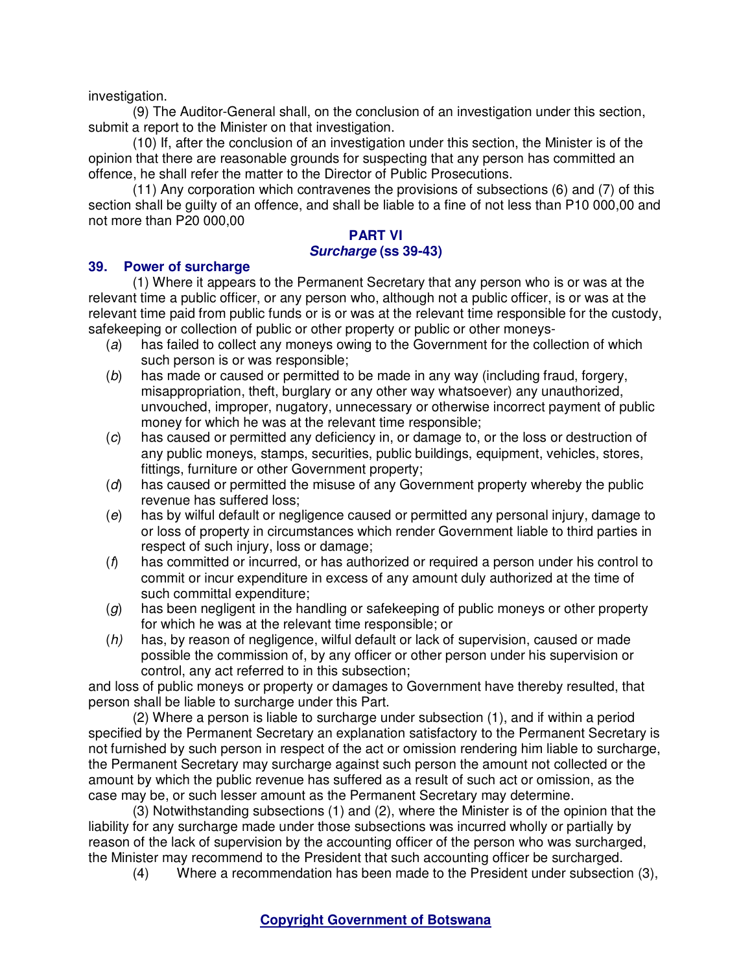investigation.

(9) The Auditor-General shall, on the conclusion of an investigation under this section, submit a report to the Minister on that investigation.

(10) If, after the conclusion of an investigation under this section, the Minister is of the opinion that there are reasonable grounds for suspecting that any person has committed an offence, he shall refer the matter to the Director of Public Prosecutions.

(11) Any corporation which contravenes the provisions of subsections (6) and (7) of this section shall be guilty of an offence, and shall be liable to a fine of not less than P10 000,00 and not more than P20 000,00

# **PART VI**

### **Surcharge (ss 39-43)**

## **39. Power of surcharge**

(1) Where it appears to the Permanent Secretary that any person who is or was at the relevant time a public officer, or any person who, although not a public officer, is or was at the relevant time paid from public funds or is or was at the relevant time responsible for the custody, safekeeping or collection of public or other property or public or other moneys-

- (a) has failed to collect any moneys owing to the Government for the collection of which such person is or was responsible;
- (b) has made or caused or permitted to be made in any way (including fraud, forgery, misappropriation, theft, burglary or any other way whatsoever) any unauthorized, unvouched, improper, nugatory, unnecessary or otherwise incorrect payment of public money for which he was at the relevant time responsible;
- (c) has caused or permitted any deficiency in, or damage to, or the loss or destruction of any public moneys, stamps, securities, public buildings, equipment, vehicles, stores, fittings, furniture or other Government property;
- (d) has caused or permitted the misuse of any Government property whereby the public revenue has suffered loss;
- (e) has by wilful default or negligence caused or permitted any personal injury, damage to or loss of property in circumstances which render Government liable to third parties in respect of such injury, loss or damage;
- $(f)$  has committed or incurred, or has authorized or required a person under his control to commit or incur expenditure in excess of any amount duly authorized at the time of such committal expenditure;
- $(q)$  has been negligent in the handling or safekeeping of public moneys or other property for which he was at the relevant time responsible; or
- (h) has, by reason of negligence, wilful default or lack of supervision, caused or made possible the commission of, by any officer or other person under his supervision or control, any act referred to in this subsection;

and loss of public moneys or property or damages to Government have thereby resulted, that person shall be liable to surcharge under this Part.

(2) Where a person is liable to surcharge under subsection (1), and if within a period specified by the Permanent Secretary an explanation satisfactory to the Permanent Secretary is not furnished by such person in respect of the act or omission rendering him liable to surcharge, the Permanent Secretary may surcharge against such person the amount not collected or the amount by which the public revenue has suffered as a result of such act or omission, as the case may be, or such lesser amount as the Permanent Secretary may determine.

(3) Notwithstanding subsections (1) and (2), where the Minister is of the opinion that the liability for any surcharge made under those subsections was incurred wholly or partially by reason of the lack of supervision by the accounting officer of the person who was surcharged, the Minister may recommend to the President that such accounting officer be surcharged.

(4) Where a recommendation has been made to the President under subsection (3),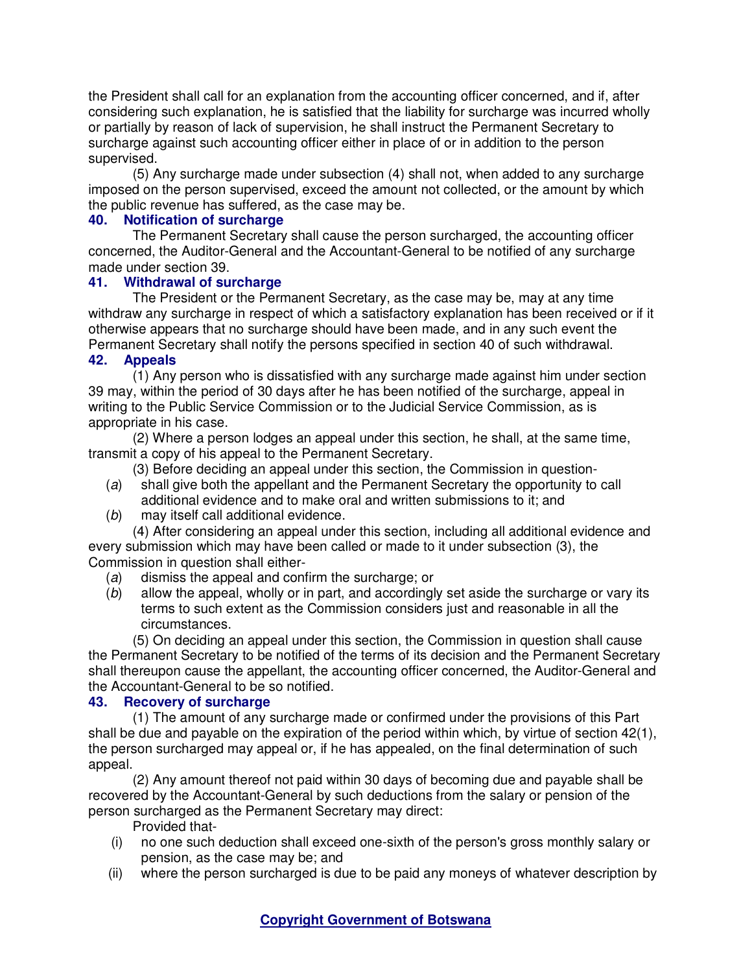the President shall call for an explanation from the accounting officer concerned, and if, after considering such explanation, he is satisfied that the liability for surcharge was incurred wholly or partially by reason of lack of supervision, he shall instruct the Permanent Secretary to surcharge against such accounting officer either in place of or in addition to the person supervised.

(5) Any surcharge made under subsection (4) shall not, when added to any surcharge imposed on the person supervised, exceed the amount not collected, or the amount by which the public revenue has suffered, as the case may be.

## **40. Notification of surcharge**

The Permanent Secretary shall cause the person surcharged, the accounting officer concerned, the Auditor-General and the Accountant-General to be notified of any surcharge made under section 39.

### **41. Withdrawal of surcharge**

The President or the Permanent Secretary, as the case may be, may at any time withdraw any surcharge in respect of which a satisfactory explanation has been received or if it otherwise appears that no surcharge should have been made, and in any such event the Permanent Secretary shall notify the persons specified in section 40 of such withdrawal.

### **42. Appeals**

(1) Any person who is dissatisfied with any surcharge made against him under section 39 may, within the period of 30 days after he has been notified of the surcharge, appeal in writing to the Public Service Commission or to the Judicial Service Commission, as is appropriate in his case.

(2) Where a person lodges an appeal under this section, he shall, at the same time, transmit a copy of his appeal to the Permanent Secretary.

(3) Before deciding an appeal under this section, the Commission in question-

- (a) shall give both the appellant and the Permanent Secretary the opportunity to call additional evidence and to make oral and written submissions to it; and
- (b) may itself call additional evidence.

(4) After considering an appeal under this section, including all additional evidence and every submission which may have been called or made to it under subsection (3), the Commission in question shall either-

- (a) dismiss the appeal and confirm the surcharge; or
- (b) allow the appeal, wholly or in part, and accordingly set aside the surcharge or vary its terms to such extent as the Commission considers just and reasonable in all the circumstances.

(5) On deciding an appeal under this section, the Commission in question shall cause the Permanent Secretary to be notified of the terms of its decision and the Permanent Secretary shall thereupon cause the appellant, the accounting officer concerned, the Auditor-General and the Accountant-General to be so notified.

## **43. Recovery of surcharge**

(1) The amount of any surcharge made or confirmed under the provisions of this Part shall be due and payable on the expiration of the period within which, by virtue of section 42(1), the person surcharged may appeal or, if he has appealed, on the final determination of such appeal.

(2) Any amount thereof not paid within 30 days of becoming due and payable shall be recovered by the Accountant-General by such deductions from the salary or pension of the person surcharged as the Permanent Secretary may direct:

Provided that-

- (i) no one such deduction shall exceed one-sixth of the person's gross monthly salary or pension, as the case may be; and
- (ii) where the person surcharged is due to be paid any moneys of whatever description by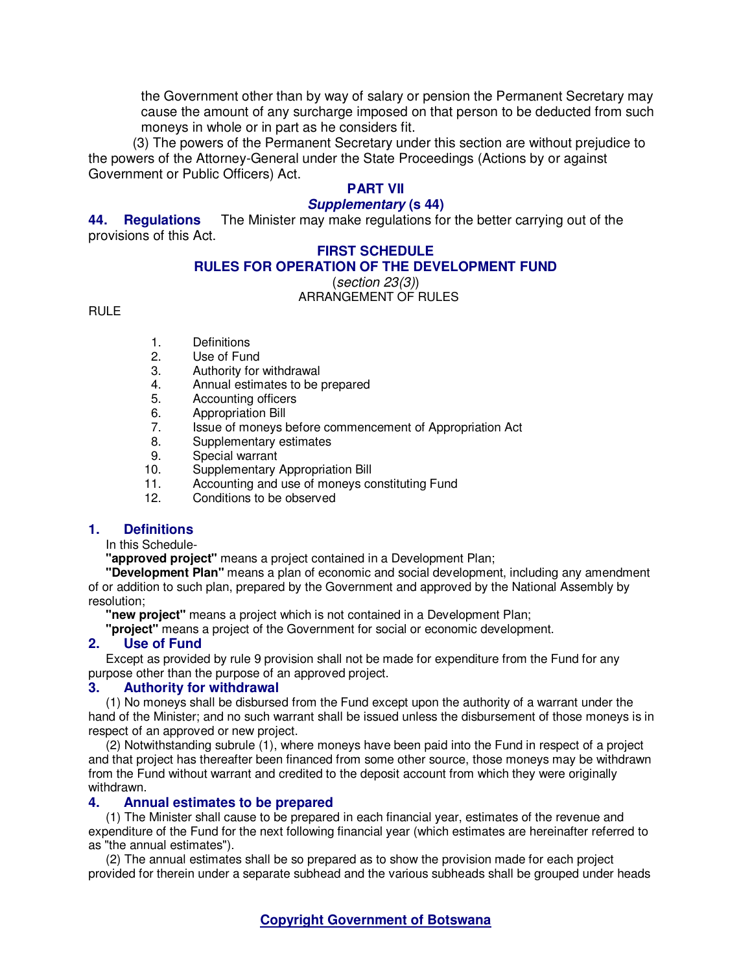the Government other than by way of salary or pension the Permanent Secretary may cause the amount of any surcharge imposed on that person to be deducted from such moneys in whole or in part as he considers fit.

(3) The powers of the Permanent Secretary under this section are without prejudice to the powers of the Attorney-General under the State Proceedings (Actions by or against Government or Public Officers) Act.

# **PART VII**

## **Supplementary (s 44)**

**44. Regulations** The Minister may make regulations for the better carrying out of the provisions of this Act.

### **FIRST SCHEDULE**

## **RULES FOR OPERATION OF THE DEVELOPMENT FUND**

(section 23(3)) ARRANGEMENT OF RULES

RULE

- 1. Definitions
- 2. Use of Fund
- 3. Authority for withdrawal<br>4. Annual estimates to be
- 4. Annual estimates to be prepared
- 5. Accounting officers
- 6. Appropriation Bill<br>7. Issue of moneys l
- Issue of moneys before commencement of Appropriation Act
- 8. Supplementary estimates
- 9. Special warrant
- 10. Supplementary Appropriation Bill
- 11. Accounting and use of moneys constituting Fund
- 12. Conditions to be observed

### **1. Definitions**

In this Schedule-

**"approved project"** means a project contained in a Development Plan;

**"Development Plan"** means a plan of economic and social development, including any amendment of or addition to such plan, prepared by the Government and approved by the National Assembly by resolution;

**"new project"** means a project which is not contained in a Development Plan;

**"project"** means a project of the Government for social or economic development.

### **2. Use of Fund**

Except as provided by rule 9 provision shall not be made for expenditure from the Fund for any purpose other than the purpose of an approved project.

### **3. Authority for withdrawal**

(1) No moneys shall be disbursed from the Fund except upon the authority of a warrant under the hand of the Minister; and no such warrant shall be issued unless the disbursement of those moneys is in respect of an approved or new project.

(2) Notwithstanding subrule (1), where moneys have been paid into the Fund in respect of a project and that project has thereafter been financed from some other source, those moneys may be withdrawn from the Fund without warrant and credited to the deposit account from which they were originally withdrawn.

### **4. Annual estimates to be prepared**

(1) The Minister shall cause to be prepared in each financial year, estimates of the revenue and expenditure of the Fund for the next following financial year (which estimates are hereinafter referred to as "the annual estimates").

(2) The annual estimates shall be so prepared as to show the provision made for each project provided for therein under a separate subhead and the various subheads shall be grouped under heads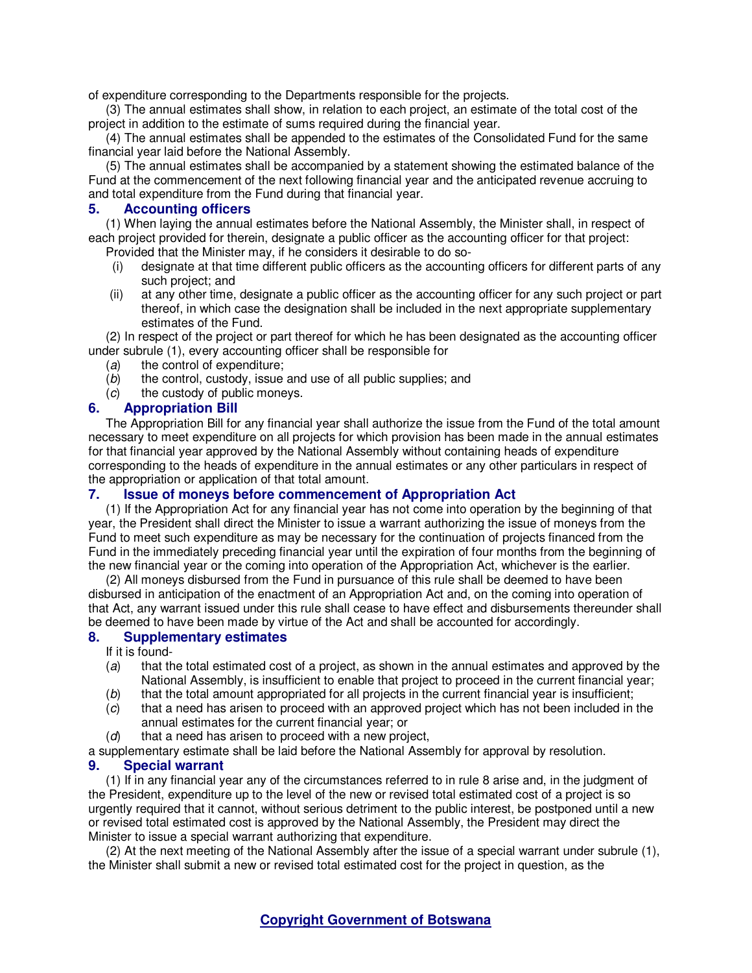of expenditure corresponding to the Departments responsible for the projects.

(3) The annual estimates shall show, in relation to each project, an estimate of the total cost of the project in addition to the estimate of sums required during the financial year.

(4) The annual estimates shall be appended to the estimates of the Consolidated Fund for the same financial year laid before the National Assembly.

(5) The annual estimates shall be accompanied by a statement showing the estimated balance of the Fund at the commencement of the next following financial year and the anticipated revenue accruing to and total expenditure from the Fund during that financial year.

#### **5. Accounting officers**

(1) When laying the annual estimates before the National Assembly, the Minister shall, in respect of each project provided for therein, designate a public officer as the accounting officer for that project: Provided that the Minister may, if he considers it desirable to do so-

- (i) designate at that time different public officers as the accounting officers for different parts of any such project; and
- (ii) at any other time, designate a public officer as the accounting officer for any such project or part thereof, in which case the designation shall be included in the next appropriate supplementary estimates of the Fund.

(2) In respect of the project or part thereof for which he has been designated as the accounting officer under subrule (1), every accounting officer shall be responsible for

- (a) the control of expenditure;
- $(b)$  the control, custody, issue and use of all public supplies; and
- (c) the custody of public moneys.

### **6. Appropriation Bill**

The Appropriation Bill for any financial year shall authorize the issue from the Fund of the total amount necessary to meet expenditure on all projects for which provision has been made in the annual estimates for that financial year approved by the National Assembly without containing heads of expenditure corresponding to the heads of expenditure in the annual estimates or any other particulars in respect of the appropriation or application of that total amount.

### **7. Issue of moneys before commencement of Appropriation Act**

(1) If the Appropriation Act for any financial year has not come into operation by the beginning of that year, the President shall direct the Minister to issue a warrant authorizing the issue of moneys from the Fund to meet such expenditure as may be necessary for the continuation of projects financed from the Fund in the immediately preceding financial year until the expiration of four months from the beginning of the new financial year or the coming into operation of the Appropriation Act, whichever is the earlier.

 (2) All moneys disbursed from the Fund in pursuance of this rule shall be deemed to have been disbursed in anticipation of the enactment of an Appropriation Act and, on the coming into operation of that Act, any warrant issued under this rule shall cease to have effect and disbursements thereunder shall be deemed to have been made by virtue of the Act and shall be accounted for accordingly.

#### **8. Supplementary estimates**

If it is found-

- (a) that the total estimated cost of a project, as shown in the annual estimates and approved by the National Assembly, is insufficient to enable that project to proceed in the current financial year;
- (b) that the total amount appropriated for all projects in the current financial year is insufficient;
- (c) that a need has arisen to proceed with an approved project which has not been included in the annual estimates for the current financial year; or
- $(d)$  that a need has arisen to proceed with a new project,

a supplementary estimate shall be laid before the National Assembly for approval by resolution.

#### **9. Special warrant**

(1) If in any financial year any of the circumstances referred to in rule 8 arise and, in the judgment of the President, expenditure up to the level of the new or revised total estimated cost of a project is so urgently required that it cannot, without serious detriment to the public interest, be postponed until a new or revised total estimated cost is approved by the National Assembly, the President may direct the Minister to issue a special warrant authorizing that expenditure.

 (2) At the next meeting of the National Assembly after the issue of a special warrant under subrule (1), the Minister shall submit a new or revised total estimated cost for the project in question, as the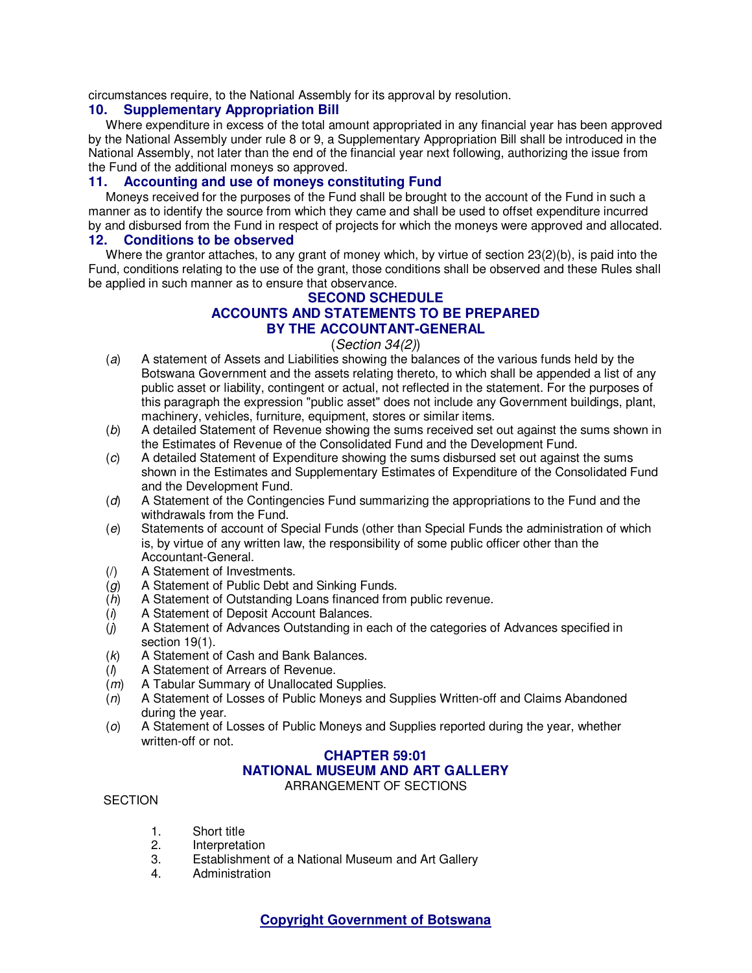circumstances require, to the National Assembly for its approval by resolution.

#### **10. Supplementary Appropriation Bill**

Where expenditure in excess of the total amount appropriated in any financial year has been approved by the National Assembly under rule 8 or 9, a Supplementary Appropriation Bill shall be introduced in the National Assembly, not later than the end of the financial year next following, authorizing the issue from the Fund of the additional moneys so approved.

### **11. Accounting and use of moneys constituting Fund**

Moneys received for the purposes of the Fund shall be brought to the account of the Fund in such a manner as to identify the source from which they came and shall be used to offset expenditure incurred by and disbursed from the Fund in respect of projects for which the moneys were approved and allocated.

#### **12. Conditions to be observed**

Where the grantor attaches, to any grant of money which, by virtue of section 23(2)(b), is paid into the Fund, conditions relating to the use of the grant, those conditions shall be observed and these Rules shall be applied in such manner as to ensure that observance.

# **SECOND SCHEDULE ACCOUNTS AND STATEMENTS TO BE PREPARED BY THE ACCOUNTANT-GENERAL**

### (Section 34(2))

- (a) A statement of Assets and Liabilities showing the balances of the various funds held by the Botswana Government and the assets relating thereto, to which shall be appended a list of any public asset or liability, contingent or actual, not reflected in the statement. For the purposes of this paragraph the expression "public asset" does not include any Government buildings, plant, machinery, vehicles, furniture, equipment, stores or similar items.
- (b) A detailed Statement of Revenue showing the sums received set out against the sums shown in the Estimates of Revenue of the Consolidated Fund and the Development Fund.
- (c) A detailed Statement of Expenditure showing the sums disbursed set out against the sums shown in the Estimates and Supplementary Estimates of Expenditure of the Consolidated Fund and the Development Fund.
- (d) A Statement of the Contingencies Fund summarizing the appropriations to the Fund and the withdrawals from the Fund.
- (e) Statements of account of Special Funds (other than Special Funds the administration of which is, by virtue of any written law, the responsibility of some public officer other than the Accountant-General.
- (/) A Statement of Investments.
- (g) A Statement of Public Debt and Sinking Funds.
- (h) A Statement of Outstanding Loans financed from public revenue.
- (i) A Statement of Deposit Account Balances.
- $(j)$  A Statement of Advances Outstanding in each of the categories of Advances specified in section 19(1).
- (k) A Statement of Cash and Bank Balances.
- (l) A Statement of Arrears of Revenue.
- (m) A Tabular Summary of Unallocated Supplies.
- (n) A Statement of Losses of Public Moneys and Supplies Written-off and Claims Abandoned during the year.
- (o) A Statement of Losses of Public Moneys and Supplies reported during the year, whether written-off or not.

# **CHAPTER 59:01 NATIONAL MUSEUM AND ART GALLERY**

ARRANGEMENT OF SECTIONS

#### **SECTION**

- 1. Short title
- 2. Interpretation
- 3. Establishment of a National Museum and Art Gallery
- 4. Administration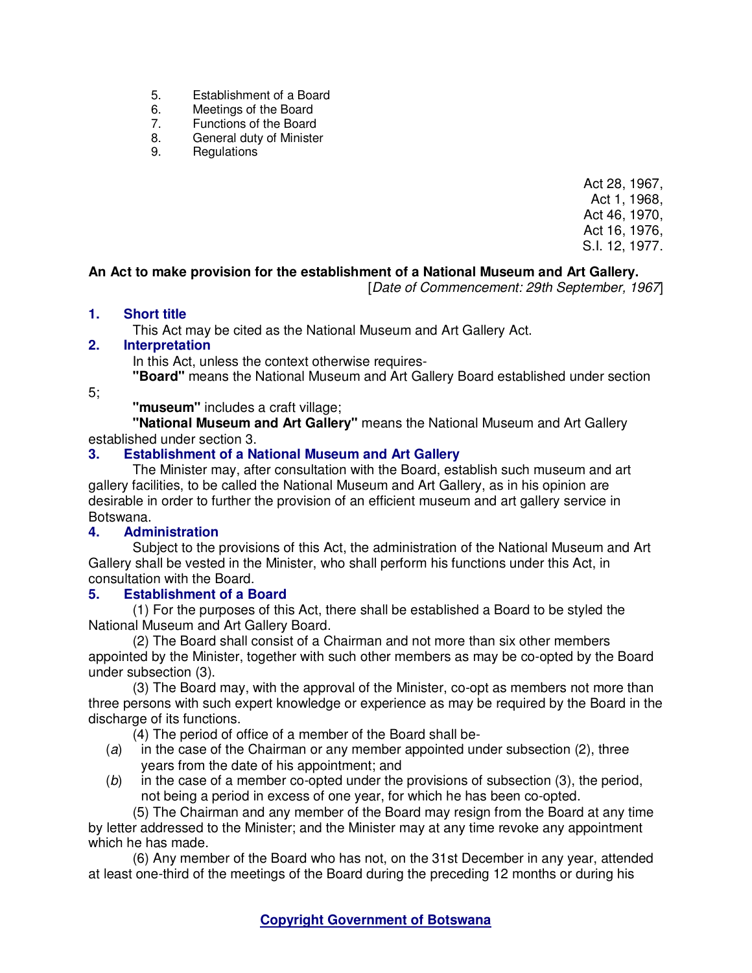- 5. Establishment of a Board<br>6. Meetings of the Board
- 6. Meetings of the Board<br>7. Functions of the Board
- Functions of the Board
- 8. General duty of Minister
- 9. Regulations

Act 28, 1967, Act 1, 1968, Act 46, 1970, Act 16, 1976, S.I. 12, 1977.

# **An Act to make provision for the establishment of a National Museum and Art Gallery.**

[Date of Commencement: 29th September, 1967]

## **1. Short title**

This Act may be cited as the National Museum and Art Gallery Act.

## **2. Interpretation**

In this Act, unless the context otherwise requires-

**"Board"** means the National Museum and Art Gallery Board established under section

5;

**"museum"** includes a craft village;

**"National Museum and Art Gallery"** means the National Museum and Art Gallery established under section 3.

## **3. Establishment of a National Museum and Art Gallery**

The Minister may, after consultation with the Board, establish such museum and art gallery facilities, to be called the National Museum and Art Gallery, as in his opinion are desirable in order to further the provision of an efficient museum and art gallery service in Botswana.<br>4. **Adm** 

## **4. Administration**

Subject to the provisions of this Act, the administration of the National Museum and Art Gallery shall be vested in the Minister, who shall perform his functions under this Act, in consultation with the Board.

## **5. Establishment of a Board**

(1) For the purposes of this Act, there shall be established a Board to be styled the National Museum and Art Gallery Board.

(2) The Board shall consist of a Chairman and not more than six other members appointed by the Minister, together with such other members as may be co-opted by the Board under subsection (3).

(3) The Board may, with the approval of the Minister, co-opt as members not more than three persons with such expert knowledge or experience as may be required by the Board in the discharge of its functions.

(4) The period of office of a member of the Board shall be-

- (a) in the case of the Chairman or any member appointed under subsection (2), three years from the date of his appointment; and
- (b) in the case of a member co-opted under the provisions of subsection (3), the period, not being a period in excess of one year, for which he has been co-opted.

(5) The Chairman and any member of the Board may resign from the Board at any time by letter addressed to the Minister; and the Minister may at any time revoke any appointment which he has made.

(6) Any member of the Board who has not, on the 31st December in any year, attended at least one-third of the meetings of the Board during the preceding 12 months or during his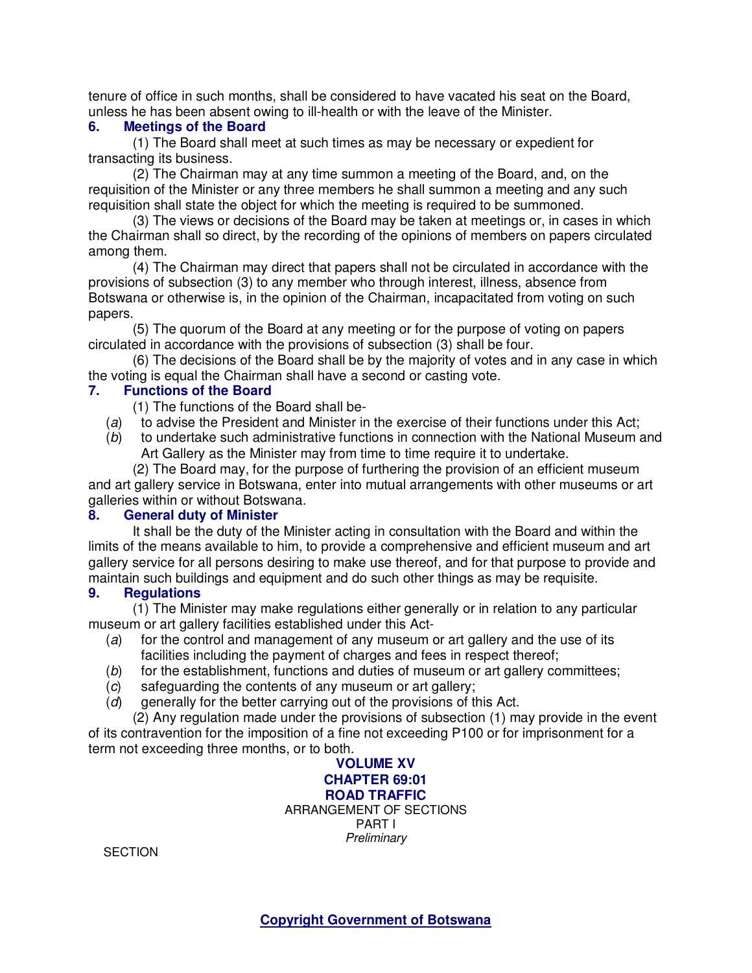tenure of office in such months, shall be considered to have vacated his seat on the Board, unless he has been absent owing to ill-health or with the leave of the Minister.

### **6. Meetings of the Board**

(1) The Board shall meet at such times as may be necessary or expedient for transacting its business.

(2) The Chairman may at any time summon a meeting of the Board, and, on the requisition of the Minister or any three members he shall summon a meeting and any such requisition shall state the object for which the meeting is required to be summoned.

(3) The views or decisions of the Board may be taken at meetings or, in cases in which the Chairman shall so direct, by the recording of the opinions of members on papers circulated among them.

(4) The Chairman may direct that papers shall not be circulated in accordance with the provisions of subsection (3) to any member who through interest, illness, absence from Botswana or otherwise is, in the opinion of the Chairman, incapacitated from voting on such papers.

(5) The quorum of the Board at any meeting or for the purpose of voting on papers circulated in accordance with the provisions of subsection (3) shall be four.

(6) The decisions of the Board shall be by the majority of votes and in any case in which the voting is equal the Chairman shall have a second or casting vote.<br>7. Functions of the Board

### **7. Functions of the Board**

(1) The functions of the Board shall be-

- (a) to advise the President and Minister in the exercise of their functions under this Act;
- (b) to undertake such administrative functions in connection with the National Museum and Art Gallery as the Minister may from time to time require it to undertake.

(2) The Board may, for the purpose of furthering the provision of an efficient museum and art gallery service in Botswana, enter into mutual arrangements with other museums or art galleries within or without Botswana.

### **8. General duty of Minister**

It shall be the duty of the Minister acting in consultation with the Board and within the limits of the means available to him, to provide a comprehensive and efficient museum and art gallery service for all persons desiring to make use thereof, and for that purpose to provide and maintain such buildings and equipment and do such other things as may be requisite.

### **9. Regulations**

(1) The Minister may make regulations either generally or in relation to any particular museum or art gallery facilities established under this Act-

- (a) for the control and management of any museum or art gallery and the use of its facilities including the payment of charges and fees in respect thereof;
- (b) for the establishment, functions and duties of museum or art gallery committees;
- (c) safeguarding the contents of any museum or art gallery;
- (d) generally for the better carrying out of the provisions of this Act.

(2) Any regulation made under the provisions of subsection (1) may provide in the event of its contravention for the imposition of a fine not exceeding P100 or for imprisonment for a term not exceeding three months, or to both.

> **VOLUME XV CHAPTER 69:01 ROAD TRAFFIC**  ARRANGEMENT OF SECTIONS PART I **Preliminary**

**SECTION**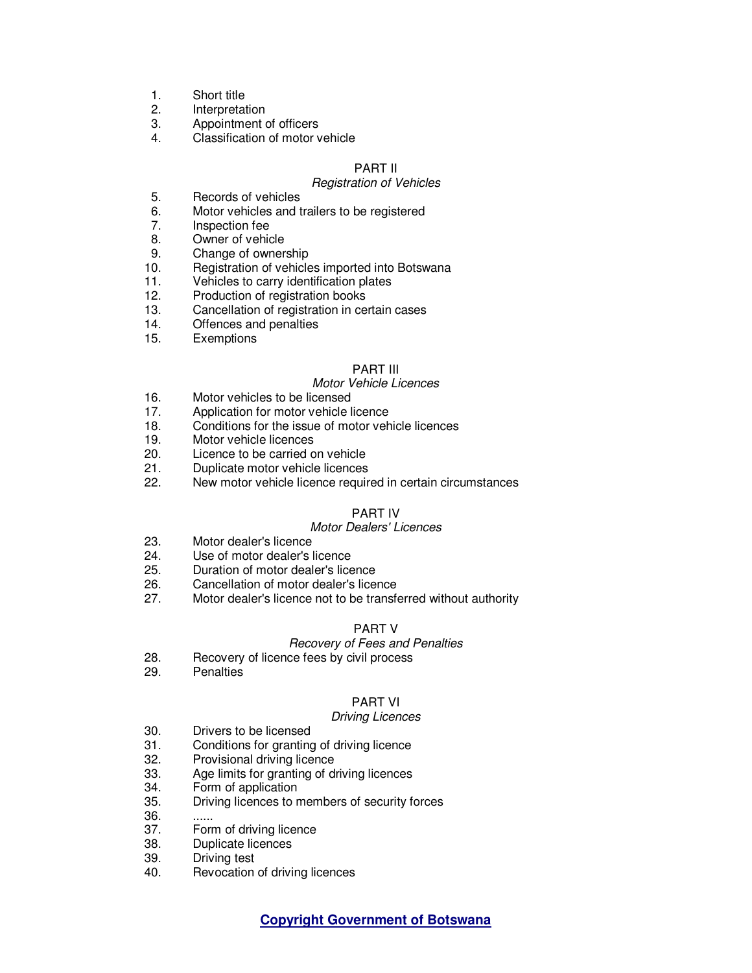- 1. Short title<br>2. Interpreta
- **Interpretation**
- 3. Appointment of officers
- 4. Classification of motor vehicle

### PART II

#### Registration of Vehicles

- 5. Records of vehicles
- 6. Motor vehicles and trailers to be registered<br>7. Inspection fee
- Inspection fee
- 8. Owner of vehicle
- 9. Change of ownership<br>10. Registration of vehicle
- Registration of vehicles imported into Botswana
- 11. Vehicles to carry identification plates
- 12. Production of registration books
- 13. Cancellation of registration in certain cases
- 14. Offences and penalties
- 15. Exemptions

#### PART III

#### Motor Vehicle Licences

- 16. Motor vehicles to be licensed
- 17. Application for motor vehicle licence
- 18. Conditions for the issue of motor vehicle licences
- 19. Motor vehicle licences
- 20. Licence to be carried on vehicle
- 21. Duplicate motor vehicle licences<br>22. New motor vehicle licence require
- New motor vehicle licence required in certain circumstances

### PART IV

### Motor Dealers' Licences

- 23. Motor dealer's licence
- 
- 24. Use of motor dealer's licence<br>25. Duration of motor dealer's lice Duration of motor dealer's licence
- 26. Cancellation of motor dealer's licence
- 27. Motor dealer's licence not to be transferred without authority

#### PART V

#### Recovery of Fees and Penalties

- 28. Recovery of licence fees by civil process
- 29. Penalties

### PART VI

#### Driving Licences

- 30. Drivers to be licensed<br>31. Conditions for granting
- Conditions for granting of driving licence
- 32. Provisional driving licence
- 33. Age limits for granting of driving licences
- 34. Form of application
- 35. Driving licences to members of security forces
- 36.<br>37.
- Form of driving licence
- 38. Duplicate licences
- 39. Driving test
- 40. Revocation of driving licences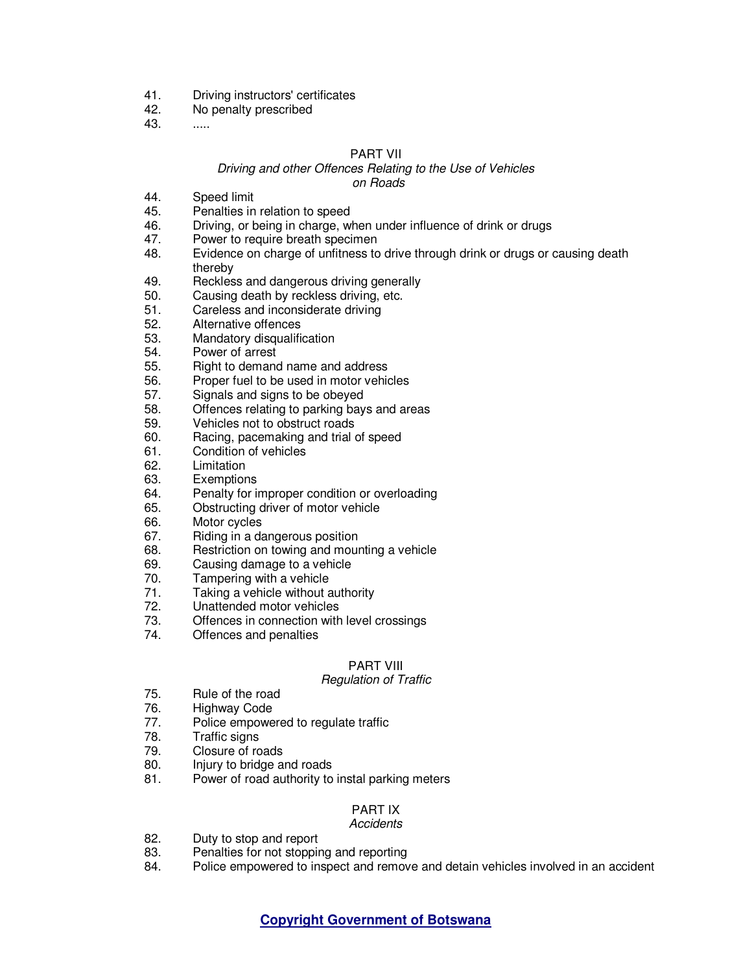- 41. Driving instructors' certificates<br>42. No penalty prescribed
- No penalty prescribed
- 43. .....

#### PART VII

#### Driving and other Offences Relating to the Use of Vehicles on Roads

- 44. Speed limit
- 45. Penalties in relation to speed
- 46. Driving, or being in charge, when under influence of drink or drugs
- 47. Power to require breath specimen
- 48. Evidence on charge of unfitness to drive through drink or drugs or causing death thereby
- 49. Reckless and dangerous driving generally
- 50. Causing death by reckless driving, etc.
- 51. Careless and inconsiderate driving<br>52. Alternative offences
- Alternative offences
- 53. Mandatory disqualification
- 54. Power of arrest
- 55. Right to demand name and address
- 56. Proper fuel to be used in motor vehicles
- 57. Signals and signs to be obeyed
- 58. Offences relating to parking bays and areas
- 59. Vehicles not to obstruct roads
- 60. Racing, pacemaking and trial of speed
- 61. Condition of vehicles<br>62. Limitation
- Limitation
- 63. Exemptions<br>64. Penalty for i
- Penalty for improper condition or overloading
- 65. Obstructing driver of motor vehicle
- 66. Motor cycles
- 67. Riding in a dangerous position
- 68. Restriction on towing and mounting a vehicle
- 69. Causing damage to a vehicle
- 70. Tampering with a vehicle
- 71. Taking a vehicle without authority<br>72. Unattended motor vehicles
- 72. Unattended motor vehicles<br>73. Offences in connection with
- Offences in connection with level crossings
- 74. Offences and penalties

### PART VIII

#### Regulation of Traffic

- 75. Rule of the road<br>76. Highway Code
- Highway Code
- 77. Police empowered to regulate traffic
- 78. Traffic signs<br>79. Closure of ro
- Closure of roads
- 80. Injury to bridge and roads
- 81. Power of road authority to instal parking meters

# PART IX

### **Accidents**

- 82. Duty to stop and report
- 83. Penalties for not stopping and reporting
- 84. Police empowered to inspect and remove and detain vehicles involved in an accident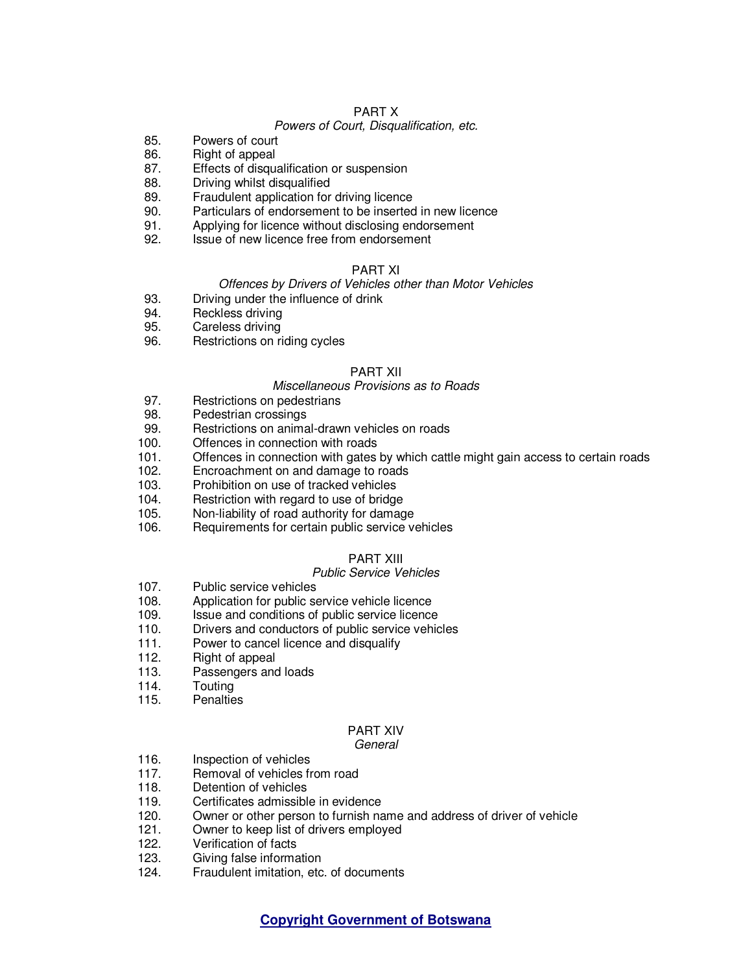#### PART X

#### Powers of Court, Disqualification, etc.

- 85. Powers of court<br>86. Right of appeal
- Right of appeal
- 87. Effects of disqualification or suspension
- 88. Driving whilst disqualified
- 89. Fraudulent application for driving licence
- 90. Particulars of endorsement to be inserted in new licence
- 91. Applying for licence without disclosing endorsement
- 92. Issue of new licence free from endorsement

#### PART XI

#### Offences by Drivers of Vehicles other than Motor Vehicles

- 93. Driving under the influence of drink<br>94. Reckless driving
- Reckless driving
- 95. Careless driving
- 96. Restrictions on riding cycles

#### PART XII

#### Miscellaneous Provisions as to Roads

- 97. Restrictions on pedestrians
- 98. Pedestrian crossings
- 99. Restrictions on animal-drawn vehicles on roads<br>100 Offences in connection with roads
- Offences in connection with roads
- 101. Offences in connection with gates by which cattle might gain access to certain roads
- 102. Encroachment on and damage to roads
- 103. Prohibition on use of tracked vehicles
- 104. Restriction with regard to use of bridge
- 105. Non-liability of road authority for damage
- 106. Requirements for certain public service vehicles

#### PART XIII

#### Public Service Vehicles

- 107. Public service vehicles
- 108. Application for public service vehicle licence<br>109. Issue and conditions of public service licence
- Issue and conditions of public service licence
- 110. Drivers and conductors of public service vehicles
- 111. Power to cancel licence and disqualify
- 112. Right of appeal
- 113. Passengers and loads
- 114. Touting
- 115. Penalties

# PART XIV

#### General

- 116. **Inspection of vehicles**
- 117. Removal of vehicles from road
- 118. Detention of vehicles
- 119. Certificates admissible in evidence
- 120. Owner or other person to furnish name and address of driver of vehicle 121. Owner to keep list of drivers employed
- Owner to keep list of drivers employed
- 122. Verification of facts
- 123. Giving false information
- 124. Fraudulent imitation, etc. of documents

### **Copyright Government of Botswana**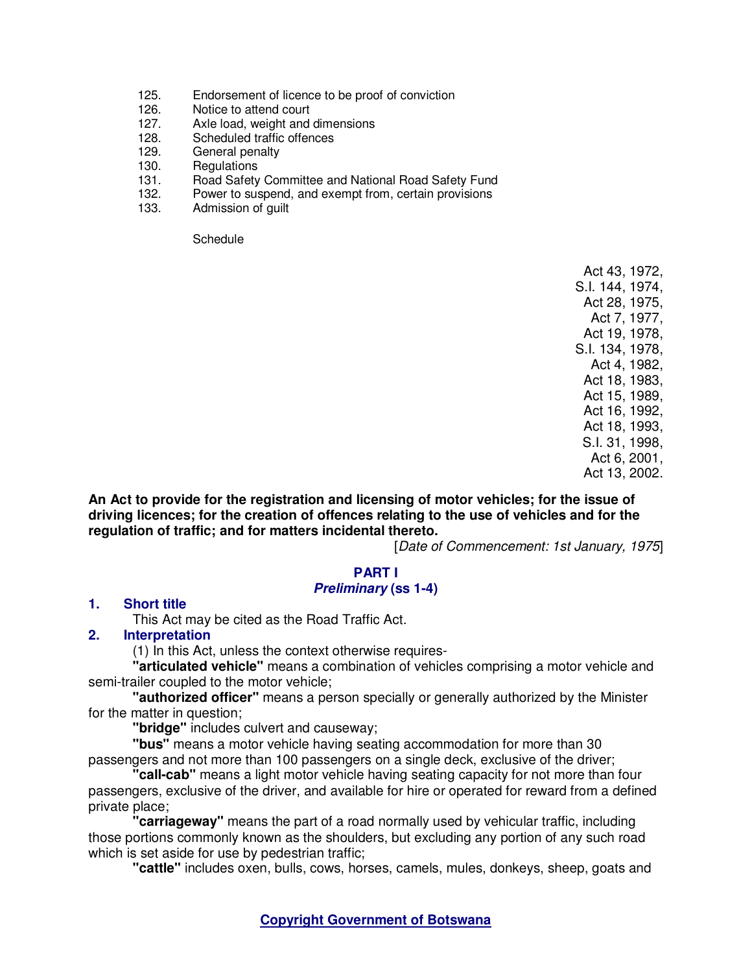- 125. Endorsement of licence to be proof of conviction
- 126. Notice to attend court
- 127. Axle load, weight and dimensions
- 128. Scheduled traffic offences
- 129. General penalty
- 130. Regulations<br>131. Road Safety
- Road Safety Committee and National Road Safety Fund
- 132. Power to suspend, and exempt from, certain provisions
- 133. Admission of guilt

**Schedule** 

Act 43, 1972, S.I. 144, 1974, Act 28, 1975, Act 7, 1977, Act 19, 1978, S.I. 134, 1978, Act 4, 1982, Act 18, 1983, Act 15, 1989, Act 16, 1992, Act 18, 1993, S.I. 31, 1998, Act 6, 2001, Act 13, 2002.

**An Act to provide for the registration and licensing of motor vehicles; for the issue of driving licences; for the creation of offences relating to the use of vehicles and for the regulation of traffic; and for matters incidental thereto.** 

[Date of Commencement: 1st January, 1975]

## **PART I**

### **Preliminary (ss 1-4)**

### **1. Short title**

This Act may be cited as the Road Traffic Act.

### **2. Interpretation**

(1) In this Act, unless the context otherwise requires-

**"articulated vehicle"** means a combination of vehicles comprising a motor vehicle and semi-trailer coupled to the motor vehicle;

**"authorized officer"** means a person specially or generally authorized by the Minister for the matter in question:

**"bridge"** includes culvert and causeway;

**"bus"** means a motor vehicle having seating accommodation for more than 30 passengers and not more than 100 passengers on a single deck, exclusive of the driver;

**"call-cab"** means a light motor vehicle having seating capacity for not more than four passengers, exclusive of the driver, and available for hire or operated for reward from a defined private place;

**"carriageway"** means the part of a road normally used by vehicular traffic, including those portions commonly known as the shoulders, but excluding any portion of any such road which is set aside for use by pedestrian traffic;

**"cattle"** includes oxen, bulls, cows, horses, camels, mules, donkeys, sheep, goats and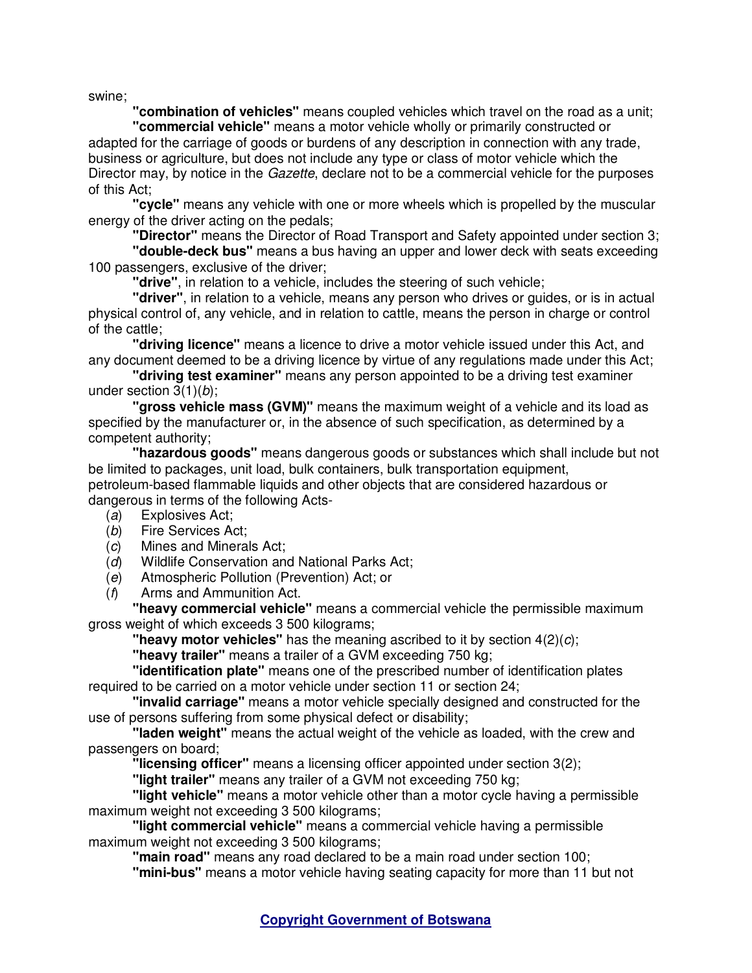swine;

**"combination of vehicles"** means coupled vehicles which travel on the road as a unit;

**"commercial vehicle"** means a motor vehicle wholly or primarily constructed or adapted for the carriage of goods or burdens of any description in connection with any trade, business or agriculture, but does not include any type or class of motor vehicle which the Director may, by notice in the *Gazette*, declare not to be a commercial vehicle for the purposes of this Act;

**"cycle"** means any vehicle with one or more wheels which is propelled by the muscular energy of the driver acting on the pedals;

**"Director"** means the Director of Road Transport and Safety appointed under section 3;

**"double-deck bus"** means a bus having an upper and lower deck with seats exceeding 100 passengers, exclusive of the driver;

**"drive"**, in relation to a vehicle, includes the steering of such vehicle;

**"driver"**, in relation to a vehicle, means any person who drives or guides, or is in actual physical control of, any vehicle, and in relation to cattle, means the person in charge or control of the cattle;

**"driving licence"** means a licence to drive a motor vehicle issued under this Act, and any document deemed to be a driving licence by virtue of any regulations made under this Act;

**"driving test examiner"** means any person appointed to be a driving test examiner under section 3(1)(b);

**"gross vehicle mass (GVM)"** means the maximum weight of a vehicle and its load as specified by the manufacturer or, in the absence of such specification, as determined by a competent authority;

**"hazardous goods"** means dangerous goods or substances which shall include but not be limited to packages, unit load, bulk containers, bulk transportation equipment, petroleum-based flammable liquids and other objects that are considered hazardous or

dangerous in terms of the following Acts-

- (a) Explosives Act;
- (b) Fire Services Act;
- (c) Mines and Minerals Act;
- (d) Wildlife Conservation and National Parks Act;
- (e) Atmospheric Pollution (Prevention) Act; or
- (f) Arms and Ammunition Act.

**"heavy commercial vehicle"** means a commercial vehicle the permissible maximum gross weight of which exceeds 3 500 kilograms;

**"heavy motor vehicles"** has the meaning ascribed to it by section 4(2)(c);

**"heavy trailer"** means a trailer of a GVM exceeding 750 kg;

**"identification plate"** means one of the prescribed number of identification plates required to be carried on a motor vehicle under section 11 or section 24;

**"invalid carriage"** means a motor vehicle specially designed and constructed for the use of persons suffering from some physical defect or disability;

**"laden weight"** means the actual weight of the vehicle as loaded, with the crew and passengers on board;

**"licensing officer"** means a licensing officer appointed under section 3(2);

**"light trailer"** means any trailer of a GVM not exceeding 750 kg;

**"light vehicle"** means a motor vehicle other than a motor cycle having a permissible maximum weight not exceeding 3 500 kilograms;

**"light commercial vehicle"** means a commercial vehicle having a permissible maximum weight not exceeding 3 500 kilograms;

**"main road"** means any road declared to be a main road under section 100;

**"mini-bus"** means a motor vehicle having seating capacity for more than 11 but not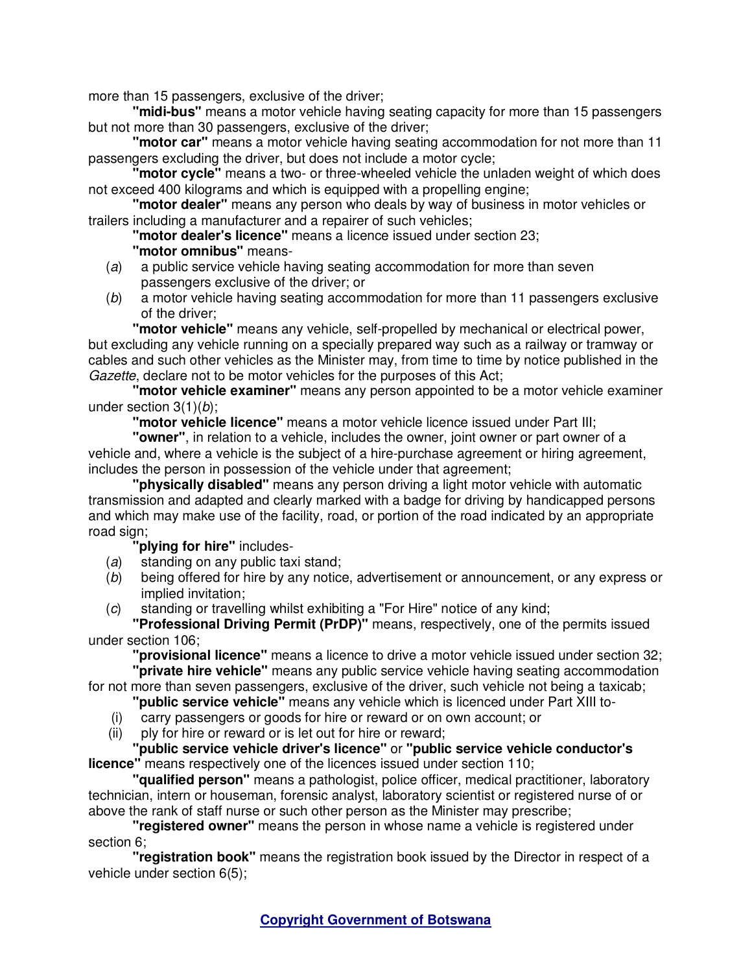more than 15 passengers, exclusive of the driver;

**"midi-bus"** means a motor vehicle having seating capacity for more than 15 passengers but not more than 30 passengers, exclusive of the driver;

**"motor car"** means a motor vehicle having seating accommodation for not more than 11 passengers excluding the driver, but does not include a motor cycle;

**"motor cycle"** means a two- or three-wheeled vehicle the unladen weight of which does not exceed 400 kilograms and which is equipped with a propelling engine;

**"motor dealer"** means any person who deals by way of business in motor vehicles or trailers including a manufacturer and a repairer of such vehicles;

**"motor dealer's licence"** means a licence issued under section 23;

# **"motor omnibus"** means-

- (a) a public service vehicle having seating accommodation for more than seven passengers exclusive of the driver; or
- (b) a motor vehicle having seating accommodation for more than 11 passengers exclusive of the driver;

**"motor vehicle"** means any vehicle, self-propelled by mechanical or electrical power, but excluding any vehicle running on a specially prepared way such as a railway or tramway or cables and such other vehicles as the Minister may, from time to time by notice published in the Gazette, declare not to be motor vehicles for the purposes of this Act;

**"motor vehicle examiner"** means any person appointed to be a motor vehicle examiner under section 3(1)(b);

**"motor vehicle licence"** means a motor vehicle licence issued under Part III;

**"owner"**, in relation to a vehicle, includes the owner, joint owner or part owner of a vehicle and, where a vehicle is the subject of a hire-purchase agreement or hiring agreement, includes the person in possession of the vehicle under that agreement;

**"physically disabled"** means any person driving a light motor vehicle with automatic transmission and adapted and clearly marked with a badge for driving by handicapped persons and which may make use of the facility, road, or portion of the road indicated by an appropriate road sign:

**"plying for hire"** includes-

- (a) standing on any public taxi stand;
- (b) being offered for hire by any notice, advertisement or announcement, or any express or implied invitation;
- (c) standing or travelling whilst exhibiting a "For Hire" notice of any kind;

**"Professional Driving Permit (PrDP)"** means, respectively, one of the permits issued under section 106;

**"provisional licence"** means a licence to drive a motor vehicle issued under section 32;

**"private hire vehicle"** means any public service vehicle having seating accommodation for not more than seven passengers, exclusive of the driver, such vehicle not being a taxicab;

- **"public service vehicle"** means any vehicle which is licenced under Part XIII to-
- (i) carry passengers or goods for hire or reward or on own account; or
- (ii) ply for hire or reward or is let out for hire or reward;

**"public service vehicle driver's licence"** or **"public service vehicle conductor's licence"** means respectively one of the licences issued under section 110;

**"qualified person"** means a pathologist, police officer, medical practitioner, laboratory technician, intern or houseman, forensic analyst, laboratory scientist or registered nurse of or above the rank of staff nurse or such other person as the Minister may prescribe;

**"registered owner"** means the person in whose name a vehicle is registered under section 6;

**"registration book"** means the registration book issued by the Director in respect of a vehicle under section 6(5);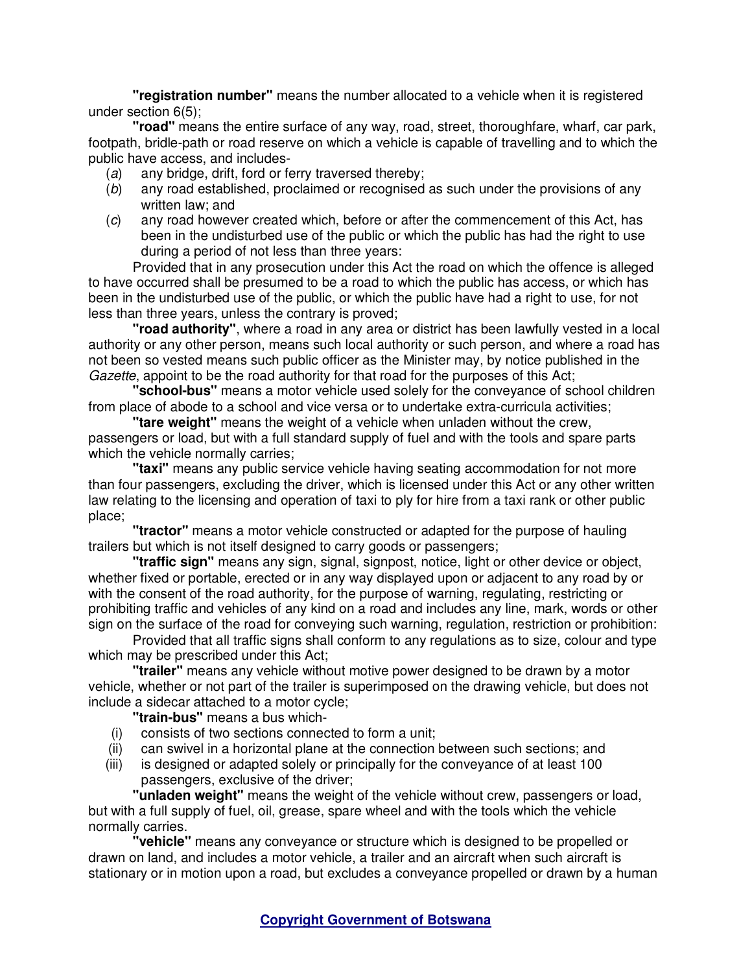**"registration number"** means the number allocated to a vehicle when it is registered under section 6(5);

**"road"** means the entire surface of any way, road, street, thoroughfare, wharf, car park, footpath, bridle-path or road reserve on which a vehicle is capable of travelling and to which the public have access, and includes-

- (a) any bridge, drift, ford or ferry traversed thereby;
- (b) any road established, proclaimed or recognised as such under the provisions of any written law; and
- (c) any road however created which, before or after the commencement of this Act, has been in the undisturbed use of the public or which the public has had the right to use during a period of not less than three years:

Provided that in any prosecution under this Act the road on which the offence is alleged to have occurred shall be presumed to be a road to which the public has access, or which has been in the undisturbed use of the public, or which the public have had a right to use, for not less than three years, unless the contrary is proved;

**"road authority"**, where a road in any area or district has been lawfully vested in a local authority or any other person, means such local authority or such person, and where a road has not been so vested means such public officer as the Minister may, by notice published in the Gazette, appoint to be the road authority for that road for the purposes of this Act;

**"school-bus"** means a motor vehicle used solely for the conveyance of school children from place of abode to a school and vice versa or to undertake extra-curricula activities;

**"tare weight"** means the weight of a vehicle when unladen without the crew, passengers or load, but with a full standard supply of fuel and with the tools and spare parts which the vehicle normally carries;

**"taxi"** means any public service vehicle having seating accommodation for not more than four passengers, excluding the driver, which is licensed under this Act or any other written law relating to the licensing and operation of taxi to ply for hire from a taxi rank or other public place;

**"tractor"** means a motor vehicle constructed or adapted for the purpose of hauling trailers but which is not itself designed to carry goods or passengers;

**"traffic sign"** means any sign, signal, signpost, notice, light or other device or object, whether fixed or portable, erected or in any way displayed upon or adjacent to any road by or with the consent of the road authority, for the purpose of warning, regulating, restricting or prohibiting traffic and vehicles of any kind on a road and includes any line, mark, words or other sign on the surface of the road for conveying such warning, regulation, restriction or prohibition:

Provided that all traffic signs shall conform to any regulations as to size, colour and type which may be prescribed under this Act;

**"trailer"** means any vehicle without motive power designed to be drawn by a motor vehicle, whether or not part of the trailer is superimposed on the drawing vehicle, but does not include a sidecar attached to a motor cycle;

**"train-bus"** means a bus which-

- (i) consists of two sections connected to form a unit;
- (ii) can swivel in a horizontal plane at the connection between such sections; and
- (iii) is designed or adapted solely or principally for the conveyance of at least 100 passengers, exclusive of the driver;

**"unladen weight"** means the weight of the vehicle without crew, passengers or load, but with a full supply of fuel, oil, grease, spare wheel and with the tools which the vehicle normally carries.

**"vehicle"** means any conveyance or structure which is designed to be propelled or drawn on land, and includes a motor vehicle, a trailer and an aircraft when such aircraft is stationary or in motion upon a road, but excludes a conveyance propelled or drawn by a human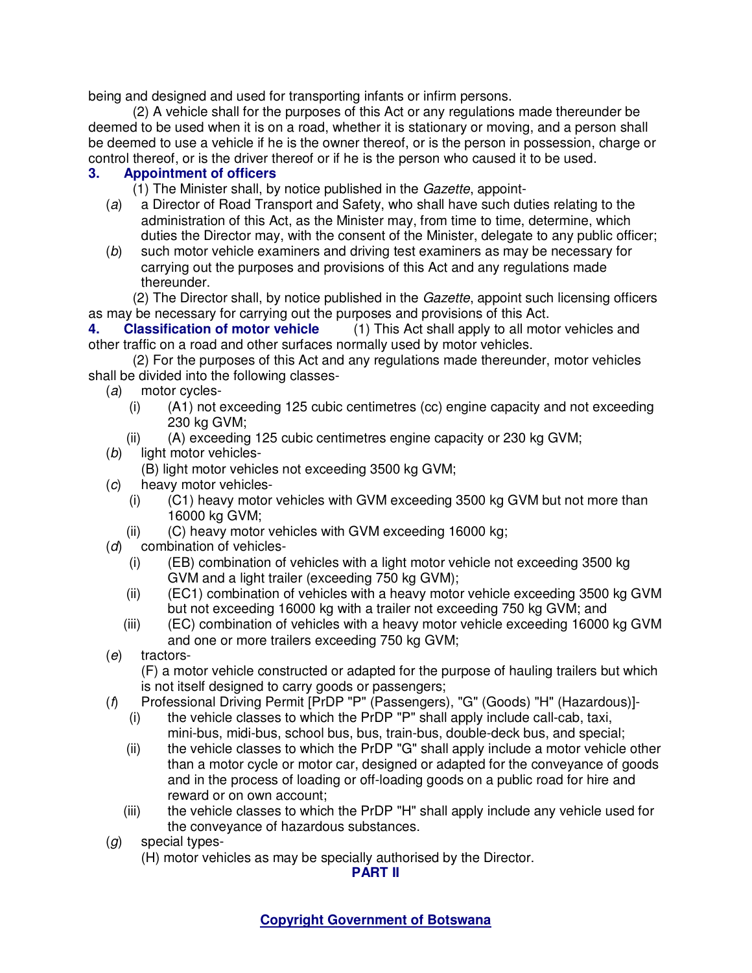being and designed and used for transporting infants or infirm persons.

(2) A vehicle shall for the purposes of this Act or any regulations made thereunder be deemed to be used when it is on a road, whether it is stationary or moving, and a person shall be deemed to use a vehicle if he is the owner thereof, or is the person in possession, charge or control thereof, or is the driver thereof or if he is the person who caused it to be used.

# **3. Appointment of officers**

(1) The Minister shall, by notice published in the Gazette, appoint-

- (a) a Director of Road Transport and Safety, who shall have such duties relating to the administration of this Act, as the Minister may, from time to time, determine, which duties the Director may, with the consent of the Minister, delegate to any public officer;
- (b) such motor vehicle examiners and driving test examiners as may be necessary for carrying out the purposes and provisions of this Act and any regulations made thereunder.

(2) The Director shall, by notice published in the Gazette, appoint such licensing officers as may be necessary for carrying out the purposes and provisions of this Act.

**4. Classification of motor vehicle** (1) This Act shall apply to all motor vehicles and other traffic on a road and other surfaces normally used by motor vehicles.

(2) For the purposes of this Act and any regulations made thereunder, motor vehicles shall be divided into the following classes-

- (a) motor cycles-
	- (i) (A1) not exceeding 125 cubic centimetres (cc) engine capacity and not exceeding 230 kg GVM;
	- $(iii)$  (A) exceeding 125 cubic centimetres engine capacity or 230 kg GVM;
- (b) light motor vehicles-
	- (B) light motor vehicles not exceeding 3500 kg GVM;
- (c) heavy motor vehicles-
	- (i) (C1) heavy motor vehicles with GVM exceeding 3500 kg GVM but not more than 16000 kg GVM;
- (ii) (C) heavy motor vehicles with GVM exceeding 16000 kg;  $(d)$  combination of vehicles-
- combination of vehicles-
	- (i) (EB) combination of vehicles with a light motor vehicle not exceeding 3500 kg GVM and a light trailer (exceeding 750 kg GVM);
	- (ii) (EC1) combination of vehicles with a heavy motor vehicle exceeding 3500 kg GVM but not exceeding 16000 kg with a trailer not exceeding 750 kg GVM; and
	- (iii) (EC) combination of vehicles with a heavy motor vehicle exceeding 16000 kg GVM and one or more trailers exceeding 750 kg GVM;
- (e) tractors-

 (F) a motor vehicle constructed or adapted for the purpose of hauling trailers but which is not itself designed to carry goods or passengers;

- (f) Professional Driving Permit [PrDP "P" (Passengers), "G" (Goods) "H" (Hazardous)]-
	- (i) the vehicle classes to which the PrDP "P" shall apply include call-cab, taxi, mini-bus, midi-bus, school bus, bus, train-bus, double-deck bus, and special;
	- (ii) the vehicle classes to which the PrDP "G" shall apply include a motor vehicle other than a motor cycle or motor car, designed or adapted for the conveyance of goods and in the process of loading or off-loading goods on a public road for hire and reward or on own account;
	- (iii) the vehicle classes to which the PrDP "H" shall apply include any vehicle used for the conveyance of hazardous substances.
- (g) special types-
	- (H) motor vehicles as may be specially authorised by the Director.

**PART II**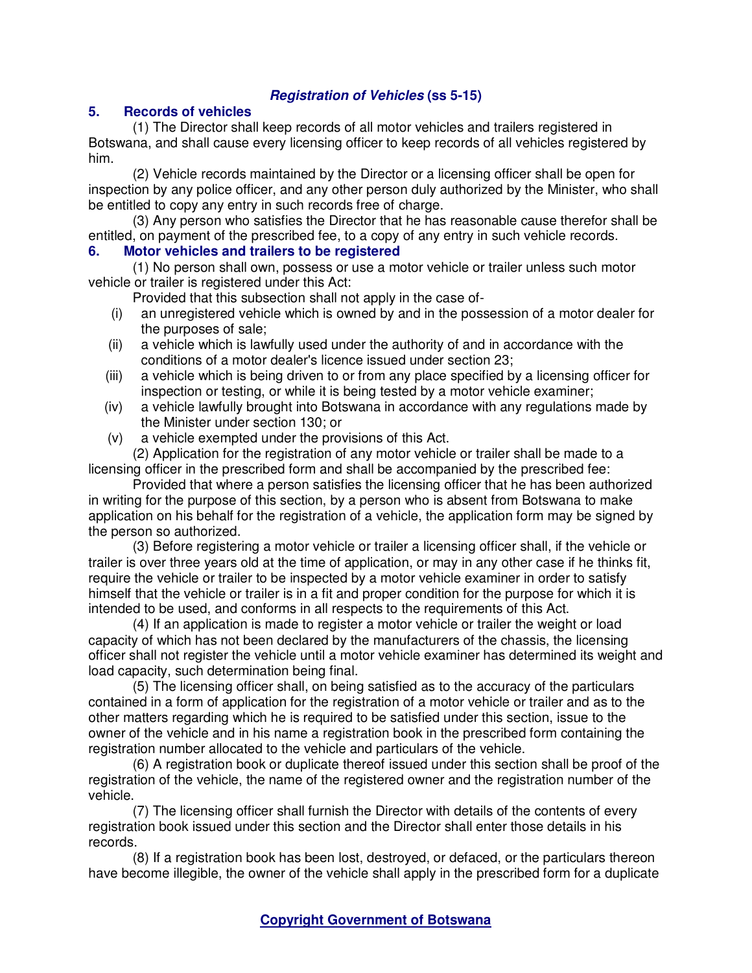# **Registration of Vehicles (ss 5-15)**

### **5. Records of vehicles**

(1) The Director shall keep records of all motor vehicles and trailers registered in Botswana, and shall cause every licensing officer to keep records of all vehicles registered by him.

(2) Vehicle records maintained by the Director or a licensing officer shall be open for inspection by any police officer, and any other person duly authorized by the Minister, who shall be entitled to copy any entry in such records free of charge.

(3) Any person who satisfies the Director that he has reasonable cause therefor shall be entitled, on payment of the prescribed fee, to a copy of any entry in such vehicle records.

### **6. Motor vehicles and trailers to be registered**

(1) No person shall own, possess or use a motor vehicle or trailer unless such motor vehicle or trailer is registered under this Act:

Provided that this subsection shall not apply in the case of-

- (i) an unregistered vehicle which is owned by and in the possession of a motor dealer for the purposes of sale;
- (ii) a vehicle which is lawfully used under the authority of and in accordance with the conditions of a motor dealer's licence issued under section 23;
- (iii) a vehicle which is being driven to or from any place specified by a licensing officer for inspection or testing, or while it is being tested by a motor vehicle examiner;
- (iv) a vehicle lawfully brought into Botswana in accordance with any regulations made by the Minister under section 130; or
- (v) a vehicle exempted under the provisions of this Act.

(2) Application for the registration of any motor vehicle or trailer shall be made to a licensing officer in the prescribed form and shall be accompanied by the prescribed fee:

Provided that where a person satisfies the licensing officer that he has been authorized in writing for the purpose of this section, by a person who is absent from Botswana to make application on his behalf for the registration of a vehicle, the application form may be signed by the person so authorized.

(3) Before registering a motor vehicle or trailer a licensing officer shall, if the vehicle or trailer is over three years old at the time of application, or may in any other case if he thinks fit, require the vehicle or trailer to be inspected by a motor vehicle examiner in order to satisfy himself that the vehicle or trailer is in a fit and proper condition for the purpose for which it is intended to be used, and conforms in all respects to the requirements of this Act.

(4) If an application is made to register a motor vehicle or trailer the weight or load capacity of which has not been declared by the manufacturers of the chassis, the licensing officer shall not register the vehicle until a motor vehicle examiner has determined its weight and load capacity, such determination being final.

(5) The licensing officer shall, on being satisfied as to the accuracy of the particulars contained in a form of application for the registration of a motor vehicle or trailer and as to the other matters regarding which he is required to be satisfied under this section, issue to the owner of the vehicle and in his name a registration book in the prescribed form containing the registration number allocated to the vehicle and particulars of the vehicle.

(6) A registration book or duplicate thereof issued under this section shall be proof of the registration of the vehicle, the name of the registered owner and the registration number of the vehicle.

(7) The licensing officer shall furnish the Director with details of the contents of every registration book issued under this section and the Director shall enter those details in his records.

(8) If a registration book has been lost, destroyed, or defaced, or the particulars thereon have become illegible, the owner of the vehicle shall apply in the prescribed form for a duplicate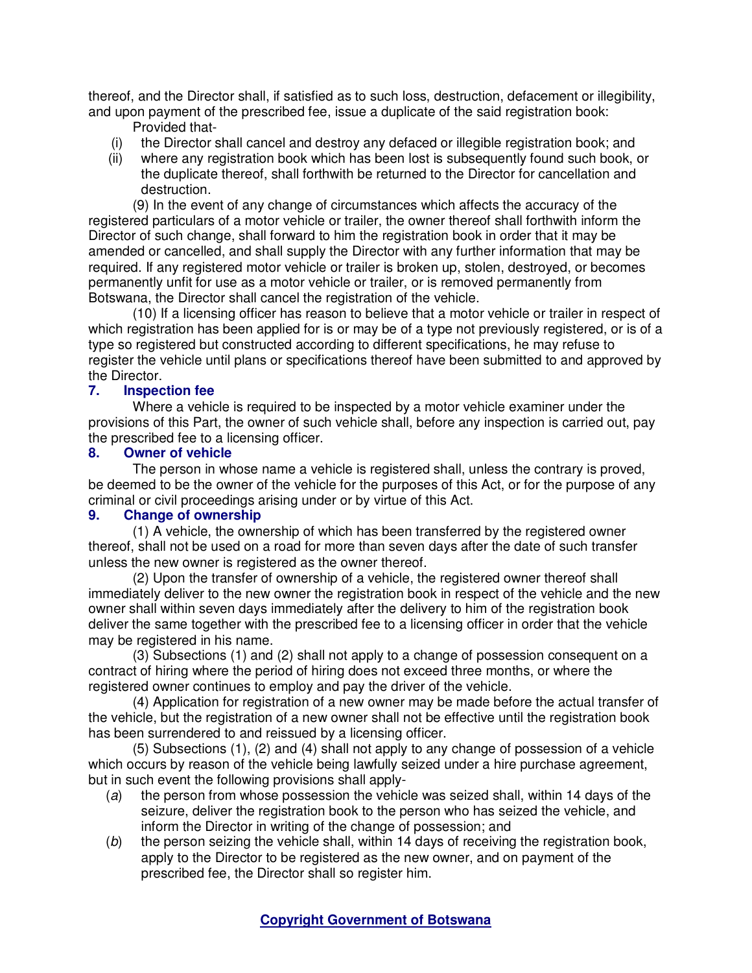thereof, and the Director shall, if satisfied as to such loss, destruction, defacement or illegibility, and upon payment of the prescribed fee, issue a duplicate of the said registration book:

- Provided that-
- (i) the Director shall cancel and destroy any defaced or illegible registration book; and
- (ii) where any registration book which has been lost is subsequently found such book, or the duplicate thereof, shall forthwith be returned to the Director for cancellation and destruction.

(9) In the event of any change of circumstances which affects the accuracy of the registered particulars of a motor vehicle or trailer, the owner thereof shall forthwith inform the Director of such change, shall forward to him the registration book in order that it may be amended or cancelled, and shall supply the Director with any further information that may be required. If any registered motor vehicle or trailer is broken up, stolen, destroyed, or becomes permanently unfit for use as a motor vehicle or trailer, or is removed permanently from Botswana, the Director shall cancel the registration of the vehicle.

(10) If a licensing officer has reason to believe that a motor vehicle or trailer in respect of which registration has been applied for is or may be of a type not previously registered, or is of a type so registered but constructed according to different specifications, he may refuse to register the vehicle until plans or specifications thereof have been submitted to and approved by the Director.

### **7. Inspection fee**

Where a vehicle is required to be inspected by a motor vehicle examiner under the provisions of this Part, the owner of such vehicle shall, before any inspection is carried out, pay the prescribed fee to a licensing officer.

### **8. Owner of vehicle**

The person in whose name a vehicle is registered shall, unless the contrary is proved, be deemed to be the owner of the vehicle for the purposes of this Act, or for the purpose of any criminal or civil proceedings arising under or by virtue of this Act.

### **9. Change of ownership**

(1) A vehicle, the ownership of which has been transferred by the registered owner thereof, shall not be used on a road for more than seven days after the date of such transfer unless the new owner is registered as the owner thereof.

(2) Upon the transfer of ownership of a vehicle, the registered owner thereof shall immediately deliver to the new owner the registration book in respect of the vehicle and the new owner shall within seven days immediately after the delivery to him of the registration book deliver the same together with the prescribed fee to a licensing officer in order that the vehicle may be registered in his name.

(3) Subsections (1) and (2) shall not apply to a change of possession consequent on a contract of hiring where the period of hiring does not exceed three months, or where the registered owner continues to employ and pay the driver of the vehicle.

(4) Application for registration of a new owner may be made before the actual transfer of the vehicle, but the registration of a new owner shall not be effective until the registration book has been surrendered to and reissued by a licensing officer.

(5) Subsections (1), (2) and (4) shall not apply to any change of possession of a vehicle which occurs by reason of the vehicle being lawfully seized under a hire purchase agreement, but in such event the following provisions shall apply-

- (a) the person from whose possession the vehicle was seized shall, within 14 days of the seizure, deliver the registration book to the person who has seized the vehicle, and inform the Director in writing of the change of possession; and
- (b) the person seizing the vehicle shall, within 14 days of receiving the registration book, apply to the Director to be registered as the new owner, and on payment of the prescribed fee, the Director shall so register him.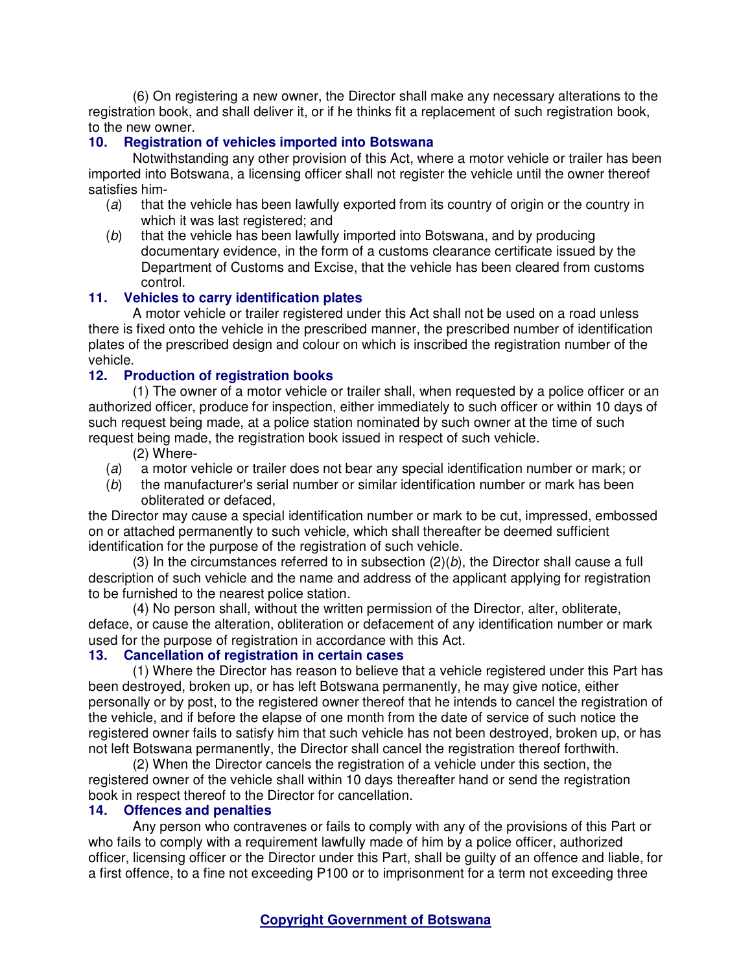(6) On registering a new owner, the Director shall make any necessary alterations to the registration book, and shall deliver it, or if he thinks fit a replacement of such registration book, to the new owner.

### **10. Registration of vehicles imported into Botswana**

Notwithstanding any other provision of this Act, where a motor vehicle or trailer has been imported into Botswana, a licensing officer shall not register the vehicle until the owner thereof satisfies him-

- (a) that the vehicle has been lawfully exported from its country of origin or the country in which it was last registered; and
- (b) that the vehicle has been lawfully imported into Botswana, and by producing documentary evidence, in the form of a customs clearance certificate issued by the Department of Customs and Excise, that the vehicle has been cleared from customs control.

## **11. Vehicles to carry identification plates**

A motor vehicle or trailer registered under this Act shall not be used on a road unless there is fixed onto the vehicle in the prescribed manner, the prescribed number of identification plates of the prescribed design and colour on which is inscribed the registration number of the vehicle.

## **12. Production of registration books**

(1) The owner of a motor vehicle or trailer shall, when requested by a police officer or an authorized officer, produce for inspection, either immediately to such officer or within 10 days of such request being made, at a police station nominated by such owner at the time of such request being made, the registration book issued in respect of such vehicle.

- (2) Where-
- (a) a motor vehicle or trailer does not bear any special identification number or mark; or
- (b) the manufacturer's serial number or similar identification number or mark has been obliterated or defaced,

the Director may cause a special identification number or mark to be cut, impressed, embossed on or attached permanently to such vehicle, which shall thereafter be deemed sufficient identification for the purpose of the registration of such vehicle.

(3) In the circumstances referred to in subsection  $(2)(b)$ , the Director shall cause a full description of such vehicle and the name and address of the applicant applying for registration to be furnished to the nearest police station.

(4) No person shall, without the written permission of the Director, alter, obliterate, deface, or cause the alteration, obliteration or defacement of any identification number or mark used for the purpose of registration in accordance with this Act.

## **13. Cancellation of registration in certain cases**

(1) Where the Director has reason to believe that a vehicle registered under this Part has been destroyed, broken up, or has left Botswana permanently, he may give notice, either personally or by post, to the registered owner thereof that he intends to cancel the registration of the vehicle, and if before the elapse of one month from the date of service of such notice the registered owner fails to satisfy him that such vehicle has not been destroyed, broken up, or has not left Botswana permanently, the Director shall cancel the registration thereof forthwith.

(2) When the Director cancels the registration of a vehicle under this section, the registered owner of the vehicle shall within 10 days thereafter hand or send the registration book in respect thereof to the Director for cancellation.

## **14. Offences and penalties**

Any person who contravenes or fails to comply with any of the provisions of this Part or who fails to comply with a requirement lawfully made of him by a police officer, authorized officer, licensing officer or the Director under this Part, shall be guilty of an offence and liable, for a first offence, to a fine not exceeding P100 or to imprisonment for a term not exceeding three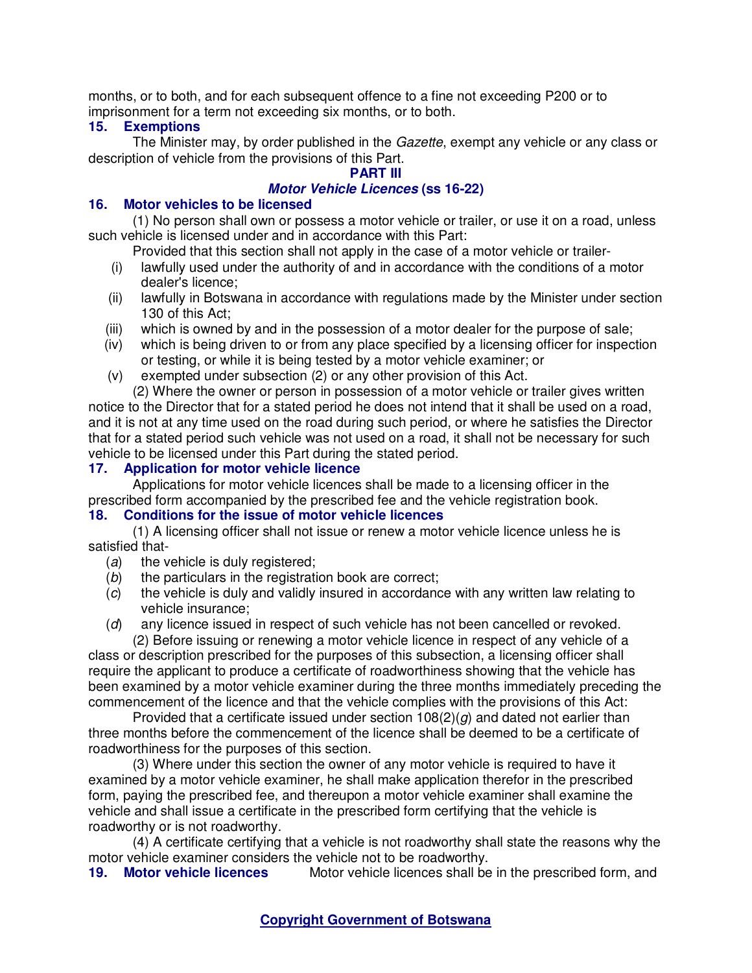months, or to both, and for each subsequent offence to a fine not exceeding P200 or to imprisonment for a term not exceeding six months, or to both.

### **15. Exemptions**

The Minister may, by order published in the Gazette, exempt any vehicle or any class or description of vehicle from the provisions of this Part.

### **PART III**

### **Motor Vehicle Licences (ss 16-22)**

### **16. Motor vehicles to be licensed**

(1) No person shall own or possess a motor vehicle or trailer, or use it on a road, unless such vehicle is licensed under and in accordance with this Part:

Provided that this section shall not apply in the case of a motor vehicle or trailer-

- (i) lawfully used under the authority of and in accordance with the conditions of a motor dealer's licence;
- (ii) lawfully in Botswana in accordance with regulations made by the Minister under section 130 of this Act;
- (iii) which is owned by and in the possession of a motor dealer for the purpose of sale;
- (iv) which is being driven to or from any place specified by a licensing officer for inspection or testing, or while it is being tested by a motor vehicle examiner; or
- (v) exempted under subsection (2) or any other provision of this Act.

(2) Where the owner or person in possession of a motor vehicle or trailer gives written notice to the Director that for a stated period he does not intend that it shall be used on a road, and it is not at any time used on the road during such period, or where he satisfies the Director that for a stated period such vehicle was not used on a road, it shall not be necessary for such vehicle to be licensed under this Part during the stated period.

### **17. Application for motor vehicle licence**

Applications for motor vehicle licences shall be made to a licensing officer in the prescribed form accompanied by the prescribed fee and the vehicle registration book.

### **18. Conditions for the issue of motor vehicle licences**

(1) A licensing officer shall not issue or renew a motor vehicle licence unless he is satisfied that-

- $(a)$  the vehicle is duly registered;
- (b) the particulars in the registration book are correct;
- (c) the vehicle is duly and validly insured in accordance with any written law relating to vehicle insurance;
- (d) any licence issued in respect of such vehicle has not been cancelled or revoked. (2) Before issuing or renewing a motor vehicle licence in respect of any vehicle of a

class or description prescribed for the purposes of this subsection, a licensing officer shall require the applicant to produce a certificate of roadworthiness showing that the vehicle has been examined by a motor vehicle examiner during the three months immediately preceding the commencement of the licence and that the vehicle complies with the provisions of this Act:

Provided that a certificate issued under section  $108(2)(g)$  and dated not earlier than three months before the commencement of the licence shall be deemed to be a certificate of roadworthiness for the purposes of this section.

(3) Where under this section the owner of any motor vehicle is required to have it examined by a motor vehicle examiner, he shall make application therefor in the prescribed form, paying the prescribed fee, and thereupon a motor vehicle examiner shall examine the vehicle and shall issue a certificate in the prescribed form certifying that the vehicle is roadworthy or is not roadworthy.

(4) A certificate certifying that a vehicle is not roadworthy shall state the reasons why the motor vehicle examiner considers the vehicle not to be roadworthy.<br>**19. Motor vehicle licences** Motor vehicle licences shall be

Motor vehicle licences shall be in the prescribed form, and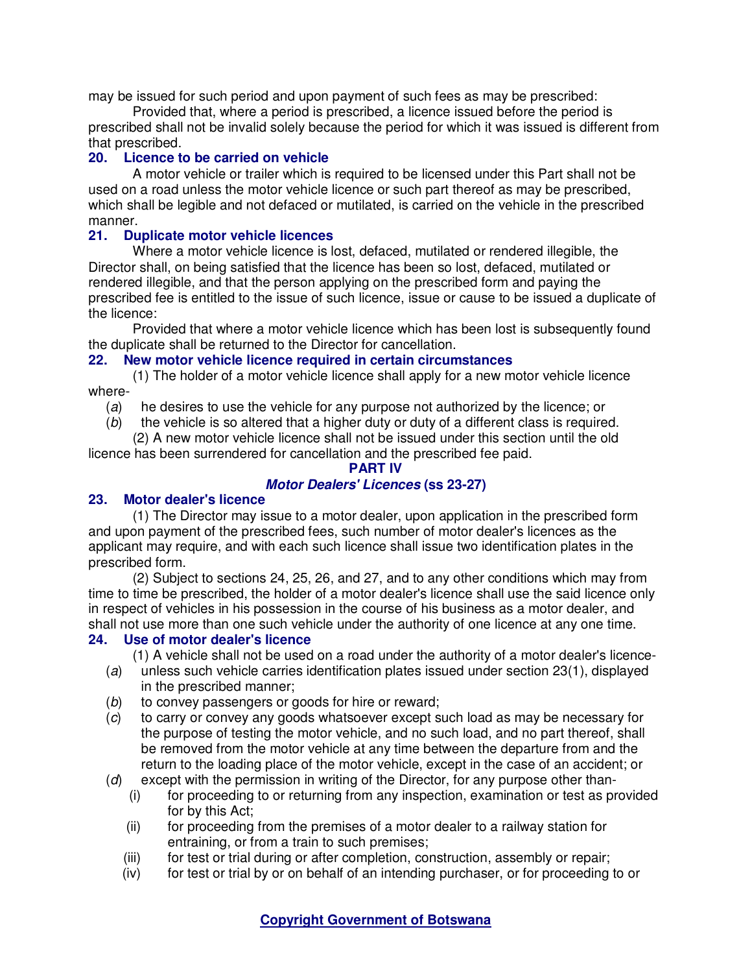may be issued for such period and upon payment of such fees as may be prescribed:

Provided that, where a period is prescribed, a licence issued before the period is prescribed shall not be invalid solely because the period for which it was issued is different from that prescribed.

### **20. Licence to be carried on vehicle**

A motor vehicle or trailer which is required to be licensed under this Part shall not be used on a road unless the motor vehicle licence or such part thereof as may be prescribed, which shall be legible and not defaced or mutilated, is carried on the vehicle in the prescribed manner.

### **21. Duplicate motor vehicle licences**

Where a motor vehicle licence is lost, defaced, mutilated or rendered illegible, the Director shall, on being satisfied that the licence has been so lost, defaced, mutilated or rendered illegible, and that the person applying on the prescribed form and paying the prescribed fee is entitled to the issue of such licence, issue or cause to be issued a duplicate of the licence:

Provided that where a motor vehicle licence which has been lost is subsequently found the duplicate shall be returned to the Director for cancellation.

## **22. New motor vehicle licence required in certain circumstances**

(1) The holder of a motor vehicle licence shall apply for a new motor vehicle licence where-

(a) he desires to use the vehicle for any purpose not authorized by the licence; or

(b) the vehicle is so altered that a higher duty or duty of a different class is required.

(2) A new motor vehicle licence shall not be issued under this section until the old licence has been surrendered for cancellation and the prescribed fee paid.

### **PART IV**

# **Motor Dealers' Licences (ss 23-27)**

## **23. Motor dealer's licence**

(1) The Director may issue to a motor dealer, upon application in the prescribed form and upon payment of the prescribed fees, such number of motor dealer's licences as the applicant may require, and with each such licence shall issue two identification plates in the prescribed form.

(2) Subject to sections 24, 25, 26, and 27, and to any other conditions which may from time to time be prescribed, the holder of a motor dealer's licence shall use the said licence only in respect of vehicles in his possession in the course of his business as a motor dealer, and shall not use more than one such vehicle under the authority of one licence at any one time.

### **24. Use of motor dealer's licence**

(1) A vehicle shall not be used on a road under the authority of a motor dealer's licence-

- (a) unless such vehicle carries identification plates issued under section 23(1), displayed in the prescribed manner;
- (b) to convey passengers or goods for hire or reward;
- (c) to carry or convey any goods whatsoever except such load as may be necessary for the purpose of testing the motor vehicle, and no such load, and no part thereof, shall be removed from the motor vehicle at any time between the departure from and the return to the loading place of the motor vehicle, except in the case of an accident; or
- (d) except with the permission in writing of the Director, for any purpose other than-
	- (i) for proceeding to or returning from any inspection, examination or test as provided for by this Act;
	- (ii) for proceeding from the premises of a motor dealer to a railway station for entraining, or from a train to such premises;
	- (iii) for test or trial during or after completion, construction, assembly or repair;
	- (iv) for test or trial by or on behalf of an intending purchaser, or for proceeding to or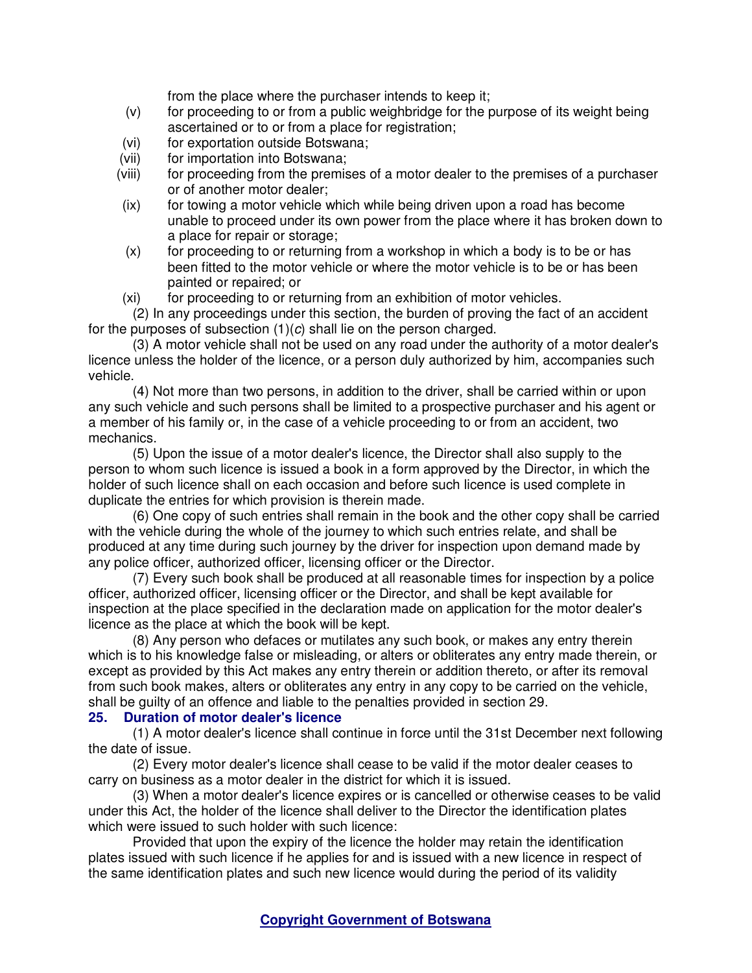from the place where the purchaser intends to keep it;

- (v) for proceeding to or from a public weighbridge for the purpose of its weight being ascertained or to or from a place for registration;
- (vi) for exportation outside Botswana;
- (vii) for importation into Botswana;
- (viii) for proceeding from the premises of a motor dealer to the premises of a purchaser or of another motor dealer;
- (ix) for towing a motor vehicle which while being driven upon a road has become unable to proceed under its own power from the place where it has broken down to a place for repair or storage;
- (x) for proceeding to or returning from a workshop in which a body is to be or has been fitted to the motor vehicle or where the motor vehicle is to be or has been painted or repaired; or
- (xi) for proceeding to or returning from an exhibition of motor vehicles.

(2) In any proceedings under this section, the burden of proving the fact of an accident for the purposes of subsection  $(1)(c)$  shall lie on the person charged.

(3) A motor vehicle shall not be used on any road under the authority of a motor dealer's licence unless the holder of the licence, or a person duly authorized by him, accompanies such vehicle.

(4) Not more than two persons, in addition to the driver, shall be carried within or upon any such vehicle and such persons shall be limited to a prospective purchaser and his agent or a member of his family or, in the case of a vehicle proceeding to or from an accident, two mechanics.

(5) Upon the issue of a motor dealer's licence, the Director shall also supply to the person to whom such licence is issued a book in a form approved by the Director, in which the holder of such licence shall on each occasion and before such licence is used complete in duplicate the entries for which provision is therein made.

(6) One copy of such entries shall remain in the book and the other copy shall be carried with the vehicle during the whole of the journey to which such entries relate, and shall be produced at any time during such journey by the driver for inspection upon demand made by any police officer, authorized officer, licensing officer or the Director.

(7) Every such book shall be produced at all reasonable times for inspection by a police officer, authorized officer, licensing officer or the Director, and shall be kept available for inspection at the place specified in the declaration made on application for the motor dealer's licence as the place at which the book will be kept.

(8) Any person who defaces or mutilates any such book, or makes any entry therein which is to his knowledge false or misleading, or alters or obliterates any entry made therein, or except as provided by this Act makes any entry therein or addition thereto, or after its removal from such book makes, alters or obliterates any entry in any copy to be carried on the vehicle, shall be guilty of an offence and liable to the penalties provided in section 29.

### **25. Duration of motor dealer's licence**

(1) A motor dealer's licence shall continue in force until the 31st December next following the date of issue.

(2) Every motor dealer's licence shall cease to be valid if the motor dealer ceases to carry on business as a motor dealer in the district for which it is issued.

(3) When a motor dealer's licence expires or is cancelled or otherwise ceases to be valid under this Act, the holder of the licence shall deliver to the Director the identification plates which were issued to such holder with such licence:

Provided that upon the expiry of the licence the holder may retain the identification plates issued with such licence if he applies for and is issued with a new licence in respect of the same identification plates and such new licence would during the period of its validity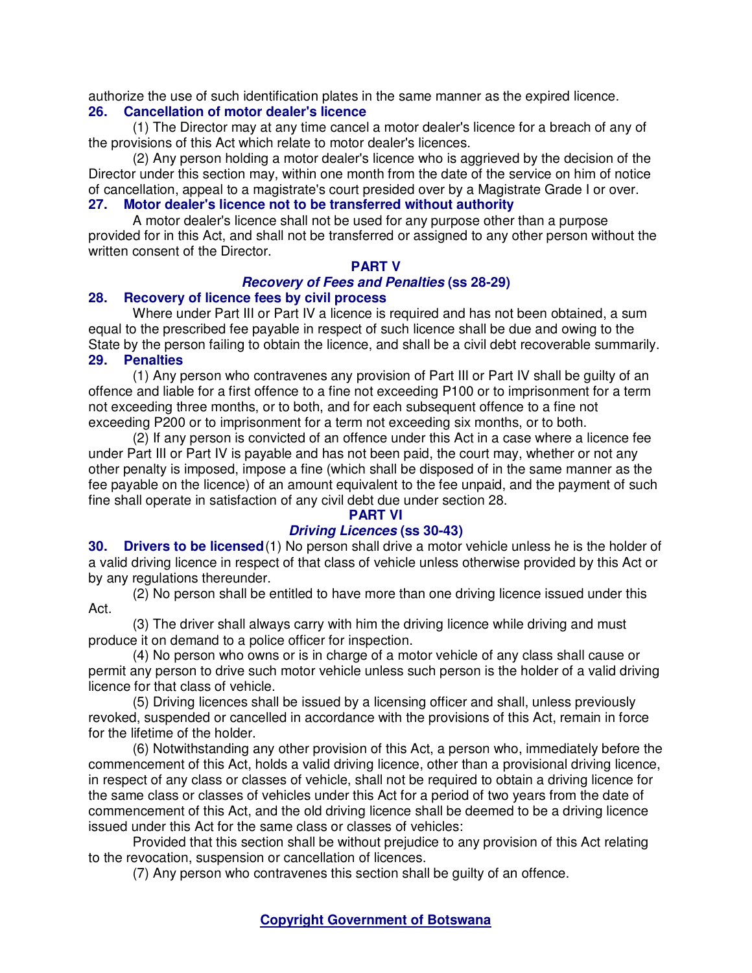authorize the use of such identification plates in the same manner as the expired licence.

#### **26. Cancellation of motor dealer's licence**

(1) The Director may at any time cancel a motor dealer's licence for a breach of any of the provisions of this Act which relate to motor dealer's licences.

(2) Any person holding a motor dealer's licence who is aggrieved by the decision of the Director under this section may, within one month from the date of the service on him of notice of cancellation, appeal to a magistrate's court presided over by a Magistrate Grade I or over. **27. Motor dealer's licence not to be transferred without authority** 

A motor dealer's licence shall not be used for any purpose other than a purpose provided for in this Act, and shall not be transferred or assigned to any other person without the written consent of the Director.

#### **PART V Recovery of Fees and Penalties (ss 28-29) 28. Recovery of licence fees by civil process**

Where under Part III or Part IV a licence is required and has not been obtained, a sum equal to the prescribed fee payable in respect of such licence shall be due and owing to the State by the person failing to obtain the licence, and shall be a civil debt recoverable summarily. **29. Penalties** 

(1) Any person who contravenes any provision of Part III or Part IV shall be guilty of an offence and liable for a first offence to a fine not exceeding P100 or to imprisonment for a term not exceeding three months, or to both, and for each subsequent offence to a fine not exceeding P200 or to imprisonment for a term not exceeding six months, or to both.

(2) If any person is convicted of an offence under this Act in a case where a licence fee under Part III or Part IV is payable and has not been paid, the court may, whether or not any other penalty is imposed, impose a fine (which shall be disposed of in the same manner as the fee payable on the licence) of an amount equivalent to the fee unpaid, and the payment of such fine shall operate in satisfaction of any civil debt due under section 28.

## **PART VI**

### **Driving Licences (ss 30-43)**

**30. Drivers to be licensed**(1) No person shall drive a motor vehicle unless he is the holder of a valid driving licence in respect of that class of vehicle unless otherwise provided by this Act or by any regulations thereunder.

(2) No person shall be entitled to have more than one driving licence issued under this Act.

(3) The driver shall always carry with him the driving licence while driving and must produce it on demand to a police officer for inspection.

(4) No person who owns or is in charge of a motor vehicle of any class shall cause or permit any person to drive such motor vehicle unless such person is the holder of a valid driving licence for that class of vehicle.

(5) Driving licences shall be issued by a licensing officer and shall, unless previously revoked, suspended or cancelled in accordance with the provisions of this Act, remain in force for the lifetime of the holder.

(6) Notwithstanding any other provision of this Act, a person who, immediately before the commencement of this Act, holds a valid driving licence, other than a provisional driving licence, in respect of any class or classes of vehicle, shall not be required to obtain a driving licence for the same class or classes of vehicles under this Act for a period of two years from the date of commencement of this Act, and the old driving licence shall be deemed to be a driving licence issued under this Act for the same class or classes of vehicles:

Provided that this section shall be without prejudice to any provision of this Act relating to the revocation, suspension or cancellation of licences.

(7) Any person who contravenes this section shall be guilty of an offence.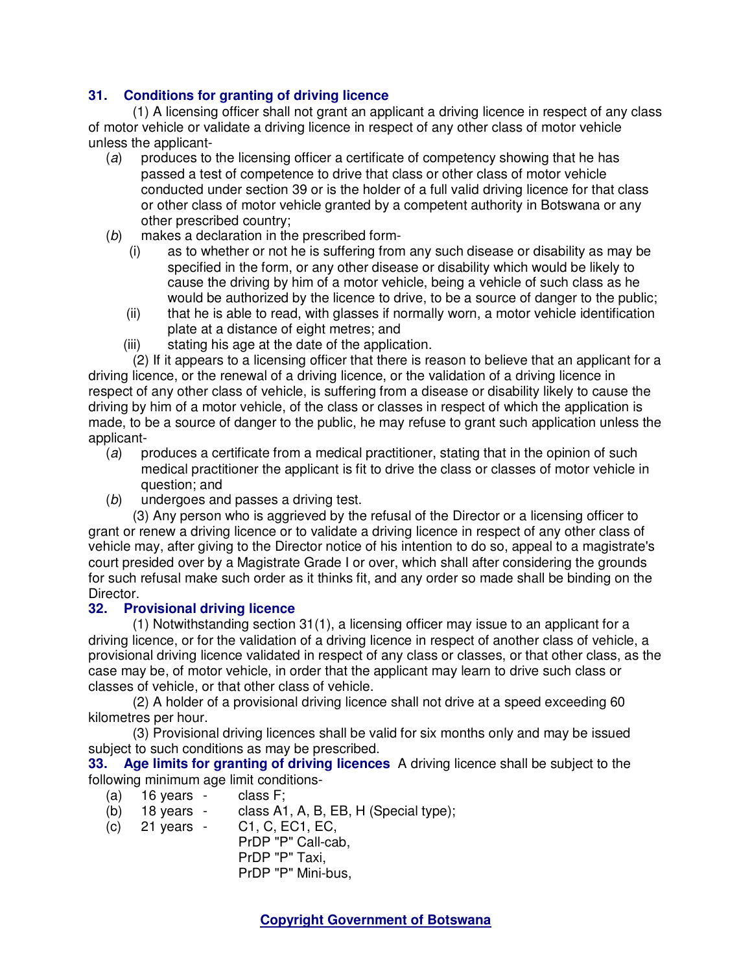# **31. Conditions for granting of driving licence**

(1) A licensing officer shall not grant an applicant a driving licence in respect of any class of motor vehicle or validate a driving licence in respect of any other class of motor vehicle unless the applicant-

- (a) produces to the licensing officer a certificate of competency showing that he has passed a test of competence to drive that class or other class of motor vehicle conducted under section 39 or is the holder of a full valid driving licence for that class or other class of motor vehicle granted by a competent authority in Botswana or any other prescribed country;
- (b) makes a declaration in the prescribed form-
	- (i) as to whether or not he is suffering from any such disease or disability as may be specified in the form, or any other disease or disability which would be likely to cause the driving by him of a motor vehicle, being a vehicle of such class as he would be authorized by the licence to drive, to be a source of danger to the public;
	- (ii) that he is able to read, with glasses if normally worn, a motor vehicle identification plate at a distance of eight metres; and
	- (iii) stating his age at the date of the application.

(2) If it appears to a licensing officer that there is reason to believe that an applicant for a driving licence, or the renewal of a driving licence, or the validation of a driving licence in respect of any other class of vehicle, is suffering from a disease or disability likely to cause the driving by him of a motor vehicle, of the class or classes in respect of which the application is made, to be a source of danger to the public, he may refuse to grant such application unless the applicant-

- (a) produces a certificate from a medical practitioner, stating that in the opinion of such medical practitioner the applicant is fit to drive the class or classes of motor vehicle in question; and
- (b) undergoes and passes a driving test.

(3) Any person who is aggrieved by the refusal of the Director or a licensing officer to grant or renew a driving licence or to validate a driving licence in respect of any other class of vehicle may, after giving to the Director notice of his intention to do so, appeal to a magistrate's court presided over by a Magistrate Grade I or over, which shall after considering the grounds for such refusal make such order as it thinks fit, and any order so made shall be binding on the Director.

## **32. Provisional driving licence**

(1) Notwithstanding section 31(1), a licensing officer may issue to an applicant for a driving licence, or for the validation of a driving licence in respect of another class of vehicle, a provisional driving licence validated in respect of any class or classes, or that other class, as the case may be, of motor vehicle, in order that the applicant may learn to drive such class or classes of vehicle, or that other class of vehicle.

(2) A holder of a provisional driving licence shall not drive at a speed exceeding 60 kilometres per hour.

(3) Provisional driving licences shall be valid for six months only and may be issued subject to such conditions as may be prescribed.

**33. Age limits for granting of driving licences** A driving licence shall be subject to the following minimum age limit conditions-

- 
- (a)  $16 \text{ years} \text{ class F}$ ;<br>(b)  $18 \text{ years} \text{ class A1}$ (b) 18 years - class A1, A, B, EB, H (Special type);
- (c) 21 years C1, C, EC1, EC,
	- PrDP "P" Call-cab, PrDP "P" Taxi, PrDP "P" Mini-bus,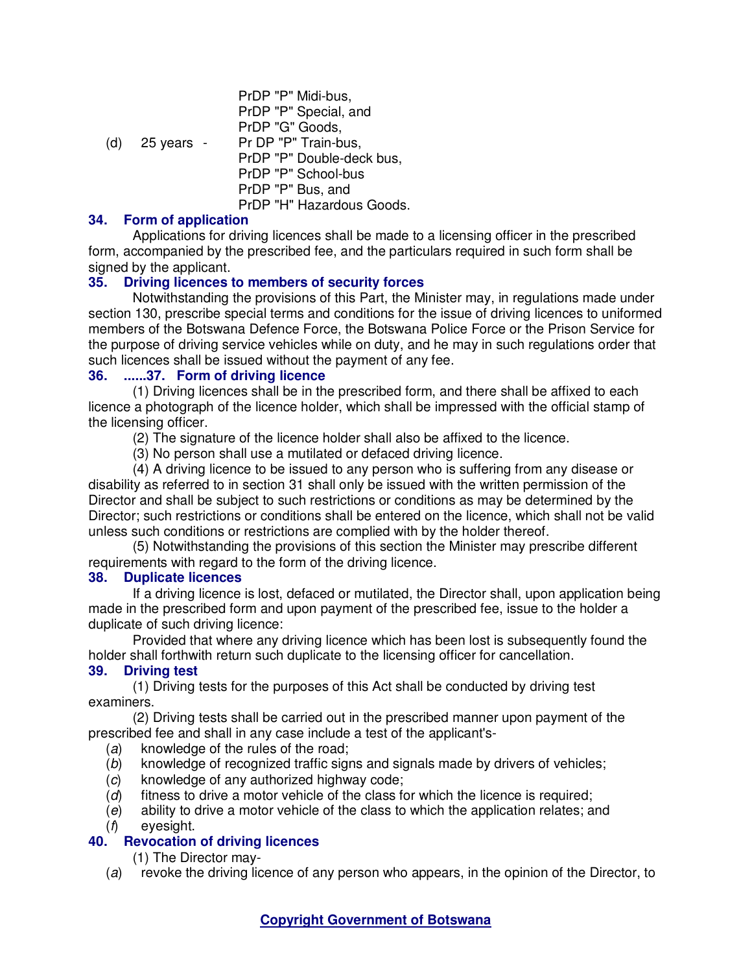|     |            | PrDP "P" Midi-bus,        |
|-----|------------|---------------------------|
|     |            | PrDP "P" Special, and     |
|     |            | PrDP "G" Goods,           |
| (d) | 25 years - | Pr DP "P" Train-bus,      |
|     |            | PrDP "P" Double-deck bus, |
|     |            | PrDP "P" School-bus       |
|     |            | PrDP "P" Bus, and         |
|     |            | PrDP "H" Hazardous Goods. |
|     |            |                           |

## **34. Form of application**

Applications for driving licences shall be made to a licensing officer in the prescribed form, accompanied by the prescribed fee, and the particulars required in such form shall be signed by the applicant.

# **35. Driving licences to members of security forces**

Notwithstanding the provisions of this Part, the Minister may, in regulations made under section 130, prescribe special terms and conditions for the issue of driving licences to uniformed members of the Botswana Defence Force, the Botswana Police Force or the Prison Service for the purpose of driving service vehicles while on duty, and he may in such regulations order that such licences shall be issued without the payment of any fee.

## **36. ......37. Form of driving licence**

(1) Driving licences shall be in the prescribed form, and there shall be affixed to each licence a photograph of the licence holder, which shall be impressed with the official stamp of the licensing officer.

(2) The signature of the licence holder shall also be affixed to the licence.

(3) No person shall use a mutilated or defaced driving licence.

(4) A driving licence to be issued to any person who is suffering from any disease or disability as referred to in section 31 shall only be issued with the written permission of the Director and shall be subject to such restrictions or conditions as may be determined by the Director; such restrictions or conditions shall be entered on the licence, which shall not be valid unless such conditions or restrictions are complied with by the holder thereof.

(5) Notwithstanding the provisions of this section the Minister may prescribe different requirements with regard to the form of the driving licence.

## **38. Duplicate licences**

If a driving licence is lost, defaced or mutilated, the Director shall, upon application being made in the prescribed form and upon payment of the prescribed fee, issue to the holder a duplicate of such driving licence:

Provided that where any driving licence which has been lost is subsequently found the holder shall forthwith return such duplicate to the licensing officer for cancellation.

## **39. Driving test**

(1) Driving tests for the purposes of this Act shall be conducted by driving test examiners.

(2) Driving tests shall be carried out in the prescribed manner upon payment of the prescribed fee and shall in any case include a test of the applicant's-

- (a) knowledge of the rules of the road;
- (b) knowledge of recognized traffic signs and signals made by drivers of vehicles;
- (c) knowledge of any authorized highway code;
- $(d)$  fitness to drive a motor vehicle of the class for which the licence is required;
- (e) ability to drive a motor vehicle of the class to which the application relates; and
- (f) eyesight.

## **40. Revocation of driving licences**

(1) The Director may-

(a) revoke the driving licence of any person who appears, in the opinion of the Director, to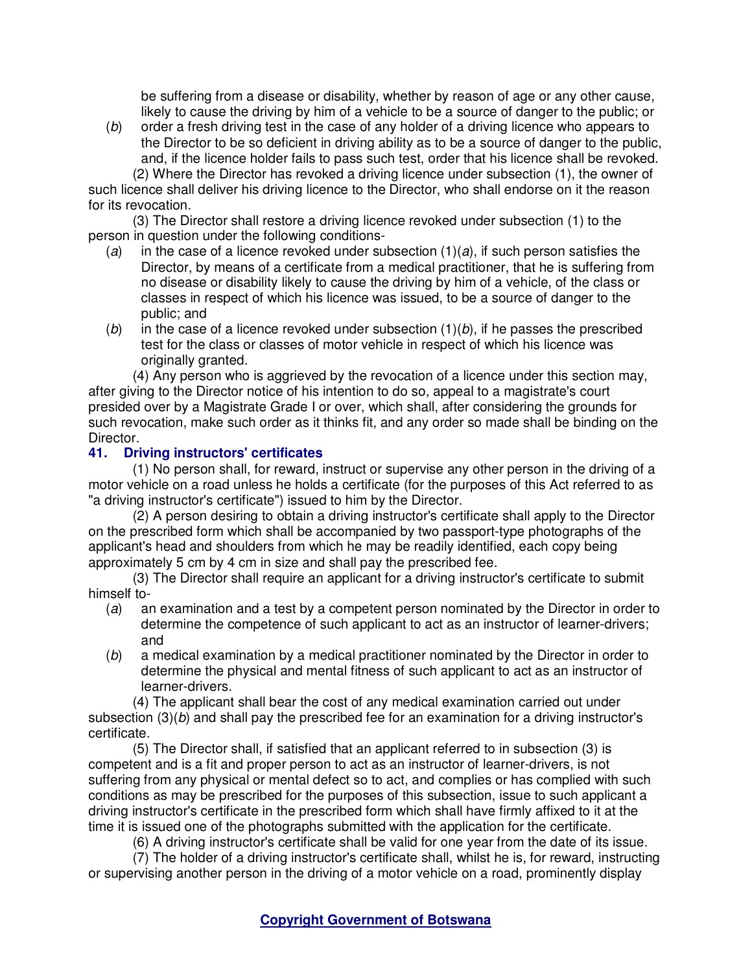be suffering from a disease or disability, whether by reason of age or any other cause, likely to cause the driving by him of a vehicle to be a source of danger to the public; or

(b) order a fresh driving test in the case of any holder of a driving licence who appears to the Director to be so deficient in driving ability as to be a source of danger to the public, and, if the licence holder fails to pass such test, order that his licence shall be revoked.

(2) Where the Director has revoked a driving licence under subsection (1), the owner of such licence shall deliver his driving licence to the Director, who shall endorse on it the reason for its revocation.

(3) The Director shall restore a driving licence revoked under subsection (1) to the person in question under the following conditions-

- (a) in the case of a licence revoked under subsection  $(1)(a)$ , if such person satisfies the Director, by means of a certificate from a medical practitioner, that he is suffering from no disease or disability likely to cause the driving by him of a vehicle, of the class or classes in respect of which his licence was issued, to be a source of danger to the public; and
- (b) in the case of a licence revoked under subsection  $(1)(b)$ , if he passes the prescribed test for the class or classes of motor vehicle in respect of which his licence was originally granted.

(4) Any person who is aggrieved by the revocation of a licence under this section may, after giving to the Director notice of his intention to do so, appeal to a magistrate's court presided over by a Magistrate Grade I or over, which shall, after considering the grounds for such revocation, make such order as it thinks fit, and any order so made shall be binding on the Director.

## **41. Driving instructors' certificates**

(1) No person shall, for reward, instruct or supervise any other person in the driving of a motor vehicle on a road unless he holds a certificate (for the purposes of this Act referred to as "a driving instructor's certificate") issued to him by the Director.

(2) A person desiring to obtain a driving instructor's certificate shall apply to the Director on the prescribed form which shall be accompanied by two passport-type photographs of the applicant's head and shoulders from which he may be readily identified, each copy being approximately 5 cm by 4 cm in size and shall pay the prescribed fee.

(3) The Director shall require an applicant for a driving instructor's certificate to submit himself to-

- (a) an examination and a test by a competent person nominated by the Director in order to determine the competence of such applicant to act as an instructor of learner-drivers; and
- (b) a medical examination by a medical practitioner nominated by the Director in order to determine the physical and mental fitness of such applicant to act as an instructor of learner-drivers.

(4) The applicant shall bear the cost of any medical examination carried out under subsection  $(3)(b)$  and shall pay the prescribed fee for an examination for a driving instructor's certificate.

(5) The Director shall, if satisfied that an applicant referred to in subsection (3) is competent and is a fit and proper person to act as an instructor of learner-drivers, is not suffering from any physical or mental defect so to act, and complies or has complied with such conditions as may be prescribed for the purposes of this subsection, issue to such applicant a driving instructor's certificate in the prescribed form which shall have firmly affixed to it at the time it is issued one of the photographs submitted with the application for the certificate.

(6) A driving instructor's certificate shall be valid for one year from the date of its issue.

(7) The holder of a driving instructor's certificate shall, whilst he is, for reward, instructing or supervising another person in the driving of a motor vehicle on a road, prominently display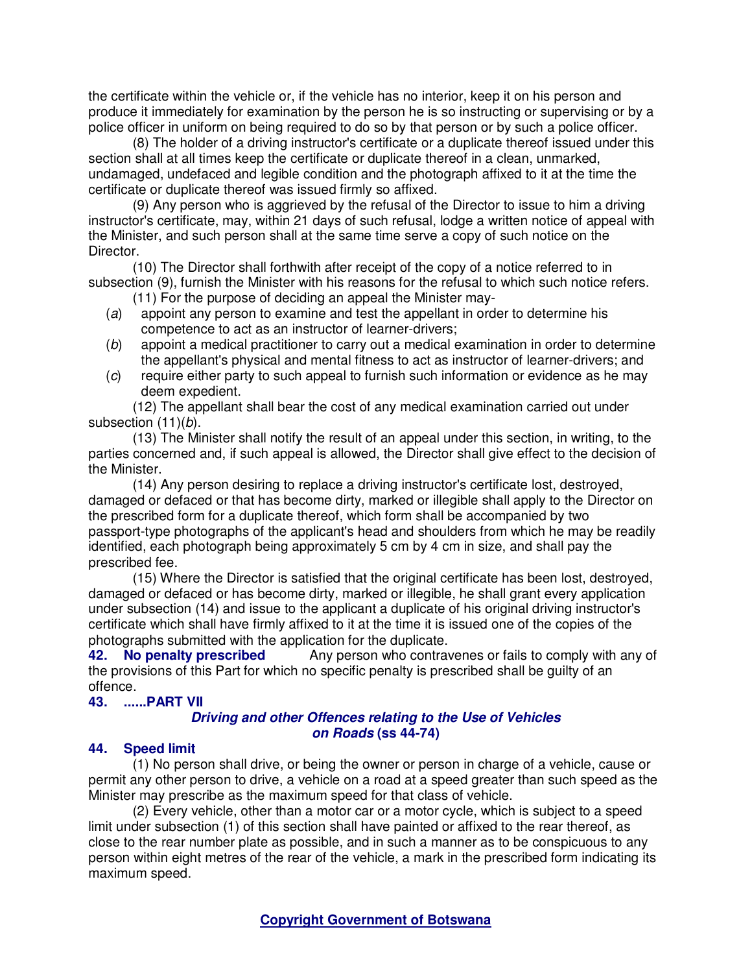the certificate within the vehicle or, if the vehicle has no interior, keep it on his person and produce it immediately for examination by the person he is so instructing or supervising or by a police officer in uniform on being required to do so by that person or by such a police officer.

(8) The holder of a driving instructor's certificate or a duplicate thereof issued under this section shall at all times keep the certificate or duplicate thereof in a clean, unmarked, undamaged, undefaced and legible condition and the photograph affixed to it at the time the certificate or duplicate thereof was issued firmly so affixed.

(9) Any person who is aggrieved by the refusal of the Director to issue to him a driving instructor's certificate, may, within 21 days of such refusal, lodge a written notice of appeal with the Minister, and such person shall at the same time serve a copy of such notice on the Director.

(10) The Director shall forthwith after receipt of the copy of a notice referred to in subsection (9), furnish the Minister with his reasons for the refusal to which such notice refers.

- (11) For the purpose of deciding an appeal the Minister may-
- (a) appoint any person to examine and test the appellant in order to determine his competence to act as an instructor of learner-drivers;
- (b) appoint a medical practitioner to carry out a medical examination in order to determine the appellant's physical and mental fitness to act as instructor of learner-drivers; and
- (c) require either party to such appeal to furnish such information or evidence as he may deem expedient.

(12) The appellant shall bear the cost of any medical examination carried out under subsection (11)(b).

(13) The Minister shall notify the result of an appeal under this section, in writing, to the parties concerned and, if such appeal is allowed, the Director shall give effect to the decision of the Minister.

(14) Any person desiring to replace a driving instructor's certificate lost, destroyed, damaged or defaced or that has become dirty, marked or illegible shall apply to the Director on the prescribed form for a duplicate thereof, which form shall be accompanied by two passport-type photographs of the applicant's head and shoulders from which he may be readily identified, each photograph being approximately 5 cm by 4 cm in size, and shall pay the prescribed fee.

(15) Where the Director is satisfied that the original certificate has been lost, destroyed, damaged or defaced or has become dirty, marked or illegible, he shall grant every application under subsection (14) and issue to the applicant a duplicate of his original driving instructor's certificate which shall have firmly affixed to it at the time it is issued one of the copies of the photographs submitted with the application for the duplicate.<br>42. No penalty prescribed Any person who contravely

Any person who contravenes or fails to comply with any of the provisions of this Part for which no specific penalty is prescribed shall be guilty of an offence.

#### **43. ......PART VII**

# **Driving and other Offences relating to the Use of Vehicles on Roads (ss 44-74)**

# **44. Speed limit**

(1) No person shall drive, or being the owner or person in charge of a vehicle, cause or permit any other person to drive, a vehicle on a road at a speed greater than such speed as the Minister may prescribe as the maximum speed for that class of vehicle.

(2) Every vehicle, other than a motor car or a motor cycle, which is subject to a speed limit under subsection (1) of this section shall have painted or affixed to the rear thereof, as close to the rear number plate as possible, and in such a manner as to be conspicuous to any person within eight metres of the rear of the vehicle, a mark in the prescribed form indicating its maximum speed.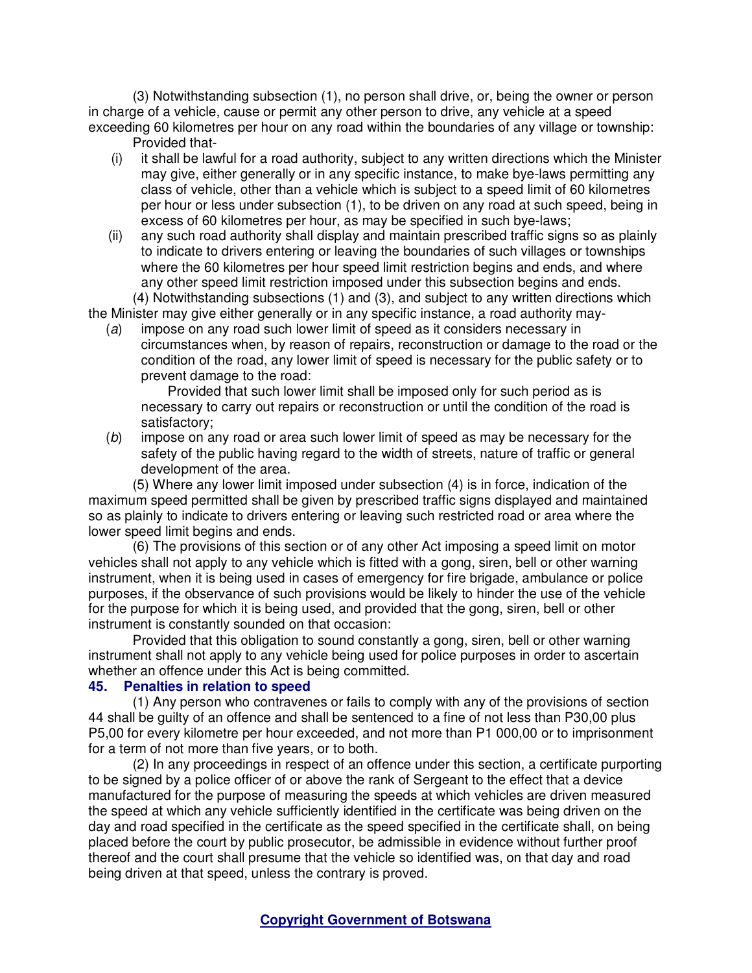(3) Notwithstanding subsection (1), no person shall drive, or, being the owner or person in charge of a vehicle, cause or permit any other person to drive, any vehicle at a speed exceeding 60 kilometres per hour on any road within the boundaries of any village or township: Provided that-

- (i) it shall be lawful for a road authority, subject to any written directions which the Minister may give, either generally or in any specific instance, to make bye-laws permitting any class of vehicle, other than a vehicle which is subject to a speed limit of 60 kilometres per hour or less under subsection (1), to be driven on any road at such speed, being in excess of 60 kilometres per hour, as may be specified in such bye-laws;
- (ii) any such road authority shall display and maintain prescribed traffic signs so as plainly to indicate to drivers entering or leaving the boundaries of such villages or townships where the 60 kilometres per hour speed limit restriction begins and ends, and where any other speed limit restriction imposed under this subsection begins and ends.

(4) Notwithstanding subsections (1) and (3), and subject to any written directions which the Minister may give either generally or in any specific instance, a road authority may-

(a) impose on any road such lower limit of speed as it considers necessary in circumstances when, by reason of repairs, reconstruction or damage to the road or the condition of the road, any lower limit of speed is necessary for the public safety or to prevent damage to the road:

 Provided that such lower limit shall be imposed only for such period as is necessary to carry out repairs or reconstruction or until the condition of the road is satisfactory;

(b) impose on any road or area such lower limit of speed as may be necessary for the safety of the public having regard to the width of streets, nature of traffic or general development of the area.

(5) Where any lower limit imposed under subsection (4) is in force, indication of the maximum speed permitted shall be given by prescribed traffic signs displayed and maintained so as plainly to indicate to drivers entering or leaving such restricted road or area where the lower speed limit begins and ends.

(6) The provisions of this section or of any other Act imposing a speed limit on motor vehicles shall not apply to any vehicle which is fitted with a gong, siren, bell or other warning instrument, when it is being used in cases of emergency for fire brigade, ambulance or police purposes, if the observance of such provisions would be likely to hinder the use of the vehicle for the purpose for which it is being used, and provided that the gong, siren, bell or other instrument is constantly sounded on that occasion:

Provided that this obligation to sound constantly a gong, siren, bell or other warning instrument shall not apply to any vehicle being used for police purposes in order to ascertain whether an offence under this Act is being committed.

#### **45. Penalties in relation to speed**

(1) Any person who contravenes or fails to comply with any of the provisions of section 44 shall be guilty of an offence and shall be sentenced to a fine of not less than P30,00 plus P5,00 for every kilometre per hour exceeded, and not more than P1 000,00 or to imprisonment for a term of not more than five years, or to both.

(2) In any proceedings in respect of an offence under this section, a certificate purporting to be signed by a police officer of or above the rank of Sergeant to the effect that a device manufactured for the purpose of measuring the speeds at which vehicles are driven measured the speed at which any vehicle sufficiently identified in the certificate was being driven on the day and road specified in the certificate as the speed specified in the certificate shall, on being placed before the court by public prosecutor, be admissible in evidence without further proof thereof and the court shall presume that the vehicle so identified was, on that day and road being driven at that speed, unless the contrary is proved.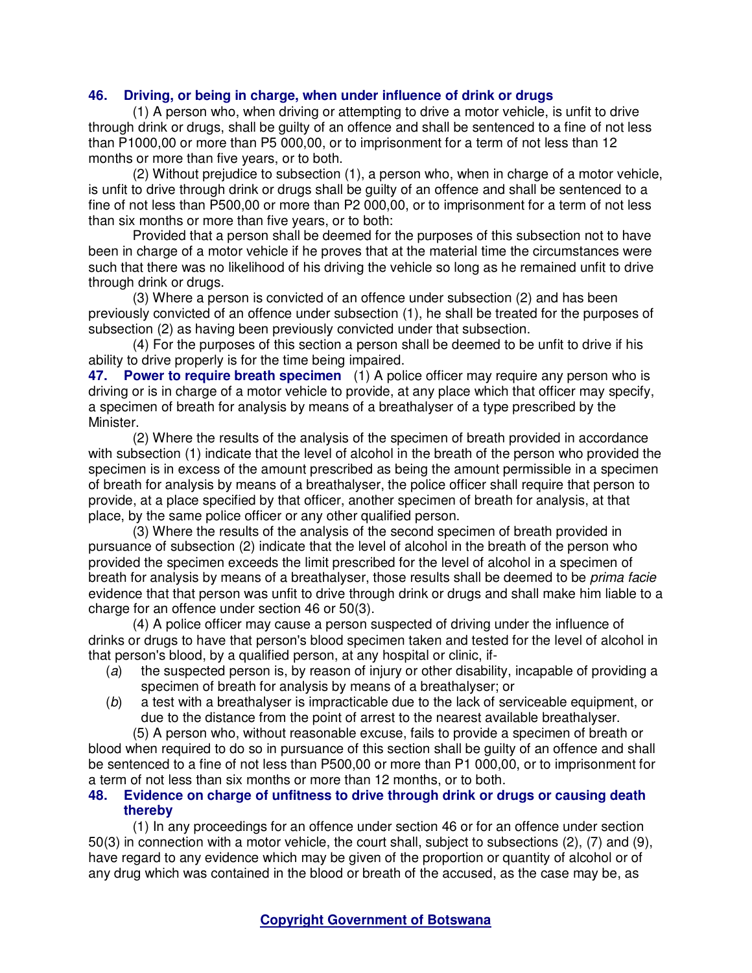# **46. Driving, or being in charge, when under influence of drink or drugs**

(1) A person who, when driving or attempting to drive a motor vehicle, is unfit to drive through drink or drugs, shall be guilty of an offence and shall be sentenced to a fine of not less than P1000,00 or more than P5 000,00, or to imprisonment for a term of not less than 12 months or more than five years, or to both.

(2) Without prejudice to subsection (1), a person who, when in charge of a motor vehicle, is unfit to drive through drink or drugs shall be guilty of an offence and shall be sentenced to a fine of not less than P500,00 or more than P2 000,00, or to imprisonment for a term of not less than six months or more than five years, or to both:

Provided that a person shall be deemed for the purposes of this subsection not to have been in charge of a motor vehicle if he proves that at the material time the circumstances were such that there was no likelihood of his driving the vehicle so long as he remained unfit to drive through drink or drugs.

(3) Where a person is convicted of an offence under subsection (2) and has been previously convicted of an offence under subsection (1), he shall be treated for the purposes of subsection (2) as having been previously convicted under that subsection.

(4) For the purposes of this section a person shall be deemed to be unfit to drive if his ability to drive properly is for the time being impaired.

**47. Power to require breath specimen** (1) A police officer may require any person who is driving or is in charge of a motor vehicle to provide, at any place which that officer may specify, a specimen of breath for analysis by means of a breathalyser of a type prescribed by the Minister.

(2) Where the results of the analysis of the specimen of breath provided in accordance with subsection (1) indicate that the level of alcohol in the breath of the person who provided the specimen is in excess of the amount prescribed as being the amount permissible in a specimen of breath for analysis by means of a breathalyser, the police officer shall require that person to provide, at a place specified by that officer, another specimen of breath for analysis, at that place, by the same police officer or any other qualified person.

(3) Where the results of the analysis of the second specimen of breath provided in pursuance of subsection (2) indicate that the level of alcohol in the breath of the person who provided the specimen exceeds the limit prescribed for the level of alcohol in a specimen of breath for analysis by means of a breathalyser, those results shall be deemed to be *prima facie* evidence that that person was unfit to drive through drink or drugs and shall make him liable to a charge for an offence under section 46 or 50(3).

(4) A police officer may cause a person suspected of driving under the influence of drinks or drugs to have that person's blood specimen taken and tested for the level of alcohol in that person's blood, by a qualified person, at any hospital or clinic, if-

- (a) the suspected person is, by reason of injury or other disability, incapable of providing a specimen of breath for analysis by means of a breathalyser; or
- (b) a test with a breathalyser is impracticable due to the lack of serviceable equipment, or due to the distance from the point of arrest to the nearest available breathalyser.

(5) A person who, without reasonable excuse, fails to provide a specimen of breath or blood when required to do so in pursuance of this section shall be guilty of an offence and shall be sentenced to a fine of not less than P500,00 or more than P1 000,00, or to imprisonment for a term of not less than six months or more than 12 months, or to both.

#### **48. Evidence on charge of unfitness to drive through drink or drugs or causing death thereby**

(1) In any proceedings for an offence under section 46 or for an offence under section 50(3) in connection with a motor vehicle, the court shall, subject to subsections (2), (7) and (9), have regard to any evidence which may be given of the proportion or quantity of alcohol or of any drug which was contained in the blood or breath of the accused, as the case may be, as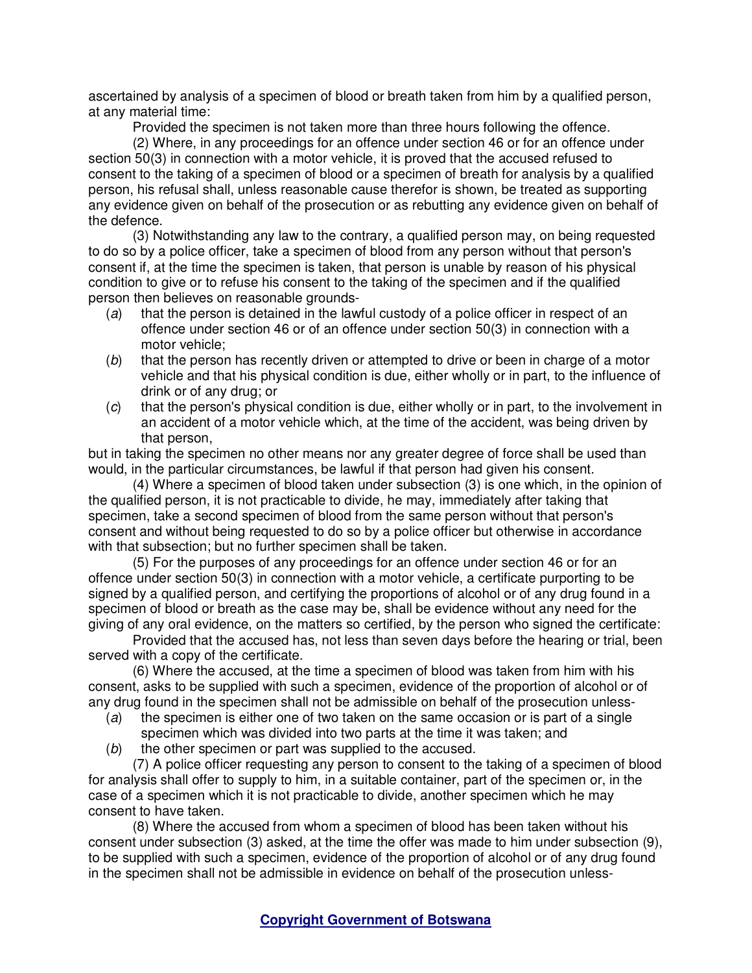ascertained by analysis of a specimen of blood or breath taken from him by a qualified person, at any material time:

Provided the specimen is not taken more than three hours following the offence.

(2) Where, in any proceedings for an offence under section 46 or for an offence under section 50(3) in connection with a motor vehicle, it is proved that the accused refused to consent to the taking of a specimen of blood or a specimen of breath for analysis by a qualified person, his refusal shall, unless reasonable cause therefor is shown, be treated as supporting any evidence given on behalf of the prosecution or as rebutting any evidence given on behalf of the defence.

(3) Notwithstanding any law to the contrary, a qualified person may, on being requested to do so by a police officer, take a specimen of blood from any person without that person's consent if, at the time the specimen is taken, that person is unable by reason of his physical condition to give or to refuse his consent to the taking of the specimen and if the qualified person then believes on reasonable grounds-

- (a) that the person is detained in the lawful custody of a police officer in respect of an offence under section 46 or of an offence under section 50(3) in connection with a motor vehicle;
- (b) that the person has recently driven or attempted to drive or been in charge of a motor vehicle and that his physical condition is due, either wholly or in part, to the influence of drink or of any drug; or
- (c) that the person's physical condition is due, either wholly or in part, to the involvement in an accident of a motor vehicle which, at the time of the accident, was being driven by that person,

but in taking the specimen no other means nor any greater degree of force shall be used than would, in the particular circumstances, be lawful if that person had given his consent.

(4) Where a specimen of blood taken under subsection (3) is one which, in the opinion of the qualified person, it is not practicable to divide, he may, immediately after taking that specimen, take a second specimen of blood from the same person without that person's consent and without being requested to do so by a police officer but otherwise in accordance with that subsection; but no further specimen shall be taken.

(5) For the purposes of any proceedings for an offence under section 46 or for an offence under section 50(3) in connection with a motor vehicle, a certificate purporting to be signed by a qualified person, and certifying the proportions of alcohol or of any drug found in a specimen of blood or breath as the case may be, shall be evidence without any need for the giving of any oral evidence, on the matters so certified, by the person who signed the certificate:

Provided that the accused has, not less than seven days before the hearing or trial, been served with a copy of the certificate.

(6) Where the accused, at the time a specimen of blood was taken from him with his consent, asks to be supplied with such a specimen, evidence of the proportion of alcohol or of any drug found in the specimen shall not be admissible on behalf of the prosecution unless-

- (a) the specimen is either one of two taken on the same occasion or is part of a single specimen which was divided into two parts at the time it was taken; and
- (b) the other specimen or part was supplied to the accused.

(7) A police officer requesting any person to consent to the taking of a specimen of blood for analysis shall offer to supply to him, in a suitable container, part of the specimen or, in the case of a specimen which it is not practicable to divide, another specimen which he may consent to have taken.

(8) Where the accused from whom a specimen of blood has been taken without his consent under subsection (3) asked, at the time the offer was made to him under subsection (9), to be supplied with such a specimen, evidence of the proportion of alcohol or of any drug found in the specimen shall not be admissible in evidence on behalf of the prosecution unless-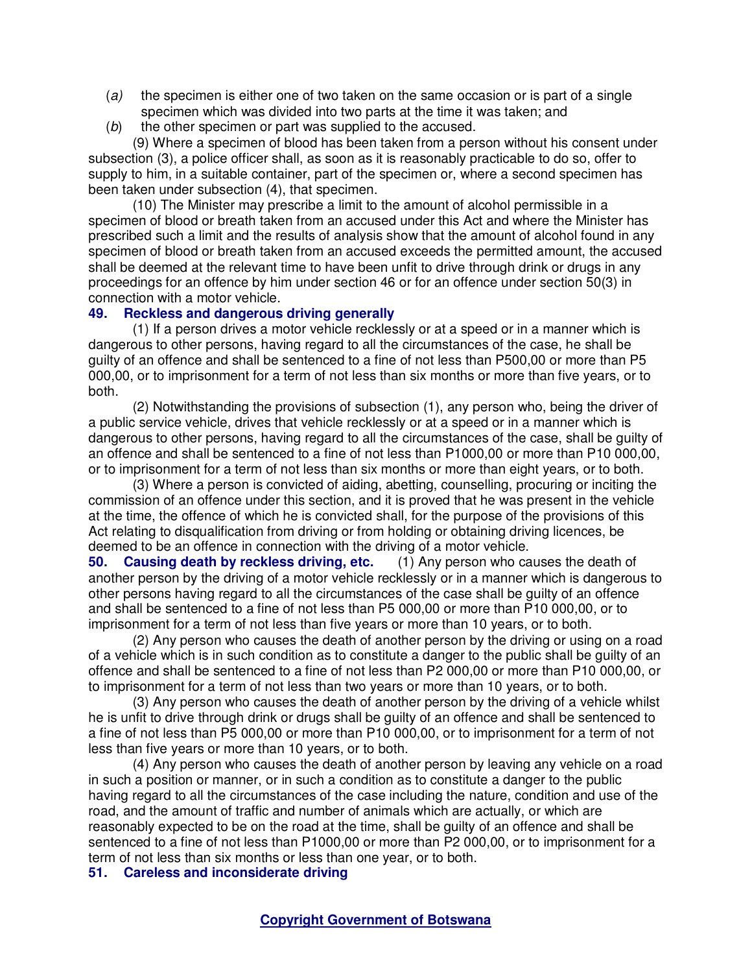- $(a)$  the specimen is either one of two taken on the same occasion or is part of a single specimen which was divided into two parts at the time it was taken; and
- $(b)$  the other specimen or part was supplied to the accused.

(9) Where a specimen of blood has been taken from a person without his consent under subsection (3), a police officer shall, as soon as it is reasonably practicable to do so, offer to supply to him, in a suitable container, part of the specimen or, where a second specimen has been taken under subsection (4), that specimen.

(10) The Minister may prescribe a limit to the amount of alcohol permissible in a specimen of blood or breath taken from an accused under this Act and where the Minister has prescribed such a limit and the results of analysis show that the amount of alcohol found in any specimen of blood or breath taken from an accused exceeds the permitted amount, the accused shall be deemed at the relevant time to have been unfit to drive through drink or drugs in any proceedings for an offence by him under section 46 or for an offence under section 50(3) in connection with a motor vehicle.

### **49. Reckless and dangerous driving generally**

(1) If a person drives a motor vehicle recklessly or at a speed or in a manner which is dangerous to other persons, having regard to all the circumstances of the case, he shall be guilty of an offence and shall be sentenced to a fine of not less than P500,00 or more than P5 000,00, or to imprisonment for a term of not less than six months or more than five years, or to both.

(2) Notwithstanding the provisions of subsection (1), any person who, being the driver of a public service vehicle, drives that vehicle recklessly or at a speed or in a manner which is dangerous to other persons, having regard to all the circumstances of the case, shall be guilty of an offence and shall be sentenced to a fine of not less than P1000,00 or more than P10 000,00, or to imprisonment for a term of not less than six months or more than eight years, or to both.

(3) Where a person is convicted of aiding, abetting, counselling, procuring or inciting the commission of an offence under this section, and it is proved that he was present in the vehicle at the time, the offence of which he is convicted shall, for the purpose of the provisions of this Act relating to disqualification from driving or from holding or obtaining driving licences, be deemed to be an offence in connection with the driving of a motor vehicle.

**50. Causing death by reckless driving, etc.** (1) Any person who causes the death of another person by the driving of a motor vehicle recklessly or in a manner which is dangerous to other persons having regard to all the circumstances of the case shall be guilty of an offence and shall be sentenced to a fine of not less than P5 000,00 or more than P10 000,00, or to imprisonment for a term of not less than five years or more than 10 years, or to both.

(2) Any person who causes the death of another person by the driving or using on a road of a vehicle which is in such condition as to constitute a danger to the public shall be guilty of an offence and shall be sentenced to a fine of not less than P2 000,00 or more than P10 000,00, or to imprisonment for a term of not less than two years or more than 10 years, or to both.

(3) Any person who causes the death of another person by the driving of a vehicle whilst he is unfit to drive through drink or drugs shall be guilty of an offence and shall be sentenced to a fine of not less than P5 000,00 or more than P10 000,00, or to imprisonment for a term of not less than five years or more than 10 years, or to both.

(4) Any person who causes the death of another person by leaving any vehicle on a road in such a position or manner, or in such a condition as to constitute a danger to the public having regard to all the circumstances of the case including the nature, condition and use of the road, and the amount of traffic and number of animals which are actually, or which are reasonably expected to be on the road at the time, shall be guilty of an offence and shall be sentenced to a fine of not less than P1000,00 or more than P2 000,00, or to imprisonment for a term of not less than six months or less than one year, or to both.

**51. Careless and inconsiderate driving**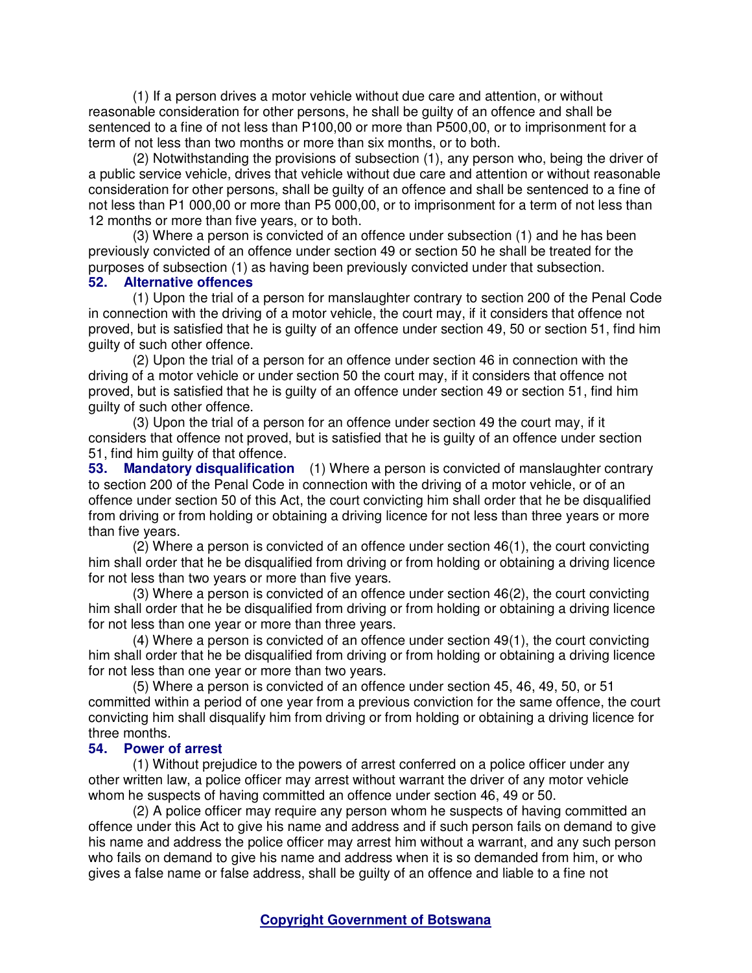(1) If a person drives a motor vehicle without due care and attention, or without reasonable consideration for other persons, he shall be guilty of an offence and shall be sentenced to a fine of not less than P100,00 or more than P500,00, or to imprisonment for a term of not less than two months or more than six months, or to both.

(2) Notwithstanding the provisions of subsection (1), any person who, being the driver of a public service vehicle, drives that vehicle without due care and attention or without reasonable consideration for other persons, shall be guilty of an offence and shall be sentenced to a fine of not less than P1 000,00 or more than P5 000,00, or to imprisonment for a term of not less than 12 months or more than five years, or to both.

(3) Where a person is convicted of an offence under subsection (1) and he has been previously convicted of an offence under section 49 or section 50 he shall be treated for the purposes of subsection (1) as having been previously convicted under that subsection.

## **52. Alternative offences**

(1) Upon the trial of a person for manslaughter contrary to section 200 of the Penal Code in connection with the driving of a motor vehicle, the court may, if it considers that offence not proved, but is satisfied that he is guilty of an offence under section 49, 50 or section 51, find him guilty of such other offence.

(2) Upon the trial of a person for an offence under section 46 in connection with the driving of a motor vehicle or under section 50 the court may, if it considers that offence not proved, but is satisfied that he is guilty of an offence under section 49 or section 51, find him guilty of such other offence.

(3) Upon the trial of a person for an offence under section 49 the court may, if it considers that offence not proved, but is satisfied that he is guilty of an offence under section 51, find him guilty of that offence.

**53. Mandatory disqualification** (1) Where a person is convicted of manslaughter contrary to section 200 of the Penal Code in connection with the driving of a motor vehicle, or of an offence under section 50 of this Act, the court convicting him shall order that he be disqualified from driving or from holding or obtaining a driving licence for not less than three years or more than five years.

(2) Where a person is convicted of an offence under section 46(1), the court convicting him shall order that he be disqualified from driving or from holding or obtaining a driving licence for not less than two years or more than five years.

(3) Where a person is convicted of an offence under section 46(2), the court convicting him shall order that he be disqualified from driving or from holding or obtaining a driving licence for not less than one year or more than three years.

(4) Where a person is convicted of an offence under section 49(1), the court convicting him shall order that he be disqualified from driving or from holding or obtaining a driving licence for not less than one year or more than two years.

(5) Where a person is convicted of an offence under section 45, 46, 49, 50, or 51 committed within a period of one year from a previous conviction for the same offence, the court convicting him shall disqualify him from driving or from holding or obtaining a driving licence for three months.

#### **54. Power of arrest**

(1) Without prejudice to the powers of arrest conferred on a police officer under any other written law, a police officer may arrest without warrant the driver of any motor vehicle whom he suspects of having committed an offence under section 46, 49 or 50.

(2) A police officer may require any person whom he suspects of having committed an offence under this Act to give his name and address and if such person fails on demand to give his name and address the police officer may arrest him without a warrant, and any such person who fails on demand to give his name and address when it is so demanded from him, or who gives a false name or false address, shall be guilty of an offence and liable to a fine not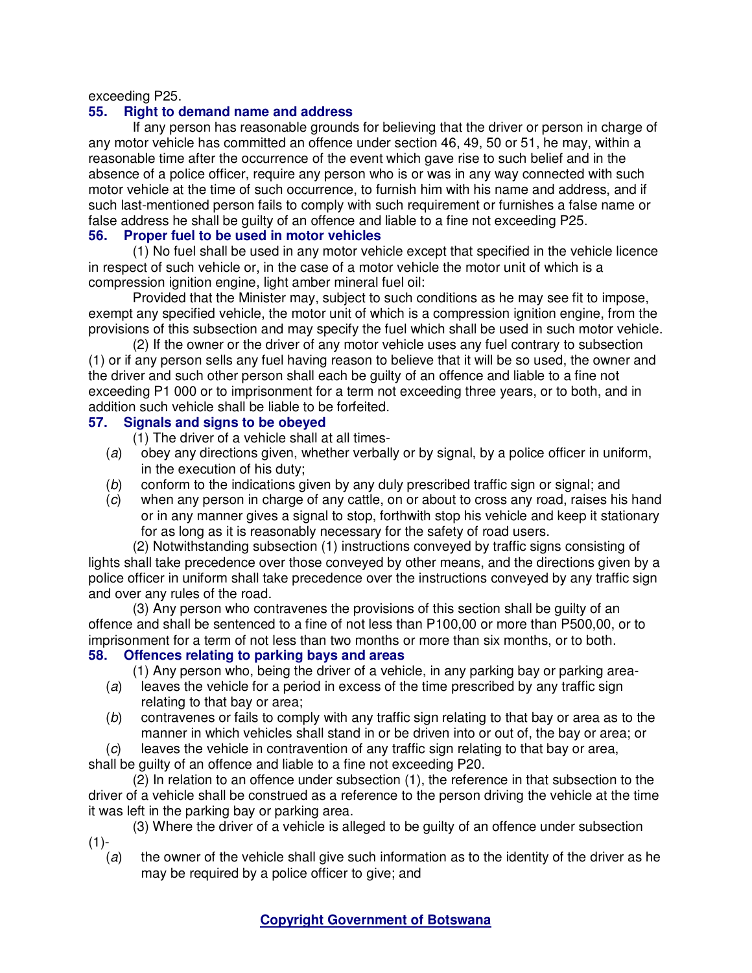exceeding P25.

# **55. Right to demand name and address**

If any person has reasonable grounds for believing that the driver or person in charge of any motor vehicle has committed an offence under section 46, 49, 50 or 51, he may, within a reasonable time after the occurrence of the event which gave rise to such belief and in the absence of a police officer, require any person who is or was in any way connected with such motor vehicle at the time of such occurrence, to furnish him with his name and address, and if such last-mentioned person fails to comply with such requirement or furnishes a false name or false address he shall be guilty of an offence and liable to a fine not exceeding P25.

# **56. Proper fuel to be used in motor vehicles**

(1) No fuel shall be used in any motor vehicle except that specified in the vehicle licence in respect of such vehicle or, in the case of a motor vehicle the motor unit of which is a compression ignition engine, light amber mineral fuel oil:

Provided that the Minister may, subject to such conditions as he may see fit to impose, exempt any specified vehicle, the motor unit of which is a compression ignition engine, from the provisions of this subsection and may specify the fuel which shall be used in such motor vehicle.

(2) If the owner or the driver of any motor vehicle uses any fuel contrary to subsection (1) or if any person sells any fuel having reason to believe that it will be so used, the owner and the driver and such other person shall each be guilty of an offence and liable to a fine not exceeding P1 000 or to imprisonment for a term not exceeding three years, or to both, and in addition such vehicle shall be liable to be forfeited.

## **57. Signals and signs to be obeyed**

(1) The driver of a vehicle shall at all times-

- (a) obey any directions given, whether verbally or by signal, by a police officer in uniform, in the execution of his duty;
- (b) conform to the indications given by any duly prescribed traffic sign or signal; and
- (c) when any person in charge of any cattle, on or about to cross any road, raises his hand or in any manner gives a signal to stop, forthwith stop his vehicle and keep it stationary for as long as it is reasonably necessary for the safety of road users.

(2) Notwithstanding subsection (1) instructions conveyed by traffic signs consisting of lights shall take precedence over those conveyed by other means, and the directions given by a police officer in uniform shall take precedence over the instructions conveyed by any traffic sign and over any rules of the road.

(3) Any person who contravenes the provisions of this section shall be guilty of an offence and shall be sentenced to a fine of not less than P100,00 or more than P500,00, or to imprisonment for a term of not less than two months or more than six months, or to both.

# **58. Offences relating to parking bays and areas**

(1) Any person who, being the driver of a vehicle, in any parking bay or parking area-

- (a) leaves the vehicle for a period in excess of the time prescribed by any traffic sign relating to that bay or area;
- (b) contravenes or fails to comply with any traffic sign relating to that bay or area as to the manner in which vehicles shall stand in or be driven into or out of, the bay or area; or

(c) leaves the vehicle in contravention of any traffic sign relating to that bay or area,

shall be guilty of an offence and liable to a fine not exceeding P20.

(2) In relation to an offence under subsection (1), the reference in that subsection to the driver of a vehicle shall be construed as a reference to the person driving the vehicle at the time it was left in the parking bay or parking area.

(3) Where the driver of a vehicle is alleged to be guilty of an offence under subsection  $(1)$ -

(a) the owner of the vehicle shall give such information as to the identity of the driver as he may be required by a police officer to give; and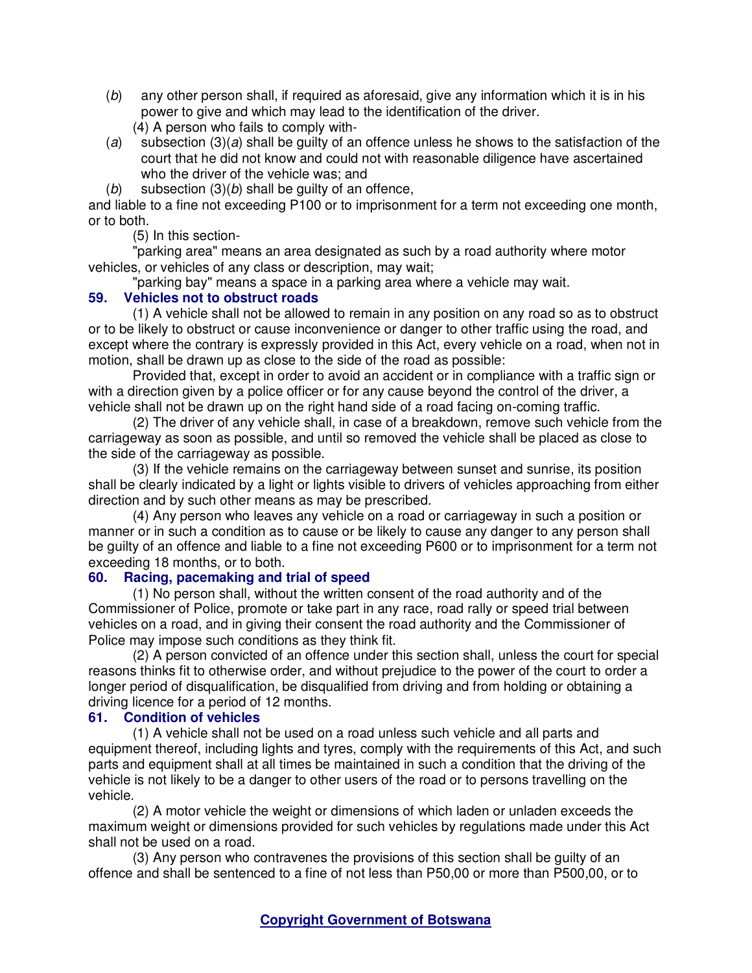- (b) any other person shall, if required as aforesaid, give any information which it is in his power to give and which may lead to the identification of the driver. (4) A person who fails to comply with-
- (a) subsection  $(3)(a)$  shall be guilty of an offence unless he shows to the satisfaction of the court that he did not know and could not with reasonable diligence have ascertained who the driver of the vehicle was; and
- (b) subsection  $(3)(b)$  shall be guilty of an offence,

and liable to a fine not exceeding P100 or to imprisonment for a term not exceeding one month, or to both.

(5) In this section-

"parking area" means an area designated as such by a road authority where motor vehicles, or vehicles of any class or description, may wait;

"parking bay" means a space in a parking area where a vehicle may wait.

# **59. Vehicles not to obstruct roads**

(1) A vehicle shall not be allowed to remain in any position on any road so as to obstruct or to be likely to obstruct or cause inconvenience or danger to other traffic using the road, and except where the contrary is expressly provided in this Act, every vehicle on a road, when not in motion, shall be drawn up as close to the side of the road as possible:

Provided that, except in order to avoid an accident or in compliance with a traffic sign or with a direction given by a police officer or for any cause beyond the control of the driver, a vehicle shall not be drawn up on the right hand side of a road facing on-coming traffic.

(2) The driver of any vehicle shall, in case of a breakdown, remove such vehicle from the carriageway as soon as possible, and until so removed the vehicle shall be placed as close to the side of the carriageway as possible.

(3) If the vehicle remains on the carriageway between sunset and sunrise, its position shall be clearly indicated by a light or lights visible to drivers of vehicles approaching from either direction and by such other means as may be prescribed.

(4) Any person who leaves any vehicle on a road or carriageway in such a position or manner or in such a condition as to cause or be likely to cause any danger to any person shall be guilty of an offence and liable to a fine not exceeding P600 or to imprisonment for a term not exceeding 18 months, or to both.

# **60. Racing, pacemaking and trial of speed**

(1) No person shall, without the written consent of the road authority and of the Commissioner of Police, promote or take part in any race, road rally or speed trial between vehicles on a road, and in giving their consent the road authority and the Commissioner of Police may impose such conditions as they think fit.

(2) A person convicted of an offence under this section shall, unless the court for special reasons thinks fit to otherwise order, and without prejudice to the power of the court to order a longer period of disqualification, be disqualified from driving and from holding or obtaining a driving licence for a period of 12 months.

# **61. Condition of vehicles**

(1) A vehicle shall not be used on a road unless such vehicle and all parts and equipment thereof, including lights and tyres, comply with the requirements of this Act, and such parts and equipment shall at all times be maintained in such a condition that the driving of the vehicle is not likely to be a danger to other users of the road or to persons travelling on the vehicle.

(2) A motor vehicle the weight or dimensions of which laden or unladen exceeds the maximum weight or dimensions provided for such vehicles by regulations made under this Act shall not be used on a road.

(3) Any person who contravenes the provisions of this section shall be guilty of an offence and shall be sentenced to a fine of not less than P50,00 or more than P500,00, or to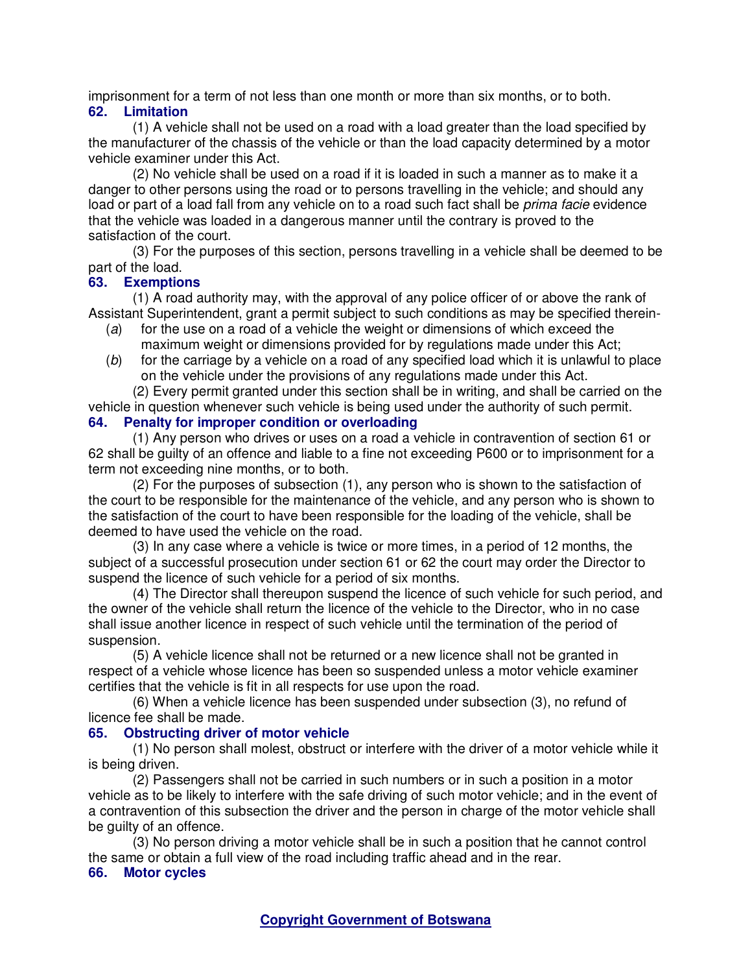imprisonment for a term of not less than one month or more than six months, or to both.

### **62. Limitation**

(1) A vehicle shall not be used on a road with a load greater than the load specified by the manufacturer of the chassis of the vehicle or than the load capacity determined by a motor vehicle examiner under this Act.

(2) No vehicle shall be used on a road if it is loaded in such a manner as to make it a danger to other persons using the road or to persons travelling in the vehicle; and should any load or part of a load fall from any vehicle on to a road such fact shall be *prima facie* evidence that the vehicle was loaded in a dangerous manner until the contrary is proved to the satisfaction of the court.

(3) For the purposes of this section, persons travelling in a vehicle shall be deemed to be part of the load.

# **63. Exemptions**

(1) A road authority may, with the approval of any police officer of or above the rank of Assistant Superintendent, grant a permit subject to such conditions as may be specified therein-

- (a) for the use on a road of a vehicle the weight or dimensions of which exceed the maximum weight or dimensions provided for by regulations made under this Act;
- $(b)$  for the carriage by a vehicle on a road of any specified load which it is unlawful to place on the vehicle under the provisions of any regulations made under this Act.

(2) Every permit granted under this section shall be in writing, and shall be carried on the vehicle in question whenever such vehicle is being used under the authority of such permit.

# **64. Penalty for improper condition or overloading**

(1) Any person who drives or uses on a road a vehicle in contravention of section 61 or 62 shall be guilty of an offence and liable to a fine not exceeding P600 or to imprisonment for a term not exceeding nine months, or to both.

(2) For the purposes of subsection (1), any person who is shown to the satisfaction of the court to be responsible for the maintenance of the vehicle, and any person who is shown to the satisfaction of the court to have been responsible for the loading of the vehicle, shall be deemed to have used the vehicle on the road.

(3) In any case where a vehicle is twice or more times, in a period of 12 months, the subject of a successful prosecution under section 61 or 62 the court may order the Director to suspend the licence of such vehicle for a period of six months.

(4) The Director shall thereupon suspend the licence of such vehicle for such period, and the owner of the vehicle shall return the licence of the vehicle to the Director, who in no case shall issue another licence in respect of such vehicle until the termination of the period of suspension.

(5) A vehicle licence shall not be returned or a new licence shall not be granted in respect of a vehicle whose licence has been so suspended unless a motor vehicle examiner certifies that the vehicle is fit in all respects for use upon the road.

(6) When a vehicle licence has been suspended under subsection (3), no refund of licence fee shall be made.

# **65. Obstructing driver of motor vehicle**

(1) No person shall molest, obstruct or interfere with the driver of a motor vehicle while it is being driven.

(2) Passengers shall not be carried in such numbers or in such a position in a motor vehicle as to be likely to interfere with the safe driving of such motor vehicle; and in the event of a contravention of this subsection the driver and the person in charge of the motor vehicle shall be quilty of an offence.

(3) No person driving a motor vehicle shall be in such a position that he cannot control the same or obtain a full view of the road including traffic ahead and in the rear.

#### **66. Motor cycles**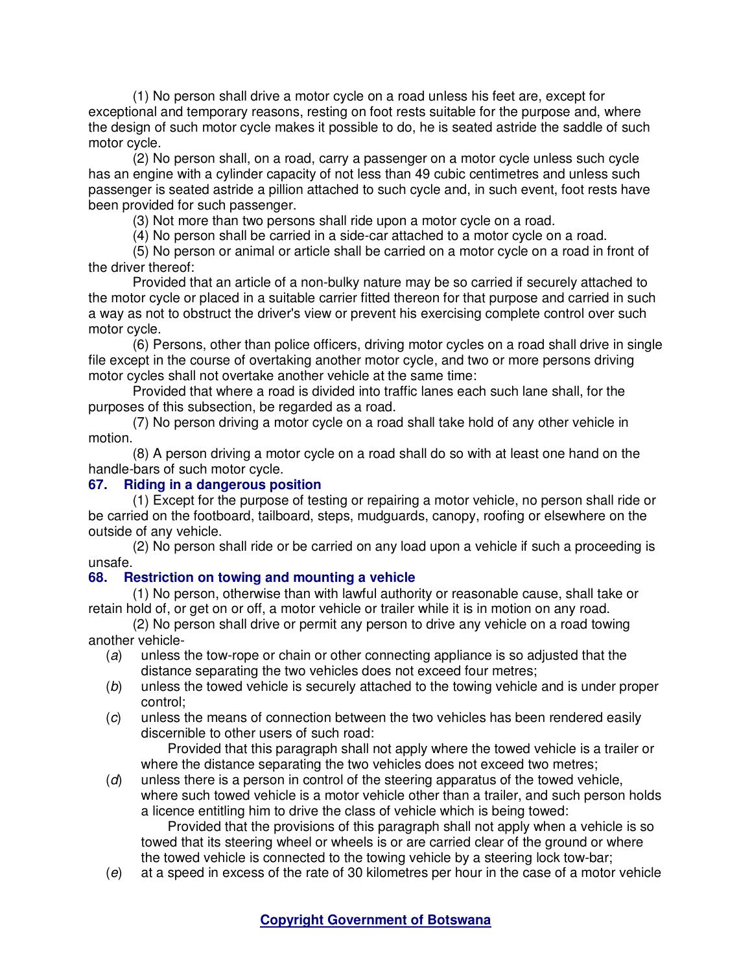(1) No person shall drive a motor cycle on a road unless his feet are, except for exceptional and temporary reasons, resting on foot rests suitable for the purpose and, where the design of such motor cycle makes it possible to do, he is seated astride the saddle of such motor cycle.

(2) No person shall, on a road, carry a passenger on a motor cycle unless such cycle has an engine with a cylinder capacity of not less than 49 cubic centimetres and unless such passenger is seated astride a pillion attached to such cycle and, in such event, foot rests have been provided for such passenger.

(3) Not more than two persons shall ride upon a motor cycle on a road.

(4) No person shall be carried in a side-car attached to a motor cycle on a road.

(5) No person or animal or article shall be carried on a motor cycle on a road in front of the driver thereof:

Provided that an article of a non-bulky nature may be so carried if securely attached to the motor cycle or placed in a suitable carrier fitted thereon for that purpose and carried in such a way as not to obstruct the driver's view or prevent his exercising complete control over such motor cycle.

(6) Persons, other than police officers, driving motor cycles on a road shall drive in single file except in the course of overtaking another motor cycle, and two or more persons driving motor cycles shall not overtake another vehicle at the same time:

Provided that where a road is divided into traffic lanes each such lane shall, for the purposes of this subsection, be regarded as a road.

(7) No person driving a motor cycle on a road shall take hold of any other vehicle in motion.

(8) A person driving a motor cycle on a road shall do so with at least one hand on the handle-bars of such motor cycle.

## **67. Riding in a dangerous position**

(1) Except for the purpose of testing or repairing a motor vehicle, no person shall ride or be carried on the footboard, tailboard, steps, mudguards, canopy, roofing or elsewhere on the outside of any vehicle.

(2) No person shall ride or be carried on any load upon a vehicle if such a proceeding is unsafe.

# **68. Restriction on towing and mounting a vehicle**

(1) No person, otherwise than with lawful authority or reasonable cause, shall take or retain hold of, or get on or off, a motor vehicle or trailer while it is in motion on any road.

(2) No person shall drive or permit any person to drive any vehicle on a road towing another vehicle-

- (a) unless the tow-rope or chain or other connecting appliance is so adjusted that the distance separating the two vehicles does not exceed four metres;
- (b) unless the towed vehicle is securely attached to the towing vehicle and is under proper control;
- (c) unless the means of connection between the two vehicles has been rendered easily discernible to other users of such road:

 Provided that this paragraph shall not apply where the towed vehicle is a trailer or where the distance separating the two vehicles does not exceed two metres;

(d) unless there is a person in control of the steering apparatus of the towed vehicle, where such towed vehicle is a motor vehicle other than a trailer, and such person holds a licence entitling him to drive the class of vehicle which is being towed:

 Provided that the provisions of this paragraph shall not apply when a vehicle is so towed that its steering wheel or wheels is or are carried clear of the ground or where the towed vehicle is connected to the towing vehicle by a steering lock tow-bar;

(e) at a speed in excess of the rate of 30 kilometres per hour in the case of a motor vehicle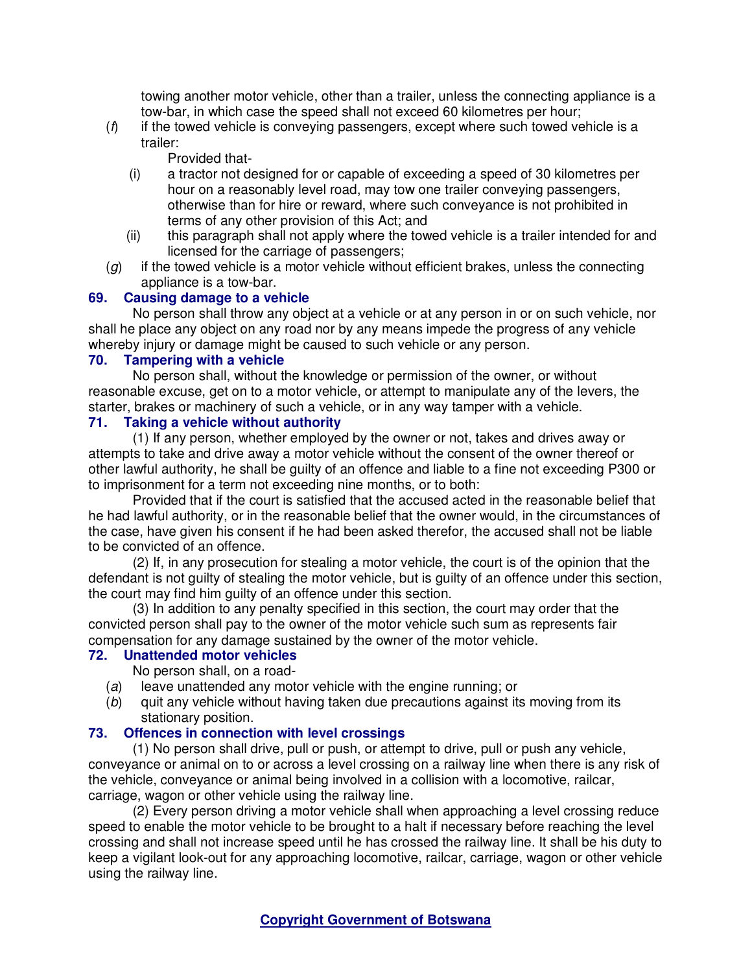towing another motor vehicle, other than a trailer, unless the connecting appliance is a tow-bar, in which case the speed shall not exceed 60 kilometres per hour;

 $(f)$  if the towed vehicle is conveying passengers, except where such towed vehicle is a trailer:

Provided that-

- (i) a tractor not designed for or capable of exceeding a speed of 30 kilometres per hour on a reasonably level road, may tow one trailer conveying passengers, otherwise than for hire or reward, where such conveyance is not prohibited in terms of any other provision of this Act; and
- (ii) this paragraph shall not apply where the towed vehicle is a trailer intended for and licensed for the carriage of passengers;
- $(g)$  if the towed vehicle is a motor vehicle without efficient brakes, unless the connecting appliance is a tow-bar.

# **69. Causing damage to a vehicle**

No person shall throw any object at a vehicle or at any person in or on such vehicle, nor shall he place any object on any road nor by any means impede the progress of any vehicle whereby injury or damage might be caused to such vehicle or any person.

## **70. Tampering with a vehicle**

No person shall, without the knowledge or permission of the owner, or without reasonable excuse, get on to a motor vehicle, or attempt to manipulate any of the levers, the starter, brakes or machinery of such a vehicle, or in any way tamper with a vehicle.

## **71. Taking a vehicle without authority**

(1) If any person, whether employed by the owner or not, takes and drives away or attempts to take and drive away a motor vehicle without the consent of the owner thereof or other lawful authority, he shall be guilty of an offence and liable to a fine not exceeding P300 or to imprisonment for a term not exceeding nine months, or to both:

Provided that if the court is satisfied that the accused acted in the reasonable belief that he had lawful authority, or in the reasonable belief that the owner would, in the circumstances of the case, have given his consent if he had been asked therefor, the accused shall not be liable to be convicted of an offence.

(2) If, in any prosecution for stealing a motor vehicle, the court is of the opinion that the defendant is not guilty of stealing the motor vehicle, but is guilty of an offence under this section, the court may find him guilty of an offence under this section.

(3) In addition to any penalty specified in this section, the court may order that the convicted person shall pay to the owner of the motor vehicle such sum as represents fair compensation for any damage sustained by the owner of the motor vehicle.

# **72. Unattended motor vehicles**

No person shall, on a road-

- (a) leave unattended any motor vehicle with the engine running; or
- (b) quit any vehicle without having taken due precautions against its moving from its stationary position.

# **73. Offences in connection with level crossings**

(1) No person shall drive, pull or push, or attempt to drive, pull or push any vehicle, conveyance or animal on to or across a level crossing on a railway line when there is any risk of the vehicle, conveyance or animal being involved in a collision with a locomotive, railcar, carriage, wagon or other vehicle using the railway line.

(2) Every person driving a motor vehicle shall when approaching a level crossing reduce speed to enable the motor vehicle to be brought to a halt if necessary before reaching the level crossing and shall not increase speed until he has crossed the railway line. It shall be his duty to keep a vigilant look-out for any approaching locomotive, railcar, carriage, wagon or other vehicle using the railway line.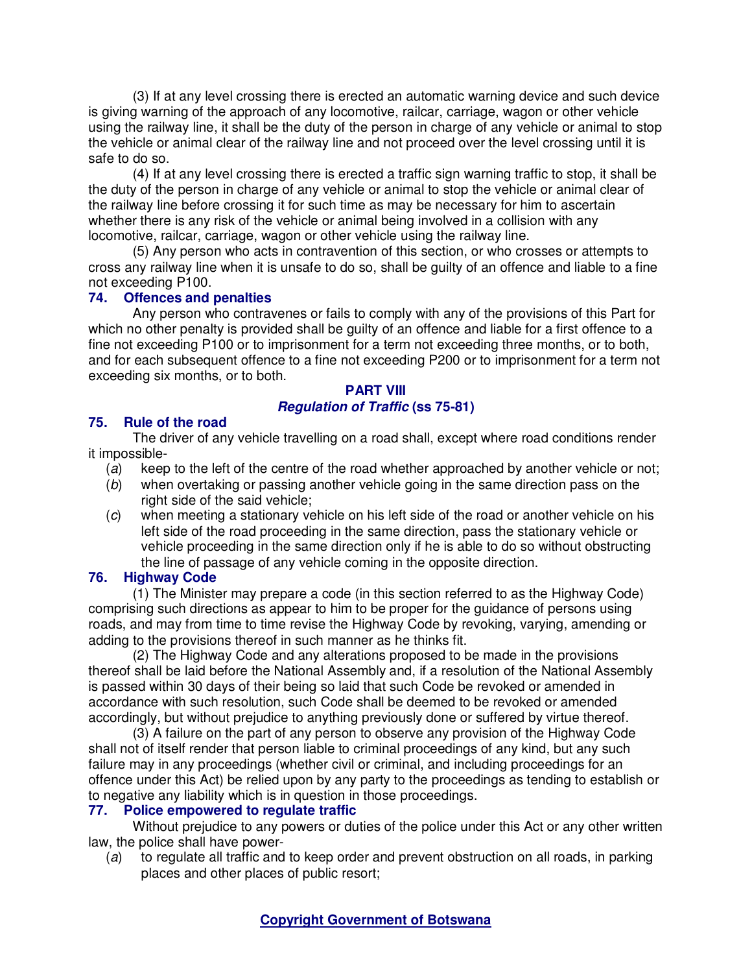(3) If at any level crossing there is erected an automatic warning device and such device is giving warning of the approach of any locomotive, railcar, carriage, wagon or other vehicle using the railway line, it shall be the duty of the person in charge of any vehicle or animal to stop the vehicle or animal clear of the railway line and not proceed over the level crossing until it is safe to do so.

(4) If at any level crossing there is erected a traffic sign warning traffic to stop, it shall be the duty of the person in charge of any vehicle or animal to stop the vehicle or animal clear of the railway line before crossing it for such time as may be necessary for him to ascertain whether there is any risk of the vehicle or animal being involved in a collision with any locomotive, railcar, carriage, wagon or other vehicle using the railway line.

(5) Any person who acts in contravention of this section, or who crosses or attempts to cross any railway line when it is unsafe to do so, shall be guilty of an offence and liable to a fine not exceeding P100.

# **74. Offences and penalties**

Any person who contravenes or fails to comply with any of the provisions of this Part for which no other penalty is provided shall be guilty of an offence and liable for a first offence to a fine not exceeding P100 or to imprisonment for a term not exceeding three months, or to both, and for each subsequent offence to a fine not exceeding P200 or to imprisonment for a term not exceeding six months, or to both.

# **PART VIII Regulation of Traffic (ss 75-81)**

# **75. Rule of the road**

The driver of any vehicle travelling on a road shall, except where road conditions render it impossible-

- (a) keep to the left of the centre of the road whether approached by another vehicle or not;
- (b) when overtaking or passing another vehicle going in the same direction pass on the right side of the said vehicle:
- (c) when meeting a stationary vehicle on his left side of the road or another vehicle on his left side of the road proceeding in the same direction, pass the stationary vehicle or vehicle proceeding in the same direction only if he is able to do so without obstructing the line of passage of any vehicle coming in the opposite direction.

# **76. Highway Code**

(1) The Minister may prepare a code (in this section referred to as the Highway Code) comprising such directions as appear to him to be proper for the guidance of persons using roads, and may from time to time revise the Highway Code by revoking, varying, amending or adding to the provisions thereof in such manner as he thinks fit.

(2) The Highway Code and any alterations proposed to be made in the provisions thereof shall be laid before the National Assembly and, if a resolution of the National Assembly is passed within 30 days of their being so laid that such Code be revoked or amended in accordance with such resolution, such Code shall be deemed to be revoked or amended accordingly, but without prejudice to anything previously done or suffered by virtue thereof.

(3) A failure on the part of any person to observe any provision of the Highway Code shall not of itself render that person liable to criminal proceedings of any kind, but any such failure may in any proceedings (whether civil or criminal, and including proceedings for an offence under this Act) be relied upon by any party to the proceedings as tending to establish or to negative any liability which is in question in those proceedings.

# **77. Police empowered to regulate traffic**

Without prejudice to any powers or duties of the police under this Act or any other written law, the police shall have power-

(a) to regulate all traffic and to keep order and prevent obstruction on all roads, in parking places and other places of public resort;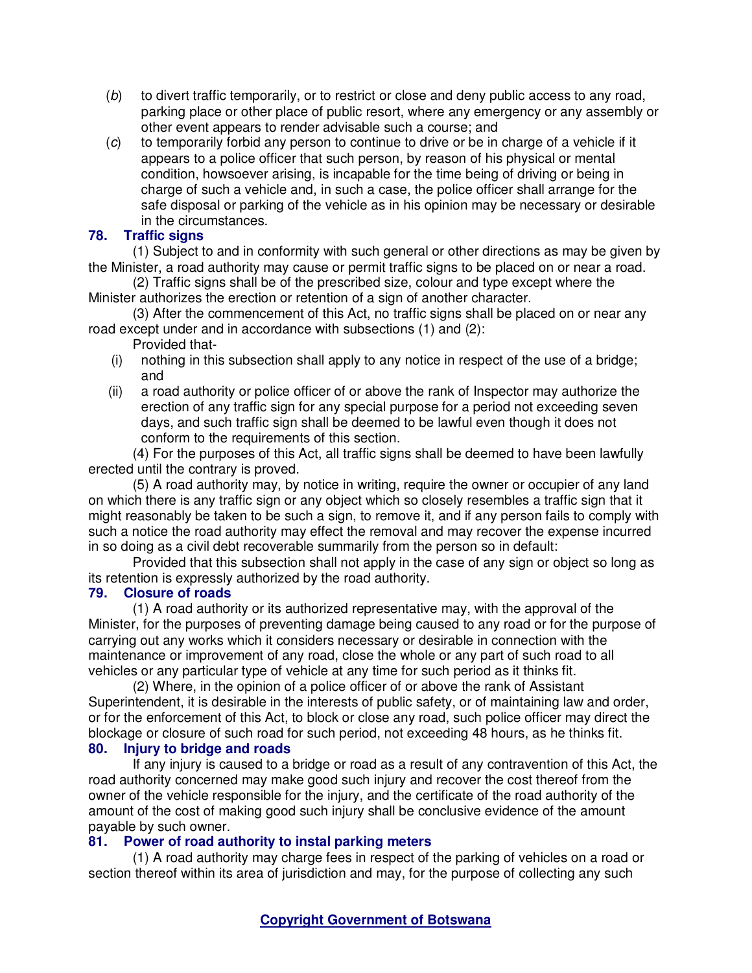- (b) to divert traffic temporarily, or to restrict or close and deny public access to any road, parking place or other place of public resort, where any emergency or any assembly or other event appears to render advisable such a course; and
- (c) to temporarily forbid any person to continue to drive or be in charge of a vehicle if it appears to a police officer that such person, by reason of his physical or mental condition, howsoever arising, is incapable for the time being of driving or being in charge of such a vehicle and, in such a case, the police officer shall arrange for the safe disposal or parking of the vehicle as in his opinion may be necessary or desirable in the circumstances.

# **78. Traffic signs**

(1) Subject to and in conformity with such general or other directions as may be given by the Minister, a road authority may cause or permit traffic signs to be placed on or near a road.

(2) Traffic signs shall be of the prescribed size, colour and type except where the Minister authorizes the erection or retention of a sign of another character.

(3) After the commencement of this Act, no traffic signs shall be placed on or near any road except under and in accordance with subsections (1) and (2):

- Provided that-
- (i) nothing in this subsection shall apply to any notice in respect of the use of a bridge; and
- (ii) a road authority or police officer of or above the rank of Inspector may authorize the erection of any traffic sign for any special purpose for a period not exceeding seven days, and such traffic sign shall be deemed to be lawful even though it does not conform to the requirements of this section.

(4) For the purposes of this Act, all traffic signs shall be deemed to have been lawfully erected until the contrary is proved.

(5) A road authority may, by notice in writing, require the owner or occupier of any land on which there is any traffic sign or any object which so closely resembles a traffic sign that it might reasonably be taken to be such a sign, to remove it, and if any person fails to comply with such a notice the road authority may effect the removal and may recover the expense incurred in so doing as a civil debt recoverable summarily from the person so in default:

Provided that this subsection shall not apply in the case of any sign or object so long as its retention is expressly authorized by the road authority.

# **79. Closure of roads**

(1) A road authority or its authorized representative may, with the approval of the Minister, for the purposes of preventing damage being caused to any road or for the purpose of carrying out any works which it considers necessary or desirable in connection with the maintenance or improvement of any road, close the whole or any part of such road to all vehicles or any particular type of vehicle at any time for such period as it thinks fit.

(2) Where, in the opinion of a police officer of or above the rank of Assistant Superintendent, it is desirable in the interests of public safety, or of maintaining law and order, or for the enforcement of this Act, to block or close any road, such police officer may direct the blockage or closure of such road for such period, not exceeding 48 hours, as he thinks fit. **80. Injury to bridge and roads** 

If any injury is caused to a bridge or road as a result of any contravention of this Act, the road authority concerned may make good such injury and recover the cost thereof from the owner of the vehicle responsible for the injury, and the certificate of the road authority of the amount of the cost of making good such injury shall be conclusive evidence of the amount payable by such owner.

# **81. Power of road authority to instal parking meters**

(1) A road authority may charge fees in respect of the parking of vehicles on a road or section thereof within its area of jurisdiction and may, for the purpose of collecting any such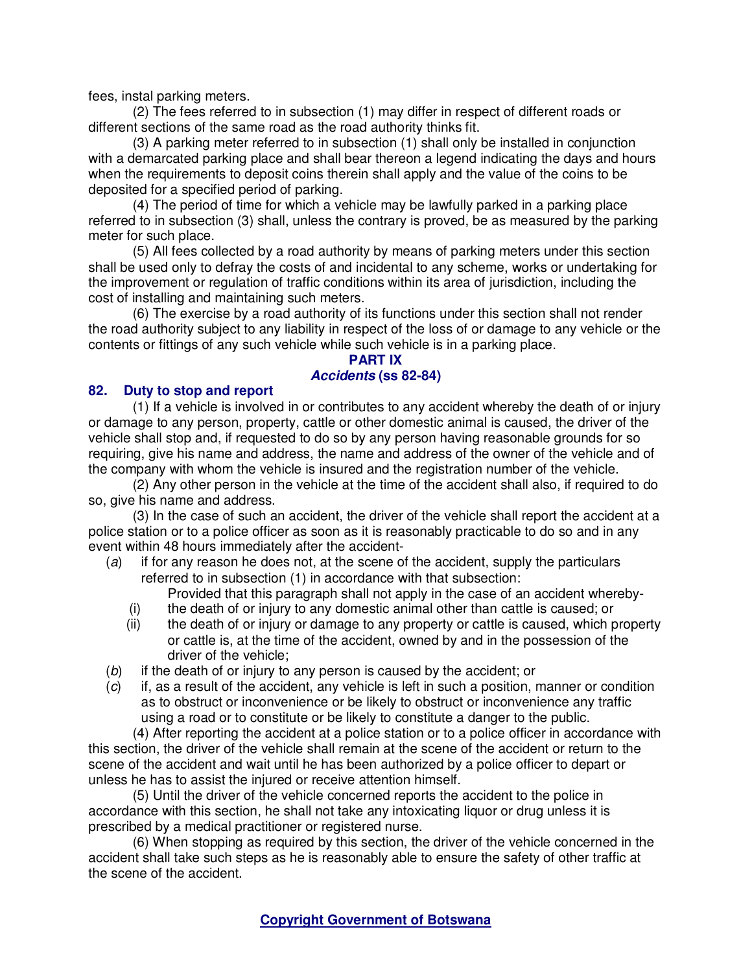fees, instal parking meters.

(2) The fees referred to in subsection (1) may differ in respect of different roads or different sections of the same road as the road authority thinks fit.

(3) A parking meter referred to in subsection (1) shall only be installed in conjunction with a demarcated parking place and shall bear thereon a legend indicating the days and hours when the requirements to deposit coins therein shall apply and the value of the coins to be deposited for a specified period of parking.

(4) The period of time for which a vehicle may be lawfully parked in a parking place referred to in subsection (3) shall, unless the contrary is proved, be as measured by the parking meter for such place.

(5) All fees collected by a road authority by means of parking meters under this section shall be used only to defray the costs of and incidental to any scheme, works or undertaking for the improvement or regulation of traffic conditions within its area of jurisdiction, including the cost of installing and maintaining such meters.

(6) The exercise by a road authority of its functions under this section shall not render the road authority subject to any liability in respect of the loss of or damage to any vehicle or the contents or fittings of any such vehicle while such vehicle is in a parking place.

## **PART IX**

## **Accidents (ss 82-84)**

## **82. Duty to stop and report**

(1) If a vehicle is involved in or contributes to any accident whereby the death of or injury or damage to any person, property, cattle or other domestic animal is caused, the driver of the vehicle shall stop and, if requested to do so by any person having reasonable grounds for so requiring, give his name and address, the name and address of the owner of the vehicle and of the company with whom the vehicle is insured and the registration number of the vehicle.

(2) Any other person in the vehicle at the time of the accident shall also, if required to do so, give his name and address.

(3) In the case of such an accident, the driver of the vehicle shall report the accident at a police station or to a police officer as soon as it is reasonably practicable to do so and in any event within 48 hours immediately after the accident-

(a) if for any reason he does not, at the scene of the accident, supply the particulars referred to in subsection (1) in accordance with that subsection:

Provided that this paragraph shall not apply in the case of an accident whereby-

- (i) the death of or injury to any domestic animal other than cattle is caused; or
- (ii) the death of or injury or damage to any property or cattle is caused, which property or cattle is, at the time of the accident, owned by and in the possession of the driver of the vehicle;
- (b) if the death of or injury to any person is caused by the accident; or
- $(c)$  if, as a result of the accident, any vehicle is left in such a position, manner or condition as to obstruct or inconvenience or be likely to obstruct or inconvenience any traffic using a road or to constitute or be likely to constitute a danger to the public.

(4) After reporting the accident at a police station or to a police officer in accordance with this section, the driver of the vehicle shall remain at the scene of the accident or return to the scene of the accident and wait until he has been authorized by a police officer to depart or unless he has to assist the injured or receive attention himself.

(5) Until the driver of the vehicle concerned reports the accident to the police in accordance with this section, he shall not take any intoxicating liquor or drug unless it is prescribed by a medical practitioner or registered nurse.

(6) When stopping as required by this section, the driver of the vehicle concerned in the accident shall take such steps as he is reasonably able to ensure the safety of other traffic at the scene of the accident.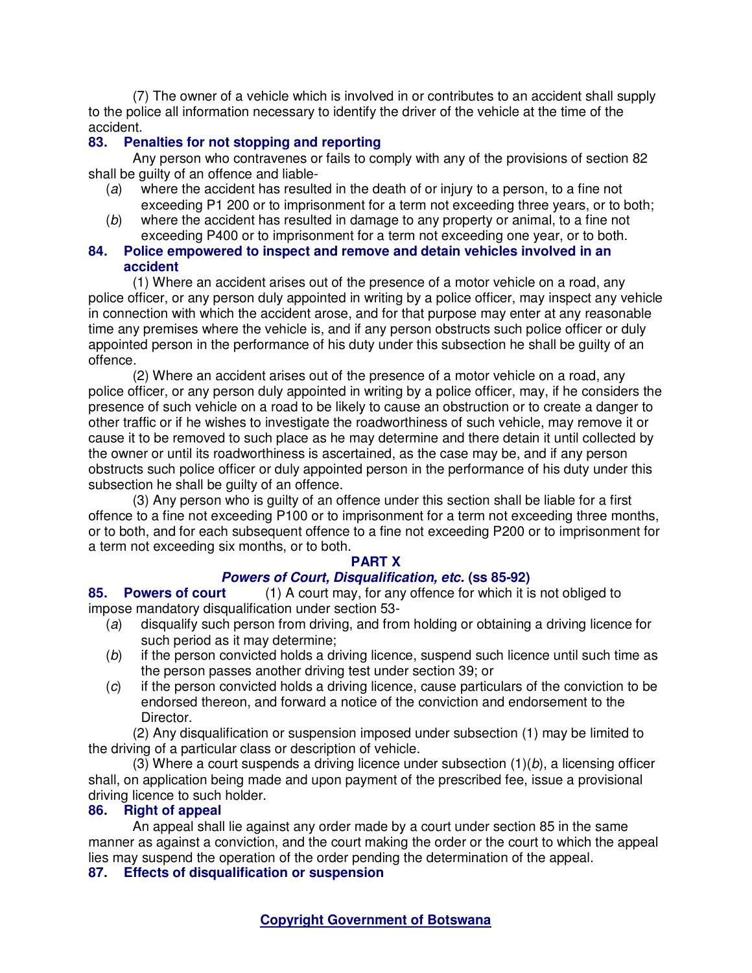(7) The owner of a vehicle which is involved in or contributes to an accident shall supply to the police all information necessary to identify the driver of the vehicle at the time of the accident.

# **83. Penalties for not stopping and reporting**

Any person who contravenes or fails to comply with any of the provisions of section 82 shall be guilty of an offence and liable-

- (a) where the accident has resulted in the death of or injury to a person, to a fine not exceeding P1 200 or to imprisonment for a term not exceeding three years, or to both;
- (b) where the accident has resulted in damage to any property or animal, to a fine not exceeding P400 or to imprisonment for a term not exceeding one year, or to both.

# **84. Police empowered to inspect and remove and detain vehicles involved in an accident**

(1) Where an accident arises out of the presence of a motor vehicle on a road, any police officer, or any person duly appointed in writing by a police officer, may inspect any vehicle in connection with which the accident arose, and for that purpose may enter at any reasonable time any premises where the vehicle is, and if any person obstructs such police officer or duly appointed person in the performance of his duty under this subsection he shall be guilty of an offence.

(2) Where an accident arises out of the presence of a motor vehicle on a road, any police officer, or any person duly appointed in writing by a police officer, may, if he considers the presence of such vehicle on a road to be likely to cause an obstruction or to create a danger to other traffic or if he wishes to investigate the roadworthiness of such vehicle, may remove it or cause it to be removed to such place as he may determine and there detain it until collected by the owner or until its roadworthiness is ascertained, as the case may be, and if any person obstructs such police officer or duly appointed person in the performance of his duty under this subsection he shall be guilty of an offence.

(3) Any person who is guilty of an offence under this section shall be liable for a first offence to a fine not exceeding P100 or to imprisonment for a term not exceeding three months, or to both, and for each subsequent offence to a fine not exceeding P200 or to imprisonment for a term not exceeding six months, or to both.

#### **PART X**

# **Powers of Court, Disqualification, etc. (ss 85-92)**

**85. Powers of court** (1) A court may, for any offence for which it is not obliged to impose mandatory disqualification under section 53-

- (a) disqualify such person from driving, and from holding or obtaining a driving licence for such period as it may determine;
- (b) if the person convicted holds a driving licence, suspend such licence until such time as the person passes another driving test under section 39; or
- (c) if the person convicted holds a driving licence, cause particulars of the conviction to be endorsed thereon, and forward a notice of the conviction and endorsement to the Director.

(2) Any disqualification or suspension imposed under subsection (1) may be limited to the driving of a particular class or description of vehicle.

 $(3)$  Where a court suspends a driving licence under subsection  $(1)(b)$ , a licensing officer shall, on application being made and upon payment of the prescribed fee, issue a provisional driving licence to such holder.

# **86. Right of appeal**

An appeal shall lie against any order made by a court under section 85 in the same manner as against a conviction, and the court making the order or the court to which the appeal lies may suspend the operation of the order pending the determination of the appeal. **87. Effects of disqualification or suspension**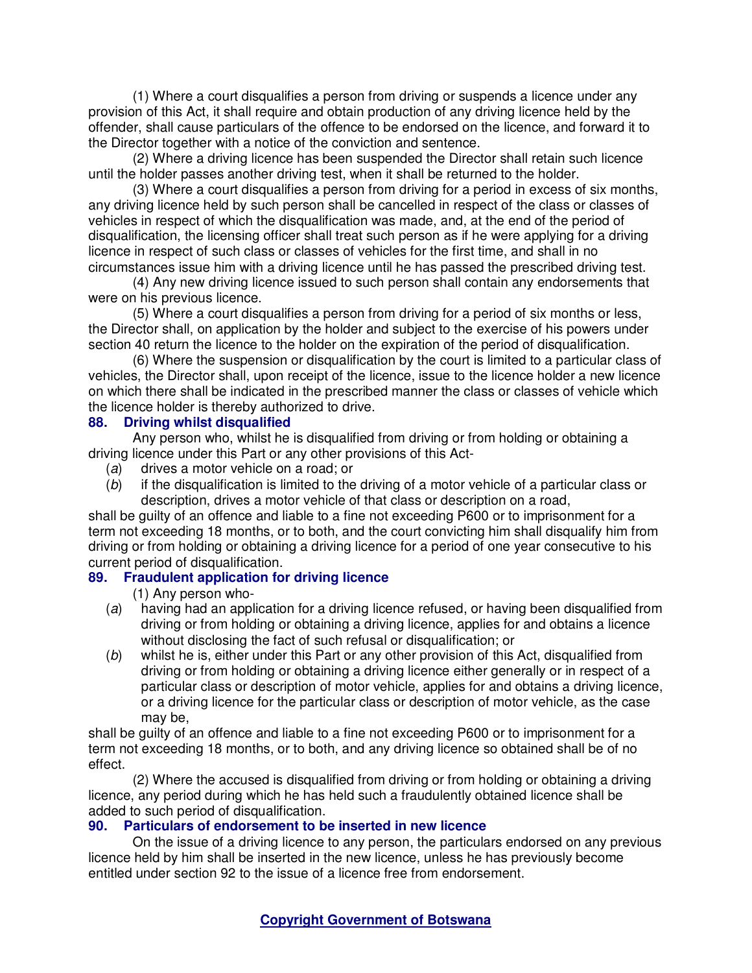(1) Where a court disqualifies a person from driving or suspends a licence under any provision of this Act, it shall require and obtain production of any driving licence held by the offender, shall cause particulars of the offence to be endorsed on the licence, and forward it to the Director together with a notice of the conviction and sentence.

(2) Where a driving licence has been suspended the Director shall retain such licence until the holder passes another driving test, when it shall be returned to the holder.

(3) Where a court disqualifies a person from driving for a period in excess of six months, any driving licence held by such person shall be cancelled in respect of the class or classes of vehicles in respect of which the disqualification was made, and, at the end of the period of disqualification, the licensing officer shall treat such person as if he were applying for a driving licence in respect of such class or classes of vehicles for the first time, and shall in no circumstances issue him with a driving licence until he has passed the prescribed driving test.

(4) Any new driving licence issued to such person shall contain any endorsements that were on his previous licence.

(5) Where a court disqualifies a person from driving for a period of six months or less, the Director shall, on application by the holder and subject to the exercise of his powers under section 40 return the licence to the holder on the expiration of the period of disqualification.

(6) Where the suspension or disqualification by the court is limited to a particular class of vehicles, the Director shall, upon receipt of the licence, issue to the licence holder a new licence on which there shall be indicated in the prescribed manner the class or classes of vehicle which the licence holder is thereby authorized to drive.

### **88. Driving whilst disqualified**

Any person who, whilst he is disqualified from driving or from holding or obtaining a driving licence under this Part or any other provisions of this Act-

- (a) drives a motor vehicle on a road; or
- (b) if the disqualification is limited to the driving of a motor vehicle of a particular class or description, drives a motor vehicle of that class or description on a road,

shall be guilty of an offence and liable to a fine not exceeding P600 or to imprisonment for a term not exceeding 18 months, or to both, and the court convicting him shall disqualify him from driving or from holding or obtaining a driving licence for a period of one year consecutive to his current period of disqualification.

# **89. Fraudulent application for driving licence**

(1) Any person who-

- (a) having had an application for a driving licence refused, or having been disqualified from driving or from holding or obtaining a driving licence, applies for and obtains a licence without disclosing the fact of such refusal or disqualification; or
- (b) whilst he is, either under this Part or any other provision of this Act, disqualified from driving or from holding or obtaining a driving licence either generally or in respect of a particular class or description of motor vehicle, applies for and obtains a driving licence, or a driving licence for the particular class or description of motor vehicle, as the case may be,

shall be guilty of an offence and liable to a fine not exceeding P600 or to imprisonment for a term not exceeding 18 months, or to both, and any driving licence so obtained shall be of no effect.

(2) Where the accused is disqualified from driving or from holding or obtaining a driving licence, any period during which he has held such a fraudulently obtained licence shall be added to such period of disqualification.

#### **90. Particulars of endorsement to be inserted in new licence**

On the issue of a driving licence to any person, the particulars endorsed on any previous licence held by him shall be inserted in the new licence, unless he has previously become entitled under section 92 to the issue of a licence free from endorsement.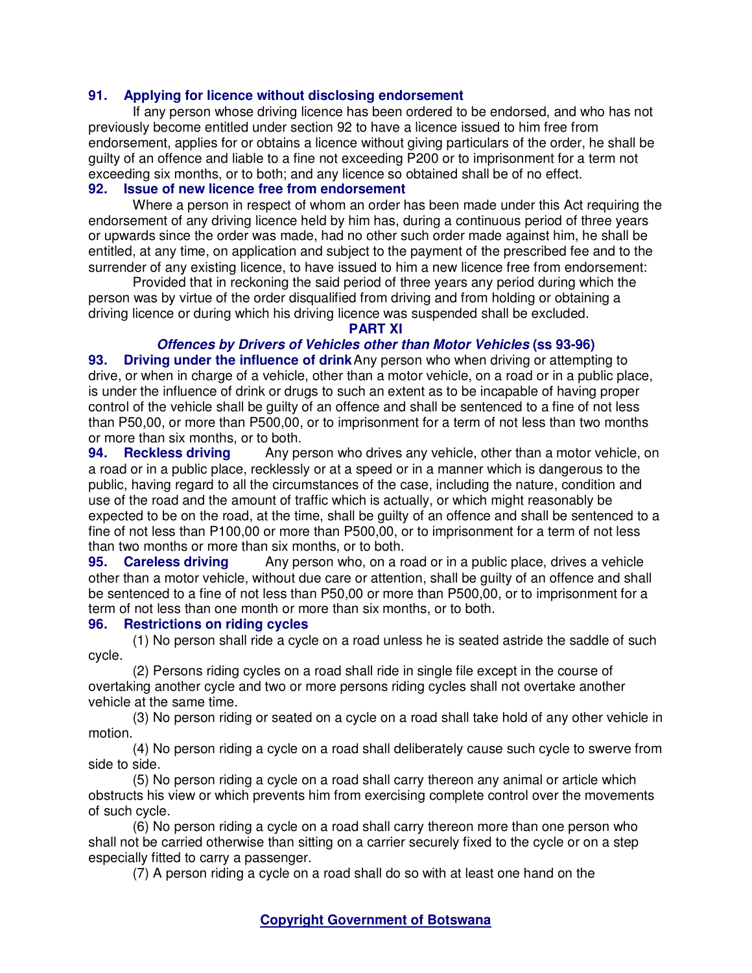## **91. Applying for licence without disclosing endorsement**

If any person whose driving licence has been ordered to be endorsed, and who has not previously become entitled under section 92 to have a licence issued to him free from endorsement, applies for or obtains a licence without giving particulars of the order, he shall be guilty of an offence and liable to a fine not exceeding P200 or to imprisonment for a term not exceeding six months, or to both; and any licence so obtained shall be of no effect.

# **92. Issue of new licence free from endorsement**

Where a person in respect of whom an order has been made under this Act requiring the endorsement of any driving licence held by him has, during a continuous period of three years or upwards since the order was made, had no other such order made against him, he shall be entitled, at any time, on application and subject to the payment of the prescribed fee and to the surrender of any existing licence, to have issued to him a new licence free from endorsement:

Provided that in reckoning the said period of three years any period during which the person was by virtue of the order disqualified from driving and from holding or obtaining a driving licence or during which his driving licence was suspended shall be excluded.

#### **PART XI**

# **Offences by Drivers of Vehicles other than Motor Vehicles (ss 93-96)**

**93. Driving under the influence of drink**Any person who when driving or attempting to drive, or when in charge of a vehicle, other than a motor vehicle, on a road or in a public place, is under the influence of drink or drugs to such an extent as to be incapable of having proper control of the vehicle shall be guilty of an offence and shall be sentenced to a fine of not less than P50,00, or more than P500,00, or to imprisonment for a term of not less than two months or more than six months, or to both.

**94.** Reckless driving Any person who drives any vehicle, other than a motor vehicle, on a road or in a public place, recklessly or at a speed or in a manner which is dangerous to the public, having regard to all the circumstances of the case, including the nature, condition and use of the road and the amount of traffic which is actually, or which might reasonably be expected to be on the road, at the time, shall be guilty of an offence and shall be sentenced to a fine of not less than P100,00 or more than P500,00, or to imprisonment for a term of not less than two months or more than six months, or to both.

**95. Careless driving** Any person who, on a road or in a public place, drives a vehicle other than a motor vehicle, without due care or attention, shall be guilty of an offence and shall be sentenced to a fine of not less than P50,00 or more than P500,00, or to imprisonment for a term of not less than one month or more than six months, or to both.

#### **96. Restrictions on riding cycles**

(1) No person shall ride a cycle on a road unless he is seated astride the saddle of such cycle.

(2) Persons riding cycles on a road shall ride in single file except in the course of overtaking another cycle and two or more persons riding cycles shall not overtake another vehicle at the same time.

(3) No person riding or seated on a cycle on a road shall take hold of any other vehicle in motion.

(4) No person riding a cycle on a road shall deliberately cause such cycle to swerve from side to side.

(5) No person riding a cycle on a road shall carry thereon any animal or article which obstructs his view or which prevents him from exercising complete control over the movements of such cycle.

(6) No person riding a cycle on a road shall carry thereon more than one person who shall not be carried otherwise than sitting on a carrier securely fixed to the cycle or on a step especially fitted to carry a passenger.

(7) A person riding a cycle on a road shall do so with at least one hand on the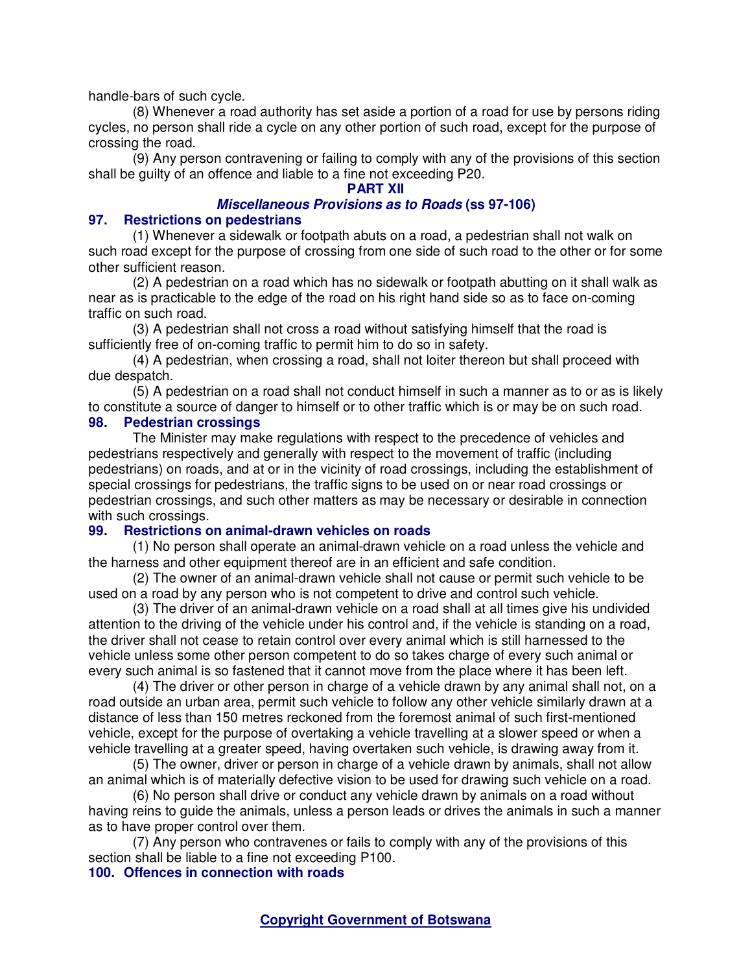handle-bars of such cycle.

(8) Whenever a road authority has set aside a portion of a road for use by persons riding cycles, no person shall ride a cycle on any other portion of such road, except for the purpose of crossing the road.

(9) Any person contravening or failing to comply with any of the provisions of this section shall be guilty of an offence and liable to a fine not exceeding P20.

# **PART XII**

#### **Miscellaneous Provisions as to Roads (ss 97-106)**

### **97. Restrictions on pedestrians**

(1) Whenever a sidewalk or footpath abuts on a road, a pedestrian shall not walk on such road except for the purpose of crossing from one side of such road to the other or for some other sufficient reason.

(2) A pedestrian on a road which has no sidewalk or footpath abutting on it shall walk as near as is practicable to the edge of the road on his right hand side so as to face on-coming traffic on such road.

(3) A pedestrian shall not cross a road without satisfying himself that the road is sufficiently free of on-coming traffic to permit him to do so in safety.

(4) A pedestrian, when crossing a road, shall not loiter thereon but shall proceed with due despatch.

(5) A pedestrian on a road shall not conduct himself in such a manner as to or as is likely to constitute a source of danger to himself or to other traffic which is or may be on such road. **98. Pedestrian crossings** 

The Minister may make regulations with respect to the precedence of vehicles and pedestrians respectively and generally with respect to the movement of traffic (including pedestrians) on roads, and at or in the vicinity of road crossings, including the establishment of special crossings for pedestrians, the traffic signs to be used on or near road crossings or pedestrian crossings, and such other matters as may be necessary or desirable in connection with such crossings.

#### **99. Restrictions on animal-drawn vehicles on roads**

(1) No person shall operate an animal-drawn vehicle on a road unless the vehicle and the harness and other equipment thereof are in an efficient and safe condition.

(2) The owner of an animal-drawn vehicle shall not cause or permit such vehicle to be used on a road by any person who is not competent to drive and control such vehicle.

(3) The driver of an animal-drawn vehicle on a road shall at all times give his undivided attention to the driving of the vehicle under his control and, if the vehicle is standing on a road, the driver shall not cease to retain control over every animal which is still harnessed to the vehicle unless some other person competent to do so takes charge of every such animal or every such animal is so fastened that it cannot move from the place where it has been left.

(4) The driver or other person in charge of a vehicle drawn by any animal shall not, on a road outside an urban area, permit such vehicle to follow any other vehicle similarly drawn at a distance of less than 150 metres reckoned from the foremost animal of such first-mentioned vehicle, except for the purpose of overtaking a vehicle travelling at a slower speed or when a vehicle travelling at a greater speed, having overtaken such vehicle, is drawing away from it.

(5) The owner, driver or person in charge of a vehicle drawn by animals, shall not allow an animal which is of materially defective vision to be used for drawing such vehicle on a road.

(6) No person shall drive or conduct any vehicle drawn by animals on a road without having reins to guide the animals, unless a person leads or drives the animals in such a manner as to have proper control over them.

(7) Any person who contravenes or fails to comply with any of the provisions of this section shall be liable to a fine not exceeding P100.

### **100. Offences in connection with roads**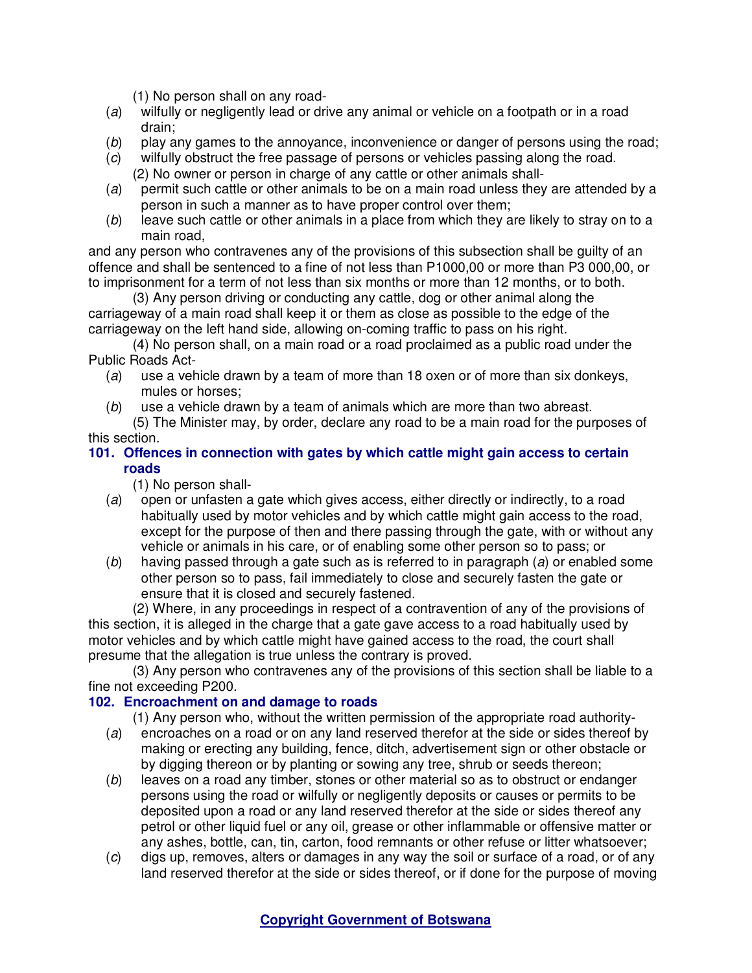(1) No person shall on any road-

- (a) wilfully or negligently lead or drive any animal or vehicle on a footpath or in a road drain;
- (b) play any games to the annoyance, inconvenience or danger of persons using the road;
- (c) wilfully obstruct the free passage of persons or vehicles passing along the road. (2) No owner or person in charge of any cattle or other animals shall-
- (a) permit such cattle or other animals to be on a main road unless they are attended by a person in such a manner as to have proper control over them;
- (b) leave such cattle or other animals in a place from which they are likely to stray on to a main road,

and any person who contravenes any of the provisions of this subsection shall be guilty of an offence and shall be sentenced to a fine of not less than P1000,00 or more than P3 000,00, or to imprisonment for a term of not less than six months or more than 12 months, or to both.

(3) Any person driving or conducting any cattle, dog or other animal along the carriageway of a main road shall keep it or them as close as possible to the edge of the carriageway on the left hand side, allowing on-coming traffic to pass on his right.

(4) No person shall, on a main road or a road proclaimed as a public road under the Public Roads Act-

- (a) use a vehicle drawn by a team of more than 18 oxen or of more than six donkeys, mules or horses;
- (b) use a vehicle drawn by a team of animals which are more than two abreast.

(5) The Minister may, by order, declare any road to be a main road for the purposes of this section.

# **101. Offences in connection with gates by which cattle might gain access to certain roads**

(1) No person shall-

- (a) open or unfasten a gate which gives access, either directly or indirectly, to a road habitually used by motor vehicles and by which cattle might gain access to the road, except for the purpose of then and there passing through the gate, with or without any vehicle or animals in his care, or of enabling some other person so to pass; or
- $(b)$  having passed through a gate such as is referred to in paragraph (a) or enabled some other person so to pass, fail immediately to close and securely fasten the gate or ensure that it is closed and securely fastened.

(2) Where, in any proceedings in respect of a contravention of any of the provisions of this section, it is alleged in the charge that a gate gave access to a road habitually used by motor vehicles and by which cattle might have gained access to the road, the court shall presume that the allegation is true unless the contrary is proved.

(3) Any person who contravenes any of the provisions of this section shall be liable to a fine not exceeding P200.

# **102. Encroachment on and damage to roads**

(1) Any person who, without the written permission of the appropriate road authority-

- (a) encroaches on a road or on any land reserved therefor at the side or sides thereof by making or erecting any building, fence, ditch, advertisement sign or other obstacle or by digging thereon or by planting or sowing any tree, shrub or seeds thereon;
- (b) leaves on a road any timber, stones or other material so as to obstruct or endanger persons using the road or wilfully or negligently deposits or causes or permits to be deposited upon a road or any land reserved therefor at the side or sides thereof any petrol or other liquid fuel or any oil, grease or other inflammable or offensive matter or any ashes, bottle, can, tin, carton, food remnants or other refuse or litter whatsoever;
- (c) digs up, removes, alters or damages in any way the soil or surface of a road, or of any land reserved therefor at the side or sides thereof, or if done for the purpose of moving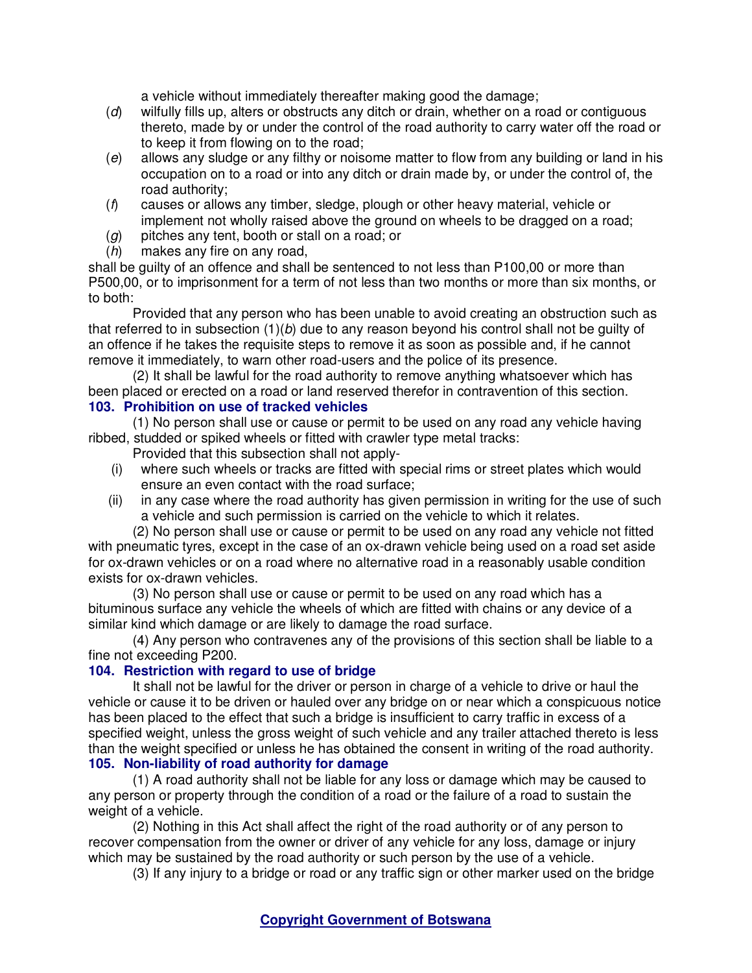a vehicle without immediately thereafter making good the damage;

- (d) wilfully fills up, alters or obstructs any ditch or drain, whether on a road or contiguous thereto, made by or under the control of the road authority to carry water off the road or to keep it from flowing on to the road;
- (e) allows any sludge or any filthy or noisome matter to flow from any building or land in his occupation on to a road or into any ditch or drain made by, or under the control of, the road authority;
- (f) causes or allows any timber, sledge, plough or other heavy material, vehicle or implement not wholly raised above the ground on wheels to be dragged on a road;
- $(q)$  pitches any tent, booth or stall on a road; or
- (h) makes any fire on any road.

shall be guilty of an offence and shall be sentenced to not less than P100,00 or more than P500,00, or to imprisonment for a term of not less than two months or more than six months, or to both:

Provided that any person who has been unable to avoid creating an obstruction such as that referred to in subsection  $(1)(b)$  due to any reason beyond his control shall not be guilty of an offence if he takes the requisite steps to remove it as soon as possible and, if he cannot remove it immediately, to warn other road-users and the police of its presence.

(2) It shall be lawful for the road authority to remove anything whatsoever which has been placed or erected on a road or land reserved therefor in contravention of this section. **103. Prohibition on use of tracked vehicles** 

(1) No person shall use or cause or permit to be used on any road any vehicle having ribbed, studded or spiked wheels or fitted with crawler type metal tracks:

- Provided that this subsection shall not apply-
- (i) where such wheels or tracks are fitted with special rims or street plates which would ensure an even contact with the road surface;
- (ii) in any case where the road authority has given permission in writing for the use of such a vehicle and such permission is carried on the vehicle to which it relates.

(2) No person shall use or cause or permit to be used on any road any vehicle not fitted with pneumatic tyres, except in the case of an ox-drawn vehicle being used on a road set aside for ox-drawn vehicles or on a road where no alternative road in a reasonably usable condition exists for ox-drawn vehicles.

(3) No person shall use or cause or permit to be used on any road which has a bituminous surface any vehicle the wheels of which are fitted with chains or any device of a similar kind which damage or are likely to damage the road surface.

(4) Any person who contravenes any of the provisions of this section shall be liable to a fine not exceeding P200.

# **104. Restriction with regard to use of bridge**

It shall not be lawful for the driver or person in charge of a vehicle to drive or haul the vehicle or cause it to be driven or hauled over any bridge on or near which a conspicuous notice has been placed to the effect that such a bridge is insufficient to carry traffic in excess of a specified weight, unless the gross weight of such vehicle and any trailer attached thereto is less than the weight specified or unless he has obtained the consent in writing of the road authority. **105. Non-liability of road authority for damage** 

(1) A road authority shall not be liable for any loss or damage which may be caused to any person or property through the condition of a road or the failure of a road to sustain the weight of a vehicle.

(2) Nothing in this Act shall affect the right of the road authority or of any person to recover compensation from the owner or driver of any vehicle for any loss, damage or injury which may be sustained by the road authority or such person by the use of a vehicle.

(3) If any injury to a bridge or road or any traffic sign or other marker used on the bridge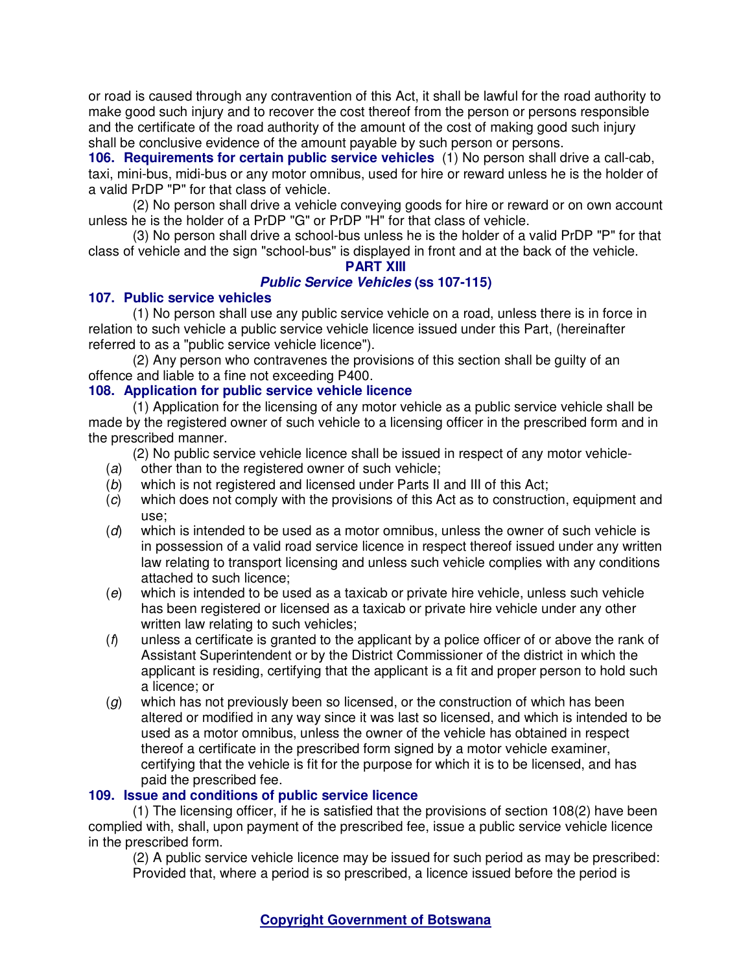or road is caused through any contravention of this Act, it shall be lawful for the road authority to make good such injury and to recover the cost thereof from the person or persons responsible and the certificate of the road authority of the amount of the cost of making good such injury shall be conclusive evidence of the amount payable by such person or persons.

**106. Requirements for certain public service vehicles** (1) No person shall drive a call-cab, taxi, mini-bus, midi-bus or any motor omnibus, used for hire or reward unless he is the holder of a valid PrDP "P" for that class of vehicle.

(2) No person shall drive a vehicle conveying goods for hire or reward or on own account unless he is the holder of a PrDP "G" or PrDP "H" for that class of vehicle.

(3) No person shall drive a school-bus unless he is the holder of a valid PrDP "P" for that class of vehicle and the sign "school-bus" is displayed in front and at the back of the vehicle.

# **PART XIII**

# **Public Service Vehicles (ss 107-115)**

#### **107. Public service vehicles**

(1) No person shall use any public service vehicle on a road, unless there is in force in relation to such vehicle a public service vehicle licence issued under this Part, (hereinafter referred to as a "public service vehicle licence").

(2) Any person who contravenes the provisions of this section shall be guilty of an offence and liable to a fine not exceeding P400.

# **108. Application for public service vehicle licence**

(1) Application for the licensing of any motor vehicle as a public service vehicle shall be made by the registered owner of such vehicle to a licensing officer in the prescribed form and in the prescribed manner.

(2) No public service vehicle licence shall be issued in respect of any motor vehicle-

- (a) other than to the registered owner of such vehicle;
- (b) which is not registered and licensed under Parts II and III of this Act;
- (c) which does not comply with the provisions of this Act as to construction, equipment and use;
- $(d)$  which is intended to be used as a motor omnibus, unless the owner of such vehicle is in possession of a valid road service licence in respect thereof issued under any written law relating to transport licensing and unless such vehicle complies with any conditions attached to such licence;
- (e) which is intended to be used as a taxicab or private hire vehicle, unless such vehicle has been registered or licensed as a taxicab or private hire vehicle under any other written law relating to such vehicles:
- $(f)$  unless a certificate is granted to the applicant by a police officer of or above the rank of Assistant Superintendent or by the District Commissioner of the district in which the applicant is residing, certifying that the applicant is a fit and proper person to hold such a licence; or
- $(g)$  which has not previously been so licensed, or the construction of which has been altered or modified in any way since it was last so licensed, and which is intended to be used as a motor omnibus, unless the owner of the vehicle has obtained in respect thereof a certificate in the prescribed form signed by a motor vehicle examiner, certifying that the vehicle is fit for the purpose for which it is to be licensed, and has paid the prescribed fee.

# **109. Issue and conditions of public service licence**

(1) The licensing officer, if he is satisfied that the provisions of section 108(2) have been complied with, shall, upon payment of the prescribed fee, issue a public service vehicle licence in the prescribed form.

(2) A public service vehicle licence may be issued for such period as may be prescribed: Provided that, where a period is so prescribed, a licence issued before the period is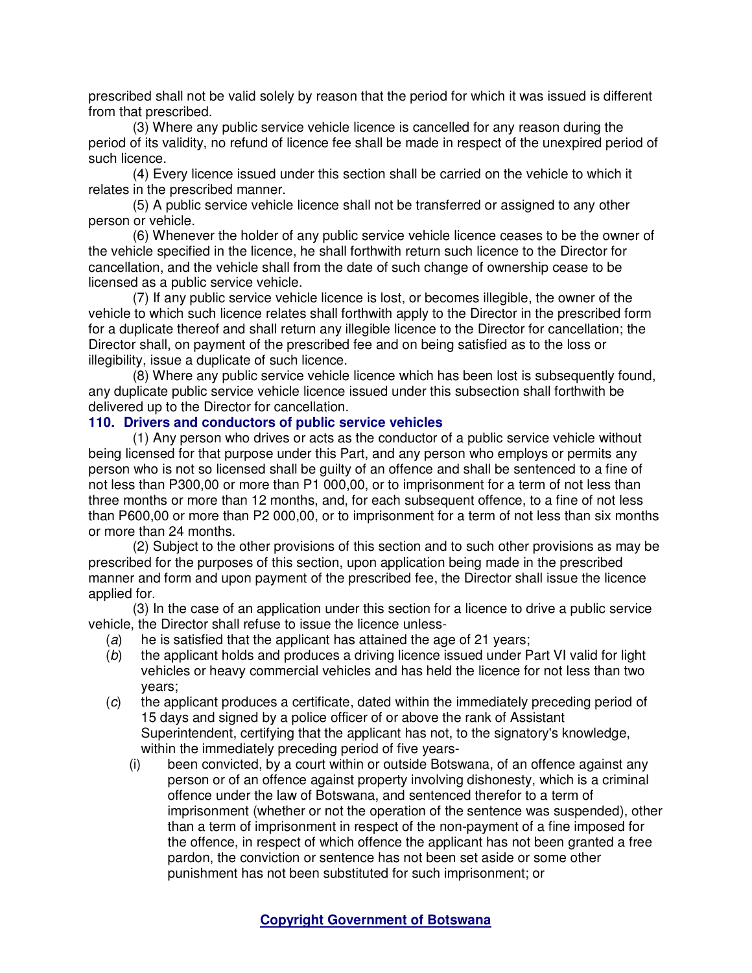prescribed shall not be valid solely by reason that the period for which it was issued is different from that prescribed.

(3) Where any public service vehicle licence is cancelled for any reason during the period of its validity, no refund of licence fee shall be made in respect of the unexpired period of such licence.

(4) Every licence issued under this section shall be carried on the vehicle to which it relates in the prescribed manner.

(5) A public service vehicle licence shall not be transferred or assigned to any other person or vehicle.

(6) Whenever the holder of any public service vehicle licence ceases to be the owner of the vehicle specified in the licence, he shall forthwith return such licence to the Director for cancellation, and the vehicle shall from the date of such change of ownership cease to be licensed as a public service vehicle.

(7) If any public service vehicle licence is lost, or becomes illegible, the owner of the vehicle to which such licence relates shall forthwith apply to the Director in the prescribed form for a duplicate thereof and shall return any illegible licence to the Director for cancellation; the Director shall, on payment of the prescribed fee and on being satisfied as to the loss or illegibility, issue a duplicate of such licence.

(8) Where any public service vehicle licence which has been lost is subsequently found, any duplicate public service vehicle licence issued under this subsection shall forthwith be delivered up to the Director for cancellation.

#### **110. Drivers and conductors of public service vehicles**

(1) Any person who drives or acts as the conductor of a public service vehicle without being licensed for that purpose under this Part, and any person who employs or permits any person who is not so licensed shall be guilty of an offence and shall be sentenced to a fine of not less than P300,00 or more than P1 000,00, or to imprisonment for a term of not less than three months or more than 12 months, and, for each subsequent offence, to a fine of not less than P600,00 or more than P2 000,00, or to imprisonment for a term of not less than six months or more than 24 months.

(2) Subject to the other provisions of this section and to such other provisions as may be prescribed for the purposes of this section, upon application being made in the prescribed manner and form and upon payment of the prescribed fee, the Director shall issue the licence applied for.

(3) In the case of an application under this section for a licence to drive a public service vehicle, the Director shall refuse to issue the licence unless-

- (a) he is satisfied that the applicant has attained the age of 21 years;
- (b) the applicant holds and produces a driving licence issued under Part VI valid for light vehicles or heavy commercial vehicles and has held the licence for not less than two years;
- (c) the applicant produces a certificate, dated within the immediately preceding period of 15 days and signed by a police officer of or above the rank of Assistant Superintendent, certifying that the applicant has not, to the signatory's knowledge, within the immediately preceding period of five years-
	- (i) been convicted, by a court within or outside Botswana, of an offence against any person or of an offence against property involving dishonesty, which is a criminal offence under the law of Botswana, and sentenced therefor to a term of imprisonment (whether or not the operation of the sentence was suspended), other than a term of imprisonment in respect of the non-payment of a fine imposed for the offence, in respect of which offence the applicant has not been granted a free pardon, the conviction or sentence has not been set aside or some other punishment has not been substituted for such imprisonment; or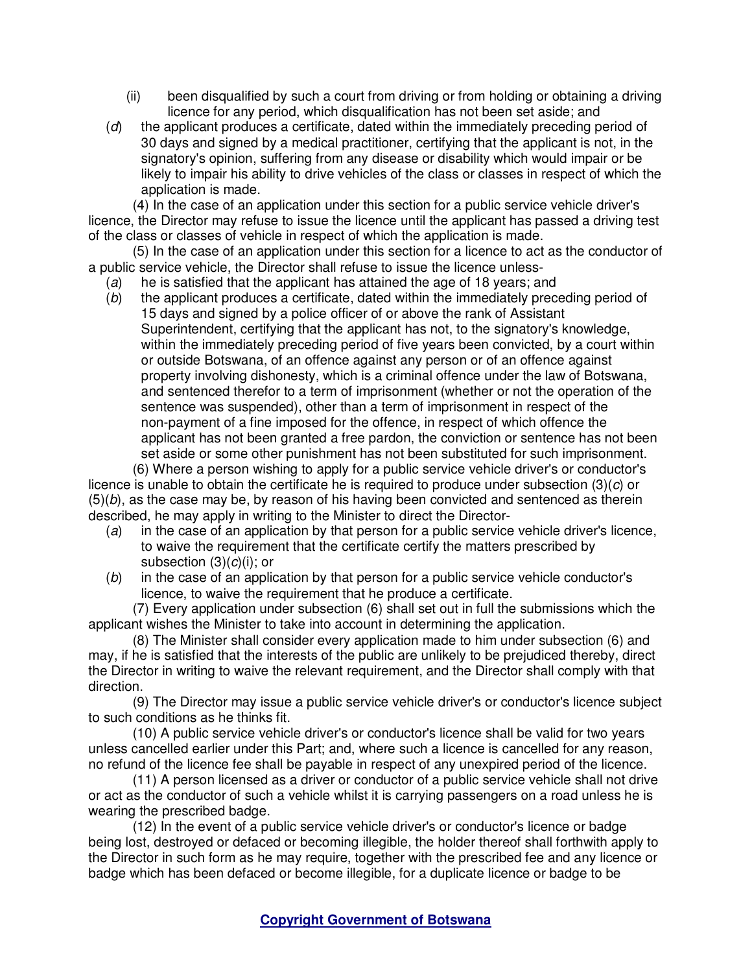- (ii) been disqualified by such a court from driving or from holding or obtaining a driving licence for any period, which disqualification has not been set aside; and
- (d) the applicant produces a certificate, dated within the immediately preceding period of 30 days and signed by a medical practitioner, certifying that the applicant is not, in the signatory's opinion, suffering from any disease or disability which would impair or be likely to impair his ability to drive vehicles of the class or classes in respect of which the application is made.

(4) In the case of an application under this section for a public service vehicle driver's licence, the Director may refuse to issue the licence until the applicant has passed a driving test of the class or classes of vehicle in respect of which the application is made.

(5) In the case of an application under this section for a licence to act as the conductor of a public service vehicle, the Director shall refuse to issue the licence unless-

- (a) he is satisfied that the applicant has attained the age of 18 years; and
- (b) the applicant produces a certificate, dated within the immediately preceding period of 15 days and signed by a police officer of or above the rank of Assistant Superintendent, certifying that the applicant has not, to the signatory's knowledge, within the immediately preceding period of five years been convicted, by a court within or outside Botswana, of an offence against any person or of an offence against property involving dishonesty, which is a criminal offence under the law of Botswana, and sentenced therefor to a term of imprisonment (whether or not the operation of the sentence was suspended), other than a term of imprisonment in respect of the non-payment of a fine imposed for the offence, in respect of which offence the applicant has not been granted a free pardon, the conviction or sentence has not been set aside or some other punishment has not been substituted for such imprisonment.

(6) Where a person wishing to apply for a public service vehicle driver's or conductor's licence is unable to obtain the certificate he is required to produce under subsection  $(3)(c)$  or  $(5)(b)$ , as the case may be, by reason of his having been convicted and sentenced as therein described, he may apply in writing to the Minister to direct the Director-

- (a) in the case of an application by that person for a public service vehicle driver's licence, to waive the requirement that the certificate certify the matters prescribed by subsection  $(3)(c)(i)$ ; or
- (b) in the case of an application by that person for a public service vehicle conductor's licence, to waive the requirement that he produce a certificate.

(7) Every application under subsection (6) shall set out in full the submissions which the applicant wishes the Minister to take into account in determining the application.

(8) The Minister shall consider every application made to him under subsection (6) and may, if he is satisfied that the interests of the public are unlikely to be prejudiced thereby, direct the Director in writing to waive the relevant requirement, and the Director shall comply with that direction.

(9) The Director may issue a public service vehicle driver's or conductor's licence subject to such conditions as he thinks fit.

(10) A public service vehicle driver's or conductor's licence shall be valid for two years unless cancelled earlier under this Part; and, where such a licence is cancelled for any reason, no refund of the licence fee shall be payable in respect of any unexpired period of the licence.

(11) A person licensed as a driver or conductor of a public service vehicle shall not drive or act as the conductor of such a vehicle whilst it is carrying passengers on a road unless he is wearing the prescribed badge.

(12) In the event of a public service vehicle driver's or conductor's licence or badge being lost, destroyed or defaced or becoming illegible, the holder thereof shall forthwith apply to the Director in such form as he may require, together with the prescribed fee and any licence or badge which has been defaced or become illegible, for a duplicate licence or badge to be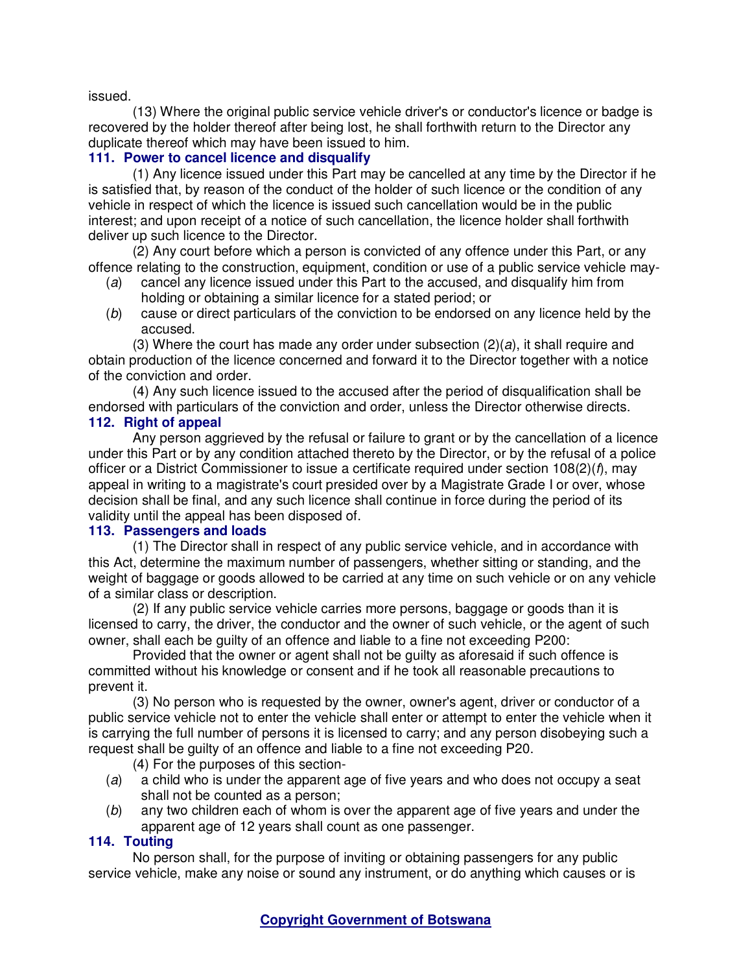issued.

(13) Where the original public service vehicle driver's or conductor's licence or badge is recovered by the holder thereof after being lost, he shall forthwith return to the Director any duplicate thereof which may have been issued to him.

# **111. Power to cancel licence and disqualify**

(1) Any licence issued under this Part may be cancelled at any time by the Director if he is satisfied that, by reason of the conduct of the holder of such licence or the condition of any vehicle in respect of which the licence is issued such cancellation would be in the public interest; and upon receipt of a notice of such cancellation, the licence holder shall forthwith deliver up such licence to the Director.

(2) Any court before which a person is convicted of any offence under this Part, or any offence relating to the construction, equipment, condition or use of a public service vehicle may-

- (a) cancel any licence issued under this Part to the accused, and disqualify him from holding or obtaining a similar licence for a stated period; or
- (b) cause or direct particulars of the conviction to be endorsed on any licence held by the accused.

(3) Where the court has made any order under subsection  $(2)(a)$ , it shall require and obtain production of the licence concerned and forward it to the Director together with a notice of the conviction and order.

(4) Any such licence issued to the accused after the period of disqualification shall be endorsed with particulars of the conviction and order, unless the Director otherwise directs. **112. Right of appeal** 

Any person aggrieved by the refusal or failure to grant or by the cancellation of a licence under this Part or by any condition attached thereto by the Director, or by the refusal of a police officer or a District Commissioner to issue a certificate required under section  $108(2)(f)$ , may appeal in writing to a magistrate's court presided over by a Magistrate Grade I or over, whose decision shall be final, and any such licence shall continue in force during the period of its validity until the appeal has been disposed of.

### **113. Passengers and loads**

(1) The Director shall in respect of any public service vehicle, and in accordance with this Act, determine the maximum number of passengers, whether sitting or standing, and the weight of baggage or goods allowed to be carried at any time on such vehicle or on any vehicle of a similar class or description.

(2) If any public service vehicle carries more persons, baggage or goods than it is licensed to carry, the driver, the conductor and the owner of such vehicle, or the agent of such owner, shall each be guilty of an offence and liable to a fine not exceeding P200:

Provided that the owner or agent shall not be guilty as aforesaid if such offence is committed without his knowledge or consent and if he took all reasonable precautions to prevent it.

(3) No person who is requested by the owner, owner's agent, driver or conductor of a public service vehicle not to enter the vehicle shall enter or attempt to enter the vehicle when it is carrying the full number of persons it is licensed to carry; and any person disobeying such a request shall be guilty of an offence and liable to a fine not exceeding P20.

- (4) For the purposes of this section-
- (a) a child who is under the apparent age of five years and who does not occupy a seat shall not be counted as a person;
- (b) any two children each of whom is over the apparent age of five years and under the apparent age of 12 years shall count as one passenger.

# **114. Touting**

No person shall, for the purpose of inviting or obtaining passengers for any public service vehicle, make any noise or sound any instrument, or do anything which causes or is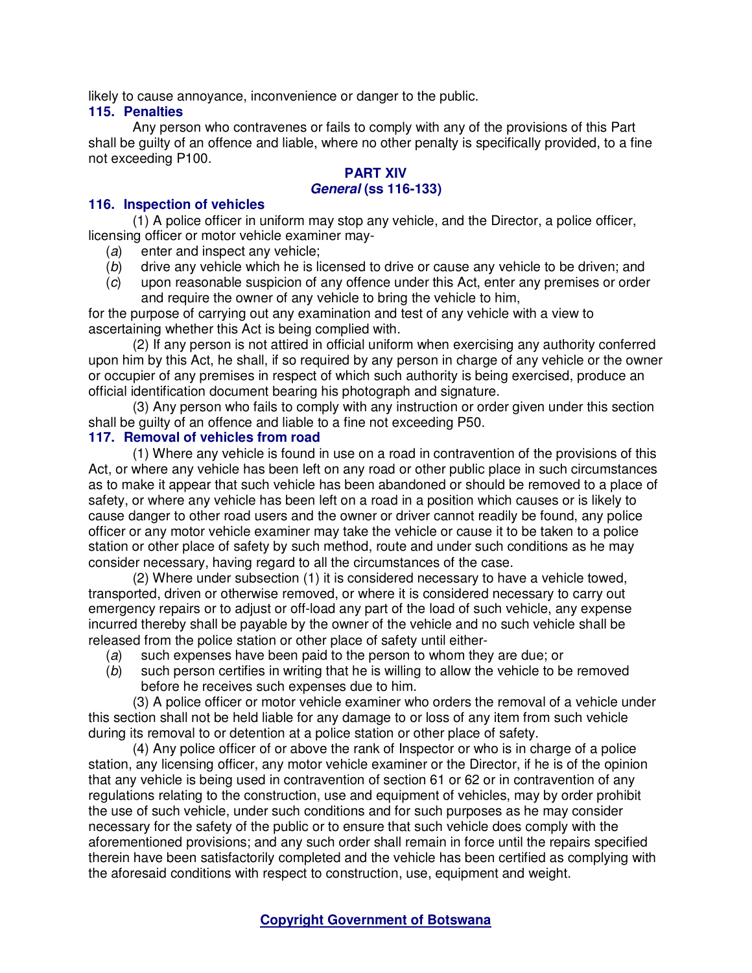likely to cause annoyance, inconvenience or danger to the public.

#### **115. Penalties**

Any person who contravenes or fails to comply with any of the provisions of this Part shall be guilty of an offence and liable, where no other penalty is specifically provided, to a fine not exceeding P100.

## **PART XIV General (ss 116-133)**

#### **116. Inspection of vehicles**

(1) A police officer in uniform may stop any vehicle, and the Director, a police officer, licensing officer or motor vehicle examiner may-

- (a) enter and inspect any vehicle:
- (b) drive any vehicle which he is licensed to drive or cause any vehicle to be driven; and
- (c) upon reasonable suspicion of any offence under this Act, enter any premises or order and require the owner of any vehicle to bring the vehicle to him,

for the purpose of carrying out any examination and test of any vehicle with a view to ascertaining whether this Act is being complied with.

(2) If any person is not attired in official uniform when exercising any authority conferred upon him by this Act, he shall, if so required by any person in charge of any vehicle or the owner or occupier of any premises in respect of which such authority is being exercised, produce an official identification document bearing his photograph and signature.

(3) Any person who fails to comply with any instruction or order given under this section shall be guilty of an offence and liable to a fine not exceeding P50.

#### **117. Removal of vehicles from road**

(1) Where any vehicle is found in use on a road in contravention of the provisions of this Act, or where any vehicle has been left on any road or other public place in such circumstances as to make it appear that such vehicle has been abandoned or should be removed to a place of safety, or where any vehicle has been left on a road in a position which causes or is likely to cause danger to other road users and the owner or driver cannot readily be found, any police officer or any motor vehicle examiner may take the vehicle or cause it to be taken to a police station or other place of safety by such method, route and under such conditions as he may consider necessary, having regard to all the circumstances of the case.

(2) Where under subsection (1) it is considered necessary to have a vehicle towed, transported, driven or otherwise removed, or where it is considered necessary to carry out emergency repairs or to adjust or off-load any part of the load of such vehicle, any expense incurred thereby shall be payable by the owner of the vehicle and no such vehicle shall be released from the police station or other place of safety until either-

- (a) such expenses have been paid to the person to whom they are due; or
- (b) such person certifies in writing that he is willing to allow the vehicle to be removed before he receives such expenses due to him.

(3) A police officer or motor vehicle examiner who orders the removal of a vehicle under this section shall not be held liable for any damage to or loss of any item from such vehicle during its removal to or detention at a police station or other place of safety.

(4) Any police officer of or above the rank of Inspector or who is in charge of a police station, any licensing officer, any motor vehicle examiner or the Director, if he is of the opinion that any vehicle is being used in contravention of section 61 or 62 or in contravention of any regulations relating to the construction, use and equipment of vehicles, may by order prohibit the use of such vehicle, under such conditions and for such purposes as he may consider necessary for the safety of the public or to ensure that such vehicle does comply with the aforementioned provisions; and any such order shall remain in force until the repairs specified therein have been satisfactorily completed and the vehicle has been certified as complying with the aforesaid conditions with respect to construction, use, equipment and weight.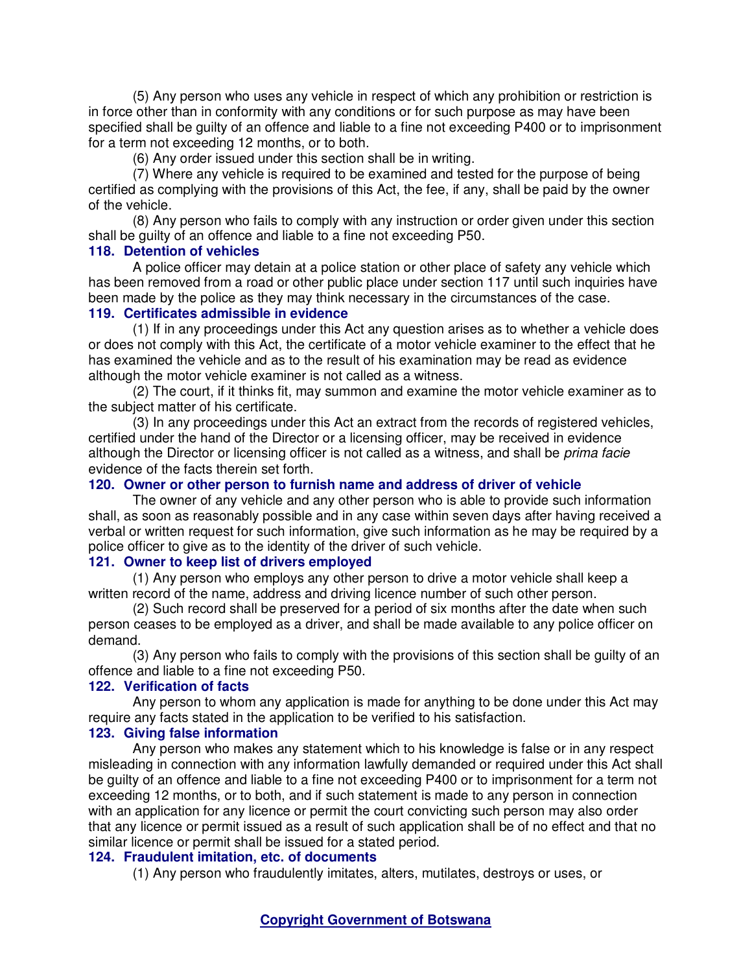(5) Any person who uses any vehicle in respect of which any prohibition or restriction is in force other than in conformity with any conditions or for such purpose as may have been specified shall be guilty of an offence and liable to a fine not exceeding P400 or to imprisonment for a term not exceeding 12 months, or to both.

(6) Any order issued under this section shall be in writing.

(7) Where any vehicle is required to be examined and tested for the purpose of being certified as complying with the provisions of this Act, the fee, if any, shall be paid by the owner of the vehicle.

(8) Any person who fails to comply with any instruction or order given under this section shall be guilty of an offence and liable to a fine not exceeding P50.

#### **118. Detention of vehicles**

A police officer may detain at a police station or other place of safety any vehicle which has been removed from a road or other public place under section 117 until such inquiries have been made by the police as they may think necessary in the circumstances of the case.

## **119. Certificates admissible in evidence**

(1) If in any proceedings under this Act any question arises as to whether a vehicle does or does not comply with this Act, the certificate of a motor vehicle examiner to the effect that he has examined the vehicle and as to the result of his examination may be read as evidence although the motor vehicle examiner is not called as a witness.

(2) The court, if it thinks fit, may summon and examine the motor vehicle examiner as to the subject matter of his certificate.

(3) In any proceedings under this Act an extract from the records of registered vehicles, certified under the hand of the Director or a licensing officer, may be received in evidence although the Director or licensing officer is not called as a witness, and shall be *prima facie* evidence of the facts therein set forth.

#### **120. Owner or other person to furnish name and address of driver of vehicle**

The owner of any vehicle and any other person who is able to provide such information shall, as soon as reasonably possible and in any case within seven days after having received a verbal or written request for such information, give such information as he may be required by a police officer to give as to the identity of the driver of such vehicle.

### **121. Owner to keep list of drivers employed**

(1) Any person who employs any other person to drive a motor vehicle shall keep a written record of the name, address and driving licence number of such other person.

(2) Such record shall be preserved for a period of six months after the date when such person ceases to be employed as a driver, and shall be made available to any police officer on demand.

(3) Any person who fails to comply with the provisions of this section shall be guilty of an offence and liable to a fine not exceeding P50.

### **122. Verification of facts**

Any person to whom any application is made for anything to be done under this Act may require any facts stated in the application to be verified to his satisfaction.

#### **123. Giving false information**

Any person who makes any statement which to his knowledge is false or in any respect misleading in connection with any information lawfully demanded or required under this Act shall be guilty of an offence and liable to a fine not exceeding P400 or to imprisonment for a term not exceeding 12 months, or to both, and if such statement is made to any person in connection with an application for any licence or permit the court convicting such person may also order that any licence or permit issued as a result of such application shall be of no effect and that no similar licence or permit shall be issued for a stated period.

#### **124. Fraudulent imitation, etc. of documents**

(1) Any person who fraudulently imitates, alters, mutilates, destroys or uses, or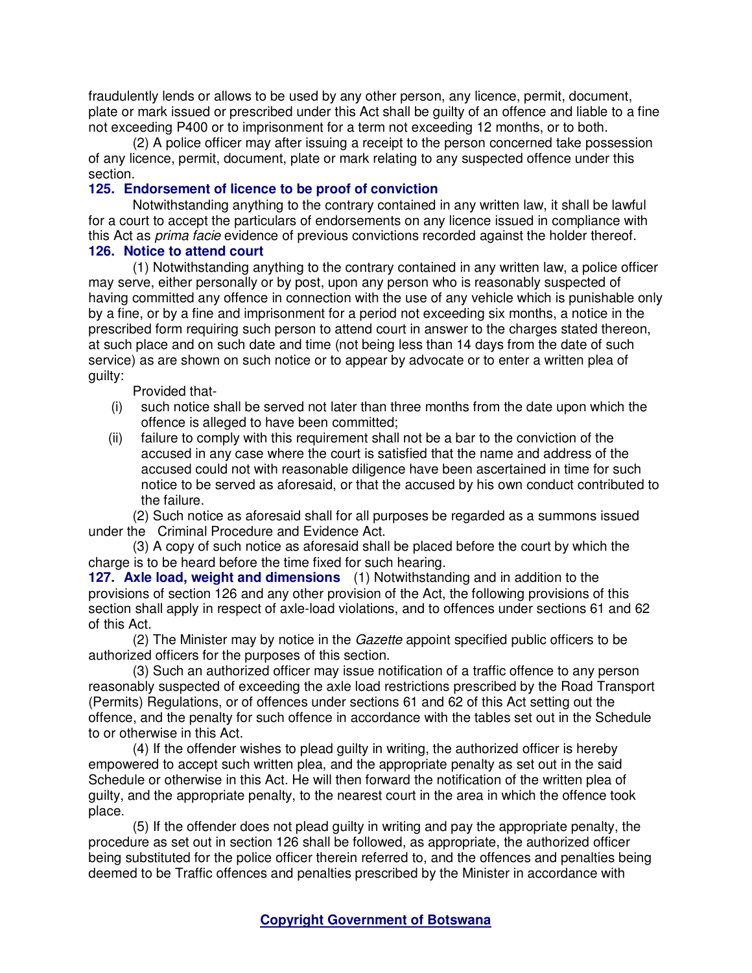fraudulently lends or allows to be used by any other person, any licence, permit, document, plate or mark issued or prescribed under this Act shall be guilty of an offence and liable to a fine not exceeding P400 or to imprisonment for a term not exceeding 12 months, or to both.

(2) A police officer may after issuing a receipt to the person concerned take possession of any licence, permit, document, plate or mark relating to any suspected offence under this section.

# **125. Endorsement of licence to be proof of conviction**

Notwithstanding anything to the contrary contained in any written law, it shall be lawful for a court to accept the particulars of endorsements on any licence issued in compliance with this Act as *prima facie* evidence of previous convictions recorded against the holder thereof. **126. Notice to attend court** 

(1) Notwithstanding anything to the contrary contained in any written law, a police officer may serve, either personally or by post, upon any person who is reasonably suspected of having committed any offence in connection with the use of any vehicle which is punishable only by a fine, or by a fine and imprisonment for a period not exceeding six months, a notice in the prescribed form requiring such person to attend court in answer to the charges stated thereon, at such place and on such date and time (not being less than 14 days from the date of such service) as are shown on such notice or to appear by advocate or to enter a written plea of guilty:

Provided that-

- (i) such notice shall be served not later than three months from the date upon which the offence is alleged to have been committed;
- (ii) failure to comply with this requirement shall not be a bar to the conviction of the accused in any case where the court is satisfied that the name and address of the accused could not with reasonable diligence have been ascertained in time for such notice to be served as aforesaid, or that the accused by his own conduct contributed to the failure.

(2) Such notice as aforesaid shall for all purposes be regarded as a summons issued under the Criminal Procedure and Evidence Act.

(3) A copy of such notice as aforesaid shall be placed before the court by which the charge is to be heard before the time fixed for such hearing.

**127. Axle load, weight and dimensions** (1) Notwithstanding and in addition to the provisions of section 126 and any other provision of the Act, the following provisions of this section shall apply in respect of axle-load violations, and to offences under sections 61 and 62 of this Act.

(2) The Minister may by notice in the Gazette appoint specified public officers to be authorized officers for the purposes of this section.

(3) Such an authorized officer may issue notification of a traffic offence to any person reasonably suspected of exceeding the axle load restrictions prescribed by the Road Transport (Permits) Regulations, or of offences under sections 61 and 62 of this Act setting out the offence, and the penalty for such offence in accordance with the tables set out in the Schedule to or otherwise in this Act.

(4) If the offender wishes to plead guilty in writing, the authorized officer is hereby empowered to accept such written plea, and the appropriate penalty as set out in the said Schedule or otherwise in this Act. He will then forward the notification of the written plea of guilty, and the appropriate penalty, to the nearest court in the area in which the offence took place.

(5) If the offender does not plead guilty in writing and pay the appropriate penalty, the procedure as set out in section 126 shall be followed, as appropriate, the authorized officer being substituted for the police officer therein referred to, and the offences and penalties being deemed to be Traffic offences and penalties prescribed by the Minister in accordance with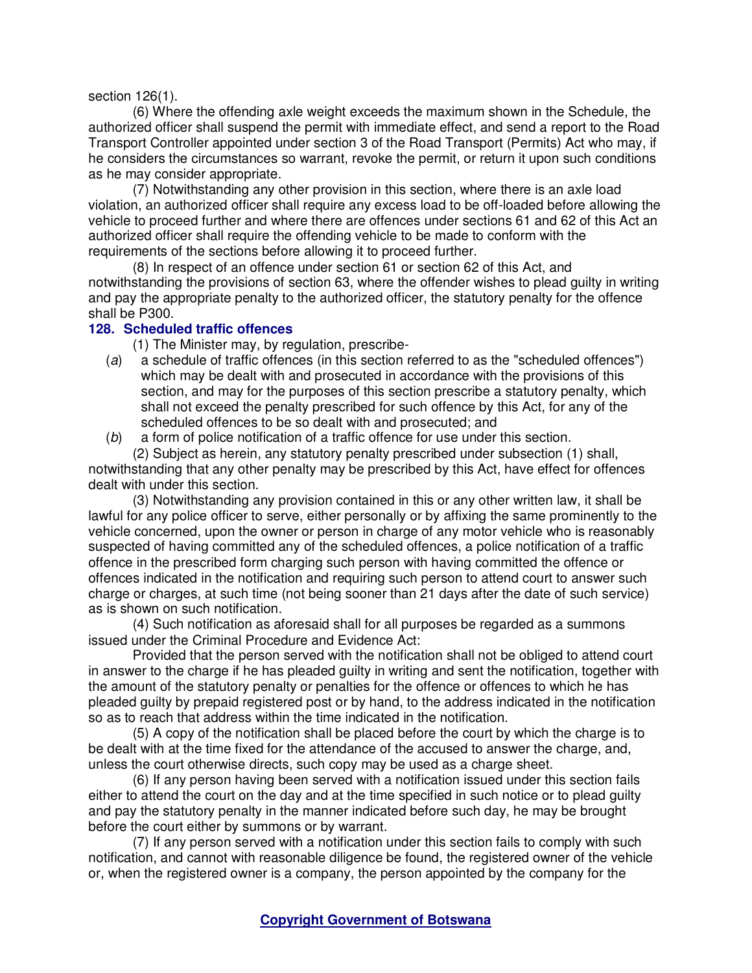section 126(1).

(6) Where the offending axle weight exceeds the maximum shown in the Schedule, the authorized officer shall suspend the permit with immediate effect, and send a report to the Road Transport Controller appointed under section 3 of the Road Transport (Permits) Act who may, if he considers the circumstances so warrant, revoke the permit, or return it upon such conditions as he may consider appropriate.

(7) Notwithstanding any other provision in this section, where there is an axle load violation, an authorized officer shall require any excess load to be off-loaded before allowing the vehicle to proceed further and where there are offences under sections 61 and 62 of this Act an authorized officer shall require the offending vehicle to be made to conform with the requirements of the sections before allowing it to proceed further.

(8) In respect of an offence under section 61 or section 62 of this Act, and notwithstanding the provisions of section 63, where the offender wishes to plead guilty in writing and pay the appropriate penalty to the authorized officer, the statutory penalty for the offence shall be P300.

## **128. Scheduled traffic offences**

(1) The Minister may, by regulation, prescribe-

- (a) a schedule of traffic offences (in this section referred to as the "scheduled offences") which may be dealt with and prosecuted in accordance with the provisions of this section, and may for the purposes of this section prescribe a statutory penalty, which shall not exceed the penalty prescribed for such offence by this Act, for any of the scheduled offences to be so dealt with and prosecuted; and
- (b) a form of police notification of a traffic offence for use under this section.

(2) Subject as herein, any statutory penalty prescribed under subsection (1) shall, notwithstanding that any other penalty may be prescribed by this Act, have effect for offences dealt with under this section.

(3) Notwithstanding any provision contained in this or any other written law, it shall be lawful for any police officer to serve, either personally or by affixing the same prominently to the vehicle concerned, upon the owner or person in charge of any motor vehicle who is reasonably suspected of having committed any of the scheduled offences, a police notification of a traffic offence in the prescribed form charging such person with having committed the offence or offences indicated in the notification and requiring such person to attend court to answer such charge or charges, at such time (not being sooner than 21 days after the date of such service) as is shown on such notification.

(4) Such notification as aforesaid shall for all purposes be regarded as a summons issued under the Criminal Procedure and Evidence Act:

Provided that the person served with the notification shall not be obliged to attend court in answer to the charge if he has pleaded guilty in writing and sent the notification, together with the amount of the statutory penalty or penalties for the offence or offences to which he has pleaded guilty by prepaid registered post or by hand, to the address indicated in the notification so as to reach that address within the time indicated in the notification.

(5) A copy of the notification shall be placed before the court by which the charge is to be dealt with at the time fixed for the attendance of the accused to answer the charge, and, unless the court otherwise directs, such copy may be used as a charge sheet.

(6) If any person having been served with a notification issued under this section fails either to attend the court on the day and at the time specified in such notice or to plead guilty and pay the statutory penalty in the manner indicated before such day, he may be brought before the court either by summons or by warrant.

(7) If any person served with a notification under this section fails to comply with such notification, and cannot with reasonable diligence be found, the registered owner of the vehicle or, when the registered owner is a company, the person appointed by the company for the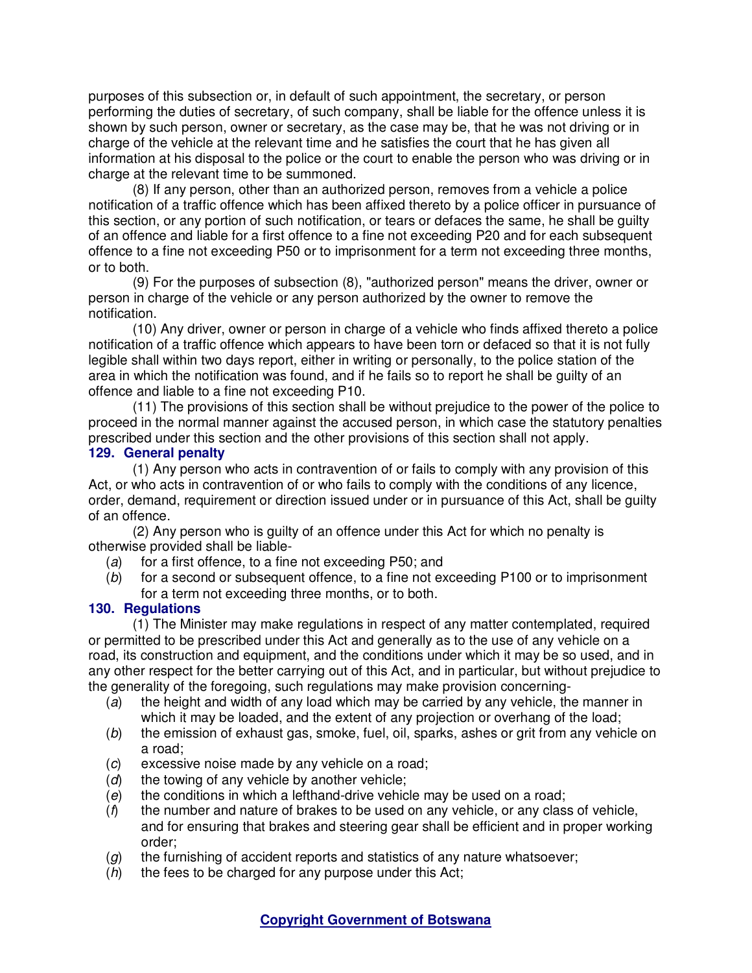purposes of this subsection or, in default of such appointment, the secretary, or person performing the duties of secretary, of such company, shall be liable for the offence unless it is shown by such person, owner or secretary, as the case may be, that he was not driving or in charge of the vehicle at the relevant time and he satisfies the court that he has given all information at his disposal to the police or the court to enable the person who was driving or in charge at the relevant time to be summoned.

(8) If any person, other than an authorized person, removes from a vehicle a police notification of a traffic offence which has been affixed thereto by a police officer in pursuance of this section, or any portion of such notification, or tears or defaces the same, he shall be guilty of an offence and liable for a first offence to a fine not exceeding P20 and for each subsequent offence to a fine not exceeding P50 or to imprisonment for a term not exceeding three months, or to both.

(9) For the purposes of subsection (8), "authorized person" means the driver, owner or person in charge of the vehicle or any person authorized by the owner to remove the notification.

(10) Any driver, owner or person in charge of a vehicle who finds affixed thereto a police notification of a traffic offence which appears to have been torn or defaced so that it is not fully legible shall within two days report, either in writing or personally, to the police station of the area in which the notification was found, and if he fails so to report he shall be guilty of an offence and liable to a fine not exceeding P10.

(11) The provisions of this section shall be without prejudice to the power of the police to proceed in the normal manner against the accused person, in which case the statutory penalties prescribed under this section and the other provisions of this section shall not apply.

## **129. General penalty**

(1) Any person who acts in contravention of or fails to comply with any provision of this Act, or who acts in contravention of or who fails to comply with the conditions of any licence, order, demand, requirement or direction issued under or in pursuance of this Act, shall be guilty of an offence.

(2) Any person who is guilty of an offence under this Act for which no penalty is otherwise provided shall be liable-

- (a) for a first offence, to a fine not exceeding P50; and
- (b) for a second or subsequent offence, to a fine not exceeding P100 or to imprisonment for a term not exceeding three months, or to both.

# **130. Regulations**

(1) The Minister may make regulations in respect of any matter contemplated, required or permitted to be prescribed under this Act and generally as to the use of any vehicle on a road, its construction and equipment, and the conditions under which it may be so used, and in any other respect for the better carrying out of this Act, and in particular, but without prejudice to the generality of the foregoing, such regulations may make provision concerning-

- (a) the height and width of any load which may be carried by any vehicle, the manner in which it may be loaded, and the extent of any projection or overhang of the load;
- (b) the emission of exhaust gas, smoke, fuel, oil, sparks, ashes or grit from any vehicle on a road;
- (c) excessive noise made by any vehicle on a road;
- $(d)$  the towing of any vehicle by another vehicle;
- $(e)$  the conditions in which a lefthand-drive vehicle may be used on a road;
- $(f)$  the number and nature of brakes to be used on any vehicle, or any class of vehicle, and for ensuring that brakes and steering gear shall be efficient and in proper working order;
- $(q)$  the furnishing of accident reports and statistics of any nature whatsoever;
- $(h)$  the fees to be charged for any purpose under this Act;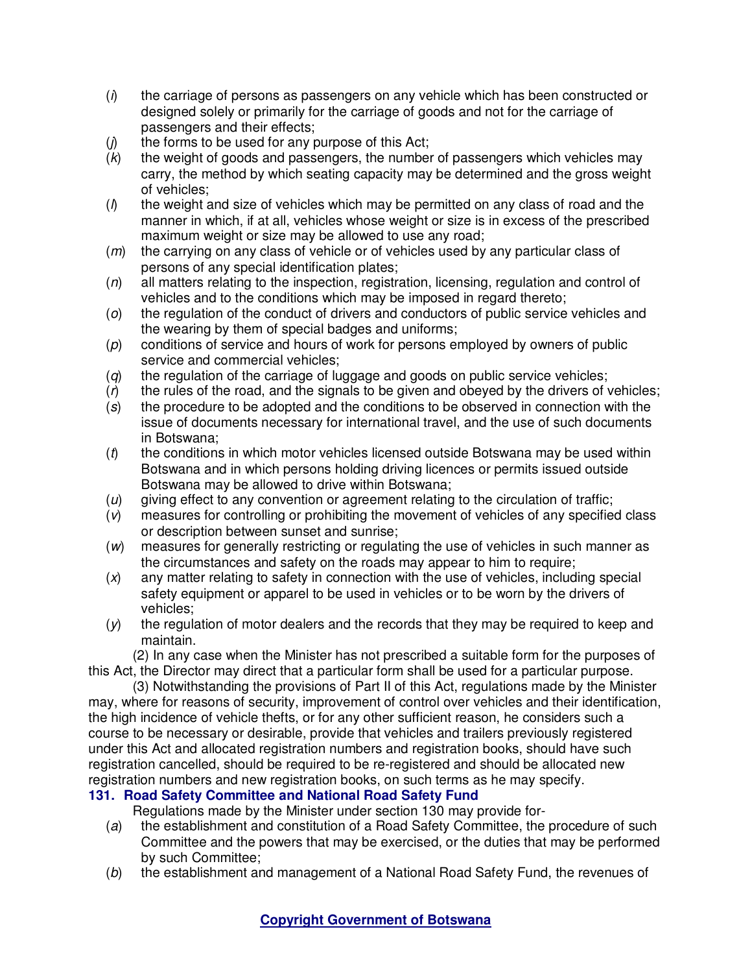- $(i)$  the carriage of persons as passengers on any vehicle which has been constructed or designed solely or primarily for the carriage of goods and not for the carriage of passengers and their effects;
- $(j)$  the forms to be used for any purpose of this Act;
- $(k)$  the weight of goods and passengers, the number of passengers which vehicles may carry, the method by which seating capacity may be determined and the gross weight of vehicles;
- $(n)$  the weight and size of vehicles which may be permitted on any class of road and the manner in which, if at all, vehicles whose weight or size is in excess of the prescribed maximum weight or size may be allowed to use any road;
- (*m*) the carrying on any class of vehicle or of vehicles used by any particular class of persons of any special identification plates;
- $(n)$  all matters relating to the inspection, registration, licensing, regulation and control of vehicles and to the conditions which may be imposed in regard thereto;
- (o) the regulation of the conduct of drivers and conductors of public service vehicles and the wearing by them of special badges and uniforms;
- (p) conditions of service and hours of work for persons employed by owners of public service and commercial vehicles;
- $(q)$  the regulation of the carriage of luggage and goods on public service vehicles;
- $(r)$  the rules of the road, and the signals to be given and obeyed by the drivers of vehicles;
- (s) the procedure to be adopted and the conditions to be observed in connection with the issue of documents necessary for international travel, and the use of such documents in Botswana;
- $(t)$  the conditions in which motor vehicles licensed outside Botswana may be used within Botswana and in which persons holding driving licences or permits issued outside Botswana may be allowed to drive within Botswana;
- $(u)$  giving effect to any convention or agreement relating to the circulation of traffic;
- (v) measures for controlling or prohibiting the movement of vehicles of any specified class or description between sunset and sunrise;
- (w) measures for generally restricting or regulating the use of vehicles in such manner as the circumstances and safety on the roads may appear to him to require;
- $(x)$  any matter relating to safety in connection with the use of vehicles, including special safety equipment or apparel to be used in vehicles or to be worn by the drivers of vehicles;
- $(y)$  the regulation of motor dealers and the records that they may be required to keep and maintain.

(2) In any case when the Minister has not prescribed a suitable form for the purposes of this Act, the Director may direct that a particular form shall be used for a particular purpose.

(3) Notwithstanding the provisions of Part II of this Act, regulations made by the Minister may, where for reasons of security, improvement of control over vehicles and their identification, the high incidence of vehicle thefts, or for any other sufficient reason, he considers such a course to be necessary or desirable, provide that vehicles and trailers previously registered under this Act and allocated registration numbers and registration books, should have such registration cancelled, should be required to be re-registered and should be allocated new registration numbers and new registration books, on such terms as he may specify.

# **131. Road Safety Committee and National Road Safety Fund**

Regulations made by the Minister under section 130 may provide for-

- (a) the establishment and constitution of a Road Safety Committee, the procedure of such Committee and the powers that may be exercised, or the duties that may be performed by such Committee;
- (b) the establishment and management of a National Road Safety Fund, the revenues of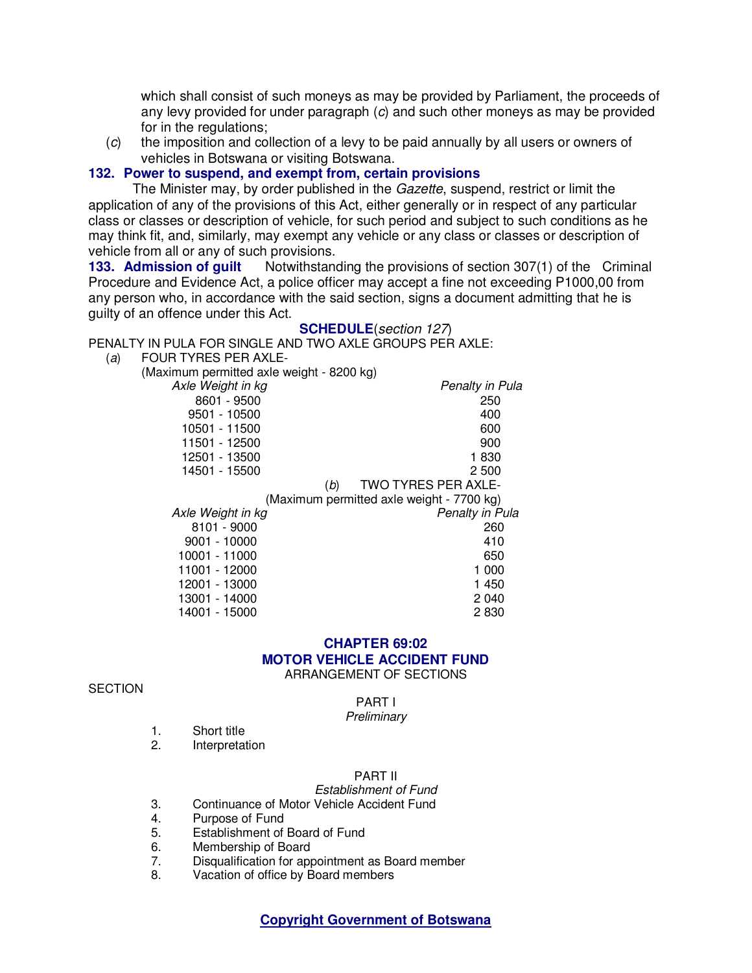which shall consist of such moneys as may be provided by Parliament, the proceeds of any levy provided for under paragraph (c) and such other moneys as may be provided for in the regulations;

(c) the imposition and collection of a levy to be paid annually by all users or owners of vehicles in Botswana or visiting Botswana.

## **132. Power to suspend, and exempt from, certain provisions**

The Minister may, by order published in the Gazette, suspend, restrict or limit the application of any of the provisions of this Act, either generally or in respect of any particular class or classes or description of vehicle, for such period and subject to such conditions as he may think fit, and, similarly, may exempt any vehicle or any class or classes or description of vehicle from all or any of such provisions.

**133. Admission of guilt** Notwithstanding the provisions of section 307(1) of the Criminal Procedure and Evidence Act, a police officer may accept a fine not exceeding P1000,00 from any person who, in accordance with the said section, signs a document admitting that he is guilty of an offence under this Act.

#### **SCHEDULE**(section 127)

PENALTY IN PULA FOR SINGLE AND TWO AXLE GROUPS PER AXLE:

(a) FOUR TYRES PER AXLE-

(Maximum permitted axle weight - 8200 kg)

| Axle Weight in kg | Penalty in Pula                           |
|-------------------|-------------------------------------------|
| 8601 - 9500       | 250                                       |
| 9501 - 10500      | 400                                       |
| 10501 - 11500     | 600                                       |
| 11501 - 12500     | 900                                       |
| 12501 - 13500     | 1830                                      |
| 14501 - 15500     | 2 500                                     |
|                   | <b>TWO TYRES PER AXLE-</b><br>(b)         |
|                   | (Maximum permitted axle weight - 7700 kg) |
| Axle Weight in kg | Penalty in Pula                           |
| 8101 - 9000       | 260                                       |
| $9001 - 10000$    | 410                                       |
| 10001 - 11000     |                                           |
|                   | 650                                       |
| 11001 - 12000     | 1 000                                     |
| 12001 - 13000     | 1 450                                     |

2 830

# **CHAPTER 69:02 MOTOR VEHICLE ACCIDENT FUND**

ARRANGEMENT OF SECTIONS

#### **SECTION**

#### PART I

#### **Preliminary**

- 1. Short title<br>2. Interpretat
- **Interpretation**

14001 - 15000

#### PART II

Establishment of Fund

- 3. Continuance of Motor Vehicle Accident Fund
- 4. Purpose of Fund<br>5. Establishment of
- Establishment of Board of Fund
- 6. Membership of Board
- 7. Disqualification for appointment as Board member
- 8. Vacation of office by Board members

**Copyright Government of Botswana**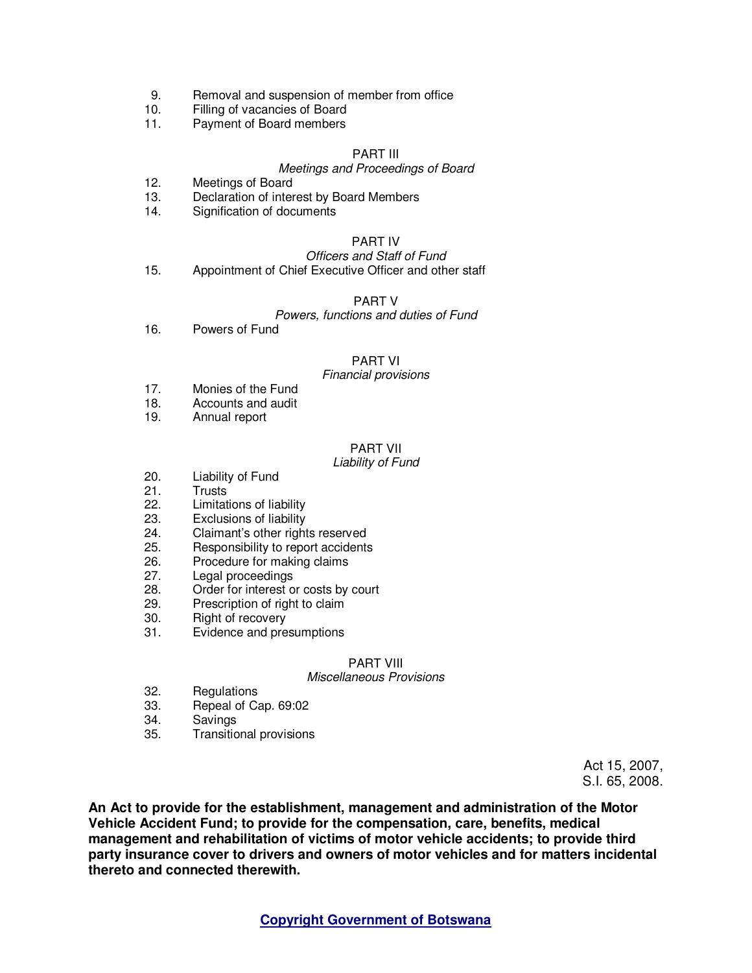- 9. Removal and suspension of member from office<br>10. Filling of vacancies of Board
- Filling of vacancies of Board
- 11. Payment of Board members

#### PART III

#### Meetings and Proceedings of Board

- 12. Meetings of Board
- 13. Declaration of interest by Board Members
- 14. Signification of documents

#### PART IV

#### Officers and Staff of Fund 15. Appointment of Chief Executive Officer and other staff

#### PART V

## Powers, functions and duties of Fund

16. Powers of Fund

#### PART VI

#### Financial provisions

- 17. Monies of the Fund
- 18. Accounts and audit
- 19. Annual report

# PART VII

#### Liability of Fund

- 20. Liability of Fund
- 21. Trusts
- 22. Limitations of liability
- 23. Exclusions of liability<br>24 Claimant's other right
- Claimant's other rights reserved
- 25. Responsibility to report accidents
- 26. Procedure for making claims<br>27. Legal proceedings
- Legal proceedings
- 28. Order for interest or costs by court
- 29. Prescription of right to claim
- 30. Right of recovery
- 31. Evidence and presumptions

#### PART VIII

#### Miscellaneous Provisions

- 32. Regulations
- 33. Repeal of Cap. 69:02
- 34. Savings
- 35. Transitional provisions

Act 15, 2007, S.I. 65, 2008.

**An Act to provide for the establishment, management and administration of the Motor Vehicle Accident Fund; to provide for the compensation, care, benefits, medical management and rehabilitation of victims of motor vehicle accidents; to provide third party insurance cover to drivers and owners of motor vehicles and for matters incidental thereto and connected therewith.**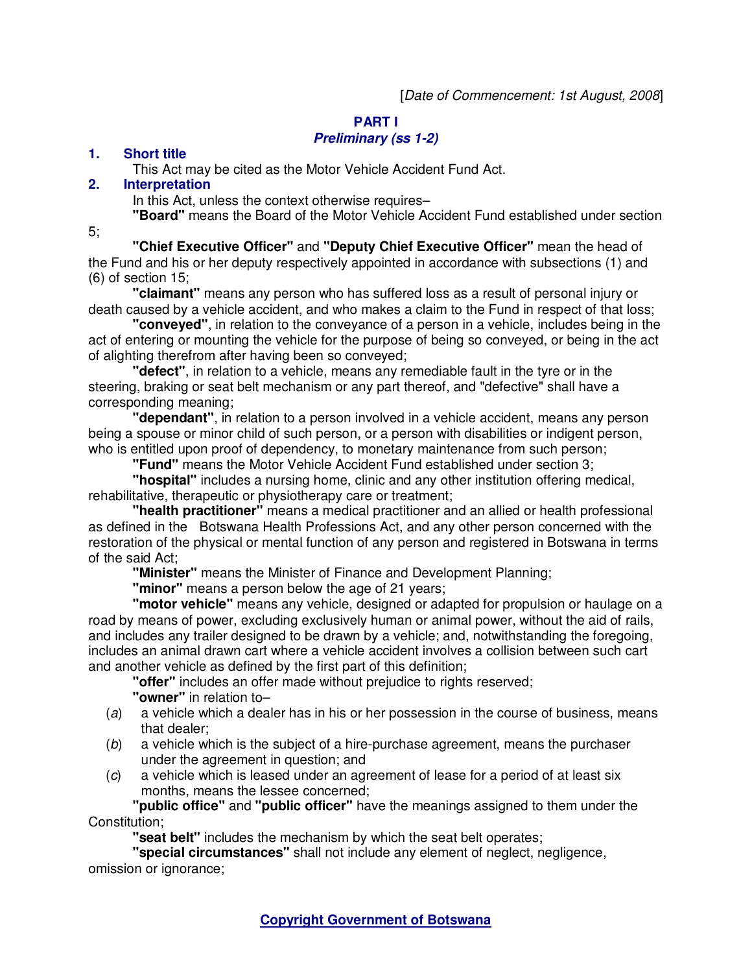# **PART I**

# **Preliminary (ss 1-2)**

# **1. Short title**

This Act may be cited as the Motor Vehicle Accident Fund Act.

# **2. Interpretation**

In this Act, unless the context otherwise requires–

**"Board"** means the Board of the Motor Vehicle Accident Fund established under section

5;

**"Chief Executive Officer"** and **"Deputy Chief Executive Officer"** mean the head of the Fund and his or her deputy respectively appointed in accordance with subsections (1) and (6) of section 15;

**"claimant"** means any person who has suffered loss as a result of personal injury or death caused by a vehicle accident, and who makes a claim to the Fund in respect of that loss;

**"conveyed"**, in relation to the conveyance of a person in a vehicle, includes being in the act of entering or mounting the vehicle for the purpose of being so conveyed, or being in the act of alighting therefrom after having been so conveyed;

**"defect"**, in relation to a vehicle, means any remediable fault in the tyre or in the steering, braking or seat belt mechanism or any part thereof, and "defective" shall have a corresponding meaning;

**"dependant"**, in relation to a person involved in a vehicle accident, means any person being a spouse or minor child of such person, or a person with disabilities or indigent person, who is entitled upon proof of dependency, to monetary maintenance from such person;

**"Fund"** means the Motor Vehicle Accident Fund established under section 3;

**"hospital"** includes a nursing home, clinic and any other institution offering medical, rehabilitative, therapeutic or physiotherapy care or treatment;

**"health practitioner"** means a medical practitioner and an allied or health professional as defined in the Botswana Health Professions Act, and any other person concerned with the restoration of the physical or mental function of any person and registered in Botswana in terms of the said Act;

**"Minister"** means the Minister of Finance and Development Planning;

**"minor"** means a person below the age of 21 years;

**"motor vehicle"** means any vehicle, designed or adapted for propulsion or haulage on a road by means of power, excluding exclusively human or animal power, without the aid of rails, and includes any trailer designed to be drawn by a vehicle; and, notwithstanding the foregoing, includes an animal drawn cart where a vehicle accident involves a collision between such cart and another vehicle as defined by the first part of this definition;

**"offer"** includes an offer made without prejudice to rights reserved;

- **"owner"** in relation to–
- (a) a vehicle which a dealer has in his or her possession in the course of business, means that dealer;
- (b) a vehicle which is the subject of a hire-purchase agreement, means the purchaser under the agreement in question; and
- (c) a vehicle which is leased under an agreement of lease for a period of at least six months, means the lessee concerned;

**"public office"** and **"public officer"** have the meanings assigned to them under the Constitution;

**"seat belt"** includes the mechanism by which the seat belt operates;

**"special circumstances"** shall not include any element of neglect, negligence, omission or ignorance;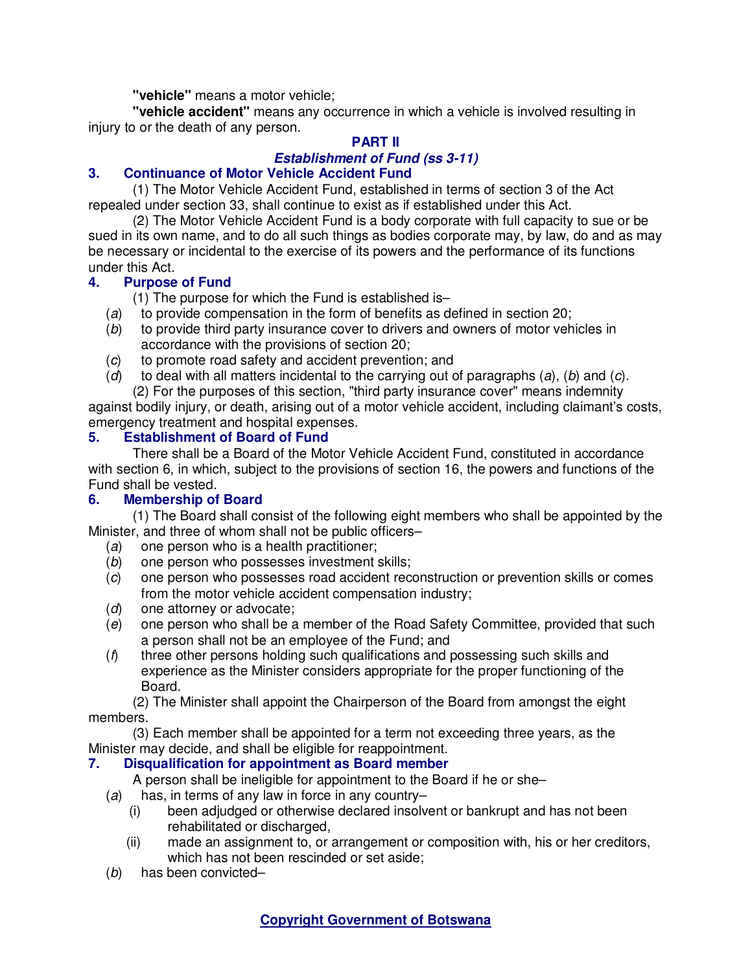**"vehicle"** means a motor vehicle;

**"vehicle accident"** means any occurrence in which a vehicle is involved resulting in injury to or the death of any person.

# **PART II**

# **Establishment of Fund (ss 3-11)**

# **3. Continuance of Motor Vehicle Accident Fund**

(1) The Motor Vehicle Accident Fund, established in terms of section 3 of the Act repealed under section 33, shall continue to exist as if established under this Act.

(2) The Motor Vehicle Accident Fund is a body corporate with full capacity to sue or be sued in its own name, and to do all such things as bodies corporate may, by law, do and as may be necessary or incidental to the exercise of its powers and the performance of its functions under this Act.

# **4. Purpose of Fund**

(1) The purpose for which the Fund is established is–

- (a) to provide compensation in the form of benefits as defined in section 20;
- (b) to provide third party insurance cover to drivers and owners of motor vehicles in accordance with the provisions of section 20;
- (c) to promote road safety and accident prevention; and
- (d) to deal with all matters incidental to the carrying out of paragraphs  $(a)$ ,  $(b)$  and  $(c)$ .

(2) For the purposes of this section, "third party insurance cover" means indemnity against bodily injury, or death, arising out of a motor vehicle accident, including claimant's costs,

# emergency treatment and hospital expenses.

# **5. Establishment of Board of Fund**

There shall be a Board of the Motor Vehicle Accident Fund, constituted in accordance with section 6, in which, subject to the provisions of section 16, the powers and functions of the Fund shall be vested.

# **6. Membership of Board**

(1) The Board shall consist of the following eight members who shall be appointed by the Minister, and three of whom shall not be public officers–

- (a) one person who is a health practitioner;
- (b) one person who possesses investment skills;
- (c) one person who possesses road accident reconstruction or prevention skills or comes from the motor vehicle accident compensation industry;
- (d) one attorney or advocate;
- (e) one person who shall be a member of the Road Safety Committee, provided that such a person shall not be an employee of the Fund; and
- $(f)$  three other persons holding such qualifications and possessing such skills and experience as the Minister considers appropriate for the proper functioning of the Board.

(2) The Minister shall appoint the Chairperson of the Board from amongst the eight members.

(3) Each member shall be appointed for a term not exceeding three years, as the Minister may decide, and shall be eligible for reappointment.

# **7. Disqualification for appointment as Board member**

A person shall be ineligible for appointment to the Board if he or she–

- $(a)$  has, in terms of any law in force in any country-
	- (i) been adjudged or otherwise declared insolvent or bankrupt and has not been rehabilitated or discharged.
	- (ii) made an assignment to, or arrangement or composition with, his or her creditors, which has not been rescinded or set aside;
- (b) has been convicted–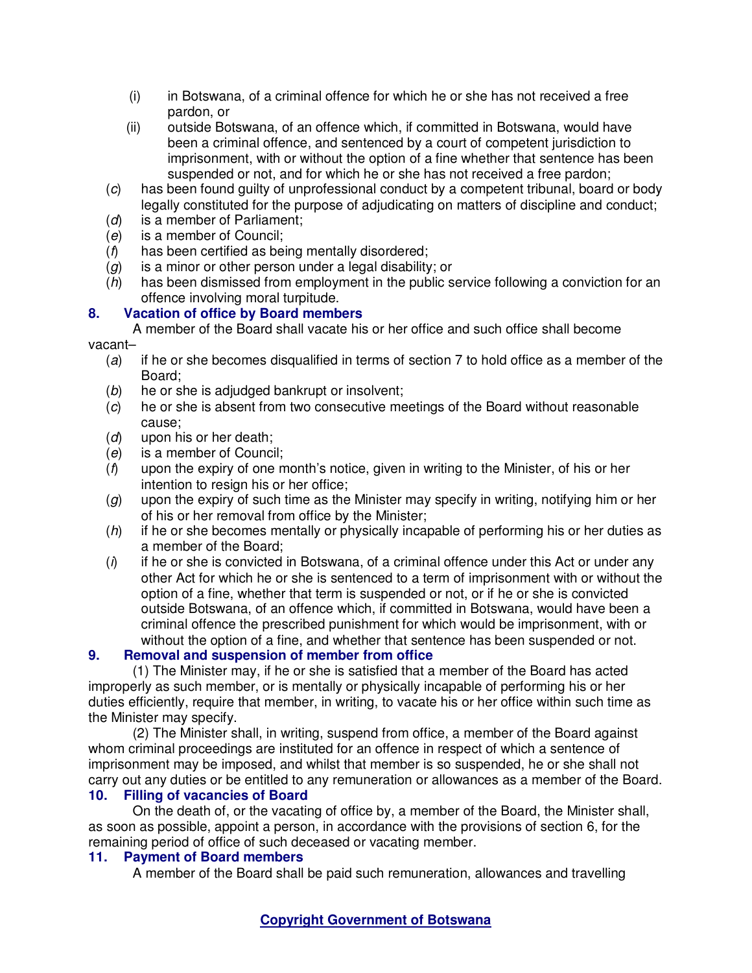- (i) in Botswana, of a criminal offence for which he or she has not received a free pardon, or
- (ii) outside Botswana, of an offence which, if committed in Botswana, would have been a criminal offence, and sentenced by a court of competent jurisdiction to imprisonment, with or without the option of a fine whether that sentence has been suspended or not, and for which he or she has not received a free pardon;
- (c) has been found guilty of unprofessional conduct by a competent tribunal, board or body legally constituted for the purpose of adjudicating on matters of discipline and conduct;
- (d) is a member of Parliament;
- (e) is a member of Council;
- (f) has been certified as being mentally disordered;
- $(q)$  is a minor or other person under a legal disability; or
- (h) has been dismissed from employment in the public service following a conviction for an offence involving moral turpitude.

# **8. Vacation of office by Board members**

A member of the Board shall vacate his or her office and such office shall become vacant–

- (a) if he or she becomes disqualified in terms of section 7 to hold office as a member of the Board;
- (b) he or she is adjudged bankrupt or insolvent;
- (c) he or she is absent from two consecutive meetings of the Board without reasonable cause;
- (d) upon his or her death;
- (e) is a member of Council;
- $(f)$  upon the expiry of one month's notice, given in writing to the Minister, of his or her intention to resign his or her office;
- $(g)$  upon the expiry of such time as the Minister may specify in writing, notifying him or her of his or her removal from office by the Minister;
- $(h)$  if he or she becomes mentally or physically incapable of performing his or her duties as a member of the Board;
- $(i)$  if he or she is convicted in Botswana, of a criminal offence under this Act or under any other Act for which he or she is sentenced to a term of imprisonment with or without the option of a fine, whether that term is suspended or not, or if he or she is convicted outside Botswana, of an offence which, if committed in Botswana, would have been a criminal offence the prescribed punishment for which would be imprisonment, with or without the option of a fine, and whether that sentence has been suspended or not.

# **9. Removal and suspension of member from office**

(1) The Minister may, if he or she is satisfied that a member of the Board has acted improperly as such member, or is mentally or physically incapable of performing his or her duties efficiently, require that member, in writing, to vacate his or her office within such time as the Minister may specify.

(2) The Minister shall, in writing, suspend from office, a member of the Board against whom criminal proceedings are instituted for an offence in respect of which a sentence of imprisonment may be imposed, and whilst that member is so suspended, he or she shall not carry out any duties or be entitled to any remuneration or allowances as a member of the Board. **10. Filling of vacancies of Board** 

On the death of, or the vacating of office by, a member of the Board, the Minister shall, as soon as possible, appoint a person, in accordance with the provisions of section 6, for the remaining period of office of such deceased or vacating member.

# **11. Payment of Board members**

A member of the Board shall be paid such remuneration, allowances and travelling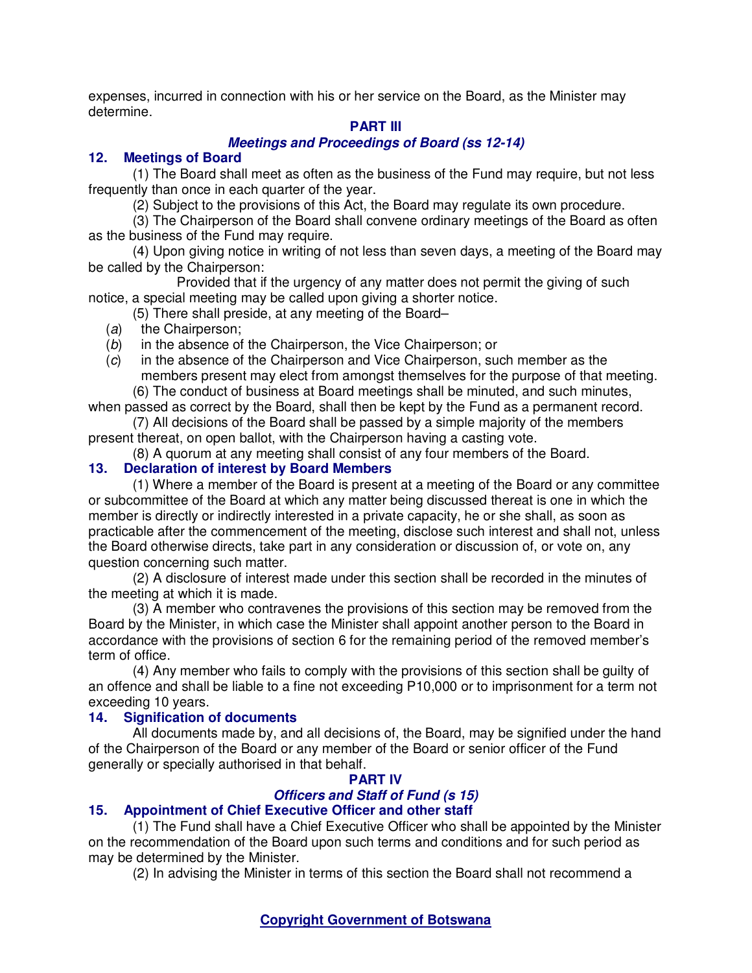expenses, incurred in connection with his or her service on the Board, as the Minister may determine.

# **PART III**

# **Meetings and Proceedings of Board (ss 12-14)**

# **12. Meetings of Board**

(1) The Board shall meet as often as the business of the Fund may require, but not less frequently than once in each quarter of the year.

(2) Subject to the provisions of this Act, the Board may regulate its own procedure.

(3) The Chairperson of the Board shall convene ordinary meetings of the Board as often as the business of the Fund may require.

(4) Upon giving notice in writing of not less than seven days, a meeting of the Board may be called by the Chairperson:

 Provided that if the urgency of any matter does not permit the giving of such notice, a special meeting may be called upon giving a shorter notice.

(5) There shall preside, at any meeting of the Board–

(a) the Chairperson;

(b) in the absence of the Chairperson, the Vice Chairperson; or

(c) in the absence of the Chairperson and Vice Chairperson, such member as the members present may elect from amongst themselves for the purpose of that meeting.

(6) The conduct of business at Board meetings shall be minuted, and such minutes, when passed as correct by the Board, shall then be kept by the Fund as a permanent record.

(7) All decisions of the Board shall be passed by a simple majority of the members present thereat, on open ballot, with the Chairperson having a casting vote.

(8) A quorum at any meeting shall consist of any four members of the Board.

# **13. Declaration of interest by Board Members**

(1) Where a member of the Board is present at a meeting of the Board or any committee or subcommittee of the Board at which any matter being discussed thereat is one in which the member is directly or indirectly interested in a private capacity, he or she shall, as soon as practicable after the commencement of the meeting, disclose such interest and shall not, unless the Board otherwise directs, take part in any consideration or discussion of, or vote on, any question concerning such matter.

(2) A disclosure of interest made under this section shall be recorded in the minutes of the meeting at which it is made.

(3) A member who contravenes the provisions of this section may be removed from the Board by the Minister, in which case the Minister shall appoint another person to the Board in accordance with the provisions of section 6 for the remaining period of the removed member's term of office.

(4) Any member who fails to comply with the provisions of this section shall be guilty of an offence and shall be liable to a fine not exceeding P10,000 or to imprisonment for a term not exceeding 10 years.

# **14. Signification of documents**

All documents made by, and all decisions of, the Board, may be signified under the hand of the Chairperson of the Board or any member of the Board or senior officer of the Fund generally or specially authorised in that behalf.

# **PART IV**

# **Officers and Staff of Fund (s 15)**

# **15. Appointment of Chief Executive Officer and other staff**

(1) The Fund shall have a Chief Executive Officer who shall be appointed by the Minister on the recommendation of the Board upon such terms and conditions and for such period as may be determined by the Minister.

(2) In advising the Minister in terms of this section the Board shall not recommend a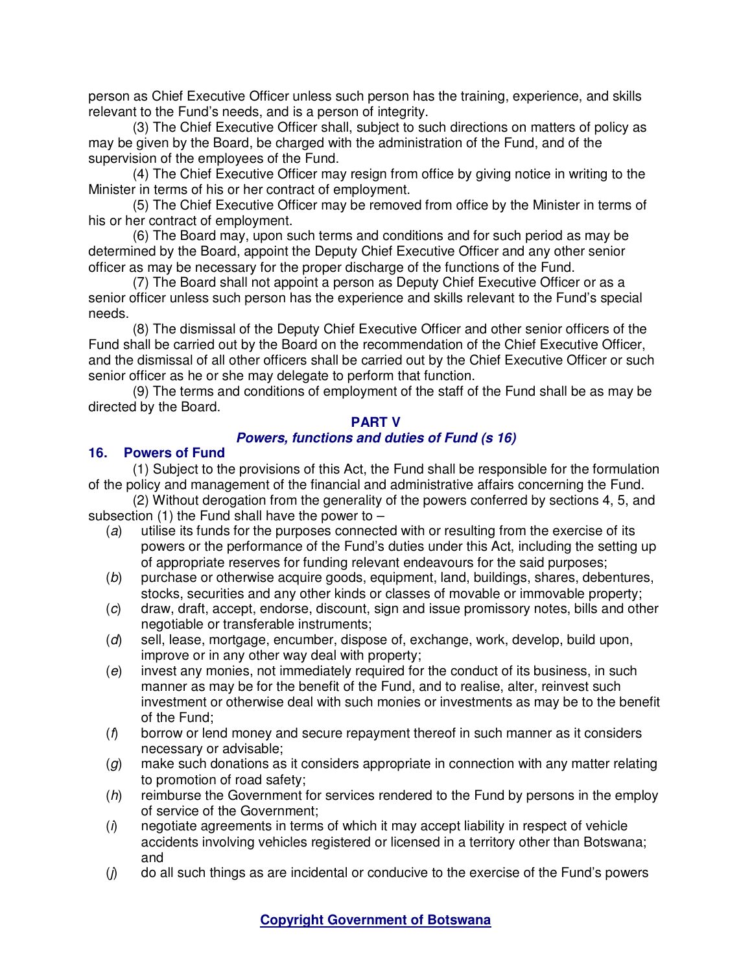person as Chief Executive Officer unless such person has the training, experience, and skills relevant to the Fund's needs, and is a person of integrity.

(3) The Chief Executive Officer shall, subject to such directions on matters of policy as may be given by the Board, be charged with the administration of the Fund, and of the supervision of the employees of the Fund.

(4) The Chief Executive Officer may resign from office by giving notice in writing to the Minister in terms of his or her contract of employment.

(5) The Chief Executive Officer may be removed from office by the Minister in terms of his or her contract of employment.

(6) The Board may, upon such terms and conditions and for such period as may be determined by the Board, appoint the Deputy Chief Executive Officer and any other senior officer as may be necessary for the proper discharge of the functions of the Fund.

(7) The Board shall not appoint a person as Deputy Chief Executive Officer or as a senior officer unless such person has the experience and skills relevant to the Fund's special needs.

(8) The dismissal of the Deputy Chief Executive Officer and other senior officers of the Fund shall be carried out by the Board on the recommendation of the Chief Executive Officer, and the dismissal of all other officers shall be carried out by the Chief Executive Officer or such senior officer as he or she may delegate to perform that function.

(9) The terms and conditions of employment of the staff of the Fund shall be as may be directed by the Board.

### **PART V**

## **Powers, functions and duties of Fund (s 16)**

### **16. Powers of Fund**

(1) Subject to the provisions of this Act, the Fund shall be responsible for the formulation of the policy and management of the financial and administrative affairs concerning the Fund.

(2) Without derogation from the generality of the powers conferred by sections 4, 5, and subsection (1) the Fund shall have the power to  $-$ 

- (a) utilise its funds for the purposes connected with or resulting from the exercise of its powers or the performance of the Fund's duties under this Act, including the setting up of appropriate reserves for funding relevant endeavours for the said purposes;
- (b) purchase or otherwise acquire goods, equipment, land, buildings, shares, debentures, stocks, securities and any other kinds or classes of movable or immovable property;
- (c) draw, draft, accept, endorse, discount, sign and issue promissory notes, bills and other negotiable or transferable instruments;
- (d) sell, lease, mortgage, encumber, dispose of, exchange, work, develop, build upon, improve or in any other way deal with property;
- (e) invest any monies, not immediately required for the conduct of its business, in such manner as may be for the benefit of the Fund, and to realise, alter, reinvest such investment or otherwise deal with such monies or investments as may be to the benefit of the Fund;
- $(f)$  borrow or lend money and secure repayment thereof in such manner as it considers necessary or advisable;
- $(g)$  make such donations as it considers appropriate in connection with any matter relating to promotion of road safety;
- $(h)$  reimburse the Government for services rendered to the Fund by persons in the employ of service of the Government;
- $(i)$  negotiate agreements in terms of which it may accept liability in respect of vehicle accidents involving vehicles registered or licensed in a territory other than Botswana; and
- $(j)$  do all such things as are incidental or conducive to the exercise of the Fund's powers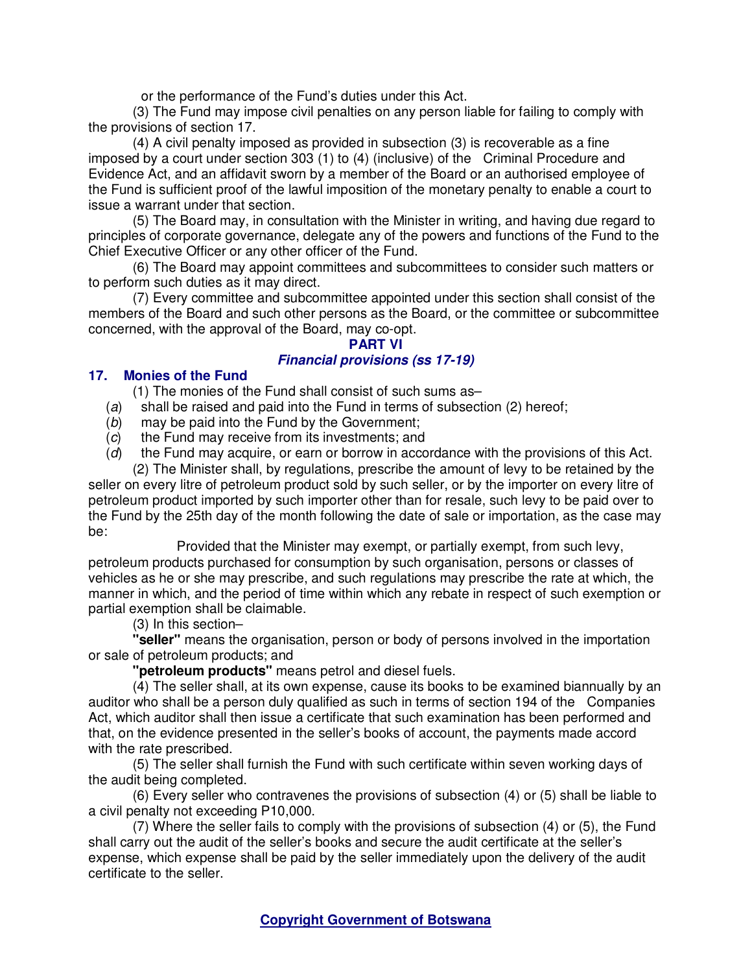or the performance of the Fund's duties under this Act.

(3) The Fund may impose civil penalties on any person liable for failing to comply with the provisions of section 17.

(4) A civil penalty imposed as provided in subsection (3) is recoverable as a fine imposed by a court under section 303 (1) to (4) (inclusive) of the Criminal Procedure and Evidence Act, and an affidavit sworn by a member of the Board or an authorised employee of the Fund is sufficient proof of the lawful imposition of the monetary penalty to enable a court to issue a warrant under that section.

(5) The Board may, in consultation with the Minister in writing, and having due regard to principles of corporate governance, delegate any of the powers and functions of the Fund to the Chief Executive Officer or any other officer of the Fund.

(6) The Board may appoint committees and subcommittees to consider such matters or to perform such duties as it may direct.

(7) Every committee and subcommittee appointed under this section shall consist of the members of the Board and such other persons as the Board, or the committee or subcommittee concerned, with the approval of the Board, may co-opt.

# **PART VI**

# **Financial provisions (ss 17-19)**

### **17. Monies of the Fund**

(1) The monies of the Fund shall consist of such sums as–

- (a) shall be raised and paid into the Fund in terms of subsection (2) hereof;
- (b) may be paid into the Fund by the Government;
- (c) the Fund may receive from its investments; and
- (d) the Fund may acquire, or earn or borrow in accordance with the provisions of this Act.

(2) The Minister shall, by regulations, prescribe the amount of levy to be retained by the seller on every litre of petroleum product sold by such seller, or by the importer on every litre of petroleum product imported by such importer other than for resale, such levy to be paid over to the Fund by the 25th day of the month following the date of sale or importation, as the case may be:

 Provided that the Minister may exempt, or partially exempt, from such levy, petroleum products purchased for consumption by such organisation, persons or classes of vehicles as he or she may prescribe, and such regulations may prescribe the rate at which, the manner in which, and the period of time within which any rebate in respect of such exemption or partial exemption shall be claimable.

(3) In this section–

**"seller"** means the organisation, person or body of persons involved in the importation or sale of petroleum products; and

**"petroleum products"** means petrol and diesel fuels.

(4) The seller shall, at its own expense, cause its books to be examined biannually by an auditor who shall be a person duly qualified as such in terms of section 194 of the Companies Act, which auditor shall then issue a certificate that such examination has been performed and that, on the evidence presented in the seller's books of account, the payments made accord with the rate prescribed.

(5) The seller shall furnish the Fund with such certificate within seven working days of the audit being completed.

(6) Every seller who contravenes the provisions of subsection (4) or (5) shall be liable to a civil penalty not exceeding P10,000.

(7) Where the seller fails to comply with the provisions of subsection (4) or (5), the Fund shall carry out the audit of the seller's books and secure the audit certificate at the seller's expense, which expense shall be paid by the seller immediately upon the delivery of the audit certificate to the seller.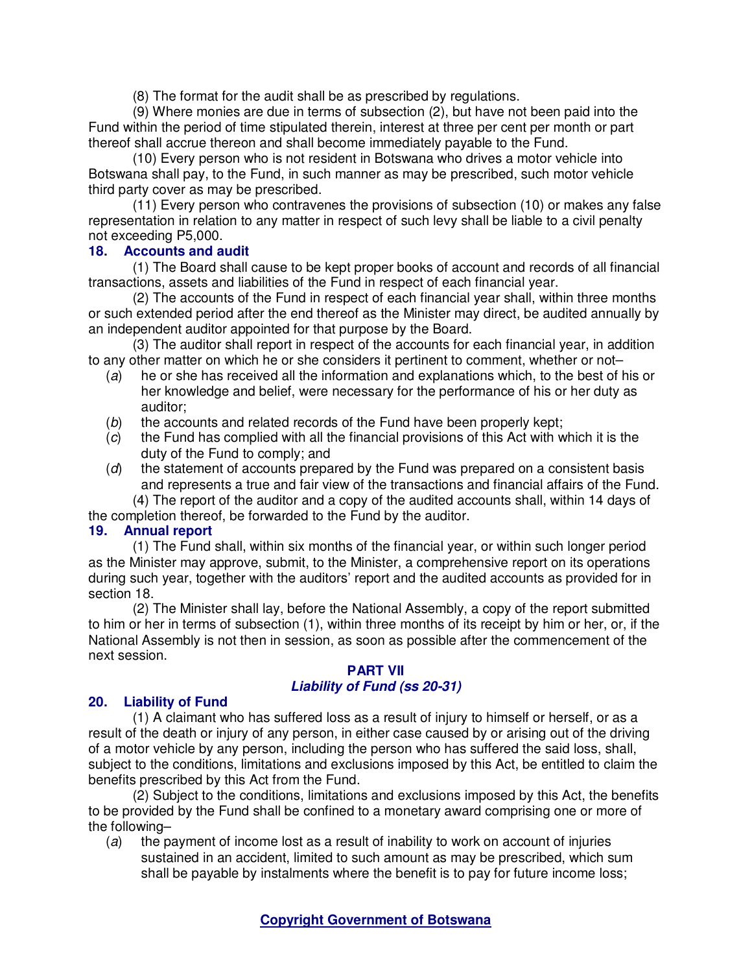(8) The format for the audit shall be as prescribed by regulations.

(9) Where monies are due in terms of subsection (2), but have not been paid into the Fund within the period of time stipulated therein, interest at three per cent per month or part thereof shall accrue thereon and shall become immediately payable to the Fund.

(10) Every person who is not resident in Botswana who drives a motor vehicle into Botswana shall pay, to the Fund, in such manner as may be prescribed, such motor vehicle third party cover as may be prescribed.

(11) Every person who contravenes the provisions of subsection (10) or makes any false representation in relation to any matter in respect of such levy shall be liable to a civil penalty not exceeding P5,000.

## **18. Accounts and audit**

(1) The Board shall cause to be kept proper books of account and records of all financial transactions, assets and liabilities of the Fund in respect of each financial year.

(2) The accounts of the Fund in respect of each financial year shall, within three months or such extended period after the end thereof as the Minister may direct, be audited annually by an independent auditor appointed for that purpose by the Board.

(3) The auditor shall report in respect of the accounts for each financial year, in addition to any other matter on which he or she considers it pertinent to comment, whether or not–

- (a) he or she has received all the information and explanations which, to the best of his or her knowledge and belief, were necessary for the performance of his or her duty as auditor;
- (b) the accounts and related records of the Fund have been properly kept;
- $(c)$  the Fund has complied with all the financial provisions of this Act with which it is the duty of the Fund to comply; and
- (d) the statement of accounts prepared by the Fund was prepared on a consistent basis and represents a true and fair view of the transactions and financial affairs of the Fund.

(4) The report of the auditor and a copy of the audited accounts shall, within 14 days of the completion thereof, be forwarded to the Fund by the auditor.

# **19. Annual report**

(1) The Fund shall, within six months of the financial year, or within such longer period as the Minister may approve, submit, to the Minister, a comprehensive report on its operations during such year, together with the auditors' report and the audited accounts as provided for in section 18.

(2) The Minister shall lay, before the National Assembly, a copy of the report submitted to him or her in terms of subsection (1), within three months of its receipt by him or her, or, if the National Assembly is not then in session, as soon as possible after the commencement of the next session.

### **PART VII Liability of Fund (ss 20-31)**

### **20. Liability of Fund**

(1) A claimant who has suffered loss as a result of injury to himself or herself, or as a result of the death or injury of any person, in either case caused by or arising out of the driving of a motor vehicle by any person, including the person who has suffered the said loss, shall, subject to the conditions, limitations and exclusions imposed by this Act, be entitled to claim the benefits prescribed by this Act from the Fund.

(2) Subject to the conditions, limitations and exclusions imposed by this Act, the benefits to be provided by the Fund shall be confined to a monetary award comprising one or more of the following–

(a) the payment of income lost as a result of inability to work on account of injuries sustained in an accident, limited to such amount as may be prescribed, which sum shall be payable by instalments where the benefit is to pay for future income loss;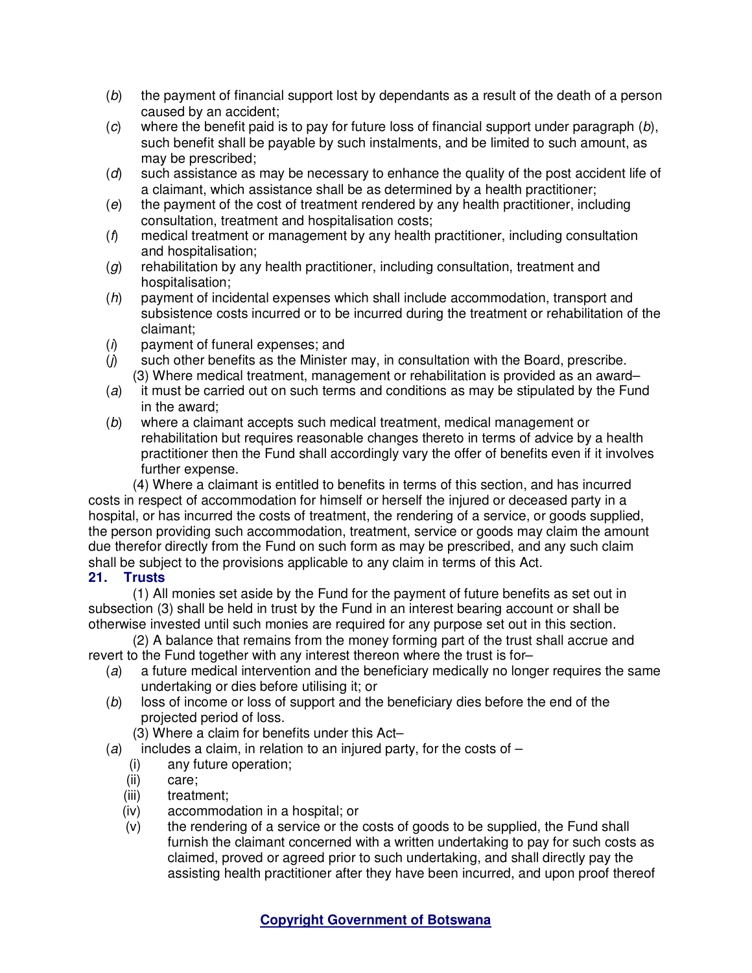- (b) the payment of financial support lost by dependants as a result of the death of a person caused by an accident;
- $(c)$  where the benefit paid is to pay for future loss of financial support under paragraph  $(b)$ , such benefit shall be payable by such instalments, and be limited to such amount, as may be prescribed;
- (d) such assistance as may be necessary to enhance the quality of the post accident life of a claimant, which assistance shall be as determined by a health practitioner;
- (e) the payment of the cost of treatment rendered by any health practitioner, including consultation, treatment and hospitalisation costs;
- $(f)$  medical treatment or management by any health practitioner, including consultation and hospitalisation;
- $(g)$  rehabilitation by any health practitioner, including consultation, treatment and hospitalisation;
- (h) payment of incidental expenses which shall include accommodation, transport and subsistence costs incurred or to be incurred during the treatment or rehabilitation of the claimant;
- $(i)$  payment of funeral expenses; and
- $(i)$  such other benefits as the Minister may, in consultation with the Board, prescribe. (3) Where medical treatment, management or rehabilitation is provided as an award–
- (a) it must be carried out on such terms and conditions as may be stipulated by the Fund in the award;
- (b) where a claimant accepts such medical treatment, medical management or rehabilitation but requires reasonable changes thereto in terms of advice by a health practitioner then the Fund shall accordingly vary the offer of benefits even if it involves further expense.

(4) Where a claimant is entitled to benefits in terms of this section, and has incurred costs in respect of accommodation for himself or herself the injured or deceased party in a hospital, or has incurred the costs of treatment, the rendering of a service, or goods supplied, the person providing such accommodation, treatment, service or goods may claim the amount due therefor directly from the Fund on such form as may be prescribed, and any such claim shall be subject to the provisions applicable to any claim in terms of this Act.

## **21. Trusts**

(1) All monies set aside by the Fund for the payment of future benefits as set out in subsection (3) shall be held in trust by the Fund in an interest bearing account or shall be otherwise invested until such monies are required for any purpose set out in this section.

(2) A balance that remains from the money forming part of the trust shall accrue and revert to the Fund together with any interest thereon where the trust is for–

- (a) a future medical intervention and the beneficiary medically no longer requires the same undertaking or dies before utilising it; or
- (b) loss of income or loss of support and the beneficiary dies before the end of the projected period of loss.
	- (3) Where a claim for benefits under this Act–
- (a) includes a claim, in relation to an injured party, for the costs of  $-$ 
	- (i) any future operation;
	- (ii) care;
	- (iii) treatment;
	- (iv) accommodation in a hospital; or
	- (v) the rendering of a service or the costs of goods to be supplied, the Fund shall furnish the claimant concerned with a written undertaking to pay for such costs as claimed, proved or agreed prior to such undertaking, and shall directly pay the assisting health practitioner after they have been incurred, and upon proof thereof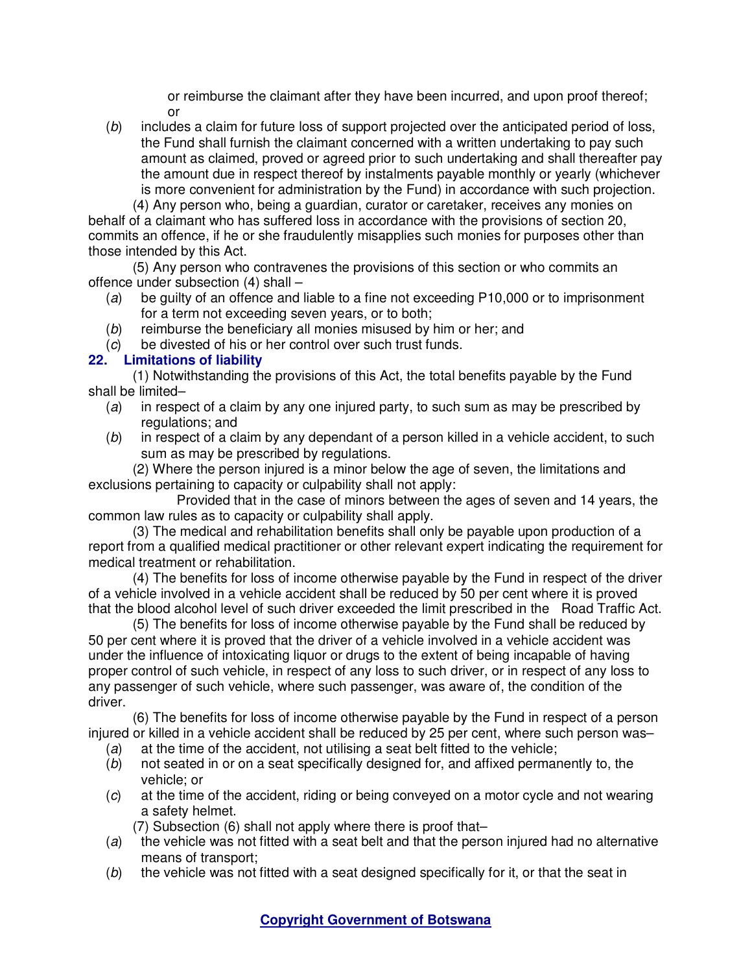or reimburse the claimant after they have been incurred, and upon proof thereof; or

(b) includes a claim for future loss of support projected over the anticipated period of loss, the Fund shall furnish the claimant concerned with a written undertaking to pay such amount as claimed, proved or agreed prior to such undertaking and shall thereafter pay the amount due in respect thereof by instalments payable monthly or yearly (whichever is more convenient for administration by the Fund) in accordance with such projection.

(4) Any person who, being a guardian, curator or caretaker, receives any monies on behalf of a claimant who has suffered loss in accordance with the provisions of section 20, commits an offence, if he or she fraudulently misapplies such monies for purposes other than those intended by this Act.

(5) Any person who contravenes the provisions of this section or who commits an offence under subsection (4) shall –

- (a) be guilty of an offence and liable to a fine not exceeding P10,000 or to imprisonment for a term not exceeding seven years, or to both;
- (b) reimburse the beneficiary all monies misused by him or her; and
- (c) be divested of his or her control over such trust funds.

# **22. Limitations of liability**

(1) Notwithstanding the provisions of this Act, the total benefits payable by the Fund shall be limited–

- (a) in respect of a claim by any one injured party, to such sum as may be prescribed by regulations; and
- $(b)$  in respect of a claim by any dependant of a person killed in a vehicle accident, to such sum as may be prescribed by regulations.

(2) Where the person injured is a minor below the age of seven, the limitations and exclusions pertaining to capacity or culpability shall not apply:

 Provided that in the case of minors between the ages of seven and 14 years, the common law rules as to capacity or culpability shall apply.

(3) The medical and rehabilitation benefits shall only be payable upon production of a report from a qualified medical practitioner or other relevant expert indicating the requirement for medical treatment or rehabilitation.

(4) The benefits for loss of income otherwise payable by the Fund in respect of the driver of a vehicle involved in a vehicle accident shall be reduced by 50 per cent where it is proved that the blood alcohol level of such driver exceeded the limit prescribed in the Road Traffic Act.

(5) The benefits for loss of income otherwise payable by the Fund shall be reduced by 50 per cent where it is proved that the driver of a vehicle involved in a vehicle accident was under the influence of intoxicating liquor or drugs to the extent of being incapable of having proper control of such vehicle, in respect of any loss to such driver, or in respect of any loss to any passenger of such vehicle, where such passenger, was aware of, the condition of the driver.

(6) The benefits for loss of income otherwise payable by the Fund in respect of a person injured or killed in a vehicle accident shall be reduced by 25 per cent, where such person was–

- (a) at the time of the accident, not utilising a seat belt fitted to the vehicle;
- (b) not seated in or on a seat specifically designed for, and affixed permanently to, the vehicle; or
- (c) at the time of the accident, riding or being conveyed on a motor cycle and not wearing a safety helmet.
	- (7) Subsection (6) shall not apply where there is proof that–
- (a) the vehicle was not fitted with a seat belt and that the person injured had no alternative means of transport;
- $(b)$  the vehicle was not fitted with a seat designed specifically for it, or that the seat in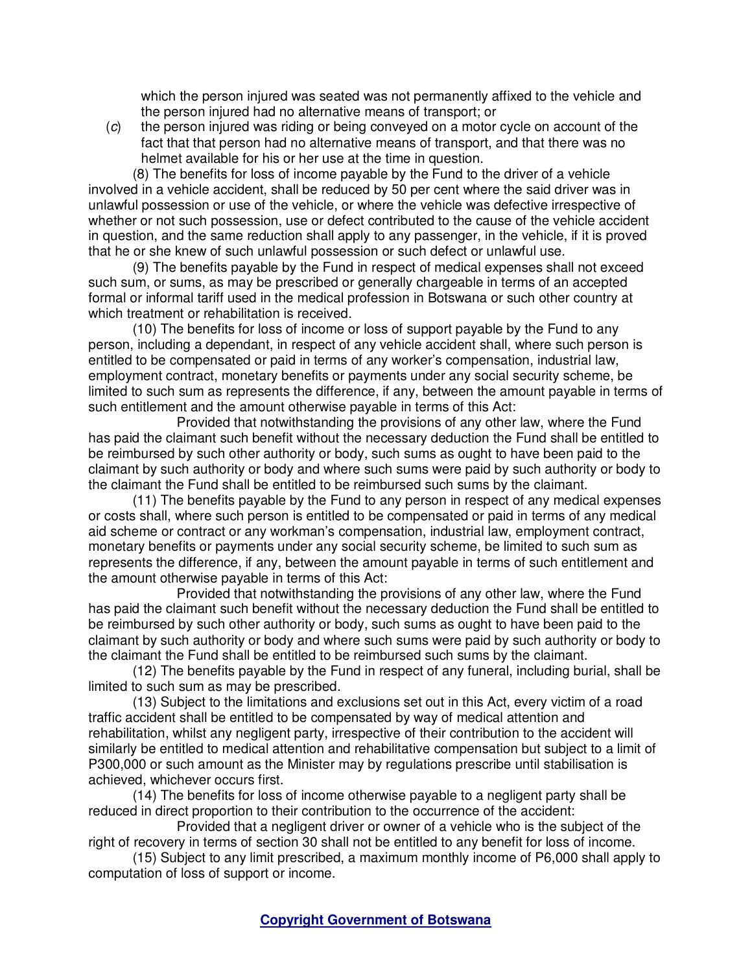which the person injured was seated was not permanently affixed to the vehicle and the person injured had no alternative means of transport; or

(c) the person injured was riding or being conveyed on a motor cycle on account of the fact that that person had no alternative means of transport, and that there was no helmet available for his or her use at the time in question.

(8) The benefits for loss of income payable by the Fund to the driver of a vehicle involved in a vehicle accident, shall be reduced by 50 per cent where the said driver was in unlawful possession or use of the vehicle, or where the vehicle was defective irrespective of whether or not such possession, use or defect contributed to the cause of the vehicle accident in question, and the same reduction shall apply to any passenger, in the vehicle, if it is proved that he or she knew of such unlawful possession or such defect or unlawful use.

(9) The benefits payable by the Fund in respect of medical expenses shall not exceed such sum, or sums, as may be prescribed or generally chargeable in terms of an accepted formal or informal tariff used in the medical profession in Botswana or such other country at which treatment or rehabilitation is received.

(10) The benefits for loss of income or loss of support payable by the Fund to any person, including a dependant, in respect of any vehicle accident shall, where such person is entitled to be compensated or paid in terms of any worker's compensation, industrial law, employment contract, monetary benefits or payments under any social security scheme, be limited to such sum as represents the difference, if any, between the amount payable in terms of such entitlement and the amount otherwise payable in terms of this Act:

 Provided that notwithstanding the provisions of any other law, where the Fund has paid the claimant such benefit without the necessary deduction the Fund shall be entitled to be reimbursed by such other authority or body, such sums as ought to have been paid to the claimant by such authority or body and where such sums were paid by such authority or body to the claimant the Fund shall be entitled to be reimbursed such sums by the claimant.

(11) The benefits payable by the Fund to any person in respect of any medical expenses or costs shall, where such person is entitled to be compensated or paid in terms of any medical aid scheme or contract or any workman's compensation, industrial law, employment contract, monetary benefits or payments under any social security scheme, be limited to such sum as represents the difference, if any, between the amount payable in terms of such entitlement and the amount otherwise payable in terms of this Act:

 Provided that notwithstanding the provisions of any other law, where the Fund has paid the claimant such benefit without the necessary deduction the Fund shall be entitled to be reimbursed by such other authority or body, such sums as ought to have been paid to the claimant by such authority or body and where such sums were paid by such authority or body to the claimant the Fund shall be entitled to be reimbursed such sums by the claimant.

(12) The benefits payable by the Fund in respect of any funeral, including burial, shall be limited to such sum as may be prescribed.

(13) Subject to the limitations and exclusions set out in this Act, every victim of a road traffic accident shall be entitled to be compensated by way of medical attention and rehabilitation, whilst any negligent party, irrespective of their contribution to the accident will similarly be entitled to medical attention and rehabilitative compensation but subject to a limit of P300,000 or such amount as the Minister may by regulations prescribe until stabilisation is achieved, whichever occurs first.

(14) The benefits for loss of income otherwise payable to a negligent party shall be reduced in direct proportion to their contribution to the occurrence of the accident:

 Provided that a negligent driver or owner of a vehicle who is the subject of the right of recovery in terms of section 30 shall not be entitled to any benefit for loss of income.

(15) Subject to any limit prescribed, a maximum monthly income of P6,000 shall apply to computation of loss of support or income.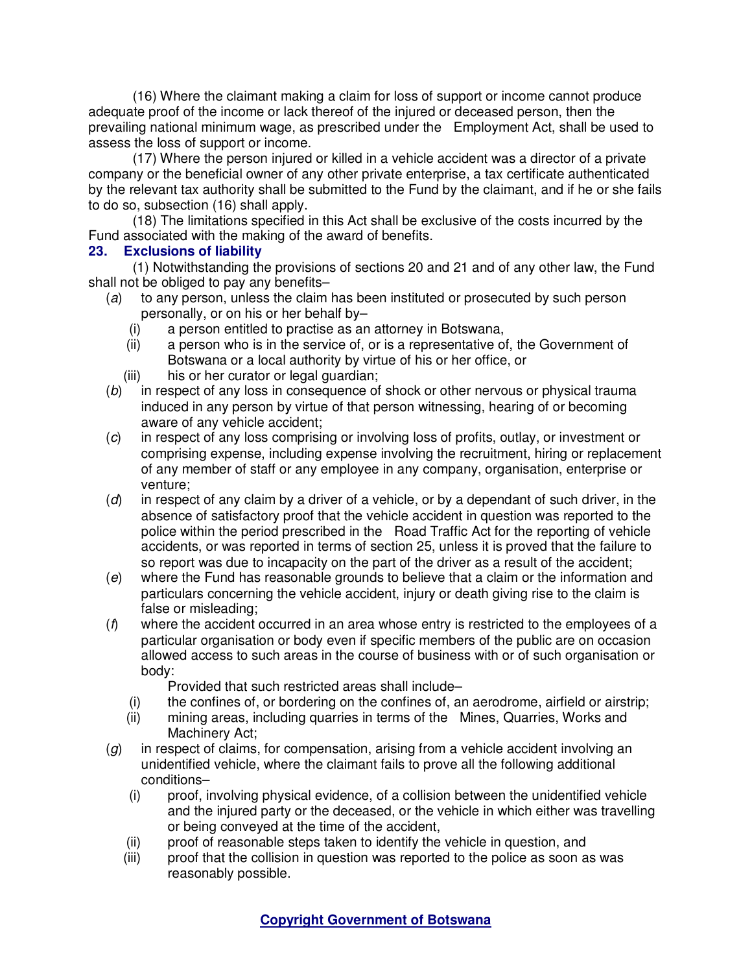(16) Where the claimant making a claim for loss of support or income cannot produce adequate proof of the income or lack thereof of the injured or deceased person, then the prevailing national minimum wage, as prescribed under the Employment Act, shall be used to assess the loss of support or income.

(17) Where the person injured or killed in a vehicle accident was a director of a private company or the beneficial owner of any other private enterprise, a tax certificate authenticated by the relevant tax authority shall be submitted to the Fund by the claimant, and if he or she fails to do so, subsection (16) shall apply.

(18) The limitations specified in this Act shall be exclusive of the costs incurred by the Fund associated with the making of the award of benefits.

## **23. Exclusions of liability**

(1) Notwithstanding the provisions of sections 20 and 21 and of any other law, the Fund shall not be obliged to pay any benefits–

- (a) to any person, unless the claim has been instituted or prosecuted by such person personally, or on his or her behalf by–
	- (i) a person entitled to practise as an attorney in Botswana,<br>(ii) a person who is in the service of, or is a representative of
	- a person who is in the service of, or is a representative of, the Government of Botswana or a local authority by virtue of his or her office, or
	- (iii) his or her curator or legal quardian:
- (b) in respect of any loss in consequence of shock or other nervous or physical trauma induced in any person by virtue of that person witnessing, hearing of or becoming aware of any vehicle accident;
- (c) in respect of any loss comprising or involving loss of profits, outlay, or investment or comprising expense, including expense involving the recruitment, hiring or replacement of any member of staff or any employee in any company, organisation, enterprise or venture;
- $(d)$  in respect of any claim by a driver of a vehicle, or by a dependant of such driver, in the absence of satisfactory proof that the vehicle accident in question was reported to the police within the period prescribed in the Road Traffic Act for the reporting of vehicle accidents, or was reported in terms of section 25, unless it is proved that the failure to so report was due to incapacity on the part of the driver as a result of the accident;
- (e) where the Fund has reasonable grounds to believe that a claim or the information and particulars concerning the vehicle accident, injury or death giving rise to the claim is false or misleading;
- $(f)$  where the accident occurred in an area whose entry is restricted to the employees of a particular organisation or body even if specific members of the public are on occasion allowed access to such areas in the course of business with or of such organisation or body:

Provided that such restricted areas shall include–

- (i) the confines of, or bordering on the confines of, an aerodrome, airfield or airstrip;
- (ii) mining areas, including quarries in terms of the Mines, Quarries, Works and Machinery Act;
- $(g)$  in respect of claims, for compensation, arising from a vehicle accident involving an unidentified vehicle, where the claimant fails to prove all the following additional conditions–
	- (i) proof, involving physical evidence, of a collision between the unidentified vehicle and the injured party or the deceased, or the vehicle in which either was travelling or being conveyed at the time of the accident,
	- (ii) proof of reasonable steps taken to identify the vehicle in question, and
	- (iii) proof that the collision in question was reported to the police as soon as was reasonably possible.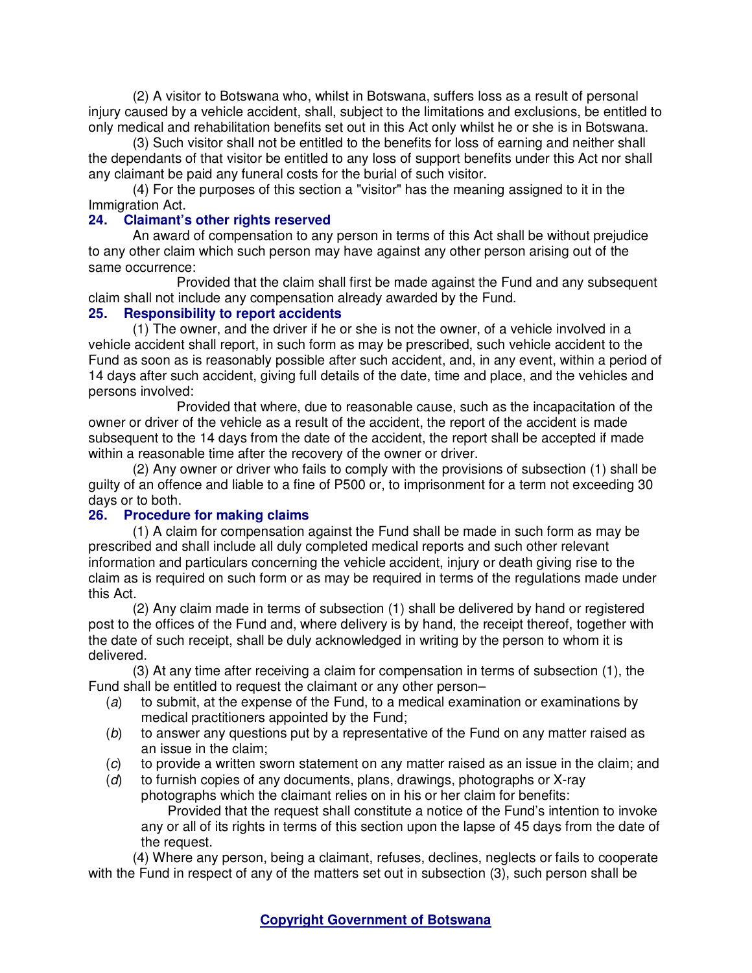(2) A visitor to Botswana who, whilst in Botswana, suffers loss as a result of personal injury caused by a vehicle accident, shall, subject to the limitations and exclusions, be entitled to only medical and rehabilitation benefits set out in this Act only whilst he or she is in Botswana.

(3) Such visitor shall not be entitled to the benefits for loss of earning and neither shall the dependants of that visitor be entitled to any loss of support benefits under this Act nor shall any claimant be paid any funeral costs for the burial of such visitor.

(4) For the purposes of this section a "visitor" has the meaning assigned to it in the Immigration Act.

### **24. Claimant's other rights reserved**

An award of compensation to any person in terms of this Act shall be without prejudice to any other claim which such person may have against any other person arising out of the same occurrence:

 Provided that the claim shall first be made against the Fund and any subsequent claim shall not include any compensation already awarded by the Fund.

### **25. Responsibility to report accidents**

(1) The owner, and the driver if he or she is not the owner, of a vehicle involved in a vehicle accident shall report, in such form as may be prescribed, such vehicle accident to the Fund as soon as is reasonably possible after such accident, and, in any event, within a period of 14 days after such accident, giving full details of the date, time and place, and the vehicles and persons involved:

 Provided that where, due to reasonable cause, such as the incapacitation of the owner or driver of the vehicle as a result of the accident, the report of the accident is made subsequent to the 14 days from the date of the accident, the report shall be accepted if made within a reasonable time after the recovery of the owner or driver.

(2) Any owner or driver who fails to comply with the provisions of subsection (1) shall be guilty of an offence and liable to a fine of P500 or, to imprisonment for a term not exceeding 30 days or to both.

## **26. Procedure for making claims**

(1) A claim for compensation against the Fund shall be made in such form as may be prescribed and shall include all duly completed medical reports and such other relevant information and particulars concerning the vehicle accident, injury or death giving rise to the claim as is required on such form or as may be required in terms of the regulations made under this Act.

(2) Any claim made in terms of subsection (1) shall be delivered by hand or registered post to the offices of the Fund and, where delivery is by hand, the receipt thereof, together with the date of such receipt, shall be duly acknowledged in writing by the person to whom it is delivered.

(3) At any time after receiving a claim for compensation in terms of subsection (1), the Fund shall be entitled to request the claimant or any other person–

- (a) to submit, at the expense of the Fund, to a medical examination or examinations by medical practitioners appointed by the Fund;
- $(b)$  to answer any questions put by a representative of the Fund on any matter raised as an issue in the claim;
- (c) to provide a written sworn statement on any matter raised as an issue in the claim; and
- (d) to furnish copies of any documents, plans, drawings, photographs or X-ray photographs which the claimant relies on in his or her claim for benefits: Provided that the request shall constitute a notice of the Fund's intention to invoke

any or all of its rights in terms of this section upon the lapse of 45 days from the date of the request.

(4) Where any person, being a claimant, refuses, declines, neglects or fails to cooperate with the Fund in respect of any of the matters set out in subsection (3), such person shall be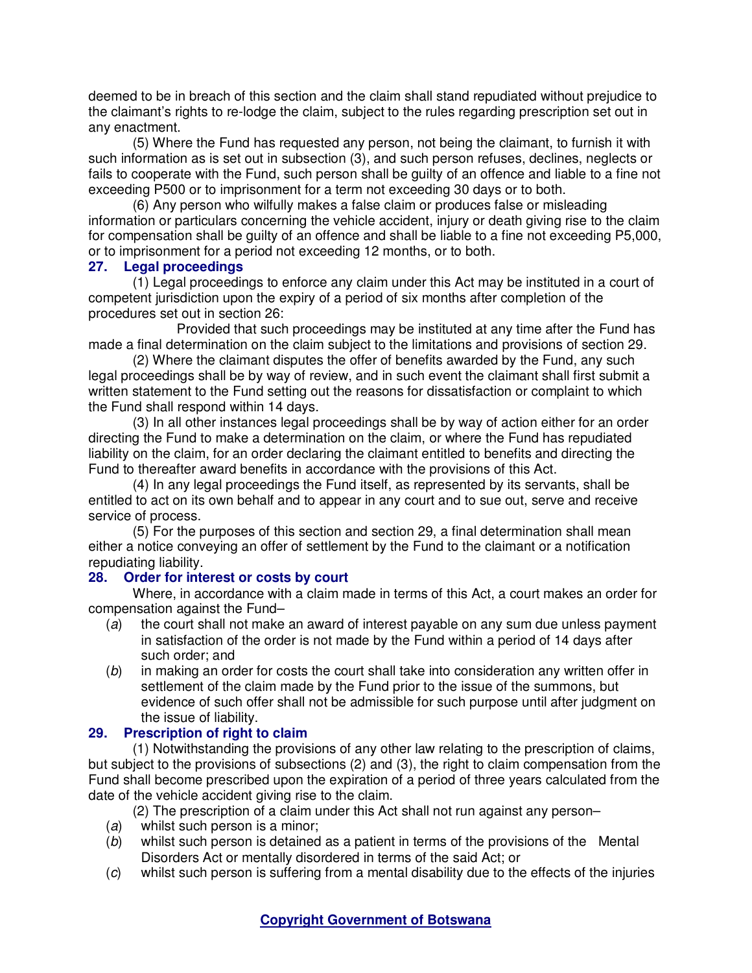deemed to be in breach of this section and the claim shall stand repudiated without prejudice to the claimant's rights to re-lodge the claim, subject to the rules regarding prescription set out in any enactment.

(5) Where the Fund has requested any person, not being the claimant, to furnish it with such information as is set out in subsection (3), and such person refuses, declines, neglects or fails to cooperate with the Fund, such person shall be guilty of an offence and liable to a fine not exceeding P500 or to imprisonment for a term not exceeding 30 days or to both.

(6) Any person who wilfully makes a false claim or produces false or misleading information or particulars concerning the vehicle accident, injury or death giving rise to the claim for compensation shall be guilty of an offence and shall be liable to a fine not exceeding P5,000, or to imprisonment for a period not exceeding 12 months, or to both.

### **27. Legal proceedings**

(1) Legal proceedings to enforce any claim under this Act may be instituted in a court of competent jurisdiction upon the expiry of a period of six months after completion of the procedures set out in section 26:

 Provided that such proceedings may be instituted at any time after the Fund has made a final determination on the claim subject to the limitations and provisions of section 29.

(2) Where the claimant disputes the offer of benefits awarded by the Fund, any such legal proceedings shall be by way of review, and in such event the claimant shall first submit a written statement to the Fund setting out the reasons for dissatisfaction or complaint to which the Fund shall respond within 14 days.

(3) In all other instances legal proceedings shall be by way of action either for an order directing the Fund to make a determination on the claim, or where the Fund has repudiated liability on the claim, for an order declaring the claimant entitled to benefits and directing the Fund to thereafter award benefits in accordance with the provisions of this Act.

(4) In any legal proceedings the Fund itself, as represented by its servants, shall be entitled to act on its own behalf and to appear in any court and to sue out, serve and receive service of process.

(5) For the purposes of this section and section 29, a final determination shall mean either a notice conveying an offer of settlement by the Fund to the claimant or a notification repudiating liability.

## **28. Order for interest or costs by court**

Where, in accordance with a claim made in terms of this Act, a court makes an order for compensation against the Fund–

- (a) the court shall not make an award of interest payable on any sum due unless payment in satisfaction of the order is not made by the Fund within a period of 14 days after such order; and
- (b) in making an order for costs the court shall take into consideration any written offer in settlement of the claim made by the Fund prior to the issue of the summons, but evidence of such offer shall not be admissible for such purpose until after judgment on the issue of liability.

## **29. Prescription of right to claim**

(1) Notwithstanding the provisions of any other law relating to the prescription of claims, but subject to the provisions of subsections (2) and (3), the right to claim compensation from the Fund shall become prescribed upon the expiration of a period of three years calculated from the date of the vehicle accident giving rise to the claim.

(2) The prescription of a claim under this Act shall not run against any person–

- (a) whilst such person is a minor:
- (b) whilst such person is detained as a patient in terms of the provisions of the Mental Disorders Act or mentally disordered in terms of the said Act; or
- (c) whilst such person is suffering from a mental disability due to the effects of the injuries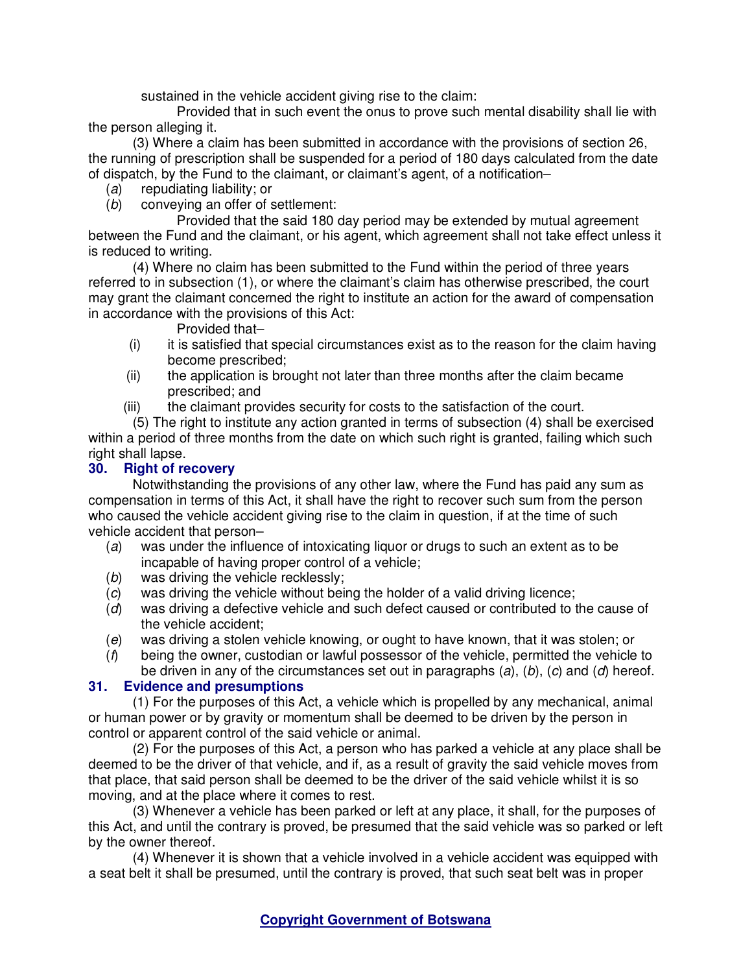sustained in the vehicle accident giving rise to the claim:

 Provided that in such event the onus to prove such mental disability shall lie with the person alleging it.

(3) Where a claim has been submitted in accordance with the provisions of section 26, the running of prescription shall be suspended for a period of 180 days calculated from the date of dispatch, by the Fund to the claimant, or claimant's agent, of a notification–

- (a) repudiating liability; or
- (b) conveying an offer of settlement:

 Provided that the said 180 day period may be extended by mutual agreement between the Fund and the claimant, or his agent, which agreement shall not take effect unless it is reduced to writing.

(4) Where no claim has been submitted to the Fund within the period of three years referred to in subsection (1), or where the claimant's claim has otherwise prescribed, the court may grant the claimant concerned the right to institute an action for the award of compensation in accordance with the provisions of this Act:

Provided that–

- $(i)$  it is satisfied that special circumstances exist as to the reason for the claim having become prescribed;
- (ii) the application is brought not later than three months after the claim became prescribed; and
- (iii) the claimant provides security for costs to the satisfaction of the court.

(5) The right to institute any action granted in terms of subsection (4) shall be exercised within a period of three months from the date on which such right is granted, failing which such right shall lapse.

# **30. Right of recovery**

Notwithstanding the provisions of any other law, where the Fund has paid any sum as compensation in terms of this Act, it shall have the right to recover such sum from the person who caused the vehicle accident giving rise to the claim in question, if at the time of such vehicle accident that person–

- (a) was under the influence of intoxicating liquor or drugs to such an extent as to be incapable of having proper control of a vehicle;
- (b) was driving the vehicle recklessly;
- (c) was driving the vehicle without being the holder of a valid driving licence;
- (d) was driving a defective vehicle and such defect caused or contributed to the cause of the vehicle accident;
- (e) was driving a stolen vehicle knowing, or ought to have known, that it was stolen; or
- $(f)$  being the owner, custodian or lawful possessor of the vehicle, permitted the vehicle to be driven in any of the circumstances set out in paragraphs  $(a)$ ,  $(b)$ ,  $(c)$  and  $(d)$  hereof.

# **31. Evidence and presumptions**

(1) For the purposes of this Act, a vehicle which is propelled by any mechanical, animal or human power or by gravity or momentum shall be deemed to be driven by the person in control or apparent control of the said vehicle or animal.

(2) For the purposes of this Act, a person who has parked a vehicle at any place shall be deemed to be the driver of that vehicle, and if, as a result of gravity the said vehicle moves from that place, that said person shall be deemed to be the driver of the said vehicle whilst it is so moving, and at the place where it comes to rest.

(3) Whenever a vehicle has been parked or left at any place, it shall, for the purposes of this Act, and until the contrary is proved, be presumed that the said vehicle was so parked or left by the owner thereof.

(4) Whenever it is shown that a vehicle involved in a vehicle accident was equipped with a seat belt it shall be presumed, until the contrary is proved, that such seat belt was in proper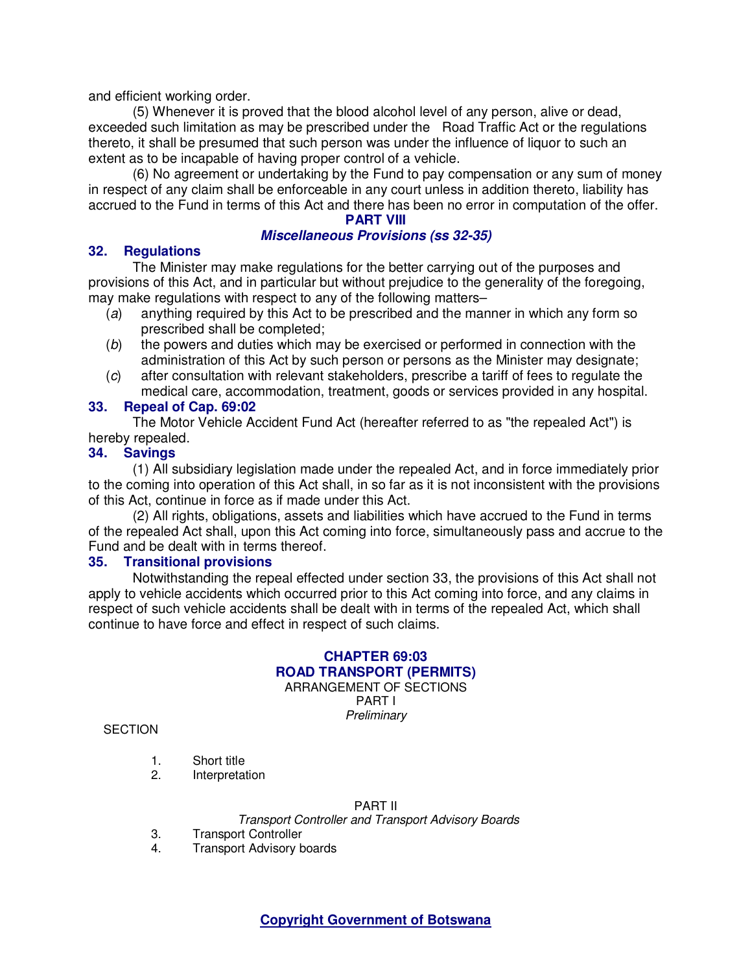and efficient working order.

(5) Whenever it is proved that the blood alcohol level of any person, alive or dead, exceeded such limitation as may be prescribed under the Road Traffic Act or the regulations thereto, it shall be presumed that such person was under the influence of liquor to such an extent as to be incapable of having proper control of a vehicle.

(6) No agreement or undertaking by the Fund to pay compensation or any sum of money in respect of any claim shall be enforceable in any court unless in addition thereto, liability has accrued to the Fund in terms of this Act and there has been no error in computation of the offer.

# **PART VIII**

### **Miscellaneous Provisions (ss 32-35)**

#### **32. Regulations**

The Minister may make regulations for the better carrying out of the purposes and provisions of this Act, and in particular but without prejudice to the generality of the foregoing, may make regulations with respect to any of the following matters–

- (a) anything required by this Act to be prescribed and the manner in which any form so prescribed shall be completed;
- (b) the powers and duties which may be exercised or performed in connection with the administration of this Act by such person or persons as the Minister may designate;
- (c) after consultation with relevant stakeholders, prescribe a tariff of fees to regulate the medical care, accommodation, treatment, goods or services provided in any hospital.

### **33. Repeal of Cap. 69:02**

The Motor Vehicle Accident Fund Act (hereafter referred to as "the repealed Act") is hereby repealed.

# **34. Savings**

(1) All subsidiary legislation made under the repealed Act, and in force immediately prior to the coming into operation of this Act shall, in so far as it is not inconsistent with the provisions of this Act, continue in force as if made under this Act.

(2) All rights, obligations, assets and liabilities which have accrued to the Fund in terms of the repealed Act shall, upon this Act coming into force, simultaneously pass and accrue to the Fund and be dealt with in terms thereof.

#### **35. Transitional provisions**

Notwithstanding the repeal effected under section 33, the provisions of this Act shall not apply to vehicle accidents which occurred prior to this Act coming into force, and any claims in respect of such vehicle accidents shall be dealt with in terms of the repealed Act, which shall continue to have force and effect in respect of such claims.

# **CHAPTER 69:03 ROAD TRANSPORT (PERMITS)**  ARRANGEMENT OF SECTIONS

PART I **Preliminary** 

**SECTION** 

- 1. Short title
- 2. Interpretation

#### PART II

Transport Controller and Transport Advisory Boards

- 3. Transport Controller<br>4. Transport Advisory b
- **Transport Advisory boards**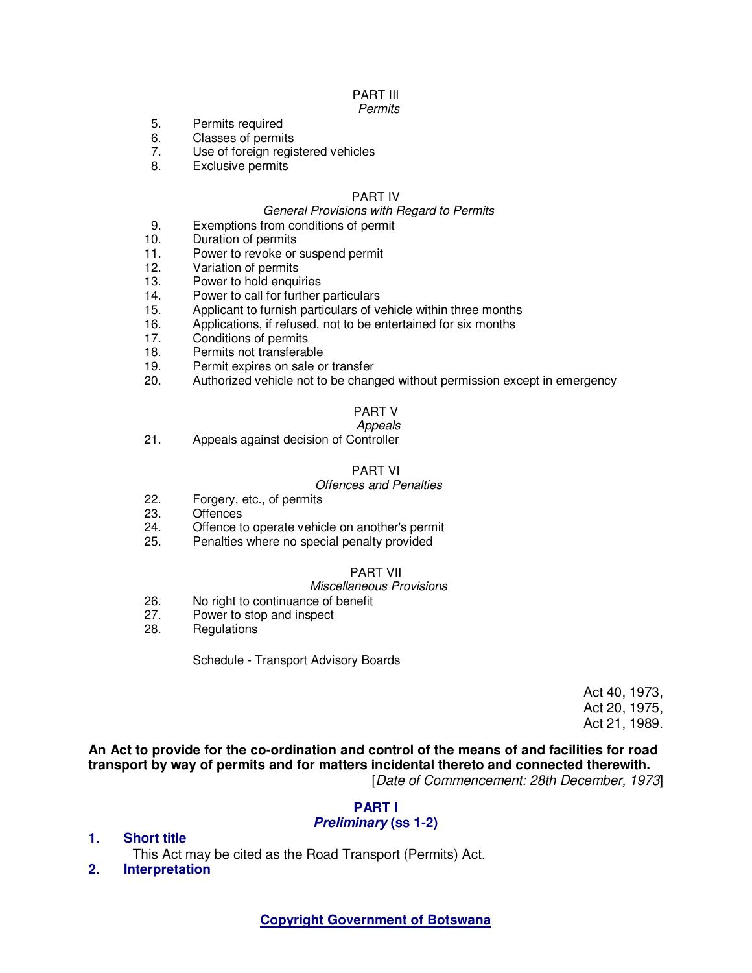# PART III

#### **Permits**

- 5. Permits required
- 6. Classes of permits
- 7. Use of foreign registered vehicles
- 8. Exclusive permits

#### PART IV

#### General Provisions with Regard to Permits

- 9. Exemptions from conditions of permit
- 10. Duration of permits
- 11. Power to revoke or suspend permit
- 12. Variation of permits
- 13. Power to hold enquiries
- 14. Power to call for further particulars
- 15. Applicant to furnish particulars of vehicle within three months
- 16. Applications, if refused, not to be entertained for six months
- 17. Conditions of permits
- 18. Permits not transferable
- 19. Permit expires on sale or transfer
- 20. Authorized vehicle not to be changed without permission except in emergency

## PART V

 Appeals 21. Appeals against decision of Controller

#### PART VI

#### Offences and Penalties

- 22. Forgery, etc., of permits<br>23. Offences
- **Offences**
- 24. Offence to operate vehicle on another's permit
- 25. Penalties where no special penalty provided

#### PART VII

#### Miscellaneous Provisions

- 26. No right to continuance of benefit<br>27. Power to stop and inspect
- Power to stop and inspect
- 28. Regulations

Schedule - Transport Advisory Boards

Act 40, 1973, Act 20, 1975, Act 21, 1989.

**An Act to provide for the co-ordination and control of the means of and facilities for road transport by way of permits and for matters incidental thereto and connected therewith.**  [Date of Commencement: 28th December, 1973]

## **PART I**

#### **Preliminary (ss 1-2)**

**1. Short title** 

This Act may be cited as the Road Transport (Permits) Act.

**2. Interpretation**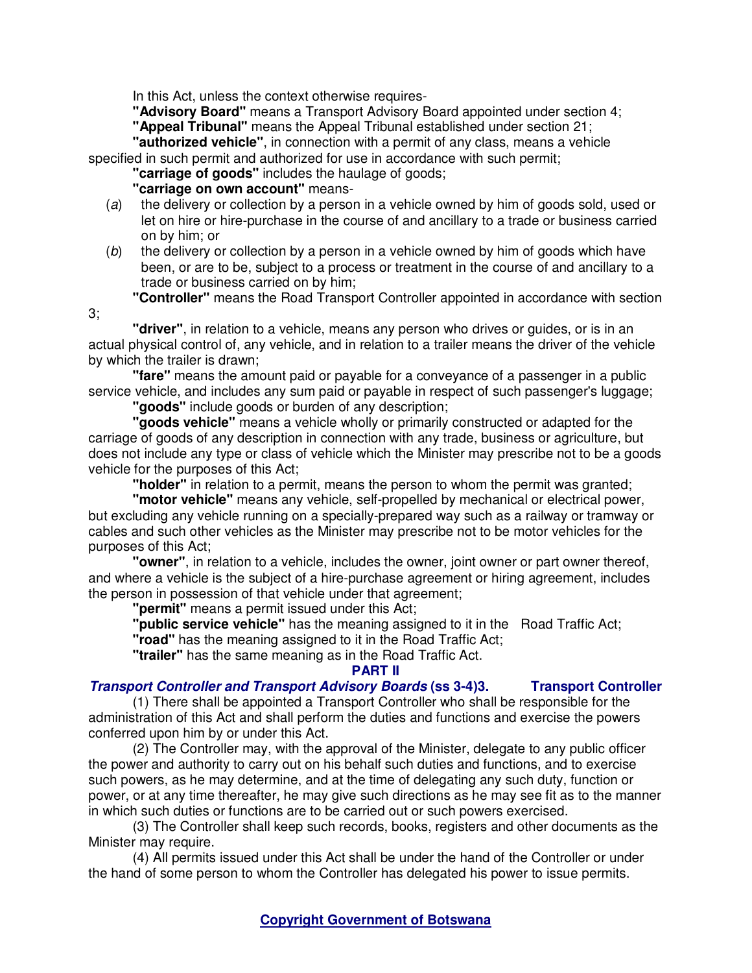In this Act, unless the context otherwise requires-

**"Advisory Board"** means a Transport Advisory Board appointed under section 4;

**"Appeal Tribunal"** means the Appeal Tribunal established under section 21;

**"authorized vehicle"**, in connection with a permit of any class, means a vehicle specified in such permit and authorized for use in accordance with such permit;

**"carriage of goods"** includes the haulage of goods;

## **"carriage on own account"** means-

- (a) the delivery or collection by a person in a vehicle owned by him of goods sold, used or let on hire or hire-purchase in the course of and ancillary to a trade or business carried on by him; or
- $(b)$  the delivery or collection by a person in a vehicle owned by him of goods which have been, or are to be, subject to a process or treatment in the course of and ancillary to a trade or business carried on by him;
	- **"Controller"** means the Road Transport Controller appointed in accordance with section
- 3;

**"driver"**, in relation to a vehicle, means any person who drives or guides, or is in an actual physical control of, any vehicle, and in relation to a trailer means the driver of the vehicle by which the trailer is drawn;

**"fare"** means the amount paid or payable for a conveyance of a passenger in a public service vehicle, and includes any sum paid or payable in respect of such passenger's luggage;

**"goods"** include goods or burden of any description;

**"goods vehicle"** means a vehicle wholly or primarily constructed or adapted for the carriage of goods of any description in connection with any trade, business or agriculture, but does not include any type or class of vehicle which the Minister may prescribe not to be a goods vehicle for the purposes of this Act;

**"holder"** in relation to a permit, means the person to whom the permit was granted;

**"motor vehicle"** means any vehicle, self-propelled by mechanical or electrical power, but excluding any vehicle running on a specially-prepared way such as a railway or tramway or cables and such other vehicles as the Minister may prescribe not to be motor vehicles for the purposes of this Act;

**"owner"**, in relation to a vehicle, includes the owner, joint owner or part owner thereof, and where a vehicle is the subject of a hire-purchase agreement or hiring agreement, includes the person in possession of that vehicle under that agreement;

**"permit"** means a permit issued under this Act;

**"public service vehicle"** has the meaning assigned to it in the Road Traffic Act;

**"road"** has the meaning assigned to it in the Road Traffic Act;

**"trailer"** has the same meaning as in the Road Traffic Act.

#### **PART II**

# **Transport Controller and Transport Advisory Boards (ss 3-4)3. Transport Controller**

(1) There shall be appointed a Transport Controller who shall be responsible for the administration of this Act and shall perform the duties and functions and exercise the powers conferred upon him by or under this Act.

(2) The Controller may, with the approval of the Minister, delegate to any public officer the power and authority to carry out on his behalf such duties and functions, and to exercise such powers, as he may determine, and at the time of delegating any such duty, function or power, or at any time thereafter, he may give such directions as he may see fit as to the manner in which such duties or functions are to be carried out or such powers exercised.

(3) The Controller shall keep such records, books, registers and other documents as the Minister may require.

(4) All permits issued under this Act shall be under the hand of the Controller or under the hand of some person to whom the Controller has delegated his power to issue permits.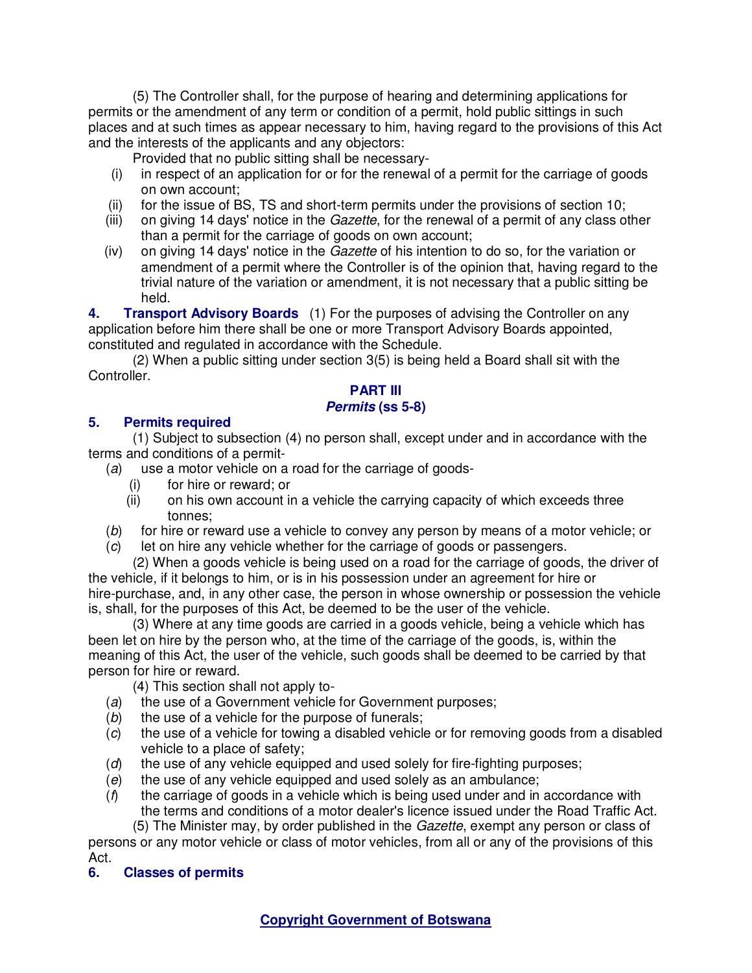(5) The Controller shall, for the purpose of hearing and determining applications for permits or the amendment of any term or condition of a permit, hold public sittings in such places and at such times as appear necessary to him, having regard to the provisions of this Act and the interests of the applicants and any objectors:

Provided that no public sitting shall be necessary-

- (i) in respect of an application for or for the renewal of a permit for the carriage of goods on own account;
- (ii) for the issue of BS, TS and short-term permits under the provisions of section 10;
- (iii) on giving 14 days' notice in the Gazette, for the renewal of a permit of any class other than a permit for the carriage of goods on own account;
- (iv) on giving 14 days' notice in the Gazette of his intention to do so, for the variation or amendment of a permit where the Controller is of the opinion that, having regard to the trivial nature of the variation or amendment, it is not necessary that a public sitting be held.

**4. Transport Advisory Boards** (1) For the purposes of advising the Controller on any application before him there shall be one or more Transport Advisory Boards appointed, constituted and regulated in accordance with the Schedule.

(2) When a public sitting under section 3(5) is being held a Board shall sit with the Controller.

### **PART III Permits (ss 5-8)**

# **5. Permits required**

(1) Subject to subsection (4) no person shall, except under and in accordance with the terms and conditions of a permit-

- (a) use a motor vehicle on a road for the carriage of goods-
	- (i) for hire or reward; or
	- (ii) on his own account in a vehicle the carrying capacity of which exceeds three tonnes;
- (b) for hire or reward use a vehicle to convey any person by means of a motor vehicle; or
- (c) let on hire any vehicle whether for the carriage of goods or passengers.

(2) When a goods vehicle is being used on a road for the carriage of goods, the driver of the vehicle, if it belongs to him, or is in his possession under an agreement for hire or hire-purchase, and, in any other case, the person in whose ownership or possession the vehicle is, shall, for the purposes of this Act, be deemed to be the user of the vehicle.

(3) Where at any time goods are carried in a goods vehicle, being a vehicle which has been let on hire by the person who, at the time of the carriage of the goods, is, within the meaning of this Act, the user of the vehicle, such goods shall be deemed to be carried by that person for hire or reward.

(4) This section shall not apply to-

- (a) the use of a Government vehicle for Government purposes;
- (b) the use of a vehicle for the purpose of funerals;
- (c) the use of a vehicle for towing a disabled vehicle or for removing goods from a disabled vehicle to a place of safety;
- (d) the use of any vehicle equipped and used solely for fire-fighting purposes;
- (e) the use of any vehicle equipped and used solely as an ambulance;
- $(f)$  the carriage of goods in a vehicle which is being used under and in accordance with the terms and conditions of a motor dealer's licence issued under the Road Traffic Act.

(5) The Minister may, by order published in the Gazette, exempt any person or class of

persons or any motor vehicle or class of motor vehicles, from all or any of the provisions of this Act.

**6. Classes of permits**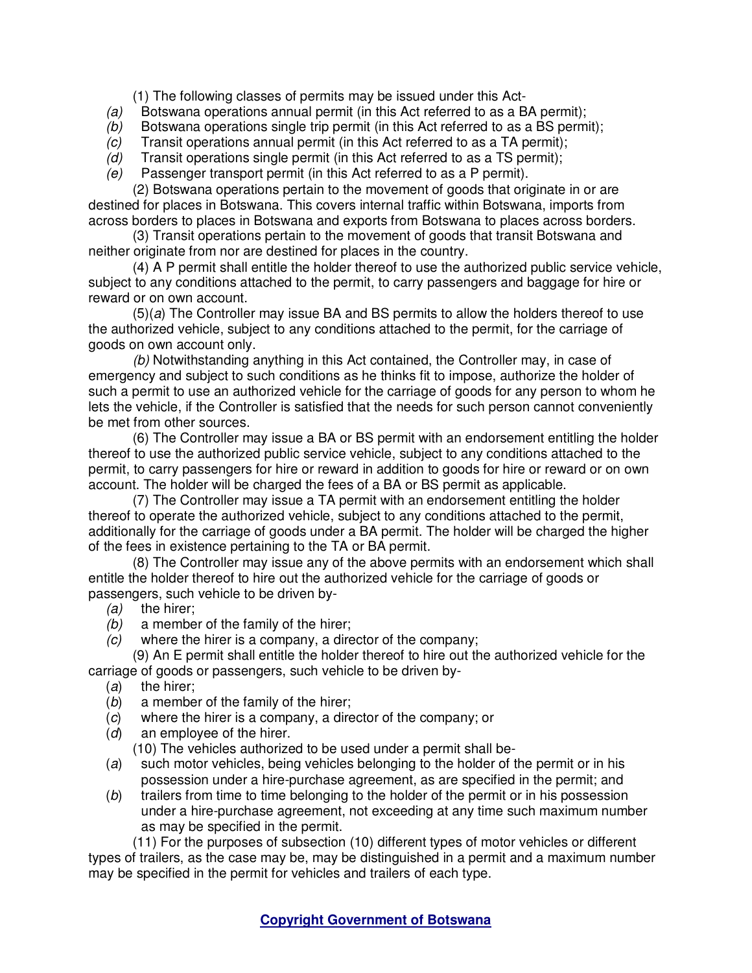(1) The following classes of permits may be issued under this Act-

- (a) Botswana operations annual permit (in this Act referred to as a BA permit);
- (b) Botswana operations single trip permit (in this Act referred to as a BS permit);
- (c) Transit operations annual permit (in this Act referred to as a TA permit);
- $(d)$  Transit operations single permit (in this Act referred to as a TS permit);
- (e) Passenger transport permit (in this Act referred to as a P permit).

(2) Botswana operations pertain to the movement of goods that originate in or are destined for places in Botswana. This covers internal traffic within Botswana, imports from across borders to places in Botswana and exports from Botswana to places across borders.

(3) Transit operations pertain to the movement of goods that transit Botswana and neither originate from nor are destined for places in the country.

(4) A P permit shall entitle the holder thereof to use the authorized public service vehicle, subject to any conditions attached to the permit, to carry passengers and baggage for hire or reward or on own account.

 $(5)(a)$  The Controller may issue BA and BS permits to allow the holders thereof to use the authorized vehicle, subject to any conditions attached to the permit, for the carriage of goods on own account only.

(b) Notwithstanding anything in this Act contained, the Controller may, in case of emergency and subject to such conditions as he thinks fit to impose, authorize the holder of such a permit to use an authorized vehicle for the carriage of goods for any person to whom he lets the vehicle, if the Controller is satisfied that the needs for such person cannot conveniently be met from other sources.

(6) The Controller may issue a BA or BS permit with an endorsement entitling the holder thereof to use the authorized public service vehicle, subject to any conditions attached to the permit, to carry passengers for hire or reward in addition to goods for hire or reward or on own account. The holder will be charged the fees of a BA or BS permit as applicable.

(7) The Controller may issue a TA permit with an endorsement entitling the holder thereof to operate the authorized vehicle, subject to any conditions attached to the permit, additionally for the carriage of goods under a BA permit. The holder will be charged the higher of the fees in existence pertaining to the TA or BA permit.

(8) The Controller may issue any of the above permits with an endorsement which shall entitle the holder thereof to hire out the authorized vehicle for the carriage of goods or passengers, such vehicle to be driven by-

- (a) the hirer;
- $(b)$  a member of the family of the hirer;
- (c) where the hirer is a company, a director of the company;

(9) An E permit shall entitle the holder thereof to hire out the authorized vehicle for the carriage of goods or passengers, such vehicle to be driven by-

- (a) the hirer;
- (b) a member of the family of the hirer;
- (c) where the hirer is a company, a director of the company; or
- (d) an employee of the hirer.

(10) The vehicles authorized to be used under a permit shall be-

- (a) such motor vehicles, being vehicles belonging to the holder of the permit or in his possession under a hire-purchase agreement, as are specified in the permit; and
- (b) trailers from time to time belonging to the holder of the permit or in his possession under a hire-purchase agreement, not exceeding at any time such maximum number as may be specified in the permit.

(11) For the purposes of subsection (10) different types of motor vehicles or different types of trailers, as the case may be, may be distinguished in a permit and a maximum number may be specified in the permit for vehicles and trailers of each type.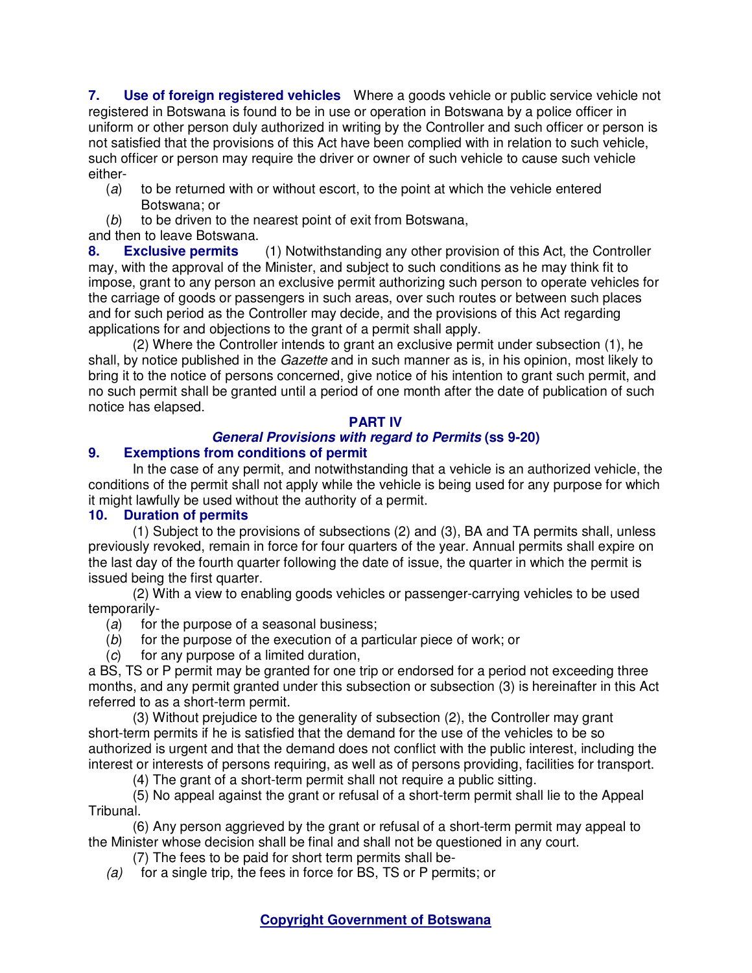**7. Use of foreign registered vehicles** Where a goods vehicle or public service vehicle not registered in Botswana is found to be in use or operation in Botswana by a police officer in uniform or other person duly authorized in writing by the Controller and such officer or person is not satisfied that the provisions of this Act have been complied with in relation to such vehicle, such officer or person may require the driver or owner of such vehicle to cause such vehicle either-

- (a) to be returned with or without escort, to the point at which the vehicle entered Botswana; or
- (b) to be driven to the nearest point of exit from Botswana,

# and then to leave Botswana.

**8. Exclusive permits** (1) Notwithstanding any other provision of this Act, the Controller may, with the approval of the Minister, and subject to such conditions as he may think fit to impose, grant to any person an exclusive permit authorizing such person to operate vehicles for the carriage of goods or passengers in such areas, over such routes or between such places and for such period as the Controller may decide, and the provisions of this Act regarding applications for and objections to the grant of a permit shall apply.

(2) Where the Controller intends to grant an exclusive permit under subsection (1), he shall, by notice published in the Gazette and in such manner as is, in his opinion, most likely to bring it to the notice of persons concerned, give notice of his intention to grant such permit, and no such permit shall be granted until a period of one month after the date of publication of such notice has elapsed.

# **PART IV**

# **General Provisions with regard to Permits (ss 9-20)**

# **9. Exemptions from conditions of permit**

In the case of any permit, and notwithstanding that a vehicle is an authorized vehicle, the conditions of the permit shall not apply while the vehicle is being used for any purpose for which it might lawfully be used without the authority of a permit.

## **10. Duration of permits**

(1) Subject to the provisions of subsections (2) and (3), BA and TA permits shall, unless previously revoked, remain in force for four quarters of the year. Annual permits shall expire on the last day of the fourth quarter following the date of issue, the quarter in which the permit is issued being the first quarter.

(2) With a view to enabling goods vehicles or passenger-carrying vehicles to be used temporarily-

(a) for the purpose of a seasonal business;

- (b) for the purpose of the execution of a particular piece of work; or
- (c) for any purpose of a limited duration,

a BS, TS or P permit may be granted for one trip or endorsed for a period not exceeding three months, and any permit granted under this subsection or subsection (3) is hereinafter in this Act referred to as a short-term permit.

(3) Without prejudice to the generality of subsection (2), the Controller may grant short-term permits if he is satisfied that the demand for the use of the vehicles to be so authorized is urgent and that the demand does not conflict with the public interest, including the interest or interests of persons requiring, as well as of persons providing, facilities for transport.

(4) The grant of a short-term permit shall not require a public sitting.

(5) No appeal against the grant or refusal of a short-term permit shall lie to the Appeal Tribunal.

(6) Any person aggrieved by the grant or refusal of a short-term permit may appeal to the Minister whose decision shall be final and shall not be questioned in any court.

(7) The fees to be paid for short term permits shall be-

(a) for a single trip, the fees in force for BS, TS or P permits; or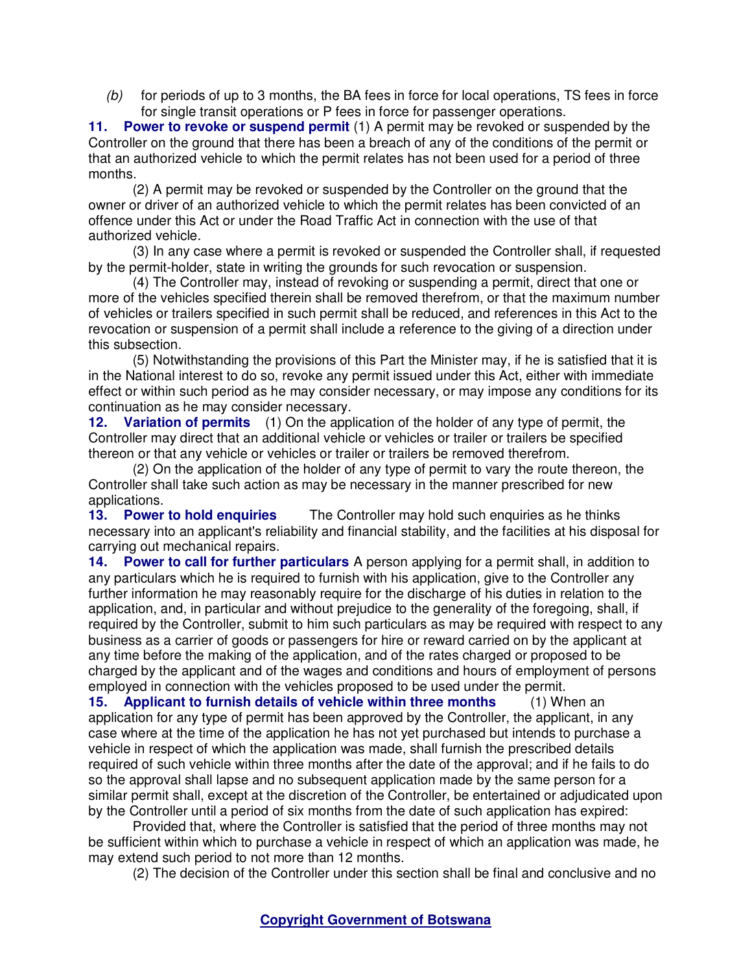$(b)$  for periods of up to 3 months, the BA fees in force for local operations, TS fees in force for single transit operations or P fees in force for passenger operations.

**11. Power to revoke or suspend permit** (1) A permit may be revoked or suspended by the Controller on the ground that there has been a breach of any of the conditions of the permit or that an authorized vehicle to which the permit relates has not been used for a period of three months.

(2) A permit may be revoked or suspended by the Controller on the ground that the owner or driver of an authorized vehicle to which the permit relates has been convicted of an offence under this Act or under the Road Traffic Act in connection with the use of that authorized vehicle.

(3) In any case where a permit is revoked or suspended the Controller shall, if requested by the permit-holder, state in writing the grounds for such revocation or suspension.

(4) The Controller may, instead of revoking or suspending a permit, direct that one or more of the vehicles specified therein shall be removed therefrom, or that the maximum number of vehicles or trailers specified in such permit shall be reduced, and references in this Act to the revocation or suspension of a permit shall include a reference to the giving of a direction under this subsection.

(5) Notwithstanding the provisions of this Part the Minister may, if he is satisfied that it is in the National interest to do so, revoke any permit issued under this Act, either with immediate effect or within such period as he may consider necessary, or may impose any conditions for its continuation as he may consider necessary.

**12. Variation of permits** (1) On the application of the holder of any type of permit, the Controller may direct that an additional vehicle or vehicles or trailer or trailers be specified thereon or that any vehicle or vehicles or trailer or trailers be removed therefrom.

(2) On the application of the holder of any type of permit to vary the route thereon, the Controller shall take such action as may be necessary in the manner prescribed for new applications.

**13. Power to hold enquiries** The Controller may hold such enquiries as he thinks necessary into an applicant's reliability and financial stability, and the facilities at his disposal for carrying out mechanical repairs.

**14. Power to call for further particulars** A person applying for a permit shall, in addition to any particulars which he is required to furnish with his application, give to the Controller any further information he may reasonably require for the discharge of his duties in relation to the application, and, in particular and without prejudice to the generality of the foregoing, shall, if required by the Controller, submit to him such particulars as may be required with respect to any business as a carrier of goods or passengers for hire or reward carried on by the applicant at any time before the making of the application, and of the rates charged or proposed to be charged by the applicant and of the wages and conditions and hours of employment of persons employed in connection with the vehicles proposed to be used under the permit.

**15. Applicant to furnish details of vehicle within three months** (1) When an application for any type of permit has been approved by the Controller, the applicant, in any case where at the time of the application he has not yet purchased but intends to purchase a vehicle in respect of which the application was made, shall furnish the prescribed details required of such vehicle within three months after the date of the approval; and if he fails to do so the approval shall lapse and no subsequent application made by the same person for a similar permit shall, except at the discretion of the Controller, be entertained or adjudicated upon by the Controller until a period of six months from the date of such application has expired:

Provided that, where the Controller is satisfied that the period of three months may not be sufficient within which to purchase a vehicle in respect of which an application was made, he may extend such period to not more than 12 months.

(2) The decision of the Controller under this section shall be final and conclusive and no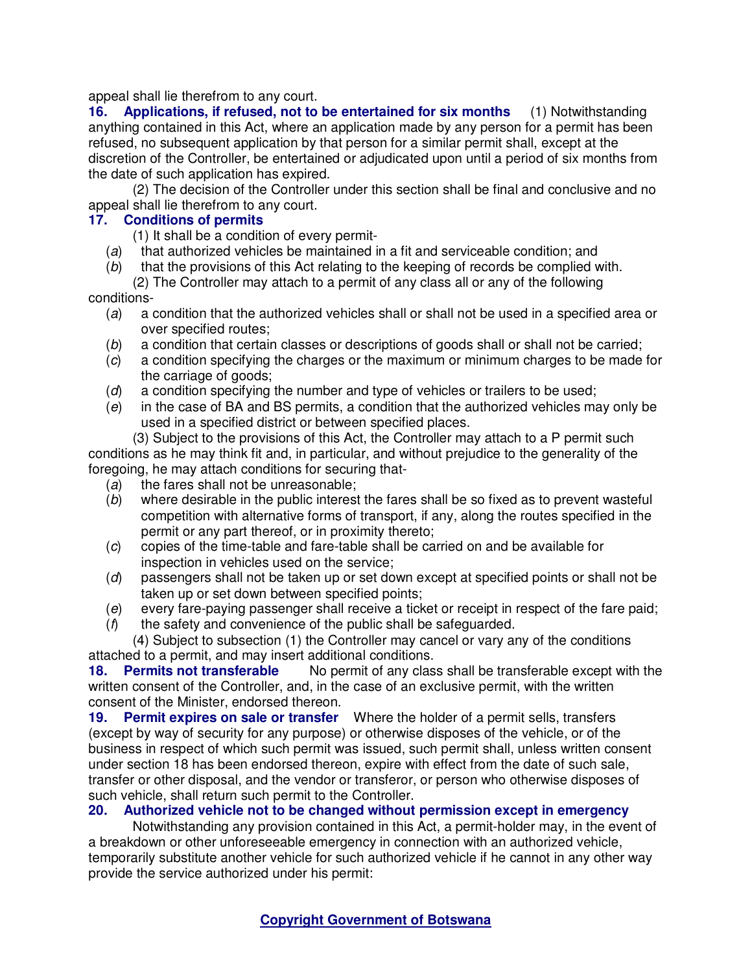appeal shall lie therefrom to any court.

**16. Applications, if refused, not to be entertained for six months** (1) Notwithstanding anything contained in this Act, where an application made by any person for a permit has been refused, no subsequent application by that person for a similar permit shall, except at the discretion of the Controller, be entertained or adjudicated upon until a period of six months from the date of such application has expired.

(2) The decision of the Controller under this section shall be final and conclusive and no appeal shall lie therefrom to any court.

### **17. Conditions of permits**

- (1) It shall be a condition of every permit-
- (a) that authorized vehicles be maintained in a fit and serviceable condition; and
- (b) that the provisions of this Act relating to the keeping of records be complied with.
- (2) The Controller may attach to a permit of any class all or any of the following conditions-
	- (a) a condition that the authorized vehicles shall or shall not be used in a specified area or over specified routes;
	- (b) a condition that certain classes or descriptions of goods shall or shall not be carried;
	- (c) a condition specifying the charges or the maximum or minimum charges to be made for the carriage of goods;
	- (d) a condition specifying the number and type of vehicles or trailers to be used;
	- (e) in the case of BA and BS permits, a condition that the authorized vehicles may only be used in a specified district or between specified places.

(3) Subject to the provisions of this Act, the Controller may attach to a P permit such conditions as he may think fit and, in particular, and without prejudice to the generality of the foregoing, he may attach conditions for securing that-

- (a) the fares shall not be unreasonable;
- (b) where desirable in the public interest the fares shall be so fixed as to prevent wasteful competition with alternative forms of transport, if any, along the routes specified in the permit or any part thereof, or in proximity thereto;
- (c) copies of the time-table and fare-table shall be carried on and be available for inspection in vehicles used on the service;
- (d) passengers shall not be taken up or set down except at specified points or shall not be taken up or set down between specified points;
- (e) every fare-paying passenger shall receive a ticket or receipt in respect of the fare paid;
- $(f)$  the safety and convenience of the public shall be safeguarded.

(4) Subject to subsection (1) the Controller may cancel or vary any of the conditions attached to a permit, and may insert additional conditions.

**18. Permits not transferable** No permit of any class shall be transferable except with the written consent of the Controller, and, in the case of an exclusive permit, with the written consent of the Minister, endorsed thereon.

**19. Permit expires on sale or transfer** Where the holder of a permit sells, transfers (except by way of security for any purpose) or otherwise disposes of the vehicle, or of the business in respect of which such permit was issued, such permit shall, unless written consent under section 18 has been endorsed thereon, expire with effect from the date of such sale, transfer or other disposal, and the vendor or transferor, or person who otherwise disposes of such vehicle, shall return such permit to the Controller.

# **20. Authorized vehicle not to be changed without permission except in emergency**

Notwithstanding any provision contained in this Act, a permit-holder may, in the event of a breakdown or other unforeseeable emergency in connection with an authorized vehicle, temporarily substitute another vehicle for such authorized vehicle if he cannot in any other way provide the service authorized under his permit: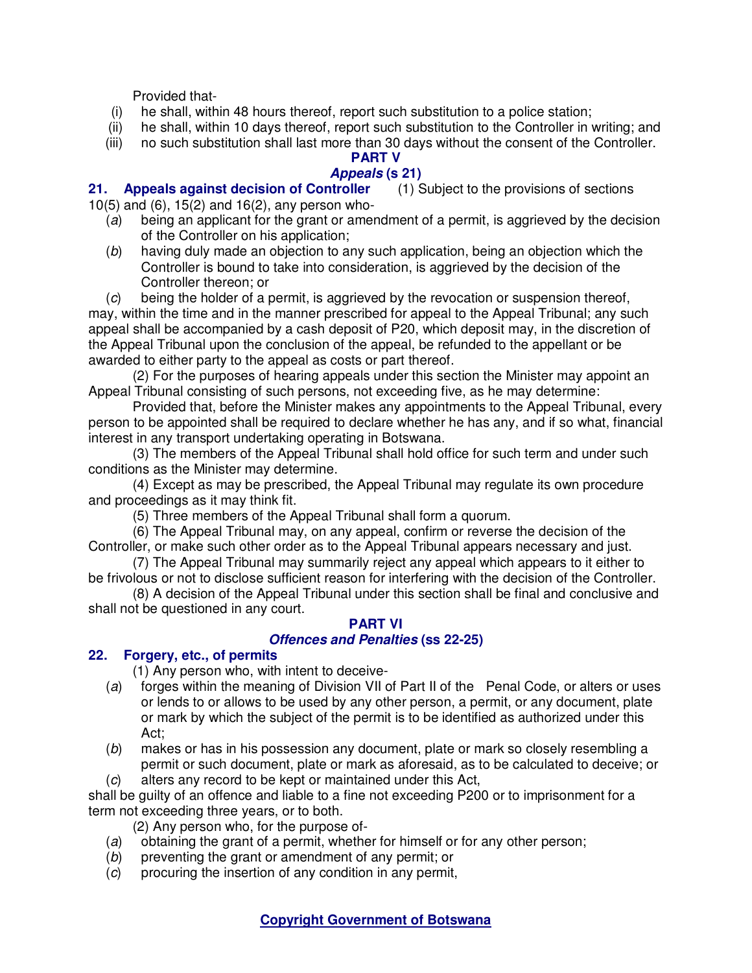Provided that-

- (i) he shall, within 48 hours thereof, report such substitution to a police station;
- (ii) he shall, within 10 days thereof, report such substitution to the Controller in writing; and
- (iii) no such substitution shall last more than 30 days without the consent of the Controller.

# **PART V**

# **Appeals (s 21)**

**21. Appeals against decision of Controller** (1) Subject to the provisions of sections 10(5) and (6), 15(2) and 16(2), any person who-

- (a) being an applicant for the grant or amendment of a permit, is aggrieved by the decision of the Controller on his application;
- (b) having duly made an objection to any such application, being an objection which the Controller is bound to take into consideration, is aggrieved by the decision of the Controller thereon; or
- (c) being the holder of a permit, is aggrieved by the revocation or suspension thereof,

may, within the time and in the manner prescribed for appeal to the Appeal Tribunal; any such appeal shall be accompanied by a cash deposit of P20, which deposit may, in the discretion of the Appeal Tribunal upon the conclusion of the appeal, be refunded to the appellant or be awarded to either party to the appeal as costs or part thereof.

(2) For the purposes of hearing appeals under this section the Minister may appoint an Appeal Tribunal consisting of such persons, not exceeding five, as he may determine:

Provided that, before the Minister makes any appointments to the Appeal Tribunal, every person to be appointed shall be required to declare whether he has any, and if so what, financial interest in any transport undertaking operating in Botswana.

(3) The members of the Appeal Tribunal shall hold office for such term and under such conditions as the Minister may determine.

(4) Except as may be prescribed, the Appeal Tribunal may regulate its own procedure and proceedings as it may think fit.

(5) Three members of the Appeal Tribunal shall form a quorum.

(6) The Appeal Tribunal may, on any appeal, confirm or reverse the decision of the Controller, or make such other order as to the Appeal Tribunal appears necessary and just.

(7) The Appeal Tribunal may summarily reject any appeal which appears to it either to be frivolous or not to disclose sufficient reason for interfering with the decision of the Controller.

(8) A decision of the Appeal Tribunal under this section shall be final and conclusive and shall not be questioned in any court.

# **PART VI**

## **Offences and Penalties (ss 22-25)**

## **22. Forgery, etc., of permits**

(1) Any person who, with intent to deceive-

- (a) forges within the meaning of Division VII of Part II of the Penal Code, or alters or uses or lends to or allows to be used by any other person, a permit, or any document, plate or mark by which the subject of the permit is to be identified as authorized under this Act;
- (b) makes or has in his possession any document, plate or mark so closely resembling a permit or such document, plate or mark as aforesaid, as to be calculated to deceive; or
- (c) alters any record to be kept or maintained under this Act,

shall be guilty of an offence and liable to a fine not exceeding P200 or to imprisonment for a term not exceeding three years, or to both.

(2) Any person who, for the purpose of-

- (a) obtaining the grant of a permit, whether for himself or for any other person;
- (b) preventing the grant or amendment of any permit; or
- $(c)$  procuring the insertion of any condition in any permit,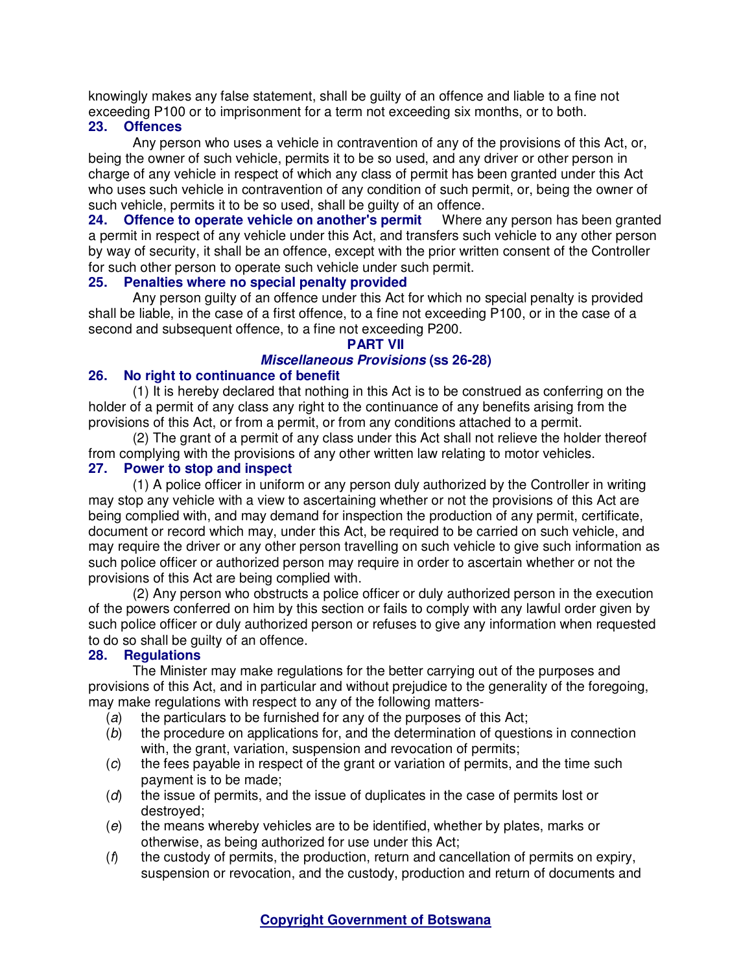knowingly makes any false statement, shall be guilty of an offence and liable to a fine not exceeding P100 or to imprisonment for a term not exceeding six months, or to both.

## **23. Offences**

Any person who uses a vehicle in contravention of any of the provisions of this Act, or, being the owner of such vehicle, permits it to be so used, and any driver or other person in charge of any vehicle in respect of which any class of permit has been granted under this Act who uses such vehicle in contravention of any condition of such permit, or, being the owner of such vehicle, permits it to be so used, shall be guilty of an offence.

**24. Offence to operate vehicle on another's permit** Where any person has been granted a permit in respect of any vehicle under this Act, and transfers such vehicle to any other person by way of security, it shall be an offence, except with the prior written consent of the Controller for such other person to operate such vehicle under such permit.

## **25. Penalties where no special penalty provided**

Any person guilty of an offence under this Act for which no special penalty is provided shall be liable, in the case of a first offence, to a fine not exceeding P100, or in the case of a second and subsequent offence, to a fine not exceeding P200.

# **PART VII**

# **Miscellaneous Provisions (ss 26-28)**

# **26. No right to continuance of benefit**

(1) It is hereby declared that nothing in this Act is to be construed as conferring on the holder of a permit of any class any right to the continuance of any benefits arising from the provisions of this Act, or from a permit, or from any conditions attached to a permit.

(2) The grant of a permit of any class under this Act shall not relieve the holder thereof from complying with the provisions of any other written law relating to motor vehicles.

## **27. Power to stop and inspect**

(1) A police officer in uniform or any person duly authorized by the Controller in writing may stop any vehicle with a view to ascertaining whether or not the provisions of this Act are being complied with, and may demand for inspection the production of any permit, certificate, document or record which may, under this Act, be required to be carried on such vehicle, and may require the driver or any other person travelling on such vehicle to give such information as such police officer or authorized person may require in order to ascertain whether or not the provisions of this Act are being complied with.

(2) Any person who obstructs a police officer or duly authorized person in the execution of the powers conferred on him by this section or fails to comply with any lawful order given by such police officer or duly authorized person or refuses to give any information when requested to do so shall be guilty of an offence.<br>28. Regulations

# **28. Regulations**

The Minister may make regulations for the better carrying out of the purposes and provisions of this Act, and in particular and without prejudice to the generality of the foregoing, may make regulations with respect to any of the following matters-

- (a) the particulars to be furnished for any of the purposes of this Act;
- (b) the procedure on applications for, and the determination of questions in connection with, the grant, variation, suspension and revocation of permits;
- (c) the fees payable in respect of the grant or variation of permits, and the time such payment is to be made;
- (d) the issue of permits, and the issue of duplicates in the case of permits lost or destroyed;
- $(e)$  the means whereby vehicles are to be identified, whether by plates, marks or otherwise, as being authorized for use under this Act;
- $(f)$  the custody of permits, the production, return and cancellation of permits on expiry, suspension or revocation, and the custody, production and return of documents and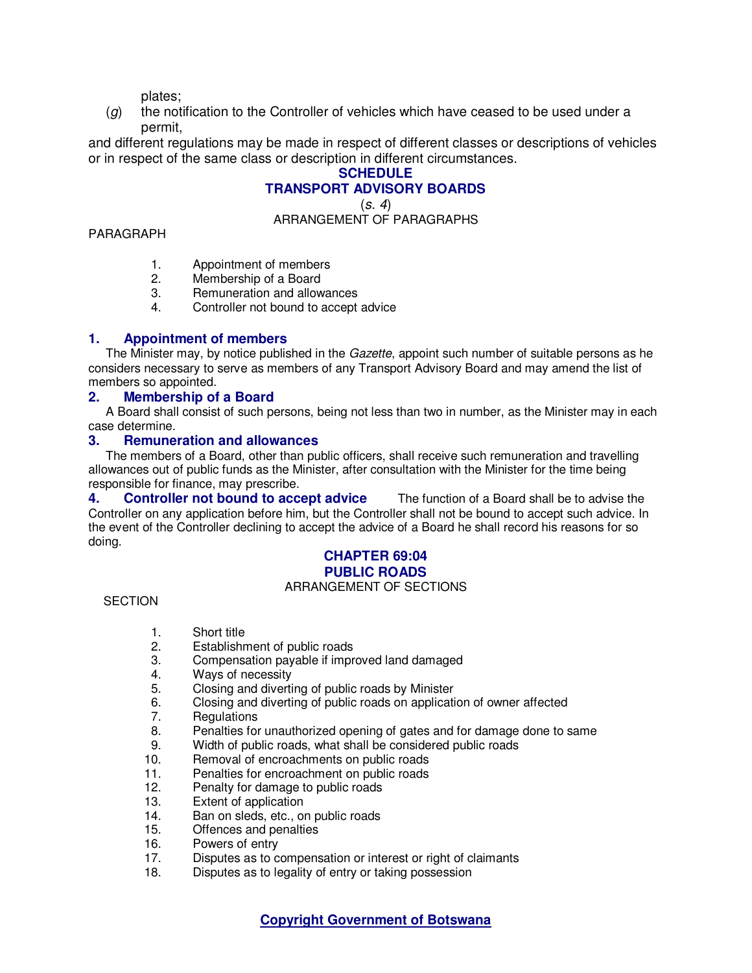plates;

 $(q)$  the notification to the Controller of vehicles which have ceased to be used under a permit,

and different regulations may be made in respect of different classes or descriptions of vehicles or in respect of the same class or description in different circumstances.

# **SCHEDULE TRANSPORT ADVISORY BOARDS**

 $(s, 4)$ 

ARRANGEMENT OF PARAGRAPHS

#### PARAGRAPH

- 1. Appointment of members
- 2. Membership of a Board
- 3. Remuneration and allowances
- 4. Controller not bound to accept advice

## **1. Appointment of members**

The Minister may, by notice published in the *Gazette*, appoint such number of suitable persons as he considers necessary to serve as members of any Transport Advisory Board and may amend the list of members so appointed.

### **2. Membership of a Board**

A Board shall consist of such persons, being not less than two in number, as the Minister may in each case determine.

#### **3. Remuneration and allowances**

The members of a Board, other than public officers, shall receive such remuneration and travelling allowances out of public funds as the Minister, after consultation with the Minister for the time being responsible for finance, may prescribe.

**4. Controller not bound to accept advice** The function of a Board shall be to advise the Controller on any application before him, but the Controller shall not be bound to accept such advice. In the event of the Controller declining to accept the advice of a Board he shall record his reasons for so doing.

## **CHAPTER 69:04 PUBLIC ROADS**

#### ARRANGEMENT OF SECTIONS

#### **SECTION**

- 1. Short title
- 2. Establishment of public roads
- 3. Compensation payable if improved land damaged
- 4. Ways of necessity
- 5. Closing and diverting of public roads by Minister<br>6. Closing and diverting of public roads on application
- 6. Closing and diverting of public roads on application of owner affected
- 7. Regulations
- 8. Penalties for unauthorized opening of gates and for damage done to same<br>9. Width of public roads, what shall be considered public roads
- Width of public roads, what shall be considered public roads
- 10. Removal of encroachments on public roads
- 11. Penalties for encroachment on public roads
- 12. Penalty for damage to public roads
- 13. Extent of application
- 14. Ban on sleds, etc., on public roads<br>15. Offences and penalties
- Offences and penalties
- 16. Powers of entry
- 17. Disputes as to compensation or interest or right of claimants
- 18. Disputes as to legality of entry or taking possession

**Copyright Government of Botswana**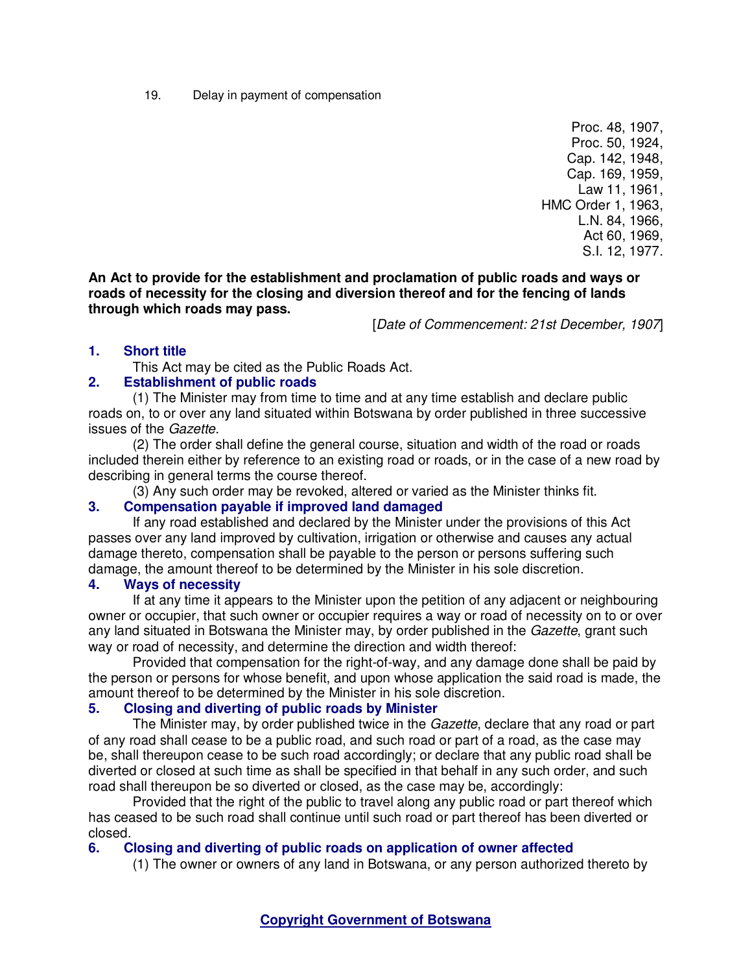19. Delay in payment of compensation

Proc. 48, 1907, Proc. 50, 1924, Cap. 142, 1948, Cap. 169, 1959, Law 11, 1961, HMC Order 1, 1963, L.N. 84, 1966, Act 60, 1969, S.I. 12, 1977.

**An Act to provide for the establishment and proclamation of public roads and ways or roads of necessity for the closing and diversion thereof and for the fencing of lands through which roads may pass.** 

[Date of Commencement: 21st December, 1907]

### **1. Short title**

This Act may be cited as the Public Roads Act.

### **2. Establishment of public roads**

(1) The Minister may from time to time and at any time establish and declare public roads on, to or over any land situated within Botswana by order published in three successive issues of the Gazette.

(2) The order shall define the general course, situation and width of the road or roads included therein either by reference to an existing road or roads, or in the case of a new road by describing in general terms the course thereof.

(3) Any such order may be revoked, altered or varied as the Minister thinks fit.

## **3. Compensation payable if improved land damaged**

If any road established and declared by the Minister under the provisions of this Act passes over any land improved by cultivation, irrigation or otherwise and causes any actual damage thereto, compensation shall be payable to the person or persons suffering such damage, the amount thereof to be determined by the Minister in his sole discretion.

#### **4. Ways of necessity**

If at any time it appears to the Minister upon the petition of any adjacent or neighbouring owner or occupier, that such owner or occupier requires a way or road of necessity on to or over any land situated in Botswana the Minister may, by order published in the *Gazette*, grant such way or road of necessity, and determine the direction and width thereof:

Provided that compensation for the right-of-way, and any damage done shall be paid by the person or persons for whose benefit, and upon whose application the said road is made, the amount thereof to be determined by the Minister in his sole discretion.

#### **5. Closing and diverting of public roads by Minister**

The Minister may, by order published twice in the *Gazette*, declare that any road or part of any road shall cease to be a public road, and such road or part of a road, as the case may be, shall thereupon cease to be such road accordingly; or declare that any public road shall be diverted or closed at such time as shall be specified in that behalf in any such order, and such road shall thereupon be so diverted or closed, as the case may be, accordingly:

Provided that the right of the public to travel along any public road or part thereof which has ceased to be such road shall continue until such road or part thereof has been diverted or closed.

#### **6. Closing and diverting of public roads on application of owner affected**

(1) The owner or owners of any land in Botswana, or any person authorized thereto by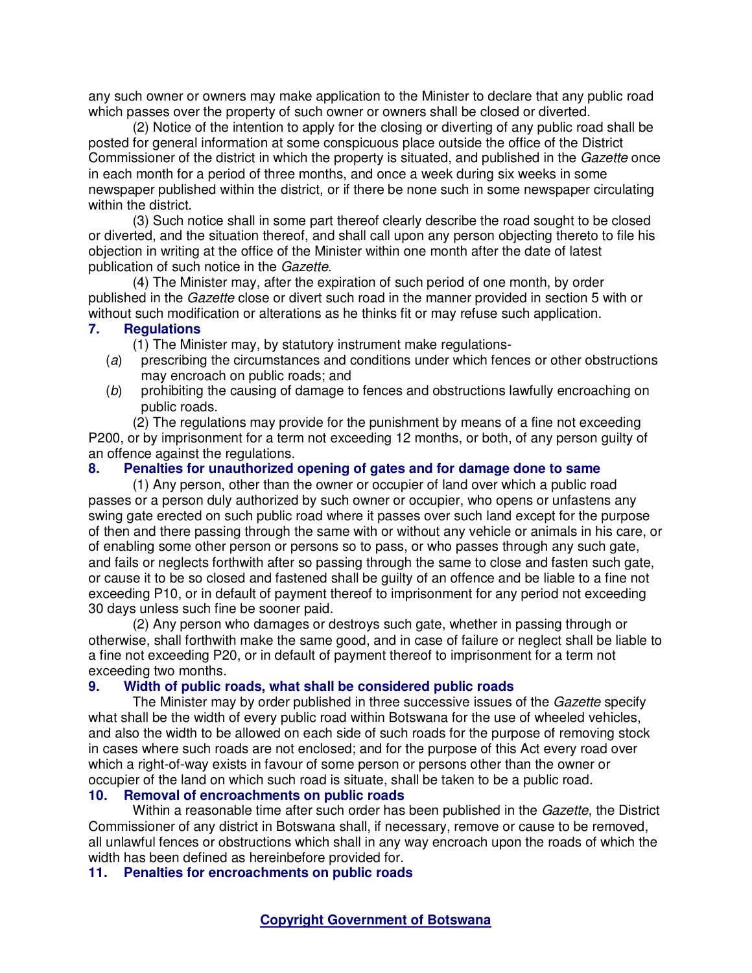any such owner or owners may make application to the Minister to declare that any public road which passes over the property of such owner or owners shall be closed or diverted.

(2) Notice of the intention to apply for the closing or diverting of any public road shall be posted for general information at some conspicuous place outside the office of the District Commissioner of the district in which the property is situated, and published in the Gazette once in each month for a period of three months, and once a week during six weeks in some newspaper published within the district, or if there be none such in some newspaper circulating within the district.

(3) Such notice shall in some part thereof clearly describe the road sought to be closed or diverted, and the situation thereof, and shall call upon any person objecting thereto to file his objection in writing at the office of the Minister within one month after the date of latest publication of such notice in the Gazette.

(4) The Minister may, after the expiration of such period of one month, by order published in the Gazette close or divert such road in the manner provided in section 5 with or without such modification or alterations as he thinks fit or may refuse such application.

#### **7. Regulations**

(1) The Minister may, by statutory instrument make regulations-

- (a) prescribing the circumstances and conditions under which fences or other obstructions may encroach on public roads; and
- (b) prohibiting the causing of damage to fences and obstructions lawfully encroaching on public roads.

(2) The regulations may provide for the punishment by means of a fine not exceeding P200, or by imprisonment for a term not exceeding 12 months, or both, of any person guilty of an offence against the regulations.

#### **8. Penalties for unauthorized opening of gates and for damage done to same**

(1) Any person, other than the owner or occupier of land over which a public road passes or a person duly authorized by such owner or occupier, who opens or unfastens any swing gate erected on such public road where it passes over such land except for the purpose of then and there passing through the same with or without any vehicle or animals in his care, or of enabling some other person or persons so to pass, or who passes through any such gate, and fails or neglects forthwith after so passing through the same to close and fasten such gate, or cause it to be so closed and fastened shall be guilty of an offence and be liable to a fine not exceeding P10, or in default of payment thereof to imprisonment for any period not exceeding 30 days unless such fine be sooner paid.

(2) Any person who damages or destroys such gate, whether in passing through or otherwise, shall forthwith make the same good, and in case of failure or neglect shall be liable to a fine not exceeding P20, or in default of payment thereof to imprisonment for a term not exceeding two months.

#### **9. Width of public roads, what shall be considered public roads**

The Minister may by order published in three successive issues of the Gazette specify what shall be the width of every public road within Botswana for the use of wheeled vehicles, and also the width to be allowed on each side of such roads for the purpose of removing stock in cases where such roads are not enclosed; and for the purpose of this Act every road over which a right-of-way exists in favour of some person or persons other than the owner or occupier of the land on which such road is situate, shall be taken to be a public road.

#### **10. Removal of encroachments on public roads**

Within a reasonable time after such order has been published in the Gazette, the District Commissioner of any district in Botswana shall, if necessary, remove or cause to be removed, all unlawful fences or obstructions which shall in any way encroach upon the roads of which the width has been defined as hereinbefore provided for.

**11. Penalties for encroachments on public roads**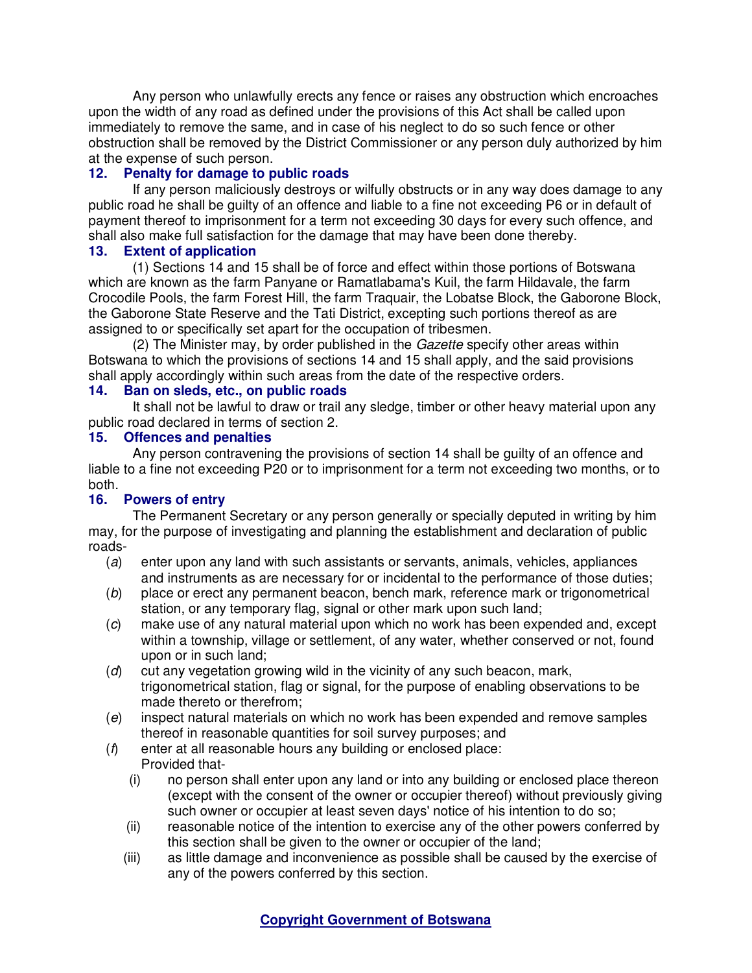Any person who unlawfully erects any fence or raises any obstruction which encroaches upon the width of any road as defined under the provisions of this Act shall be called upon immediately to remove the same, and in case of his neglect to do so such fence or other obstruction shall be removed by the District Commissioner or any person duly authorized by him at the expense of such person.

# **12. Penalty for damage to public roads**

If any person maliciously destroys or wilfully obstructs or in any way does damage to any public road he shall be guilty of an offence and liable to a fine not exceeding P6 or in default of payment thereof to imprisonment for a term not exceeding 30 days for every such offence, and shall also make full satisfaction for the damage that may have been done thereby.

## **13. Extent of application**

(1) Sections 14 and 15 shall be of force and effect within those portions of Botswana which are known as the farm Panyane or Ramatlabama's Kuil, the farm Hildavale, the farm Crocodile Pools, the farm Forest Hill, the farm Traquair, the Lobatse Block, the Gaborone Block, the Gaborone State Reserve and the Tati District, excepting such portions thereof as are assigned to or specifically set apart for the occupation of tribesmen.

(2) The Minister may, by order published in the Gazette specify other areas within Botswana to which the provisions of sections 14 and 15 shall apply, and the said provisions shall apply accordingly within such areas from the date of the respective orders.

## **14. Ban on sleds, etc., on public roads**

It shall not be lawful to draw or trail any sledge, timber or other heavy material upon any public road declared in terms of section 2.

### **15. Offences and penalties**

Any person contravening the provisions of section 14 shall be guilty of an offence and liable to a fine not exceeding P20 or to imprisonment for a term not exceeding two months, or to both.

## **16. Powers of entry**

The Permanent Secretary or any person generally or specially deputed in writing by him may, for the purpose of investigating and planning the establishment and declaration of public roads-

- (a) enter upon any land with such assistants or servants, animals, vehicles, appliances and instruments as are necessary for or incidental to the performance of those duties;
- (b) place or erect any permanent beacon, bench mark, reference mark or trigonometrical station, or any temporary flag, signal or other mark upon such land;
- (c) make use of any natural material upon which no work has been expended and, except within a township, village or settlement, of any water, whether conserved or not, found upon or in such land;
- (d) cut any vegetation growing wild in the vicinity of any such beacon, mark, trigonometrical station, flag or signal, for the purpose of enabling observations to be made thereto or therefrom;
- (e) inspect natural materials on which no work has been expended and remove samples thereof in reasonable quantities for soil survey purposes; and
- (f) enter at all reasonable hours any building or enclosed place: Provided that-
	- (i) no person shall enter upon any land or into any building or enclosed place thereon (except with the consent of the owner or occupier thereof) without previously giving such owner or occupier at least seven days' notice of his intention to do so;
	- (ii) reasonable notice of the intention to exercise any of the other powers conferred by this section shall be given to the owner or occupier of the land;
	- (iii) as little damage and inconvenience as possible shall be caused by the exercise of any of the powers conferred by this section.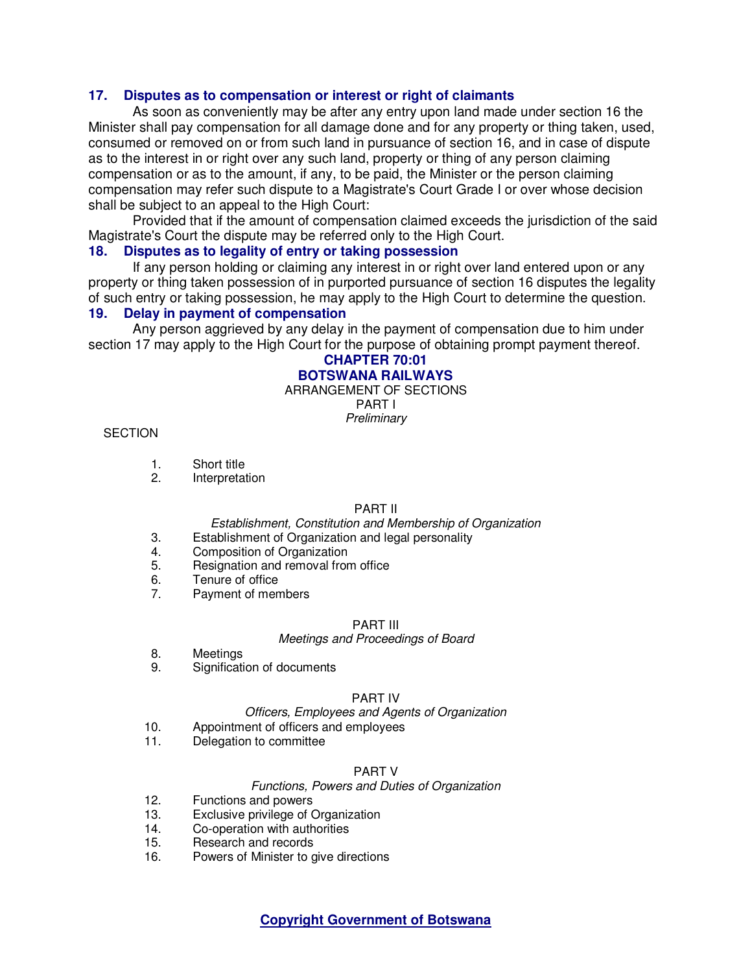#### **17. Disputes as to compensation or interest or right of claimants**

As soon as conveniently may be after any entry upon land made under section 16 the Minister shall pay compensation for all damage done and for any property or thing taken, used, consumed or removed on or from such land in pursuance of section 16, and in case of dispute as to the interest in or right over any such land, property or thing of any person claiming compensation or as to the amount, if any, to be paid, the Minister or the person claiming compensation may refer such dispute to a Magistrate's Court Grade I or over whose decision shall be subject to an appeal to the High Court:

Provided that if the amount of compensation claimed exceeds the jurisdiction of the said Magistrate's Court the dispute may be referred only to the High Court.

#### **18. Disputes as to legality of entry or taking possession**

If any person holding or claiming any interest in or right over land entered upon or any property or thing taken possession of in purported pursuance of section 16 disputes the legality of such entry or taking possession, he may apply to the High Court to determine the question.

## **19. Delay in payment of compensation**

Any person aggrieved by any delay in the payment of compensation due to him under section 17 may apply to the High Court for the purpose of obtaining prompt payment thereof.

#### **CHAPTER 70:01 BOTSWANA RAILWAYS**

ARRANGEMENT OF SECTIONS PART I

**Preliminary** 

#### **SECTION**

- 1. Short title
- 2. Interpretation

#### PART II

#### Establishment, Constitution and Membership of Organization

- 3. Establishment of Organization and legal personality
- 4. Composition of Organization
- 5. Resignation and removal from office
- 6. Tenure of office
- 7. Payment of members

#### PART III

#### Meetings and Proceedings of Board

- 8. Meetings
- 9. Signification of documents

#### PART IV

#### Officers, Employees and Agents of Organization

- 10. Appointment of officers and employees
- 11. Delegation to committee

#### PART V

#### Functions, Powers and Duties of Organization

- 12. Functions and powers
- 13. Exclusive privilege of Organization
- 14. Co-operation with authorities<br>15. Besearch and records
- Research and records
- 16. Powers of Minister to give directions

**Copyright Government of Botswana**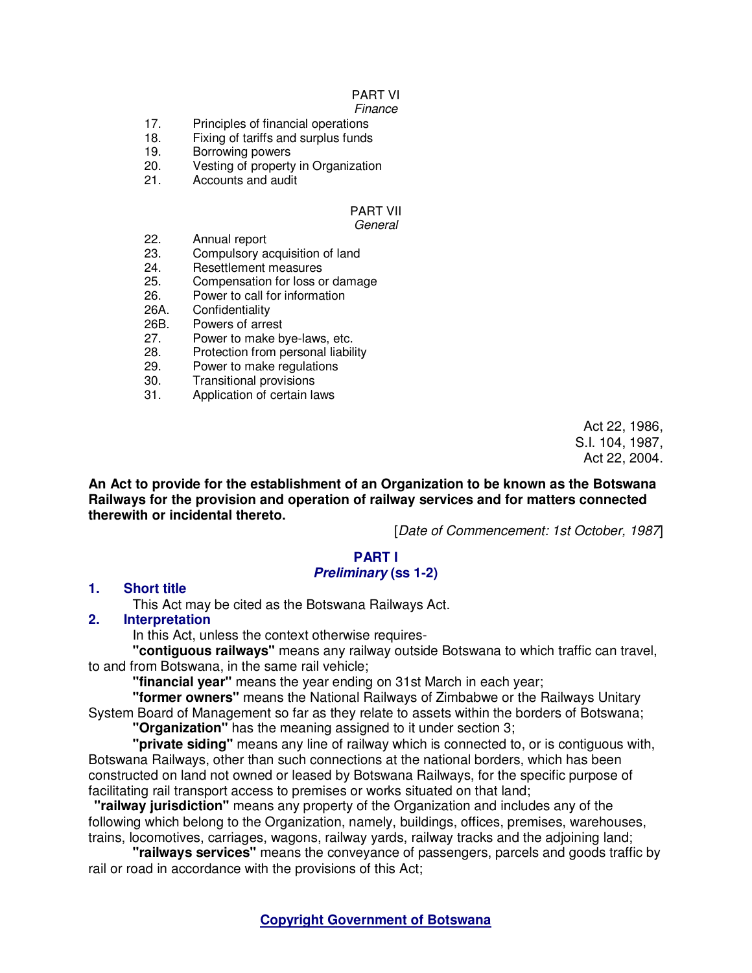# PART VI

#### Finance

- 17. Principles of financial operations
- 18. Fixing of tariffs and surplus funds
- 19. Borrowing powers
- 20. Vesting of property in Organization<br>21. Accounts and audit
- Accounts and audit

#### PART VII **General**

- 22. Annual report
- 23. Compulsory acquisition of land<br>24. Besettlement measures
- 24. Resettlement measures<br>25. Compensation for loss of
- Compensation for loss or damage
- 26. Power to call for information
- 26A. Confidentiality<br>26B. Powers of arre
- Powers of arrest
- 27. Power to make bye-laws, etc.
- 28. Protection from personal liability
- 29. Power to make regulations
- 30. Transitional provisions
- 31. Application of certain laws

Act 22, 1986, S.I. 104, 1987, Act 22, 2004.

**An Act to provide for the establishment of an Organization to be known as the Botswana Railways for the provision and operation of railway services and for matters connected therewith or incidental thereto.** 

[Date of Commencement: 1st October, 1987]

# **PART I**

# **Preliminary (ss 1-2)**

## **1. Short title**

This Act may be cited as the Botswana Railways Act.

## **2. Interpretation**

In this Act, unless the context otherwise requires-

**"contiguous railways"** means any railway outside Botswana to which traffic can travel, to and from Botswana, in the same rail vehicle;

**"financial year"** means the year ending on 31st March in each year;

**"former owners"** means the National Railways of Zimbabwe or the Railways Unitary System Board of Management so far as they relate to assets within the borders of Botswana;

**"Organization"** has the meaning assigned to it under section 3;

**"private siding"** means any line of railway which is connected to, or is contiguous with, Botswana Railways, other than such connections at the national borders, which has been constructed on land not owned or leased by Botswana Railways, for the specific purpose of facilitating rail transport access to premises or works situated on that land;

**"railway jurisdiction"** means any property of the Organization and includes any of the following which belong to the Organization, namely, buildings, offices, premises, warehouses, trains, locomotives, carriages, wagons, railway yards, railway tracks and the adjoining land;

**"railways services"** means the conveyance of passengers, parcels and goods traffic by rail or road in accordance with the provisions of this Act;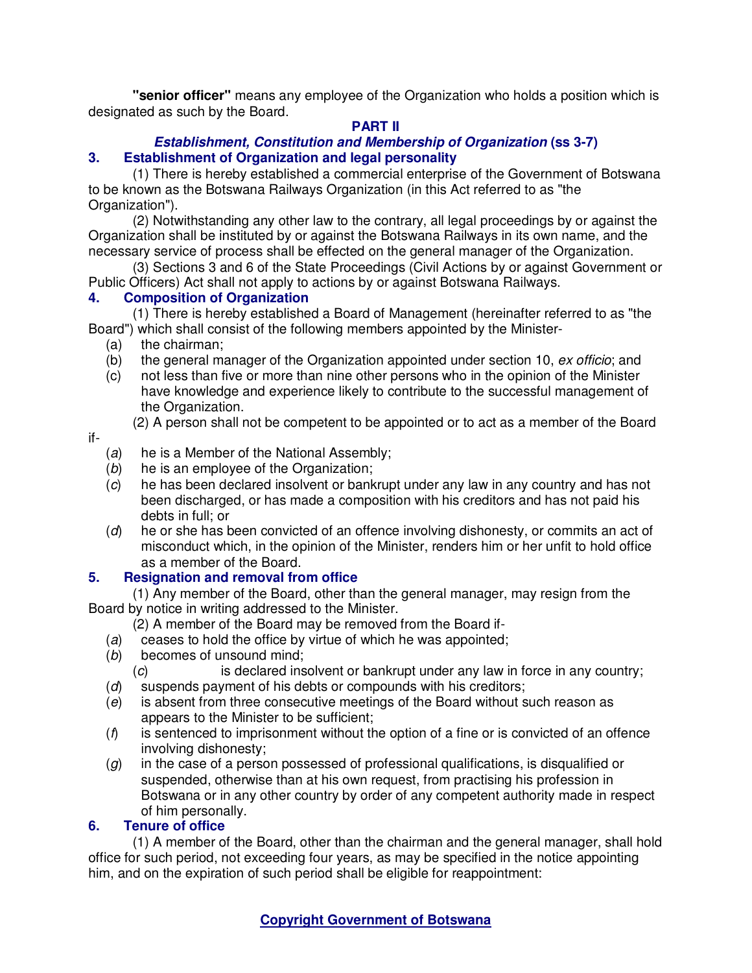**"senior officer"** means any employee of the Organization who holds a position which is designated as such by the Board.

# **PART II**

# **Establishment, Constitution and Membership of Organization (ss 3-7) 3. Establishment of Organization and legal personality**

(1) There is hereby established a commercial enterprise of the Government of Botswana to be known as the Botswana Railways Organization (in this Act referred to as "the Organization").

(2) Notwithstanding any other law to the contrary, all legal proceedings by or against the Organization shall be instituted by or against the Botswana Railways in its own name, and the necessary service of process shall be effected on the general manager of the Organization.

(3) Sections 3 and 6 of the State Proceedings (Civil Actions by or against Government or Public Officers) Act shall not apply to actions by or against Botswana Railways.

# **4. Composition of Organization**

(1) There is hereby established a Board of Management (hereinafter referred to as "the Board") which shall consist of the following members appointed by the Minister-

- (a) the chairman;
- (b) the general manager of the Organization appointed under section 10,  $ex$  officio; and
- (c) not less than five or more than nine other persons who in the opinion of the Minister have knowledge and experience likely to contribute to the successful management of the Organization.

(2) A person shall not be competent to be appointed or to act as a member of the Board

### if-

- (a) he is a Member of the National Assembly;
- (b) he is an employee of the Organization;
- (c) he has been declared insolvent or bankrupt under any law in any country and has not been discharged, or has made a composition with his creditors and has not paid his debts in full; or
- (d) he or she has been convicted of an offence involving dishonesty, or commits an act of misconduct which, in the opinion of the Minister, renders him or her unfit to hold office as a member of the Board.

# **5. Resignation and removal from office**

(1) Any member of the Board, other than the general manager, may resign from the Board by notice in writing addressed to the Minister.

- (2) A member of the Board may be removed from the Board if-
- (a) ceases to hold the office by virtue of which he was appointed;
- (b) becomes of unsound mind;
	- (c) is declared insolvent or bankrupt under any law in force in any country;
- (d) suspends payment of his debts or compounds with his creditors;
- (e) is absent from three consecutive meetings of the Board without such reason as appears to the Minister to be sufficient;
- $(f)$  is sentenced to imprisonment without the option of a fine or is convicted of an offence involving dishonesty;
- $(g)$  in the case of a person possessed of professional qualifications, is disqualified or suspended, otherwise than at his own request, from practising his profession in Botswana or in any other country by order of any competent authority made in respect of him personally.

# **6. Tenure of office**

(1) A member of the Board, other than the chairman and the general manager, shall hold office for such period, not exceeding four years, as may be specified in the notice appointing him, and on the expiration of such period shall be eligible for reappointment: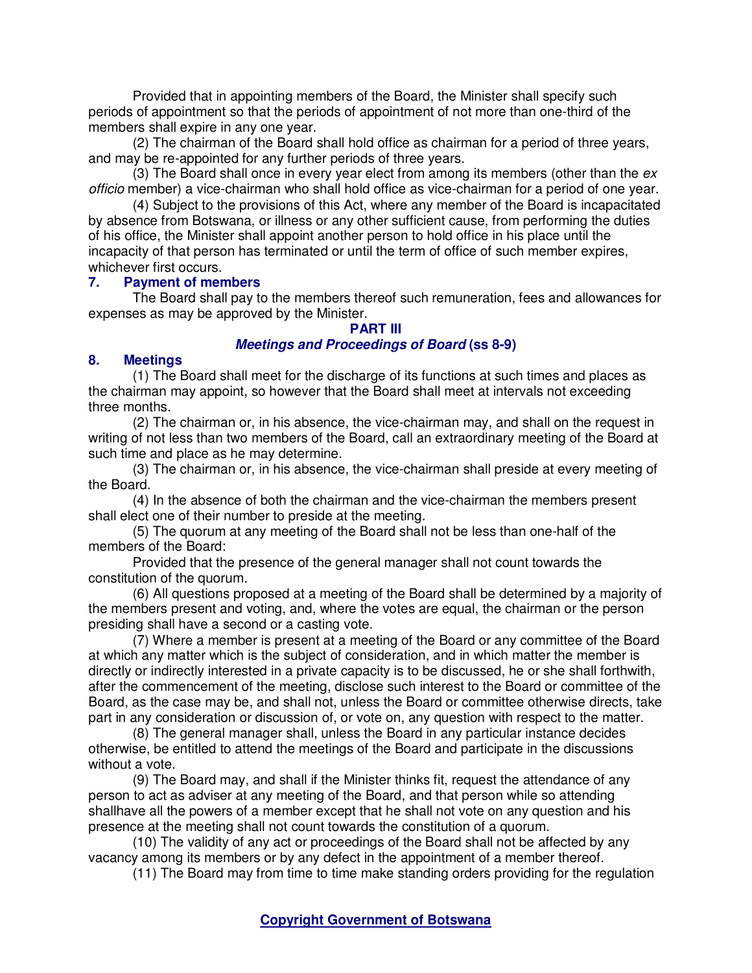Provided that in appointing members of the Board, the Minister shall specify such periods of appointment so that the periods of appointment of not more than one-third of the members shall expire in any one year.

(2) The chairman of the Board shall hold office as chairman for a period of three years, and may be re-appointed for any further periods of three years.

(3) The Board shall once in every year elect from among its members (other than the  $ex$ officio member) a vice-chairman who shall hold office as vice-chairman for a period of one year.

(4) Subject to the provisions of this Act, where any member of the Board is incapacitated by absence from Botswana, or illness or any other sufficient cause, from performing the duties of his office, the Minister shall appoint another person to hold office in his place until the incapacity of that person has terminated or until the term of office of such member expires, whichever first occurs.

#### **7. Payment of members**

The Board shall pay to the members thereof such remuneration, fees and allowances for expenses as may be approved by the Minister.

#### **PART III**

### **Meetings and Proceedings of Board (ss 8-9)**

#### **8. Meetings**

(1) The Board shall meet for the discharge of its functions at such times and places as the chairman may appoint, so however that the Board shall meet at intervals not exceeding three months.

(2) The chairman or, in his absence, the vice-chairman may, and shall on the request in writing of not less than two members of the Board, call an extraordinary meeting of the Board at such time and place as he may determine.

(3) The chairman or, in his absence, the vice-chairman shall preside at every meeting of the Board.

(4) In the absence of both the chairman and the vice-chairman the members present shall elect one of their number to preside at the meeting.

(5) The quorum at any meeting of the Board shall not be less than one-half of the members of the Board:

Provided that the presence of the general manager shall not count towards the constitution of the quorum.

(6) All questions proposed at a meeting of the Board shall be determined by a majority of the members present and voting, and, where the votes are equal, the chairman or the person presiding shall have a second or a casting vote.

(7) Where a member is present at a meeting of the Board or any committee of the Board at which any matter which is the subject of consideration, and in which matter the member is directly or indirectly interested in a private capacity is to be discussed, he or she shall forthwith, after the commencement of the meeting, disclose such interest to the Board or committee of the Board, as the case may be, and shall not, unless the Board or committee otherwise directs, take part in any consideration or discussion of, or vote on, any question with respect to the matter.

(8) The general manager shall, unless the Board in any particular instance decides otherwise, be entitled to attend the meetings of the Board and participate in the discussions without a vote.

(9) The Board may, and shall if the Minister thinks fit, request the attendance of any person to act as adviser at any meeting of the Board, and that person while so attending shallhave all the powers of a member except that he shall not vote on any question and his presence at the meeting shall not count towards the constitution of a quorum.

(10) The validity of any act or proceedings of the Board shall not be affected by any vacancy among its members or by any defect in the appointment of a member thereof.

(11) The Board may from time to time make standing orders providing for the regulation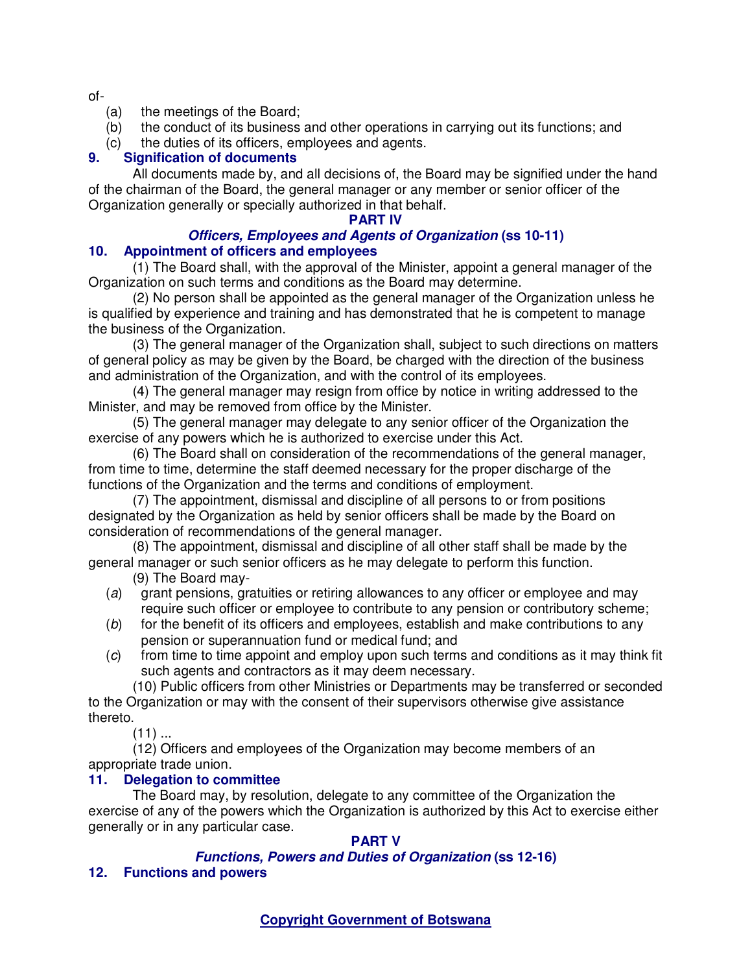of-

- (a) the meetings of the Board;
- (b) the conduct of its business and other operations in carrying out its functions; and
- (c) the duties of its officers, employees and agents.

# **9. Signification of documents**

All documents made by, and all decisions of, the Board may be signified under the hand of the chairman of the Board, the general manager or any member or senior officer of the Organization generally or specially authorized in that behalf.

## **PART IV**

## **Officers, Employees and Agents of Organization (ss 10-11) 10. Appointment of officers and employees**

(1) The Board shall, with the approval of the Minister, appoint a general manager of the Organization on such terms and conditions as the Board may determine.

(2) No person shall be appointed as the general manager of the Organization unless he is qualified by experience and training and has demonstrated that he is competent to manage the business of the Organization.

(3) The general manager of the Organization shall, subject to such directions on matters of general policy as may be given by the Board, be charged with the direction of the business and administration of the Organization, and with the control of its employees.

(4) The general manager may resign from office by notice in writing addressed to the Minister, and may be removed from office by the Minister.

(5) The general manager may delegate to any senior officer of the Organization the exercise of any powers which he is authorized to exercise under this Act.

(6) The Board shall on consideration of the recommendations of the general manager, from time to time, determine the staff deemed necessary for the proper discharge of the functions of the Organization and the terms and conditions of employment.

(7) The appointment, dismissal and discipline of all persons to or from positions designated by the Organization as held by senior officers shall be made by the Board on consideration of recommendations of the general manager.

(8) The appointment, dismissal and discipline of all other staff shall be made by the general manager or such senior officers as he may delegate to perform this function.

(9) The Board may-

- (a) grant pensions, gratuities or retiring allowances to any officer or employee and may require such officer or employee to contribute to any pension or contributory scheme;
- (b) for the benefit of its officers and employees, establish and make contributions to any pension or superannuation fund or medical fund; and
- (c) from time to time appoint and employ upon such terms and conditions as it may think fit such agents and contractors as it may deem necessary.

(10) Public officers from other Ministries or Departments may be transferred or seconded to the Organization or may with the consent of their supervisors otherwise give assistance thereto.

 $(11)$  ...

(12) Officers and employees of the Organization may become members of an appropriate trade union.

# **11. Delegation to committee**

The Board may, by resolution, delegate to any committee of the Organization the exercise of any of the powers which the Organization is authorized by this Act to exercise either generally or in any particular case.

# **PART V**

# **Functions, Powers and Duties of Organization (ss 12-16)**

# **12. Functions and powers**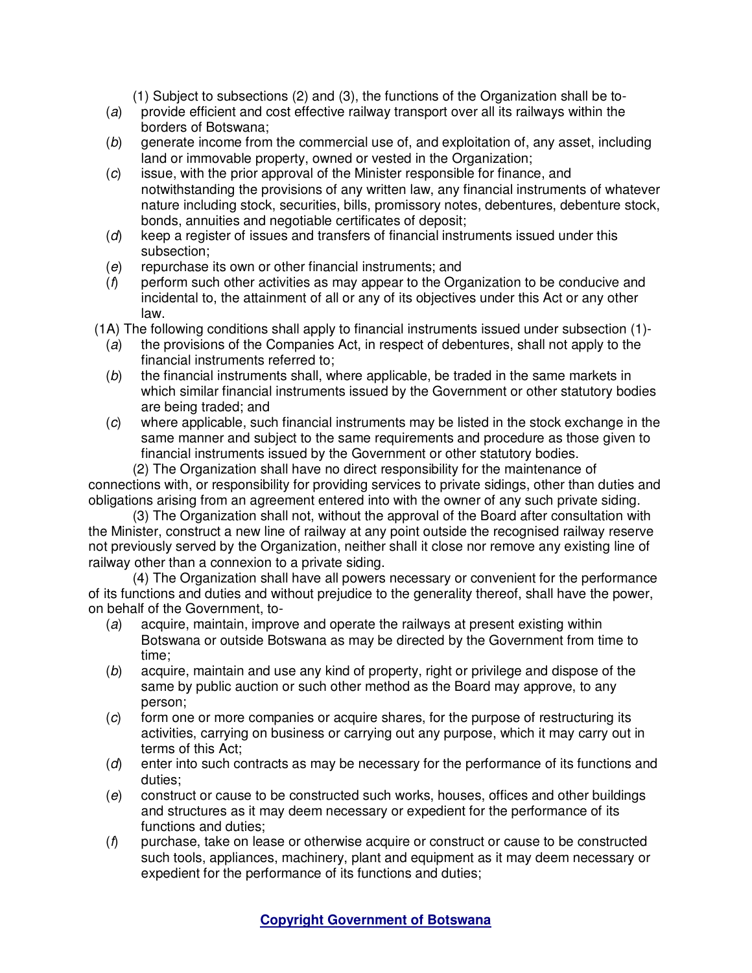(1) Subject to subsections (2) and (3), the functions of the Organization shall be to-

- (a) provide efficient and cost effective railway transport over all its railways within the borders of Botswana;
- (b) generate income from the commercial use of, and exploitation of, any asset, including land or immovable property, owned or vested in the Organization;
- (c) issue, with the prior approval of the Minister responsible for finance, and notwithstanding the provisions of any written law, any financial instruments of whatever nature including stock, securities, bills, promissory notes, debentures, debenture stock, bonds, annuities and negotiable certificates of deposit;
- (d) keep a register of issues and transfers of financial instruments issued under this subsection;
- (e) repurchase its own or other financial instruments; and
- $(f)$  perform such other activities as may appear to the Organization to be conducive and incidental to, the attainment of all or any of its objectives under this Act or any other law.

(1A) The following conditions shall apply to financial instruments issued under subsection (1)-

- (a) the provisions of the Companies Act, in respect of debentures, shall not apply to the financial instruments referred to;
- $(b)$  the financial instruments shall, where applicable, be traded in the same markets in which similar financial instruments issued by the Government or other statutory bodies are being traded; and
- (c) where applicable, such financial instruments may be listed in the stock exchange in the same manner and subject to the same requirements and procedure as those given to financial instruments issued by the Government or other statutory bodies.

(2) The Organization shall have no direct responsibility for the maintenance of connections with, or responsibility for providing services to private sidings, other than duties and obligations arising from an agreement entered into with the owner of any such private siding.

(3) The Organization shall not, without the approval of the Board after consultation with the Minister, construct a new line of railway at any point outside the recognised railway reserve not previously served by the Organization, neither shall it close nor remove any existing line of railway other than a connexion to a private siding.

(4) The Organization shall have all powers necessary or convenient for the performance of its functions and duties and without prejudice to the generality thereof, shall have the power, on behalf of the Government, to-

- (a) acquire, maintain, improve and operate the railways at present existing within Botswana or outside Botswana as may be directed by the Government from time to time;
- (b) acquire, maintain and use any kind of property, right or privilege and dispose of the same by public auction or such other method as the Board may approve, to any person;
- (c) form one or more companies or acquire shares, for the purpose of restructuring its activities, carrying on business or carrying out any purpose, which it may carry out in terms of this Act;
- (d) enter into such contracts as may be necessary for the performance of its functions and duties;
- (e) construct or cause to be constructed such works, houses, offices and other buildings and structures as it may deem necessary or expedient for the performance of its functions and duties;
- $(f)$  purchase, take on lease or otherwise acquire or construct or cause to be constructed such tools, appliances, machinery, plant and equipment as it may deem necessary or expedient for the performance of its functions and duties;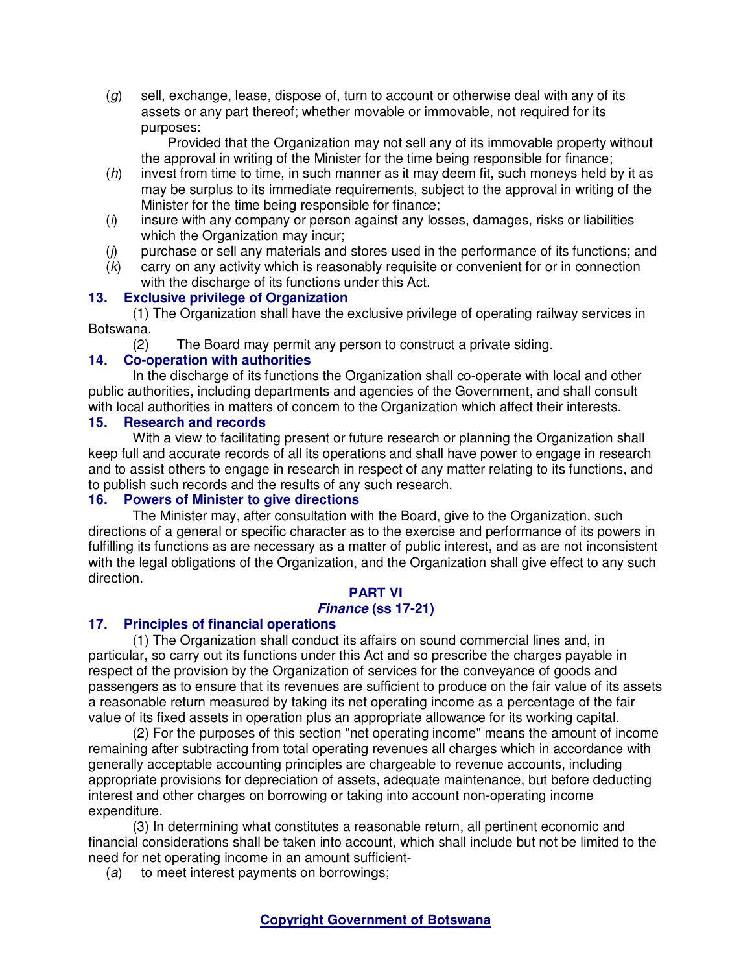$(q)$  sell, exchange, lease, dispose of, turn to account or otherwise deal with any of its assets or any part thereof; whether movable or immovable, not required for its purposes:

 Provided that the Organization may not sell any of its immovable property without the approval in writing of the Minister for the time being responsible for finance;

- $(h)$  invest from time to time, in such manner as it may deem fit, such moneys held by it as may be surplus to its immediate requirements, subject to the approval in writing of the Minister for the time being responsible for finance;
- $(i)$  insure with any company or person against any losses, damages, risks or liabilities which the Organization may incur;
- (j) purchase or sell any materials and stores used in the performance of its functions; and
- $(k)$  carry on any activity which is reasonably requisite or convenient for or in connection with the discharge of its functions under this Act.

### **13. Exclusive privilege of Organization**

(1) The Organization shall have the exclusive privilege of operating railway services in Botswana.

(2) The Board may permit any person to construct a private siding.

### **14. Co-operation with authorities**

In the discharge of its functions the Organization shall co-operate with local and other public authorities, including departments and agencies of the Government, and shall consult with local authorities in matters of concern to the Organization which affect their interests.

### **15. Research and records**

With a view to facilitating present or future research or planning the Organization shall keep full and accurate records of all its operations and shall have power to engage in research and to assist others to engage in research in respect of any matter relating to its functions, and to publish such records and the results of any such research.

## **16. Powers of Minister to give directions**

The Minister may, after consultation with the Board, give to the Organization, such directions of a general or specific character as to the exercise and performance of its powers in fulfilling its functions as are necessary as a matter of public interest, and as are not inconsistent with the legal obligations of the Organization, and the Organization shall give effect to any such direction.

#### **PART VI**

#### **Finance (ss 17-21)**

## **17. Principles of financial operations**

(1) The Organization shall conduct its affairs on sound commercial lines and, in particular, so carry out its functions under this Act and so prescribe the charges payable in respect of the provision by the Organization of services for the conveyance of goods and passengers as to ensure that its revenues are sufficient to produce on the fair value of its assets a reasonable return measured by taking its net operating income as a percentage of the fair value of its fixed assets in operation plus an appropriate allowance for its working capital.

(2) For the purposes of this section "net operating income" means the amount of income remaining after subtracting from total operating revenues all charges which in accordance with generally acceptable accounting principles are chargeable to revenue accounts, including appropriate provisions for depreciation of assets, adequate maintenance, but before deducting interest and other charges on borrowing or taking into account non-operating income expenditure.

(3) In determining what constitutes a reasonable return, all pertinent economic and financial considerations shall be taken into account, which shall include but not be limited to the need for net operating income in an amount sufficient-

(a) to meet interest payments on borrowings;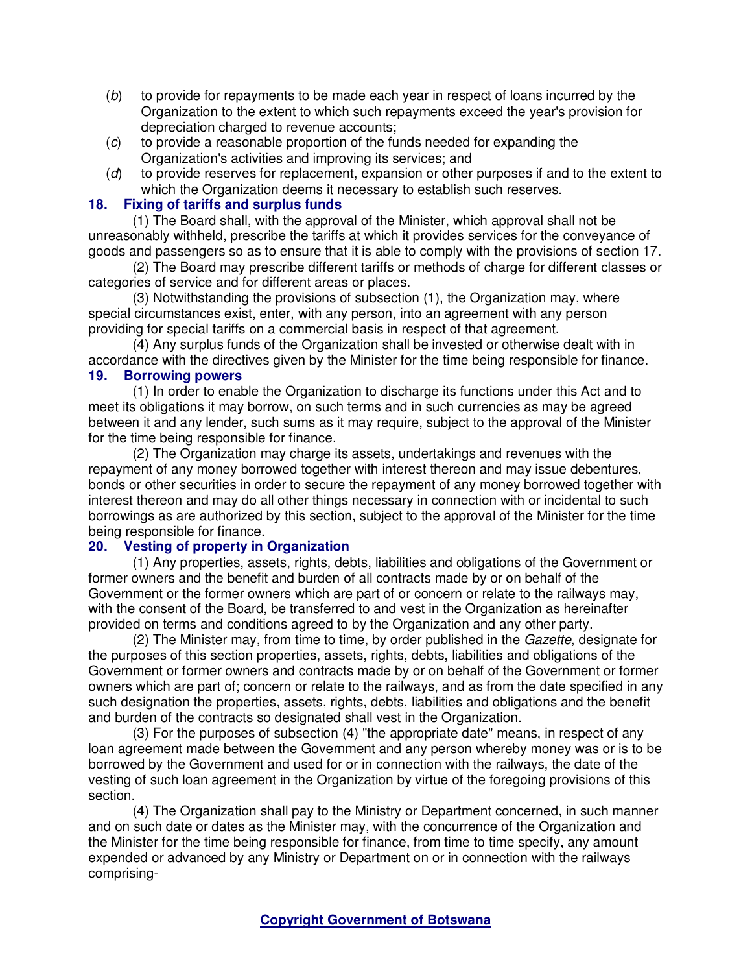- (b) to provide for repayments to be made each year in respect of loans incurred by the Organization to the extent to which such repayments exceed the year's provision for depreciation charged to revenue accounts;
- (c) to provide a reasonable proportion of the funds needed for expanding the Organization's activities and improving its services; and
- (d) to provide reserves for replacement, expansion or other purposes if and to the extent to which the Organization deems it necessary to establish such reserves.

### **18. Fixing of tariffs and surplus funds**

(1) The Board shall, with the approval of the Minister, which approval shall not be unreasonably withheld, prescribe the tariffs at which it provides services for the conveyance of goods and passengers so as to ensure that it is able to comply with the provisions of section 17.

(2) The Board may prescribe different tariffs or methods of charge for different classes or categories of service and for different areas or places.

(3) Notwithstanding the provisions of subsection (1), the Organization may, where special circumstances exist, enter, with any person, into an agreement with any person providing for special tariffs on a commercial basis in respect of that agreement.

(4) Any surplus funds of the Organization shall be invested or otherwise dealt with in accordance with the directives given by the Minister for the time being responsible for finance.

#### **19. Borrowing powers**

(1) In order to enable the Organization to discharge its functions under this Act and to meet its obligations it may borrow, on such terms and in such currencies as may be agreed between it and any lender, such sums as it may require, subject to the approval of the Minister for the time being responsible for finance.

(2) The Organization may charge its assets, undertakings and revenues with the repayment of any money borrowed together with interest thereon and may issue debentures, bonds or other securities in order to secure the repayment of any money borrowed together with interest thereon and may do all other things necessary in connection with or incidental to such borrowings as are authorized by this section, subject to the approval of the Minister for the time being responsible for finance.

## **20. Vesting of property in Organization**

(1) Any properties, assets, rights, debts, liabilities and obligations of the Government or former owners and the benefit and burden of all contracts made by or on behalf of the Government or the former owners which are part of or concern or relate to the railways may, with the consent of the Board, be transferred to and vest in the Organization as hereinafter provided on terms and conditions agreed to by the Organization and any other party.

(2) The Minister may, from time to time, by order published in the Gazette, designate for the purposes of this section properties, assets, rights, debts, liabilities and obligations of the Government or former owners and contracts made by or on behalf of the Government or former owners which are part of; concern or relate to the railways, and as from the date specified in any such designation the properties, assets, rights, debts, liabilities and obligations and the benefit and burden of the contracts so designated shall vest in the Organization.

(3) For the purposes of subsection (4) "the appropriate date" means, in respect of any loan agreement made between the Government and any person whereby money was or is to be borrowed by the Government and used for or in connection with the railways, the date of the vesting of such loan agreement in the Organization by virtue of the foregoing provisions of this section.

(4) The Organization shall pay to the Ministry or Department concerned, in such manner and on such date or dates as the Minister may, with the concurrence of the Organization and the Minister for the time being responsible for finance, from time to time specify, any amount expended or advanced by any Ministry or Department on or in connection with the railways comprising-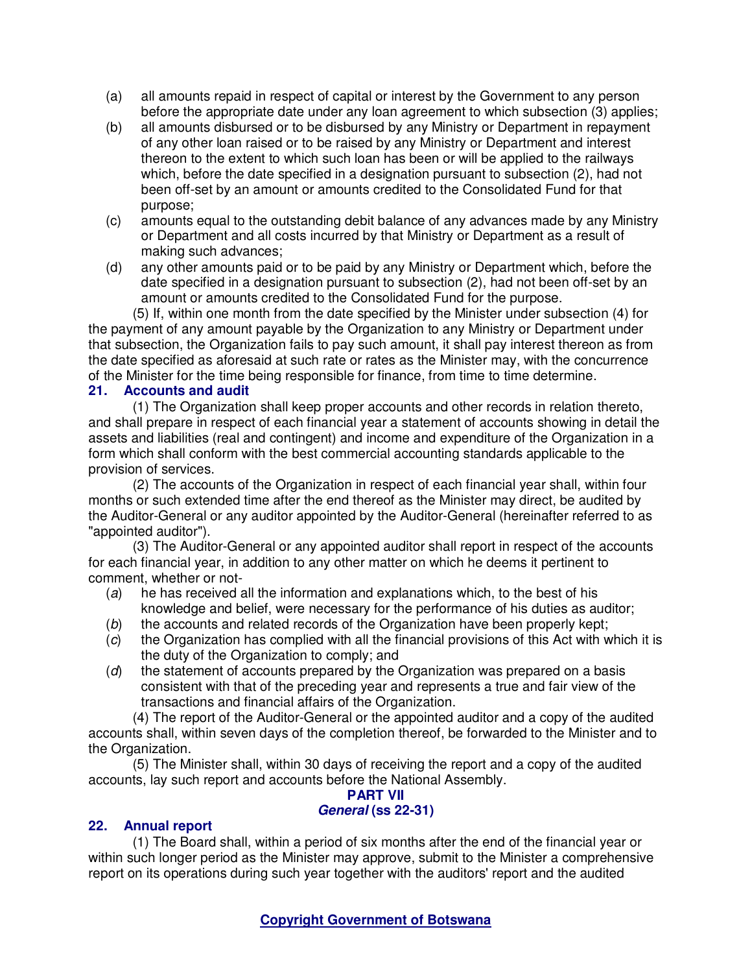- (a) all amounts repaid in respect of capital or interest by the Government to any person before the appropriate date under any loan agreement to which subsection (3) applies;
- (b) all amounts disbursed or to be disbursed by any Ministry or Department in repayment of any other loan raised or to be raised by any Ministry or Department and interest thereon to the extent to which such loan has been or will be applied to the railways which, before the date specified in a designation pursuant to subsection (2), had not been off-set by an amount or amounts credited to the Consolidated Fund for that purpose;
- (c) amounts equal to the outstanding debit balance of any advances made by any Ministry or Department and all costs incurred by that Ministry or Department as a result of making such advances;
- (d) any other amounts paid or to be paid by any Ministry or Department which, before the date specified in a designation pursuant to subsection (2), had not been off-set by an amount or amounts credited to the Consolidated Fund for the purpose.

(5) If, within one month from the date specified by the Minister under subsection (4) for the payment of any amount payable by the Organization to any Ministry or Department under that subsection, the Organization fails to pay such amount, it shall pay interest thereon as from the date specified as aforesaid at such rate or rates as the Minister may, with the concurrence of the Minister for the time being responsible for finance, from time to time determine.

# **21. Accounts and audit**

(1) The Organization shall keep proper accounts and other records in relation thereto, and shall prepare in respect of each financial year a statement of accounts showing in detail the assets and liabilities (real and contingent) and income and expenditure of the Organization in a form which shall conform with the best commercial accounting standards applicable to the provision of services.

(2) The accounts of the Organization in respect of each financial year shall, within four months or such extended time after the end thereof as the Minister may direct, be audited by the Auditor-General or any auditor appointed by the Auditor-General (hereinafter referred to as "appointed auditor").

(3) The Auditor-General or any appointed auditor shall report in respect of the accounts for each financial year, in addition to any other matter on which he deems it pertinent to comment, whether or not-

- (a) he has received all the information and explanations which, to the best of his knowledge and belief, were necessary for the performance of his duties as auditor;
- (b) the accounts and related records of the Organization have been properly kept;
- (c) the Organization has complied with all the financial provisions of this Act with which it is the duty of the Organization to comply; and
- $(d)$  the statement of accounts prepared by the Organization was prepared on a basis consistent with that of the preceding year and represents a true and fair view of the transactions and financial affairs of the Organization.

(4) The report of the Auditor-General or the appointed auditor and a copy of the audited accounts shall, within seven days of the completion thereof, be forwarded to the Minister and to the Organization.

(5) The Minister shall, within 30 days of receiving the report and a copy of the audited accounts, lay such report and accounts before the National Assembly.

# **PART VII**

# **General (ss 22-31)**

# **22. Annual report**

(1) The Board shall, within a period of six months after the end of the financial year or within such longer period as the Minister may approve, submit to the Minister a comprehensive report on its operations during such year together with the auditors' report and the audited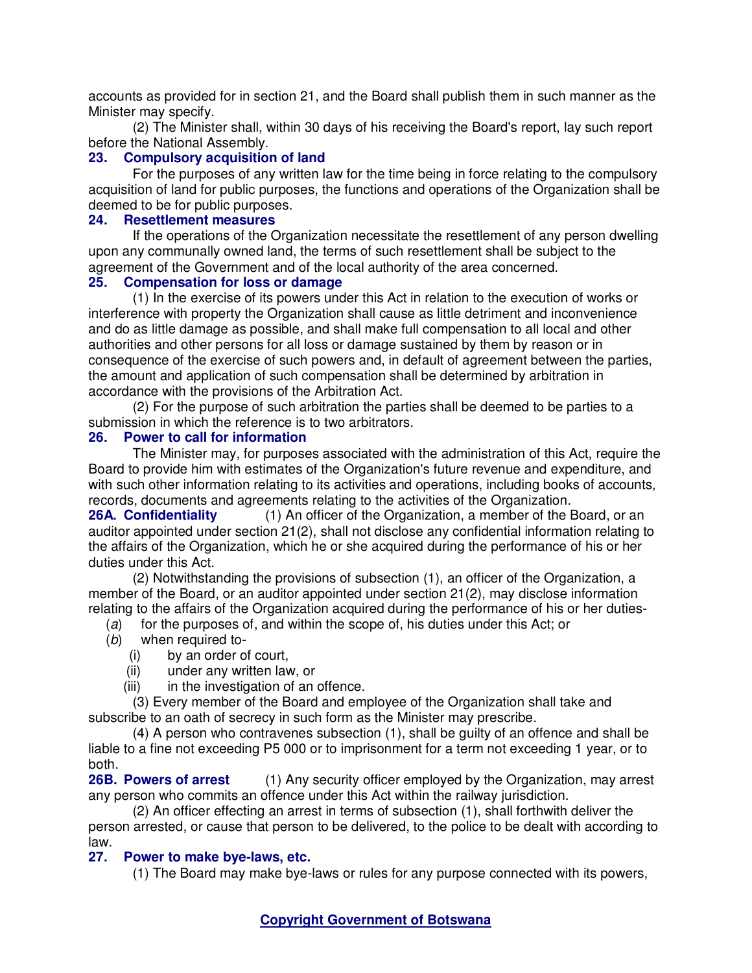accounts as provided for in section 21, and the Board shall publish them in such manner as the Minister may specify.

(2) The Minister shall, within 30 days of his receiving the Board's report, lay such report before the National Assembly.

### **23. Compulsory acquisition of land**

For the purposes of any written law for the time being in force relating to the compulsory acquisition of land for public purposes, the functions and operations of the Organization shall be deemed to be for public purposes.

## **24. Resettlement measures**

If the operations of the Organization necessitate the resettlement of any person dwelling upon any communally owned land, the terms of such resettlement shall be subject to the agreement of the Government and of the local authority of the area concerned.

## **25. Compensation for loss or damage**

(1) In the exercise of its powers under this Act in relation to the execution of works or interference with property the Organization shall cause as little detriment and inconvenience and do as little damage as possible, and shall make full compensation to all local and other authorities and other persons for all loss or damage sustained by them by reason or in consequence of the exercise of such powers and, in default of agreement between the parties, the amount and application of such compensation shall be determined by arbitration in accordance with the provisions of the Arbitration Act.

(2) For the purpose of such arbitration the parties shall be deemed to be parties to a submission in which the reference is to two arbitrators.

### **26. Power to call for information**

The Minister may, for purposes associated with the administration of this Act, require the Board to provide him with estimates of the Organization's future revenue and expenditure, and with such other information relating to its activities and operations, including books of accounts, records, documents and agreements relating to the activities of the Organization.

**26A. Confidentiality** (1) An officer of the Organization, a member of the Board, or an auditor appointed under section 21(2), shall not disclose any confidential information relating to the affairs of the Organization, which he or she acquired during the performance of his or her duties under this Act.

(2) Notwithstanding the provisions of subsection (1), an officer of the Organization, a member of the Board, or an auditor appointed under section 21(2), may disclose information relating to the affairs of the Organization acquired during the performance of his or her duties-

- (a) for the purposes of, and within the scope of, his duties under this Act; or
- (b) when required to-
	- (i) by an order of court,
	- (ii) under any written law, or
	- (iii) in the investigation of an offence.

(3) Every member of the Board and employee of the Organization shall take and subscribe to an oath of secrecy in such form as the Minister may prescribe.

(4) A person who contravenes subsection (1), shall be guilty of an offence and shall be liable to a fine not exceeding P5 000 or to imprisonment for a term not exceeding 1 year, or to both.

**26B. Powers of arrest** (1) Any security officer employed by the Organization, may arrest any person who commits an offence under this Act within the railway jurisdiction.

(2) An officer effecting an arrest in terms of subsection (1), shall forthwith deliver the person arrested, or cause that person to be delivered, to the police to be dealt with according to law.

## **27. Power to make bye-laws, etc.**

(1) The Board may make bye-laws or rules for any purpose connected with its powers,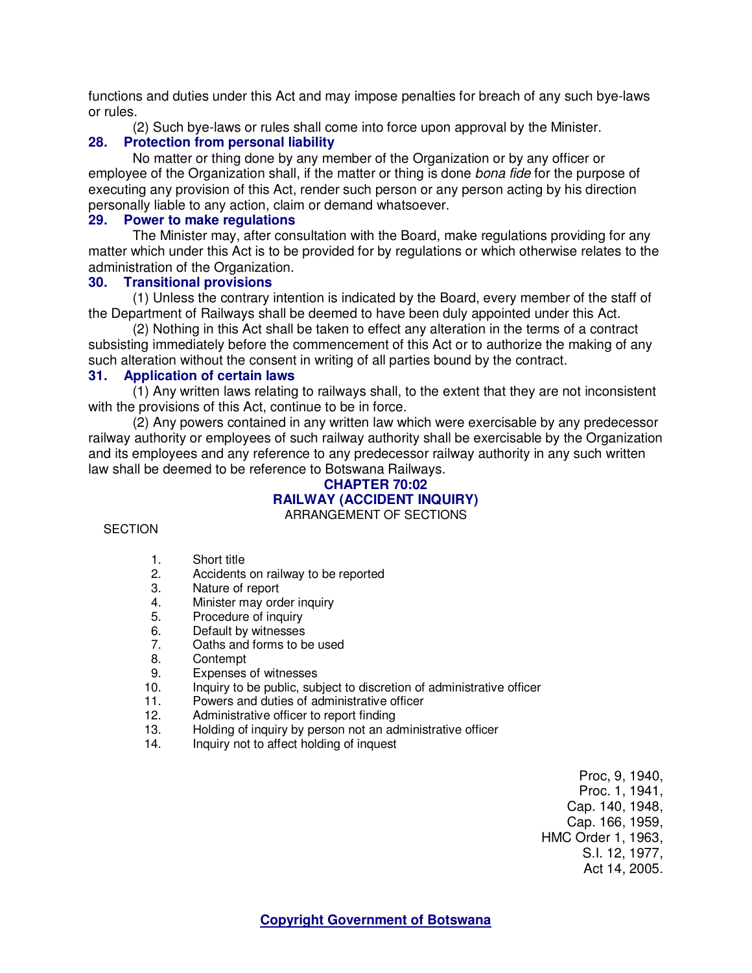functions and duties under this Act and may impose penalties for breach of any such bye-laws or rules.

(2) Such bye-laws or rules shall come into force upon approval by the Minister.

## **28. Protection from personal liability**

No matter or thing done by any member of the Organization or by any officer or employee of the Organization shall, if the matter or thing is done bona fide for the purpose of executing any provision of this Act, render such person or any person acting by his direction personally liable to any action, claim or demand whatsoever.

### **29. Power to make regulations**

The Minister may, after consultation with the Board, make regulations providing for any matter which under this Act is to be provided for by regulations or which otherwise relates to the administration of the Organization.

### **30. Transitional provisions**

(1) Unless the contrary intention is indicated by the Board, every member of the staff of the Department of Railways shall be deemed to have been duly appointed under this Act.

(2) Nothing in this Act shall be taken to effect any alteration in the terms of a contract subsisting immediately before the commencement of this Act or to authorize the making of any such alteration without the consent in writing of all parties bound by the contract.

### **31. Application of certain laws**

(1) Any written laws relating to railways shall, to the extent that they are not inconsistent with the provisions of this Act, continue to be in force.

(2) Any powers contained in any written law which were exercisable by any predecessor railway authority or employees of such railway authority shall be exercisable by the Organization and its employees and any reference to any predecessor railway authority in any such written law shall be deemed to be reference to Botswana Railways.

#### **CHAPTER 70:02 RAILWAY (ACCIDENT INQUIRY)**  ARRANGEMENT OF SECTIONS

#### **SECTION**

- 1. Short title
- 2. Accidents on railway to be reported
- 3. Nature of report
- 4. Minister may order inquiry
- 5. Procedure of inquiry
- 6. Default by witnesses
- 7. Oaths and forms to be used
- 8. Contempt<br>9. Expenses
- Expenses of witnesses
- 10. Inquiry to be public, subject to discretion of administrative officer
- 11. Powers and duties of administrative officer
- 12. Administrative officer to report finding
- 13. Holding of inquiry by person not an administrative officer
- 14. Inquiry not to affect holding of inquest

Proc, 9, 1940, Proc. 1, 1941, Cap. 140, 1948, Cap. 166, 1959, HMC Order 1, 1963, S.I. 12, 1977, Act 14, 2005.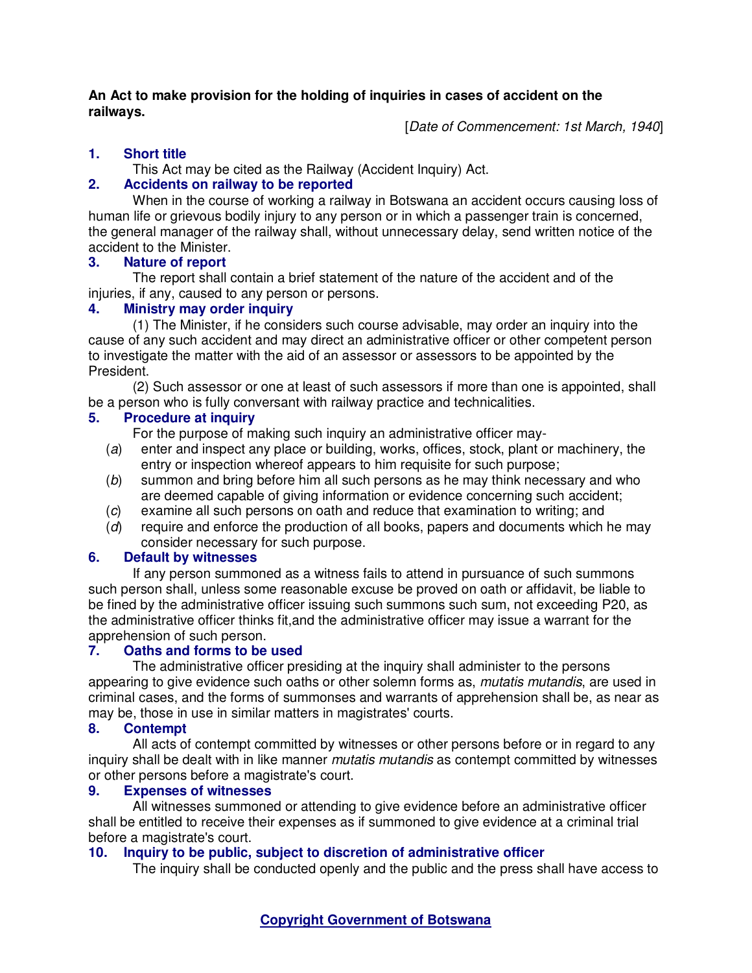### **An Act to make provision for the holding of inquiries in cases of accident on the railways.**

[Date of Commencement: 1st March, 1940]

# **1. Short title**

This Act may be cited as the Railway (Accident Inquiry) Act.

# **2. Accidents on railway to be reported**

When in the course of working a railway in Botswana an accident occurs causing loss of human life or grievous bodily injury to any person or in which a passenger train is concerned, the general manager of the railway shall, without unnecessary delay, send written notice of the accident to the Minister.

# **3. Nature of report**

The report shall contain a brief statement of the nature of the accident and of the injuries, if any, caused to any person or persons.

# **4. Ministry may order inquiry**

(1) The Minister, if he considers such course advisable, may order an inquiry into the cause of any such accident and may direct an administrative officer or other competent person to investigate the matter with the aid of an assessor or assessors to be appointed by the President.

(2) Such assessor or one at least of such assessors if more than one is appointed, shall be a person who is fully conversant with railway practice and technicalities.

# **5. Procedure at inquiry**

For the purpose of making such inquiry an administrative officer may-

- (a) enter and inspect any place or building, works, offices, stock, plant or machinery, the entry or inspection whereof appears to him requisite for such purpose;
- (b) summon and bring before him all such persons as he may think necessary and who are deemed capable of giving information or evidence concerning such accident;
- (c) examine all such persons on oath and reduce that examination to writing; and
- (d) require and enforce the production of all books, papers and documents which he may consider necessary for such purpose.

# **6. Default by witnesses**

If any person summoned as a witness fails to attend in pursuance of such summons such person shall, unless some reasonable excuse be proved on oath or affidavit, be liable to be fined by the administrative officer issuing such summons such sum, not exceeding P20, as the administrative officer thinks fit,and the administrative officer may issue a warrant for the apprehension of such person.<br>7. Oaths and forms to be

# **7. Oaths and forms to be used**

The administrative officer presiding at the inquiry shall administer to the persons appearing to give evidence such oaths or other solemn forms as, *mutatis mutandis*, are used in criminal cases, and the forms of summonses and warrants of apprehension shall be, as near as may be, those in use in similar matters in magistrates' courts.

# **8. Contempt**

All acts of contempt committed by witnesses or other persons before or in regard to any inquiry shall be dealt with in like manner *mutatis mutandis* as contempt committed by witnesses or other persons before a magistrate's court.

# **9. Expenses of witnesses**

All witnesses summoned or attending to give evidence before an administrative officer shall be entitled to receive their expenses as if summoned to give evidence at a criminal trial before a magistrate's court.

# **10. Inquiry to be public, subject to discretion of administrative officer**

The inquiry shall be conducted openly and the public and the press shall have access to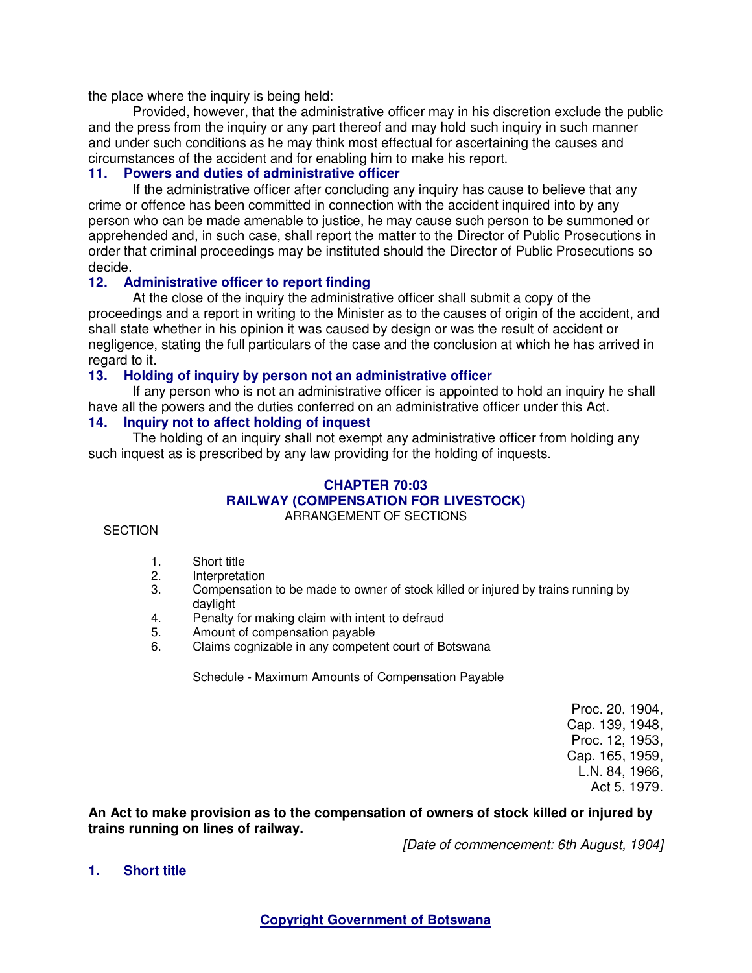the place where the inquiry is being held:

Provided, however, that the administrative officer may in his discretion exclude the public and the press from the inquiry or any part thereof and may hold such inquiry in such manner and under such conditions as he may think most effectual for ascertaining the causes and circumstances of the accident and for enabling him to make his report.

## **11. Powers and duties of administrative officer**

If the administrative officer after concluding any inquiry has cause to believe that any crime or offence has been committed in connection with the accident inquired into by any person who can be made amenable to justice, he may cause such person to be summoned or apprehended and, in such case, shall report the matter to the Director of Public Prosecutions in order that criminal proceedings may be instituted should the Director of Public Prosecutions so decide.

## **12. Administrative officer to report finding**

At the close of the inquiry the administrative officer shall submit a copy of the proceedings and a report in writing to the Minister as to the causes of origin of the accident, and shall state whether in his opinion it was caused by design or was the result of accident or negligence, stating the full particulars of the case and the conclusion at which he has arrived in regard to it.

### **13. Holding of inquiry by person not an administrative officer**

If any person who is not an administrative officer is appointed to hold an inquiry he shall have all the powers and the duties conferred on an administrative officer under this Act.

## **14. Inquiry not to affect holding of inquest**

The holding of an inquiry shall not exempt any administrative officer from holding any such inquest as is prescribed by any law providing for the holding of inquests.

### **CHAPTER 70:03 RAILWAY (COMPENSATION FOR LIVESTOCK)**  ARRANGEMENT OF SECTIONS

### **SECTION**

- 1. Short title<br>2 Interpretati
- **Interpretation**
- 3. Compensation to be made to owner of stock killed or injured by trains running by daylight
- 4. Penalty for making claim with intent to defraud
- 5. Amount of compensation payable
- 6. Claims cognizable in any competent court of Botswana

Schedule - Maximum Amounts of Compensation Payable

Proc. 20, 1904, Cap. 139, 1948, Proc. 12, 1953, Cap. 165, 1959, L.N. 84, 1966, Act 5, 1979.

**An Act to make provision as to the compensation of owners of stock killed or injured by trains running on lines of railway.** 

[Date of commencement: 6th August, 1904]

### **1. Short title**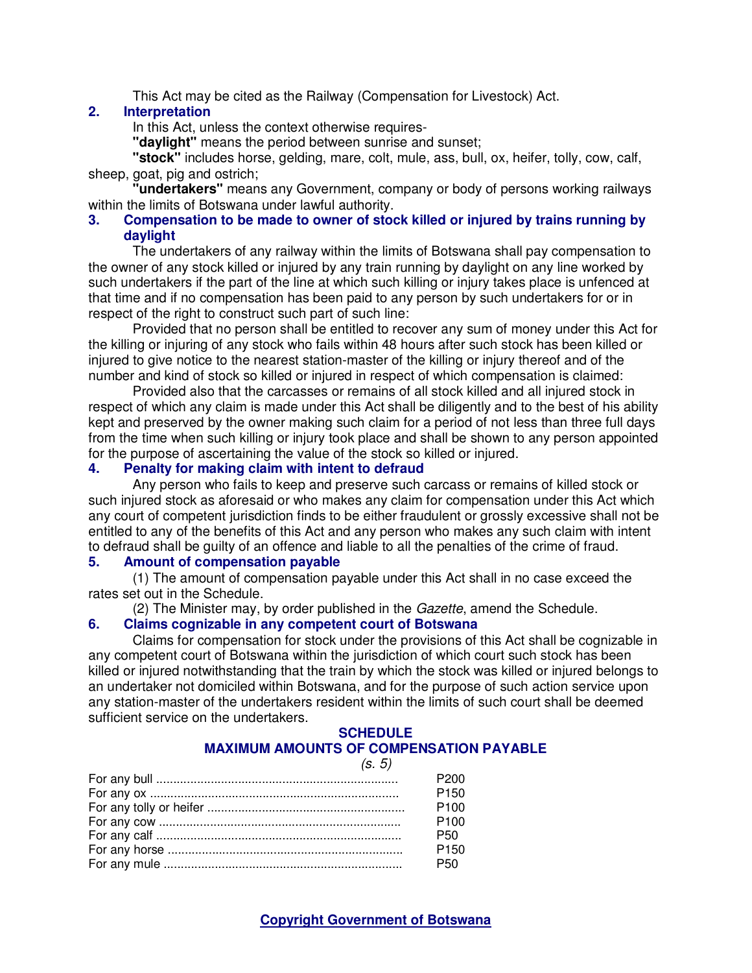This Act may be cited as the Railway (Compensation for Livestock) Act.

### **2. Interpretation**

In this Act, unless the context otherwise requires-

**"daylight"** means the period between sunrise and sunset;

**"stock"** includes horse, gelding, mare, colt, mule, ass, bull, ox, heifer, tolly, cow, calf, sheep, goat, pig and ostrich;

**"undertakers"** means any Government, company or body of persons working railways within the limits of Botswana under lawful authority.

### **3. Compensation to be made to owner of stock killed or injured by trains running by daylight**

The undertakers of any railway within the limits of Botswana shall pay compensation to the owner of any stock killed or injured by any train running by daylight on any line worked by such undertakers if the part of the line at which such killing or injury takes place is unfenced at that time and if no compensation has been paid to any person by such undertakers for or in respect of the right to construct such part of such line:

Provided that no person shall be entitled to recover any sum of money under this Act for the killing or injuring of any stock who fails within 48 hours after such stock has been killed or injured to give notice to the nearest station-master of the killing or injury thereof and of the number and kind of stock so killed or injured in respect of which compensation is claimed:

Provided also that the carcasses or remains of all stock killed and all injured stock in respect of which any claim is made under this Act shall be diligently and to the best of his ability kept and preserved by the owner making such claim for a period of not less than three full days from the time when such killing or injury took place and shall be shown to any person appointed for the purpose of ascertaining the value of the stock so killed or injured.

## **4. Penalty for making claim with intent to defraud**

Any person who fails to keep and preserve such carcass or remains of killed stock or such injured stock as aforesaid or who makes any claim for compensation under this Act which any court of competent jurisdiction finds to be either fraudulent or grossly excessive shall not be entitled to any of the benefits of this Act and any person who makes any such claim with intent to defraud shall be guilty of an offence and liable to all the penalties of the crime of fraud.

### **5. Amount of compensation payable**

(1) The amount of compensation payable under this Act shall in no case exceed the rates set out in the Schedule.

(2) The Minister may, by order published in the Gazette, amend the Schedule.

### **6. Claims cognizable in any competent court of Botswana**

Claims for compensation for stock under the provisions of this Act shall be cognizable in any competent court of Botswana within the jurisdiction of which court such stock has been killed or injured notwithstanding that the train by which the stock was killed or injured belongs to an undertaker not domiciled within Botswana, and for the purpose of such action service upon any station-master of the undertakers resident within the limits of such court shall be deemed sufficient service on the undertakers.

#### **SCHEDULE MAXIMUM AMOUNTS OF COMPENSATION PAYABLE**

| (s. 5) |                  |
|--------|------------------|
|        | P200             |
|        | P <sub>150</sub> |
|        | P <sub>100</sub> |
|        | P <sub>100</sub> |
|        | <b>P50</b>       |
|        | P <sub>150</sub> |
|        | P <sub>50</sub>  |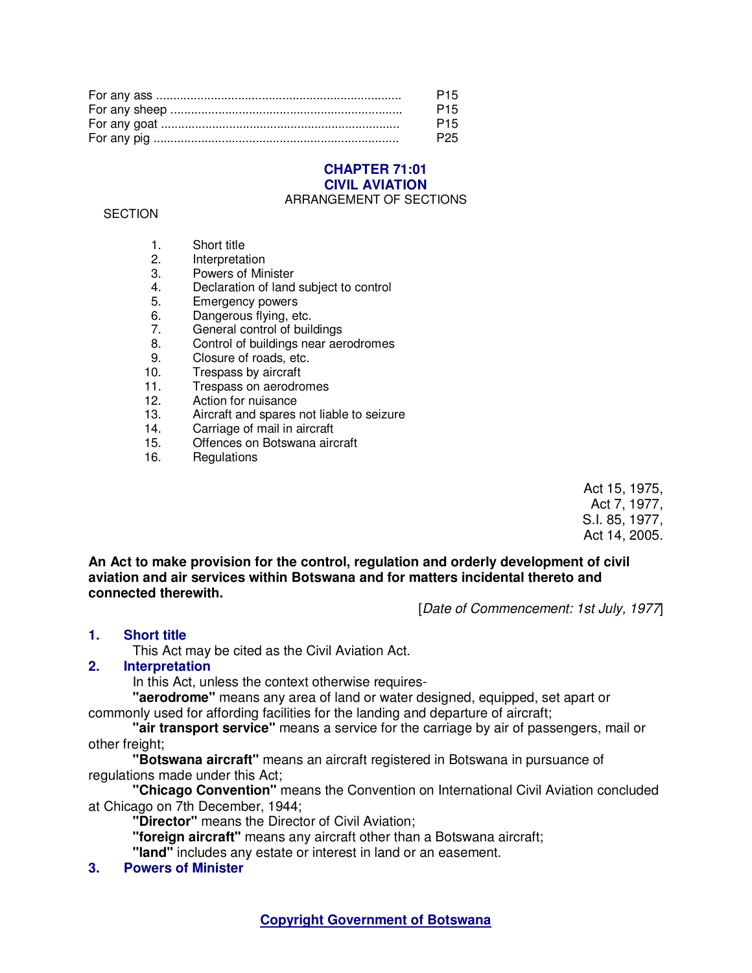| P <sub>15</sub> |
|-----------------|
| P <sub>15</sub> |
| P <sub>15</sub> |
| P <sub>25</sub> |

### **CHAPTER 71:01 CIVIL AVIATION**  ARRANGEMENT OF SECTIONS

### **SECTION**

- 1. Short title
- 2. Interpretation<br>3 Powers of Mir
- 3. Powers of Minister
- 4. Declaration of land subject to control
- 5. Emergency powers
- 6. Dangerous flying, etc.<br>7. General control of buil
- General control of buildings
- 8. Control of buildings near aerodromes<br>9. Closure of roads, etc.
- Closure of roads, etc.
- 10. Trespass by aircraft
- 11. Trespass on aerodromes<br>12. Action for nuisance
- Action for nuisance
- 13. Aircraft and spares not liable to seizure
- 14. Carriage of mail in aircraft<br>15. Offences on Botswana airc
- Offences on Botswana aircraft
- 16. Regulations

Act 15, 1975, Act 7, 1977, S.I. 85, 1977, Act 14, 2005.

**An Act to make provision for the control, regulation and orderly development of civil aviation and air services within Botswana and for matters incidental thereto and connected therewith.** 

[Date of Commencement: 1st July, 1977]

## **1. Short title**

This Act may be cited as the Civil Aviation Act.

## **2. Interpretation**

In this Act, unless the context otherwise requires-

**"aerodrome"** means any area of land or water designed, equipped, set apart or commonly used for affording facilities for the landing and departure of aircraft;

**"air transport service"** means a service for the carriage by air of passengers, mail or other freight;

**"Botswana aircraft"** means an aircraft registered in Botswana in pursuance of regulations made under this Act;

**"Chicago Convention"** means the Convention on International Civil Aviation concluded at Chicago on 7th December, 1944;

**"Director"** means the Director of Civil Aviation;

**"foreign aircraft"** means any aircraft other than a Botswana aircraft;

**"land"** includes any estate or interest in land or an easement.

**3. Powers of Minister**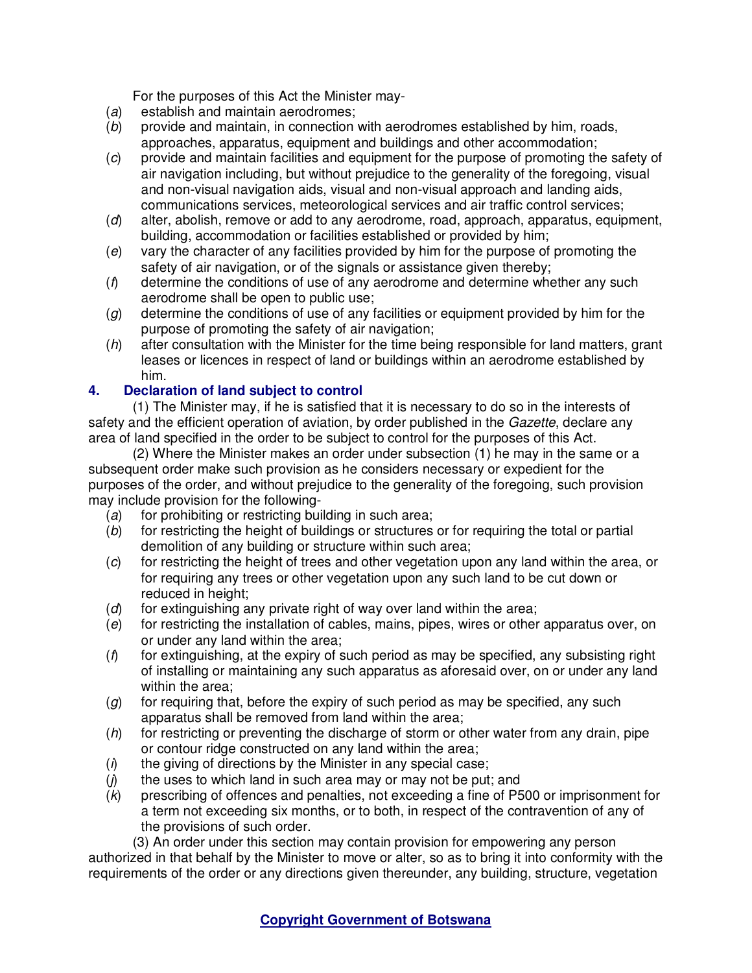For the purposes of this Act the Minister may-

- (a) establish and maintain aerodromes;
- (b) provide and maintain, in connection with aerodromes established by him, roads, approaches, apparatus, equipment and buildings and other accommodation;
- (c) provide and maintain facilities and equipment for the purpose of promoting the safety of air navigation including, but without prejudice to the generality of the foregoing, visual and non-visual navigation aids, visual and non-visual approach and landing aids, communications services, meteorological services and air traffic control services;
- (d) alter, abolish, remove or add to any aerodrome, road, approach, apparatus, equipment, building, accommodation or facilities established or provided by him;
- (e) vary the character of any facilities provided by him for the purpose of promoting the safety of air navigation, or of the signals or assistance given thereby;
- $(f)$  determine the conditions of use of any aerodrome and determine whether any such aerodrome shall be open to public use;
- (g) determine the conditions of use of any facilities or equipment provided by him for the purpose of promoting the safety of air navigation;
- $(h)$  after consultation with the Minister for the time being responsible for land matters, grant leases or licences in respect of land or buildings within an aerodrome established by him.

# **4. Declaration of land subject to control**

(1) The Minister may, if he is satisfied that it is necessary to do so in the interests of safety and the efficient operation of aviation, by order published in the Gazette, declare any area of land specified in the order to be subject to control for the purposes of this Act.

(2) Where the Minister makes an order under subsection (1) he may in the same or a subsequent order make such provision as he considers necessary or expedient for the purposes of the order, and without prejudice to the generality of the foregoing, such provision may include provision for the following-

- $(a)$  for prohibiting or restricting building in such area;
- (b) for restricting the height of buildings or structures or for requiring the total or partial demolition of any building or structure within such area;
- $(c)$  for restricting the height of trees and other vegetation upon any land within the area, or for requiring any trees or other vegetation upon any such land to be cut down or reduced in height:
- $(d)$  for extinguishing any private right of way over land within the area;
- (e) for restricting the installation of cables, mains, pipes, wires or other apparatus over, on or under any land within the area;
- $(f)$  for extinguishing, at the expiry of such period as may be specified, any subsisting right of installing or maintaining any such apparatus as aforesaid over, on or under any land within the area:
- $(g)$  for requiring that, before the expiry of such period as may be specified, any such apparatus shall be removed from land within the area;
- $(h)$  for restricting or preventing the discharge of storm or other water from any drain, pipe or contour ridge constructed on any land within the area;
- $(i)$  the giving of directions by the Minister in any special case;
- $(j)$  the uses to which land in such area may or may not be put; and
- (k) prescribing of offences and penalties, not exceeding a fine of P500 or imprisonment for a term not exceeding six months, or to both, in respect of the contravention of any of the provisions of such order.

(3) An order under this section may contain provision for empowering any person authorized in that behalf by the Minister to move or alter, so as to bring it into conformity with the requirements of the order or any directions given thereunder, any building, structure, vegetation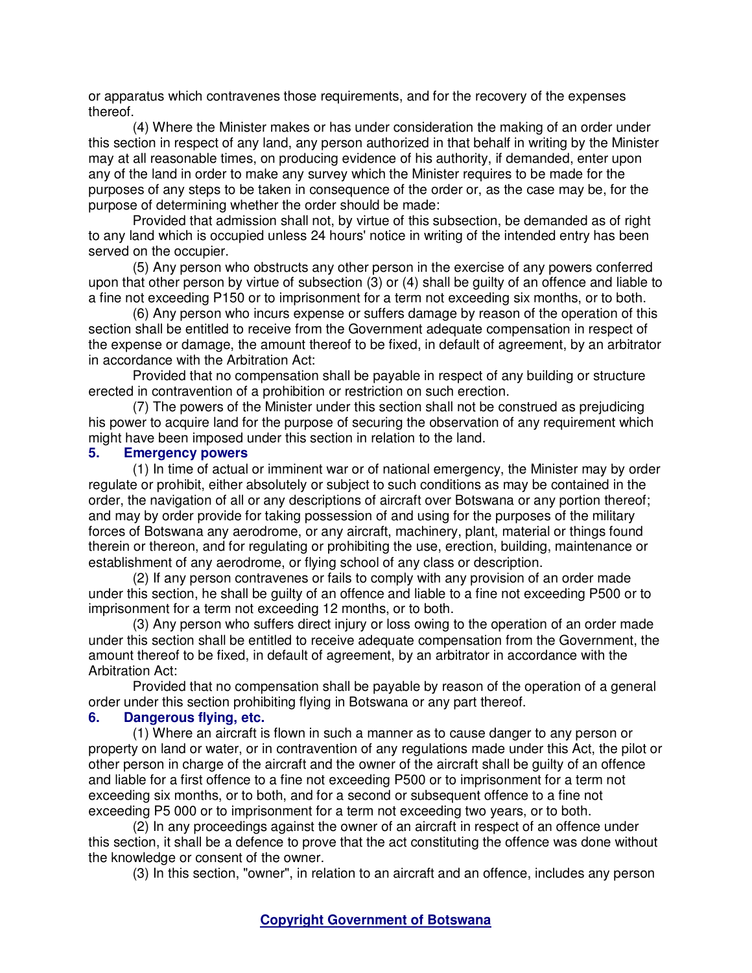or apparatus which contravenes those requirements, and for the recovery of the expenses thereof.

(4) Where the Minister makes or has under consideration the making of an order under this section in respect of any land, any person authorized in that behalf in writing by the Minister may at all reasonable times, on producing evidence of his authority, if demanded, enter upon any of the land in order to make any survey which the Minister requires to be made for the purposes of any steps to be taken in consequence of the order or, as the case may be, for the purpose of determining whether the order should be made:

Provided that admission shall not, by virtue of this subsection, be demanded as of right to any land which is occupied unless 24 hours' notice in writing of the intended entry has been served on the occupier.

(5) Any person who obstructs any other person in the exercise of any powers conferred upon that other person by virtue of subsection (3) or (4) shall be guilty of an offence and liable to a fine not exceeding P150 or to imprisonment for a term not exceeding six months, or to both.

(6) Any person who incurs expense or suffers damage by reason of the operation of this section shall be entitled to receive from the Government adequate compensation in respect of the expense or damage, the amount thereof to be fixed, in default of agreement, by an arbitrator in accordance with the Arbitration Act:

Provided that no compensation shall be payable in respect of any building or structure erected in contravention of a prohibition or restriction on such erection.

(7) The powers of the Minister under this section shall not be construed as prejudicing his power to acquire land for the purpose of securing the observation of any requirement which might have been imposed under this section in relation to the land.

## **5. Emergency powers**

(1) In time of actual or imminent war or of national emergency, the Minister may by order regulate or prohibit, either absolutely or subject to such conditions as may be contained in the order, the navigation of all or any descriptions of aircraft over Botswana or any portion thereof; and may by order provide for taking possession of and using for the purposes of the military forces of Botswana any aerodrome, or any aircraft, machinery, plant, material or things found therein or thereon, and for regulating or prohibiting the use, erection, building, maintenance or establishment of any aerodrome, or flying school of any class or description.

(2) If any person contravenes or fails to comply with any provision of an order made under this section, he shall be guilty of an offence and liable to a fine not exceeding P500 or to imprisonment for a term not exceeding 12 months, or to both.

(3) Any person who suffers direct injury or loss owing to the operation of an order made under this section shall be entitled to receive adequate compensation from the Government, the amount thereof to be fixed, in default of agreement, by an arbitrator in accordance with the Arbitration Act:

Provided that no compensation shall be payable by reason of the operation of a general order under this section prohibiting flying in Botswana or any part thereof.

## **6. Dangerous flying, etc.**

(1) Where an aircraft is flown in such a manner as to cause danger to any person or property on land or water, or in contravention of any regulations made under this Act, the pilot or other person in charge of the aircraft and the owner of the aircraft shall be guilty of an offence and liable for a first offence to a fine not exceeding P500 or to imprisonment for a term not exceeding six months, or to both, and for a second or subsequent offence to a fine not exceeding P5 000 or to imprisonment for a term not exceeding two years, or to both.

(2) In any proceedings against the owner of an aircraft in respect of an offence under this section, it shall be a defence to prove that the act constituting the offence was done without the knowledge or consent of the owner.

(3) In this section, "owner", in relation to an aircraft and an offence, includes any person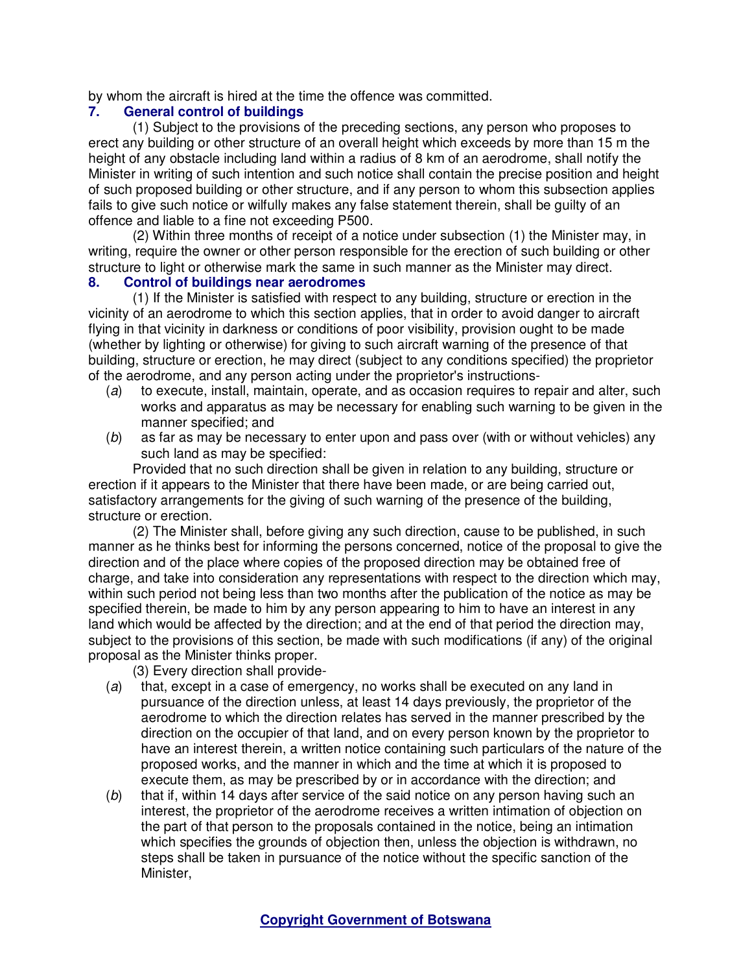by whom the aircraft is hired at the time the offence was committed.

# **7. General control of buildings**

(1) Subject to the provisions of the preceding sections, any person who proposes to erect any building or other structure of an overall height which exceeds by more than 15 m the height of any obstacle including land within a radius of 8 km of an aerodrome, shall notify the Minister in writing of such intention and such notice shall contain the precise position and height of such proposed building or other structure, and if any person to whom this subsection applies fails to give such notice or wilfully makes any false statement therein, shall be guilty of an offence and liable to a fine not exceeding P500.

(2) Within three months of receipt of a notice under subsection (1) the Minister may, in writing, require the owner or other person responsible for the erection of such building or other structure to light or otherwise mark the same in such manner as the Minister may direct.

## **8. Control of buildings near aerodromes**

(1) If the Minister is satisfied with respect to any building, structure or erection in the vicinity of an aerodrome to which this section applies, that in order to avoid danger to aircraft flying in that vicinity in darkness or conditions of poor visibility, provision ought to be made (whether by lighting or otherwise) for giving to such aircraft warning of the presence of that building, structure or erection, he may direct (subject to any conditions specified) the proprietor of the aerodrome, and any person acting under the proprietor's instructions-

- (a) to execute, install, maintain, operate, and as occasion requires to repair and alter, such works and apparatus as may be necessary for enabling such warning to be given in the manner specified; and
- (b) as far as may be necessary to enter upon and pass over (with or without vehicles) any such land as may be specified:

Provided that no such direction shall be given in relation to any building, structure or erection if it appears to the Minister that there have been made, or are being carried out, satisfactory arrangements for the giving of such warning of the presence of the building, structure or erection.

(2) The Minister shall, before giving any such direction, cause to be published, in such manner as he thinks best for informing the persons concerned, notice of the proposal to give the direction and of the place where copies of the proposed direction may be obtained free of charge, and take into consideration any representations with respect to the direction which may, within such period not being less than two months after the publication of the notice as may be specified therein, be made to him by any person appearing to him to have an interest in any land which would be affected by the direction; and at the end of that period the direction may, subject to the provisions of this section, be made with such modifications (if any) of the original proposal as the Minister thinks proper.

(3) Every direction shall provide-

- (a) that, except in a case of emergency, no works shall be executed on any land in pursuance of the direction unless, at least 14 days previously, the proprietor of the aerodrome to which the direction relates has served in the manner prescribed by the direction on the occupier of that land, and on every person known by the proprietor to have an interest therein, a written notice containing such particulars of the nature of the proposed works, and the manner in which and the time at which it is proposed to execute them, as may be prescribed by or in accordance with the direction; and
- (b) that if, within 14 days after service of the said notice on any person having such an interest, the proprietor of the aerodrome receives a written intimation of objection on the part of that person to the proposals contained in the notice, being an intimation which specifies the grounds of objection then, unless the objection is withdrawn, no steps shall be taken in pursuance of the notice without the specific sanction of the Minister,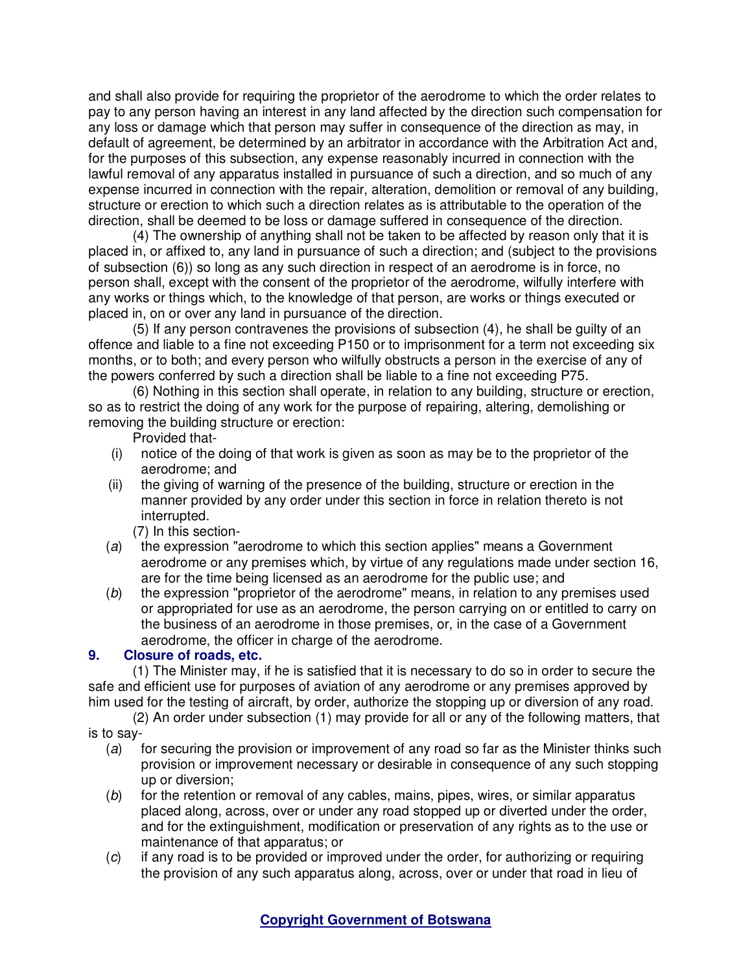and shall also provide for requiring the proprietor of the aerodrome to which the order relates to pay to any person having an interest in any land affected by the direction such compensation for any loss or damage which that person may suffer in consequence of the direction as may, in default of agreement, be determined by an arbitrator in accordance with the Arbitration Act and, for the purposes of this subsection, any expense reasonably incurred in connection with the lawful removal of any apparatus installed in pursuance of such a direction, and so much of any expense incurred in connection with the repair, alteration, demolition or removal of any building, structure or erection to which such a direction relates as is attributable to the operation of the direction, shall be deemed to be loss or damage suffered in consequence of the direction.

(4) The ownership of anything shall not be taken to be affected by reason only that it is placed in, or affixed to, any land in pursuance of such a direction; and (subject to the provisions of subsection (6)) so long as any such direction in respect of an aerodrome is in force, no person shall, except with the consent of the proprietor of the aerodrome, wilfully interfere with any works or things which, to the knowledge of that person, are works or things executed or placed in, on or over any land in pursuance of the direction.

(5) If any person contravenes the provisions of subsection (4), he shall be guilty of an offence and liable to a fine not exceeding P150 or to imprisonment for a term not exceeding six months, or to both; and every person who wilfully obstructs a person in the exercise of any of the powers conferred by such a direction shall be liable to a fine not exceeding P75.

(6) Nothing in this section shall operate, in relation to any building, structure or erection, so as to restrict the doing of any work for the purpose of repairing, altering, demolishing or removing the building structure or erection:

Provided that-

- (i) notice of the doing of that work is given as soon as may be to the proprietor of the aerodrome; and
- (ii) the giving of warning of the presence of the building, structure or erection in the manner provided by any order under this section in force in relation thereto is not interrupted.

(7) In this section-

- (a) the expression "aerodrome to which this section applies" means a Government aerodrome or any premises which, by virtue of any regulations made under section 16, are for the time being licensed as an aerodrome for the public use; and
- (b) the expression "proprietor of the aerodrome" means, in relation to any premises used or appropriated for use as an aerodrome, the person carrying on or entitled to carry on the business of an aerodrome in those premises, or, in the case of a Government aerodrome, the officer in charge of the aerodrome.

## **9. Closure of roads, etc.**

(1) The Minister may, if he is satisfied that it is necessary to do so in order to secure the safe and efficient use for purposes of aviation of any aerodrome or any premises approved by him used for the testing of aircraft, by order, authorize the stopping up or diversion of any road.

(2) An order under subsection (1) may provide for all or any of the following matters, that is to say-

- (a) for securing the provision or improvement of any road so far as the Minister thinks such provision or improvement necessary or desirable in consequence of any such stopping up or diversion;
- $(b)$  for the retention or removal of any cables, mains, pipes, wires, or similar apparatus placed along, across, over or under any road stopped up or diverted under the order, and for the extinguishment, modification or preservation of any rights as to the use or maintenance of that apparatus; or
- (c) if any road is to be provided or improved under the order, for authorizing or requiring the provision of any such apparatus along, across, over or under that road in lieu of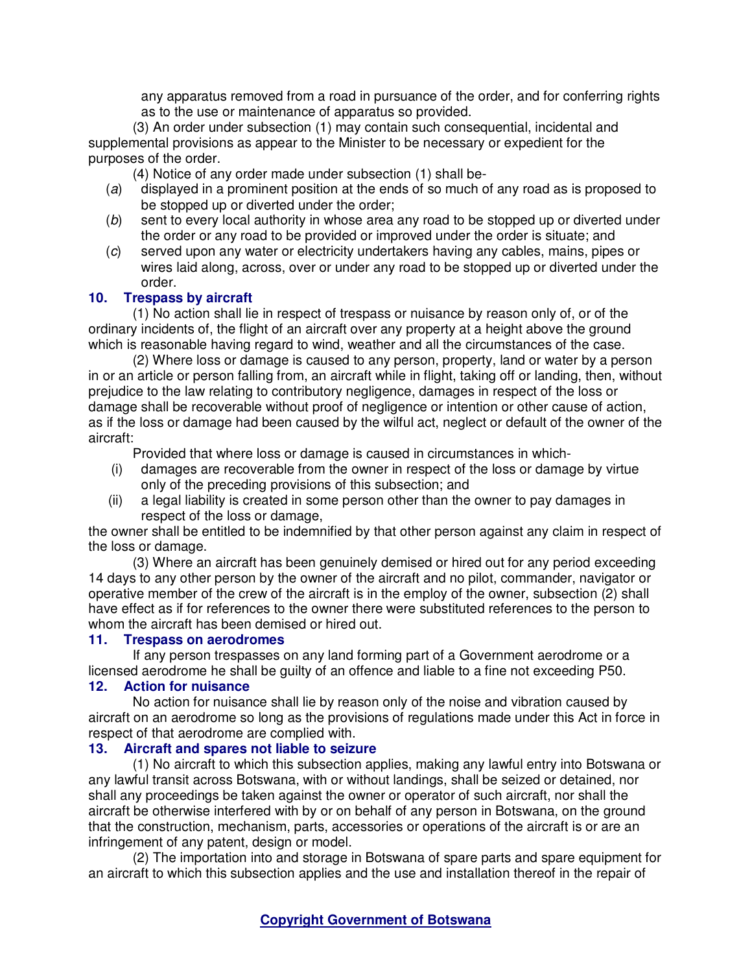any apparatus removed from a road in pursuance of the order, and for conferring rights as to the use or maintenance of apparatus so provided.

(3) An order under subsection (1) may contain such consequential, incidental and supplemental provisions as appear to the Minister to be necessary or expedient for the purposes of the order.

(4) Notice of any order made under subsection (1) shall be-

- (a) displayed in a prominent position at the ends of so much of any road as is proposed to be stopped up or diverted under the order;
- (b) sent to every local authority in whose area any road to be stopped up or diverted under the order or any road to be provided or improved under the order is situate; and
- (c) served upon any water or electricity undertakers having any cables, mains, pipes or wires laid along, across, over or under any road to be stopped up or diverted under the order.

## **10. Trespass by aircraft**

(1) No action shall lie in respect of trespass or nuisance by reason only of, or of the ordinary incidents of, the flight of an aircraft over any property at a height above the ground which is reasonable having regard to wind, weather and all the circumstances of the case.

(2) Where loss or damage is caused to any person, property, land or water by a person in or an article or person falling from, an aircraft while in flight, taking off or landing, then, without prejudice to the law relating to contributory negligence, damages in respect of the loss or damage shall be recoverable without proof of negligence or intention or other cause of action, as if the loss or damage had been caused by the wilful act, neglect or default of the owner of the aircraft:

Provided that where loss or damage is caused in circumstances in which-

- (i) damages are recoverable from the owner in respect of the loss or damage by virtue only of the preceding provisions of this subsection; and
- (ii) a legal liability is created in some person other than the owner to pay damages in respect of the loss or damage,

the owner shall be entitled to be indemnified by that other person against any claim in respect of the loss or damage.

(3) Where an aircraft has been genuinely demised or hired out for any period exceeding 14 days to any other person by the owner of the aircraft and no pilot, commander, navigator or operative member of the crew of the aircraft is in the employ of the owner, subsection (2) shall have effect as if for references to the owner there were substituted references to the person to whom the aircraft has been demised or hired out.

## **11. Trespass on aerodromes**

If any person trespasses on any land forming part of a Government aerodrome or a licensed aerodrome he shall be guilty of an offence and liable to a fine not exceeding P50.

# **12. Action for nuisance**

No action for nuisance shall lie by reason only of the noise and vibration caused by aircraft on an aerodrome so long as the provisions of regulations made under this Act in force in respect of that aerodrome are complied with.

### **13. Aircraft and spares not liable to seizure**

(1) No aircraft to which this subsection applies, making any lawful entry into Botswana or any lawful transit across Botswana, with or without landings, shall be seized or detained, nor shall any proceedings be taken against the owner or operator of such aircraft, nor shall the aircraft be otherwise interfered with by or on behalf of any person in Botswana, on the ground that the construction, mechanism, parts, accessories or operations of the aircraft is or are an infringement of any patent, design or model.

(2) The importation into and storage in Botswana of spare parts and spare equipment for an aircraft to which this subsection applies and the use and installation thereof in the repair of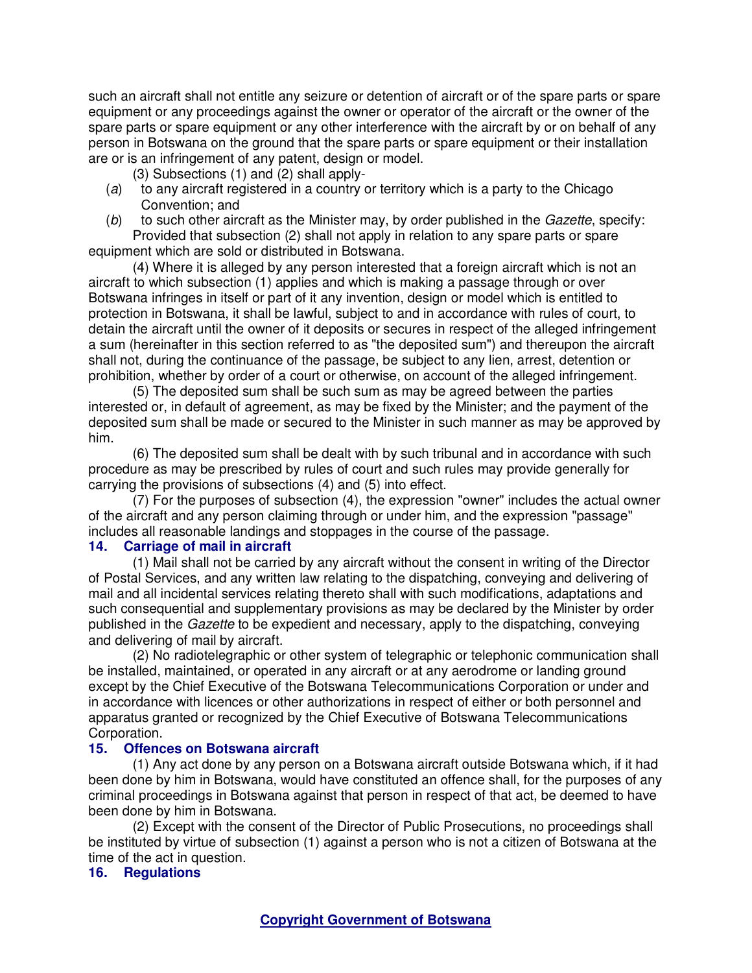such an aircraft shall not entitle any seizure or detention of aircraft or of the spare parts or spare equipment or any proceedings against the owner or operator of the aircraft or the owner of the spare parts or spare equipment or any other interference with the aircraft by or on behalf of any person in Botswana on the ground that the spare parts or spare equipment or their installation are or is an infringement of any patent, design or model.

- (3) Subsections (1) and (2) shall apply-
- (a) to any aircraft registered in a country or territory which is a party to the Chicago Convention; and
- $(b)$  to such other aircraft as the Minister may, by order published in the *Gazette*, specify: Provided that subsection (2) shall not apply in relation to any spare parts or spare equipment which are sold or distributed in Botswana.

(4) Where it is alleged by any person interested that a foreign aircraft which is not an aircraft to which subsection (1) applies and which is making a passage through or over Botswana infringes in itself or part of it any invention, design or model which is entitled to protection in Botswana, it shall be lawful, subject to and in accordance with rules of court, to detain the aircraft until the owner of it deposits or secures in respect of the alleged infringement a sum (hereinafter in this section referred to as "the deposited sum") and thereupon the aircraft shall not, during the continuance of the passage, be subject to any lien, arrest, detention or prohibition, whether by order of a court or otherwise, on account of the alleged infringement.

(5) The deposited sum shall be such sum as may be agreed between the parties interested or, in default of agreement, as may be fixed by the Minister; and the payment of the deposited sum shall be made or secured to the Minister in such manner as may be approved by him.

(6) The deposited sum shall be dealt with by such tribunal and in accordance with such procedure as may be prescribed by rules of court and such rules may provide generally for carrying the provisions of subsections (4) and (5) into effect.

(7) For the purposes of subsection (4), the expression "owner" includes the actual owner of the aircraft and any person claiming through or under him, and the expression "passage" includes all reasonable landings and stoppages in the course of the passage.<br>14. Carriage of mail in aircraft

## **14. Carriage of mail in aircraft**

(1) Mail shall not be carried by any aircraft without the consent in writing of the Director of Postal Services, and any written law relating to the dispatching, conveying and delivering of mail and all incidental services relating thereto shall with such modifications, adaptations and such consequential and supplementary provisions as may be declared by the Minister by order published in the Gazette to be expedient and necessary, apply to the dispatching, conveying and delivering of mail by aircraft.

(2) No radiotelegraphic or other system of telegraphic or telephonic communication shall be installed, maintained, or operated in any aircraft or at any aerodrome or landing ground except by the Chief Executive of the Botswana Telecommunications Corporation or under and in accordance with licences or other authorizations in respect of either or both personnel and apparatus granted or recognized by the Chief Executive of Botswana Telecommunications Corporation.

## **15. Offences on Botswana aircraft**

(1) Any act done by any person on a Botswana aircraft outside Botswana which, if it had been done by him in Botswana, would have constituted an offence shall, for the purposes of any criminal proceedings in Botswana against that person in respect of that act, be deemed to have been done by him in Botswana.

(2) Except with the consent of the Director of Public Prosecutions, no proceedings shall be instituted by virtue of subsection (1) against a person who is not a citizen of Botswana at the time of the act in question.

## **16. Regulations**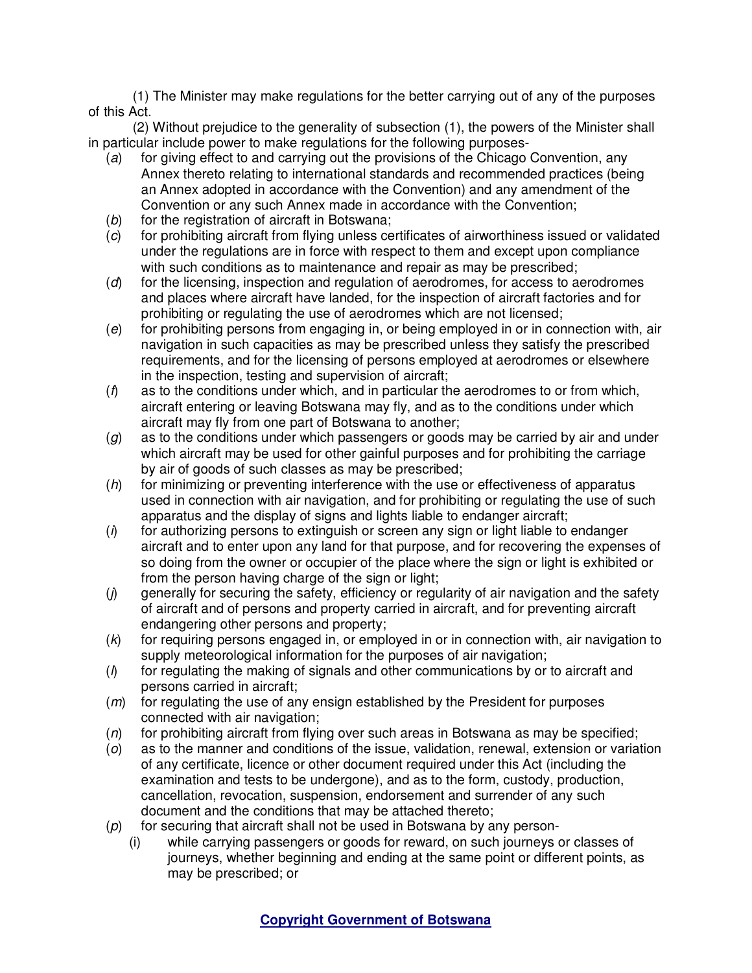(1) The Minister may make regulations for the better carrying out of any of the purposes of this Act.

(2) Without prejudice to the generality of subsection (1), the powers of the Minister shall in particular include power to make regulations for the following purposes-

- $(a)$  for giving effect to and carrying out the provisions of the Chicago Convention, any Annex thereto relating to international standards and recommended practices (being an Annex adopted in accordance with the Convention) and any amendment of the Convention or any such Annex made in accordance with the Convention;
- (b) for the registration of aircraft in Botswana;
- (c) for prohibiting aircraft from flying unless certificates of airworthiness issued or validated under the regulations are in force with respect to them and except upon compliance with such conditions as to maintenance and repair as may be prescribed;
- (d) for the licensing, inspection and regulation of aerodromes, for access to aerodromes and places where aircraft have landed, for the inspection of aircraft factories and for prohibiting or regulating the use of aerodromes which are not licensed;
- (e) for prohibiting persons from engaging in, or being employed in or in connection with, air navigation in such capacities as may be prescribed unless they satisfy the prescribed requirements, and for the licensing of persons employed at aerodromes or elsewhere in the inspection, testing and supervision of aircraft;
- $(f)$  as to the conditions under which, and in particular the aerodromes to or from which, aircraft entering or leaving Botswana may fly, and as to the conditions under which aircraft may fly from one part of Botswana to another;
- $(g)$  as to the conditions under which passengers or goods may be carried by air and under which aircraft may be used for other gainful purposes and for prohibiting the carriage by air of goods of such classes as may be prescribed;
- (h) for minimizing or preventing interference with the use or effectiveness of apparatus used in connection with air navigation, and for prohibiting or regulating the use of such apparatus and the display of signs and lights liable to endanger aircraft:
- $(i)$  for authorizing persons to extinguish or screen any sign or light liable to endanger aircraft and to enter upon any land for that purpose, and for recovering the expenses of so doing from the owner or occupier of the place where the sign or light is exhibited or from the person having charge of the sign or light;
- (j) generally for securing the safety, efficiency or regularity of air navigation and the safety of aircraft and of persons and property carried in aircraft, and for preventing aircraft endangering other persons and property;
- $(k)$  for requiring persons engaged in, or employed in or in connection with, air navigation to supply meteorological information for the purposes of air navigation;
- (l) for regulating the making of signals and other communications by or to aircraft and persons carried in aircraft;
- $(m)$  for regulating the use of any ensign established by the President for purposes connected with air navigation;
- $(n)$  for prohibiting aircraft from flying over such areas in Botswana as may be specified;
- (o) as to the manner and conditions of the issue, validation, renewal, extension or variation of any certificate, licence or other document required under this Act (including the examination and tests to be undergone), and as to the form, custody, production, cancellation, revocation, suspension, endorsement and surrender of any such document and the conditions that may be attached thereto;
- $(p)$  for securing that aircraft shall not be used in Botswana by any person-
	- (i) while carrying passengers or goods for reward, on such journeys or classes of journeys, whether beginning and ending at the same point or different points, as may be prescribed; or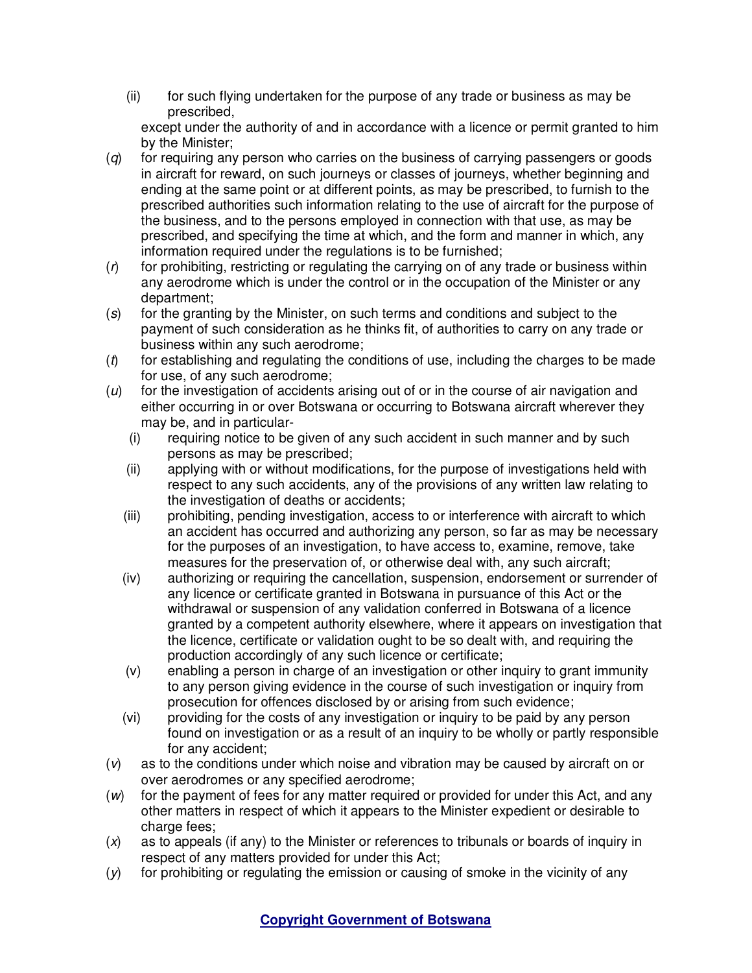(ii) for such flying undertaken for the purpose of any trade or business as may be prescribed,

 except under the authority of and in accordance with a licence or permit granted to him by the Minister;

- $(q)$  for requiring any person who carries on the business of carrying passengers or goods in aircraft for reward, on such journeys or classes of journeys, whether beginning and ending at the same point or at different points, as may be prescribed, to furnish to the prescribed authorities such information relating to the use of aircraft for the purpose of the business, and to the persons employed in connection with that use, as may be prescribed, and specifying the time at which, and the form and manner in which, any information required under the regulations is to be furnished;
- $(r)$  for prohibiting, restricting or regulating the carrying on of any trade or business within any aerodrome which is under the control or in the occupation of the Minister or any department;
- (s) for the granting by the Minister, on such terms and conditions and subject to the payment of such consideration as he thinks fit, of authorities to carry on any trade or business within any such aerodrome;
- $(t)$  for establishing and regulating the conditions of use, including the charges to be made for use, of any such aerodrome;
- $(u)$  for the investigation of accidents arising out of or in the course of air navigation and either occurring in or over Botswana or occurring to Botswana aircraft wherever they may be, and in particular-
	- (i) requiring notice to be given of any such accident in such manner and by such persons as may be prescribed;
	- (ii) applying with or without modifications, for the purpose of investigations held with respect to any such accidents, any of the provisions of any written law relating to the investigation of deaths or accidents;
	- (iii) prohibiting, pending investigation, access to or interference with aircraft to which an accident has occurred and authorizing any person, so far as may be necessary for the purposes of an investigation, to have access to, examine, remove, take measures for the preservation of, or otherwise deal with, any such aircraft;
	- (iv) authorizing or requiring the cancellation, suspension, endorsement or surrender of any licence or certificate granted in Botswana in pursuance of this Act or the withdrawal or suspension of any validation conferred in Botswana of a licence granted by a competent authority elsewhere, where it appears on investigation that the licence, certificate or validation ought to be so dealt with, and requiring the production accordingly of any such licence or certificate;
	- (v) enabling a person in charge of an investigation or other inquiry to grant immunity to any person giving evidence in the course of such investigation or inquiry from prosecution for offences disclosed by or arising from such evidence;
	- (vi) providing for the costs of any investigation or inquiry to be paid by any person found on investigation or as a result of an inquiry to be wholly or partly responsible for any accident;
- (v) as to the conditions under which noise and vibration may be caused by aircraft on or over aerodromes or any specified aerodrome;
- (w) for the payment of fees for any matter required or provided for under this Act, and any other matters in respect of which it appears to the Minister expedient or desirable to charge fees:
- $(x)$  as to appeals (if any) to the Minister or references to tribunals or boards of inquiry in respect of any matters provided for under this Act;
- $(y)$  for prohibiting or regulating the emission or causing of smoke in the vicinity of any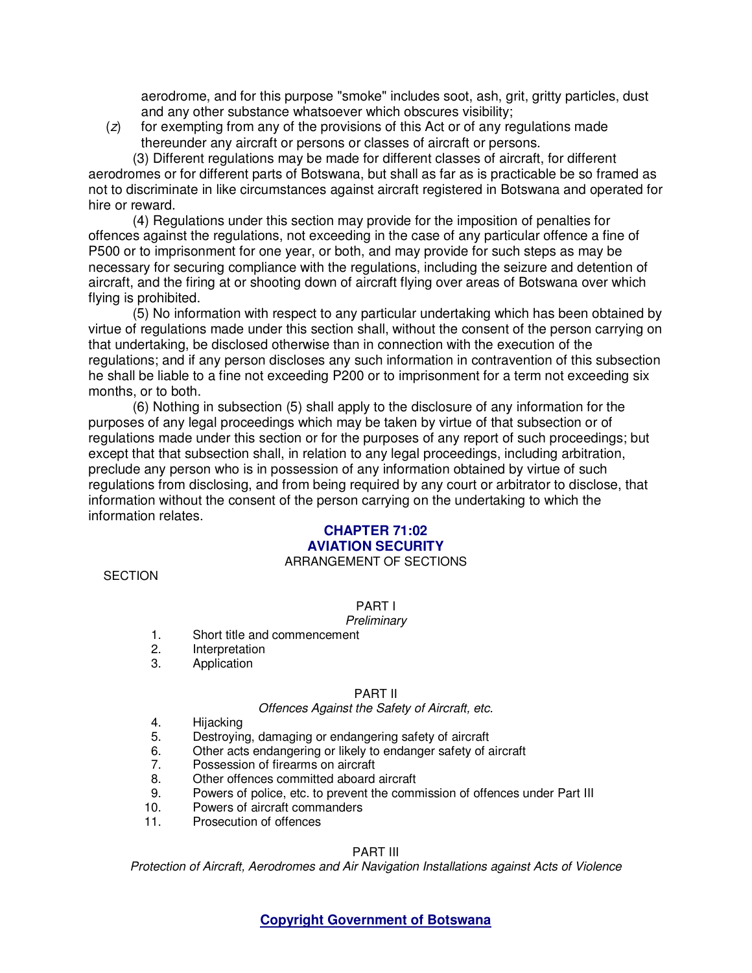aerodrome, and for this purpose "smoke" includes soot, ash, grit, gritty particles, dust and any other substance whatsoever which obscures visibility;

 $(z)$  for exempting from any of the provisions of this Act or of any regulations made thereunder any aircraft or persons or classes of aircraft or persons.

(3) Different regulations may be made for different classes of aircraft, for different aerodromes or for different parts of Botswana, but shall as far as is practicable be so framed as not to discriminate in like circumstances against aircraft registered in Botswana and operated for hire or reward.

(4) Regulations under this section may provide for the imposition of penalties for offences against the regulations, not exceeding in the case of any particular offence a fine of P500 or to imprisonment for one year, or both, and may provide for such steps as may be necessary for securing compliance with the regulations, including the seizure and detention of aircraft, and the firing at or shooting down of aircraft flying over areas of Botswana over which flying is prohibited.

(5) No information with respect to any particular undertaking which has been obtained by virtue of regulations made under this section shall, without the consent of the person carrying on that undertaking, be disclosed otherwise than in connection with the execution of the regulations; and if any person discloses any such information in contravention of this subsection he shall be liable to a fine not exceeding P200 or to imprisonment for a term not exceeding six months, or to both.

(6) Nothing in subsection (5) shall apply to the disclosure of any information for the purposes of any legal proceedings which may be taken by virtue of that subsection or of regulations made under this section or for the purposes of any report of such proceedings; but except that that subsection shall, in relation to any legal proceedings, including arbitration, preclude any person who is in possession of any information obtained by virtue of such regulations from disclosing, and from being required by any court or arbitrator to disclose, that information without the consent of the person carrying on the undertaking to which the information relates.

#### **CHAPTER 71:02 AVIATION SECURITY**  ARRANGEMENT OF SECTIONS

**SECTION** 

## PART I

### **Preliminary**

- 1. Short title and commencement
- 2. Interpretation<br>3. Application
- **Application**

### PART II

### Offences Against the Safety of Aircraft, etc.

- 4. Hijacking
- 5. Destroying, damaging or endangering safety of aircraft
- 6. Other acts endangering or likely to endanger safety of aircraft
- 7. Possession of firearms on aircraft
- 8. Other offences committed aboard aircraft
- 9. Powers of police, etc. to prevent the commission of offences under Part III
- 10. Powers of aircraft commanders
- 11. Prosecution of offences

### PART III

Protection of Aircraft, Aerodromes and Air Navigation Installations against Acts of Violence

## **Copyright Government of Botswana**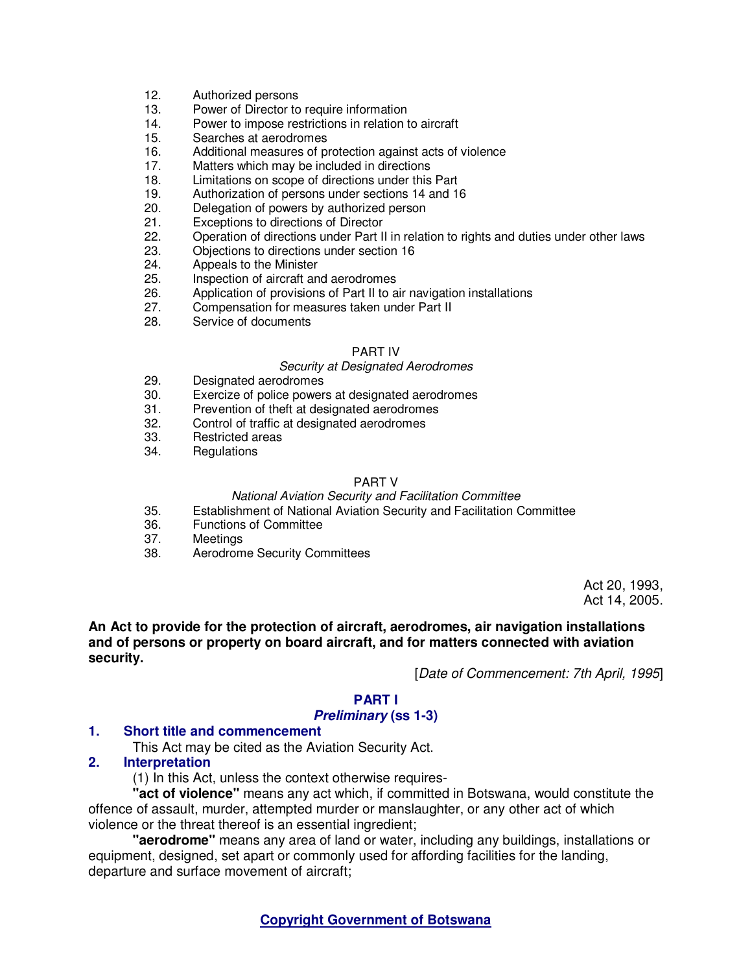- 12. Authorized persons
- 13. Power of Director to require information
- 14. Power to impose restrictions in relation to aircraft
- 15. Searches at aerodromes
- 16. Additional measures of protection against acts of violence
- 17. Matters which may be included in directions<br>18. Limitations on scope of directions under this
- Limitations on scope of directions under this Part
- 19. Authorization of persons under sections 14 and 16
- 20. Delegation of powers by authorized person
- 21. Exceptions to directions of Director<br>22. Operation of directions under Part II
- 22. Operation of directions under Part II in relation to rights and duties under other laws
- 23. Objections to directions under section 16
- 24. Appeals to the Minister
- 25. Inspection of aircraft and aerodromes
- 26. Application of provisions of Part II to air navigation installations
- 27. Compensation for measures taken under Part II
- 28. Service of documents

### PART IV

### Security at Designated Aerodromes

- 29. Designated aerodromes
- 30. Exercize of police powers at designated aerodromes
- 31. Prevention of theft at designated aerodromes
- 32. Control of traffic at designated aerodromes
- 33. Restricted areas
- 34. Regulations

### PART V

### National Aviation Security and Facilitation Committee

- 35. Establishment of National Aviation Security and Facilitation Committee
- 36. Functions of Committee<br>37. Meetings
- **Meetings**
- 38. Aerodrome Security Committees

Act 20, 1993, Act 14, 2005.

**An Act to provide for the protection of aircraft, aerodromes, air navigation installations and of persons or property on board aircraft, and for matters connected with aviation security.** 

[Date of Commencement: 7th April, 1995]

## **PART I**

### **Preliminary (ss 1-3)**

### **1. Short title and commencement**

This Act may be cited as the Aviation Security Act.

### **2. Interpretation**

(1) In this Act, unless the context otherwise requires-

**"act of violence"** means any act which, if committed in Botswana, would constitute the offence of assault, murder, attempted murder or manslaughter, or any other act of which violence or the threat thereof is an essential ingredient;

**"aerodrome"** means any area of land or water, including any buildings, installations or equipment, designed, set apart or commonly used for affording facilities for the landing, departure and surface movement of aircraft;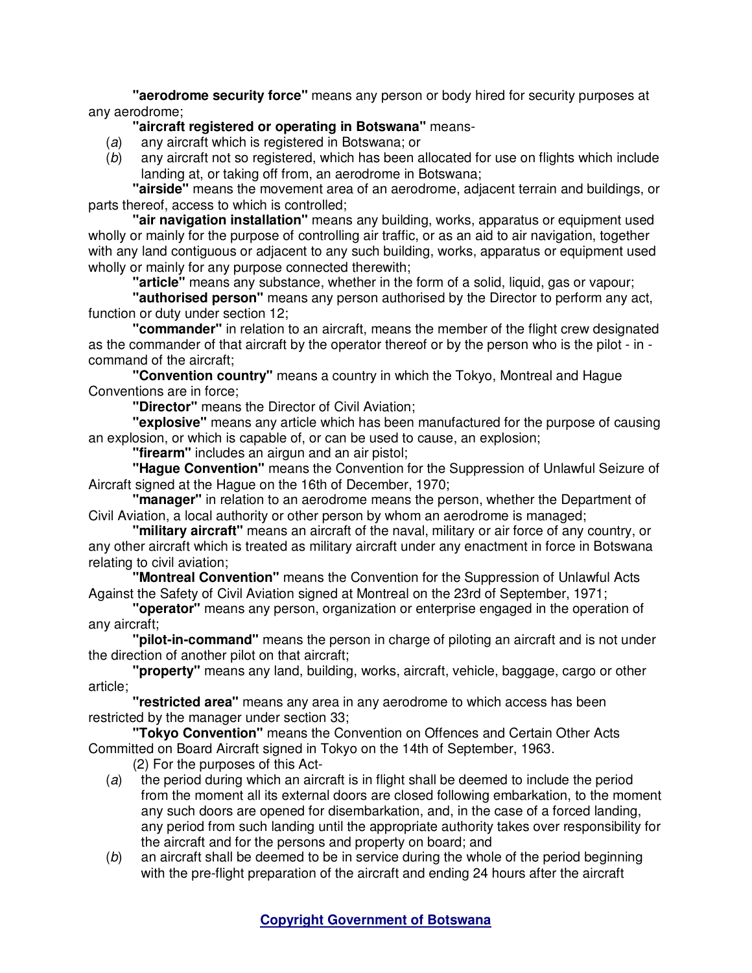**"aerodrome security force"** means any person or body hired for security purposes at any aerodrome;

# **"aircraft registered or operating in Botswana"** means-

- (a) any aircraft which is registered in Botswana; or
- (b) any aircraft not so registered, which has been allocated for use on flights which include landing at, or taking off from, an aerodrome in Botswana;

**"airside"** means the movement area of an aerodrome, adjacent terrain and buildings, or parts thereof, access to which is controlled;

**"air navigation installation"** means any building, works, apparatus or equipment used wholly or mainly for the purpose of controlling air traffic, or as an aid to air navigation, together with any land contiguous or adjacent to any such building, works, apparatus or equipment used wholly or mainly for any purpose connected therewith;

**"article"** means any substance, whether in the form of a solid, liquid, gas or vapour;

**"authorised person"** means any person authorised by the Director to perform any act, function or duty under section 12;

**"commander"** in relation to an aircraft, means the member of the flight crew designated as the commander of that aircraft by the operator thereof or by the person who is the pilot - in command of the aircraft;

**"Convention country"** means a country in which the Tokyo, Montreal and Hague Conventions are in force;

**"Director"** means the Director of Civil Aviation;

**"explosive"** means any article which has been manufactured for the purpose of causing an explosion, or which is capable of, or can be used to cause, an explosion;

**"firearm"** includes an airgun and an air pistol;

**"Hague Convention"** means the Convention for the Suppression of Unlawful Seizure of Aircraft signed at the Hague on the 16th of December, 1970;

**"manager"** in relation to an aerodrome means the person, whether the Department of Civil Aviation, a local authority or other person by whom an aerodrome is managed;

**"military aircraft"** means an aircraft of the naval, military or air force of any country, or any other aircraft which is treated as military aircraft under any enactment in force in Botswana relating to civil aviation;

**"Montreal Convention"** means the Convention for the Suppression of Unlawful Acts Against the Safety of Civil Aviation signed at Montreal on the 23rd of September, 1971;

**"operator"** means any person, organization or enterprise engaged in the operation of any aircraft;

**"pilot-in-command"** means the person in charge of piloting an aircraft and is not under the direction of another pilot on that aircraft;

**"property"** means any land, building, works, aircraft, vehicle, baggage, cargo or other article;

**"restricted area"** means any area in any aerodrome to which access has been restricted by the manager under section 33;

**"Tokyo Convention"** means the Convention on Offences and Certain Other Acts Committed on Board Aircraft signed in Tokyo on the 14th of September, 1963.

(2) For the purposes of this Act-

- (a) the period during which an aircraft is in flight shall be deemed to include the period from the moment all its external doors are closed following embarkation, to the moment any such doors are opened for disembarkation, and, in the case of a forced landing, any period from such landing until the appropriate authority takes over responsibility for the aircraft and for the persons and property on board; and
- (b) an aircraft shall be deemed to be in service during the whole of the period beginning with the pre-flight preparation of the aircraft and ending 24 hours after the aircraft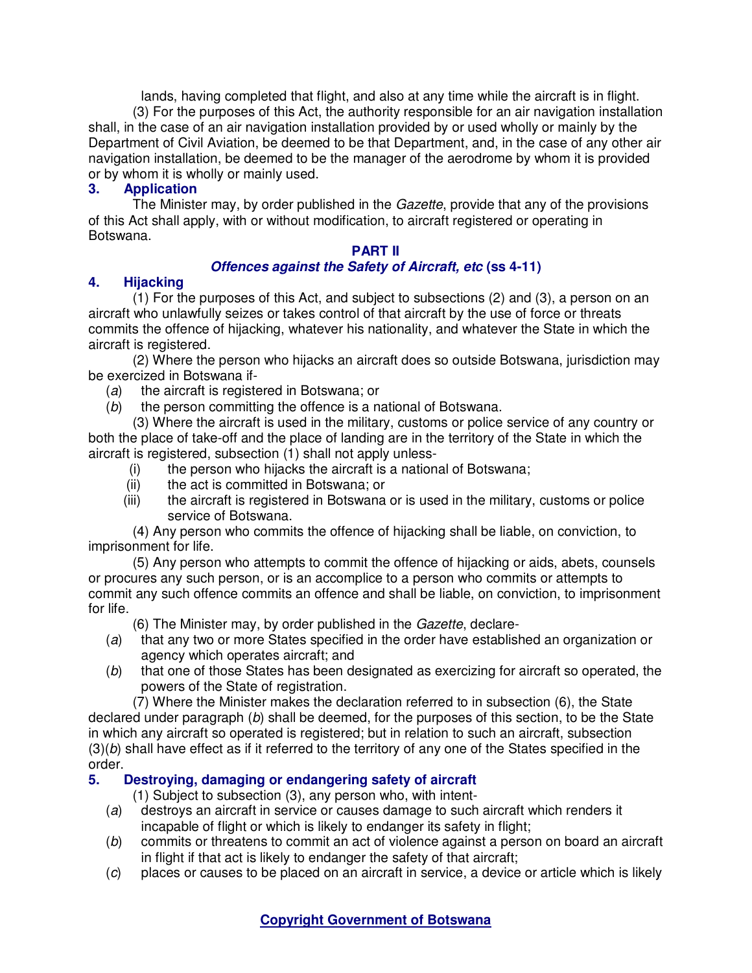lands, having completed that flight, and also at any time while the aircraft is in flight. (3) For the purposes of this Act, the authority responsible for an air navigation installation shall, in the case of an air navigation installation provided by or used wholly or mainly by the Department of Civil Aviation, be deemed to be that Department, and, in the case of any other air navigation installation, be deemed to be the manager of the aerodrome by whom it is provided or by whom it is wholly or mainly used.

## **3. Application**

The Minister may, by order published in the *Gazette*, provide that any of the provisions of this Act shall apply, with or without modification, to aircraft registered or operating in Botswana.

## **PART II**

## **Offences against the Safety of Aircraft, etc (ss 4-11)**

## **4. Hijacking**

(1) For the purposes of this Act, and subject to subsections (2) and (3), a person on an aircraft who unlawfully seizes or takes control of that aircraft by the use of force or threats commits the offence of hijacking, whatever his nationality, and whatever the State in which the aircraft is registered.

(2) Where the person who hijacks an aircraft does so outside Botswana, jurisdiction may be exercized in Botswana if-

- (a) the aircraft is registered in Botswana; or
- (b) the person committing the offence is a national of Botswana.

(3) Where the aircraft is used in the military, customs or police service of any country or both the place of take-off and the place of landing are in the territory of the State in which the aircraft is registered, subsection (1) shall not apply unless-

- (i) the person who hijacks the aircraft is a national of Botswana;
- (ii) the act is committed in Botswana; or
- (iii) the aircraft is registered in Botswana or is used in the military, customs or police service of Botswana.

(4) Any person who commits the offence of hijacking shall be liable, on conviction, to imprisonment for life.

(5) Any person who attempts to commit the offence of hijacking or aids, abets, counsels or procures any such person, or is an accomplice to a person who commits or attempts to commit any such offence commits an offence and shall be liable, on conviction, to imprisonment for life.

(6) The Minister may, by order published in the Gazette, declare-

- (a) that any two or more States specified in the order have established an organization or agency which operates aircraft; and
- (b) that one of those States has been designated as exercizing for aircraft so operated, the powers of the State of registration.

(7) Where the Minister makes the declaration referred to in subsection (6), the State declared under paragraph  $(b)$  shall be deemed, for the purposes of this section, to be the State in which any aircraft so operated is registered; but in relation to such an aircraft, subsection  $(3)(b)$  shall have effect as if it referred to the territory of any one of the States specified in the order.

## **5. Destroying, damaging or endangering safety of aircraft**

(1) Subject to subsection (3), any person who, with intent-

- (a) destroys an aircraft in service or causes damage to such aircraft which renders it incapable of flight or which is likely to endanger its safety in flight:
- (b) commits or threatens to commit an act of violence against a person on board an aircraft in flight if that act is likely to endanger the safety of that aircraft;
- (c) places or causes to be placed on an aircraft in service, a device or article which is likely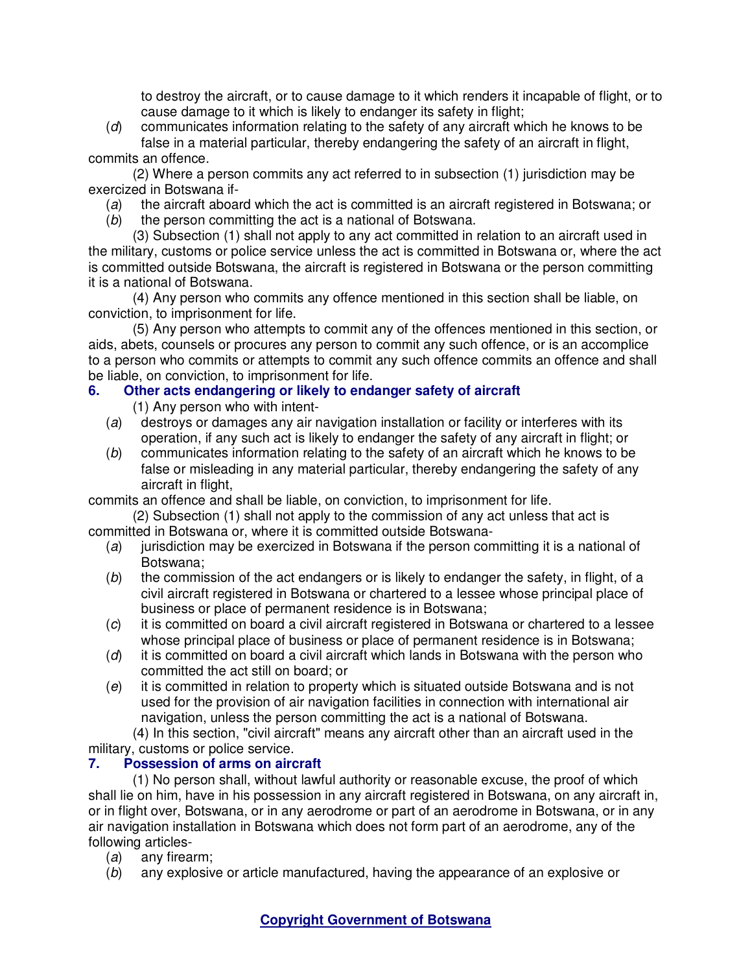to destroy the aircraft, or to cause damage to it which renders it incapable of flight, or to cause damage to it which is likely to endanger its safety in flight;

(d) communicates information relating to the safety of any aircraft which he knows to be false in a material particular, thereby endangering the safety of an aircraft in flight, commits an offence.

(2) Where a person commits any act referred to in subsection (1) jurisdiction may be exercized in Botswana if-

- (a) the aircraft aboard which the act is committed is an aircraft registered in Botswana; or
- (b) the person committing the act is a national of Botswana.

(3) Subsection (1) shall not apply to any act committed in relation to an aircraft used in the military, customs or police service unless the act is committed in Botswana or, where the act is committed outside Botswana, the aircraft is registered in Botswana or the person committing it is a national of Botswana.

(4) Any person who commits any offence mentioned in this section shall be liable, on conviction, to imprisonment for life.

(5) Any person who attempts to commit any of the offences mentioned in this section, or aids, abets, counsels or procures any person to commit any such offence, or is an accomplice to a person who commits or attempts to commit any such offence commits an offence and shall be liable, on conviction, to imprisonment for life.

# **6. Other acts endangering or likely to endanger safety of aircraft**

(1) Any person who with intent-

- (a) destroys or damages any air navigation installation or facility or interferes with its operation, if any such act is likely to endanger the safety of any aircraft in flight; or
- (b) communicates information relating to the safety of an aircraft which he knows to be false or misleading in any material particular, thereby endangering the safety of any aircraft in flight,

commits an offence and shall be liable, on conviction, to imprisonment for life.

(2) Subsection (1) shall not apply to the commission of any act unless that act is committed in Botswana or, where it is committed outside Botswana-

- (a) jurisdiction may be exercized in Botswana if the person committing it is a national of Botswana;
- $(b)$  the commission of the act endangers or is likely to endanger the safety, in flight, of a civil aircraft registered in Botswana or chartered to a lessee whose principal place of business or place of permanent residence is in Botswana;
- (c) it is committed on board a civil aircraft registered in Botswana or chartered to a lessee whose principal place of business or place of permanent residence is in Botswana;
- $(d)$  it is committed on board a civil aircraft which lands in Botswana with the person who committed the act still on board; or
- (e) it is committed in relation to property which is situated outside Botswana and is not used for the provision of air navigation facilities in connection with international air navigation, unless the person committing the act is a national of Botswana.

(4) In this section, "civil aircraft" means any aircraft other than an aircraft used in the military, customs or police service.<br>7. **Possession of arms on airc** 

# **7. Possession of arms on aircraft**

(1) No person shall, without lawful authority or reasonable excuse, the proof of which shall lie on him, have in his possession in any aircraft registered in Botswana, on any aircraft in, or in flight over, Botswana, or in any aerodrome or part of an aerodrome in Botswana, or in any air navigation installation in Botswana which does not form part of an aerodrome, any of the following articles-

- (a) any firearm;
- (b) any explosive or article manufactured, having the appearance of an explosive or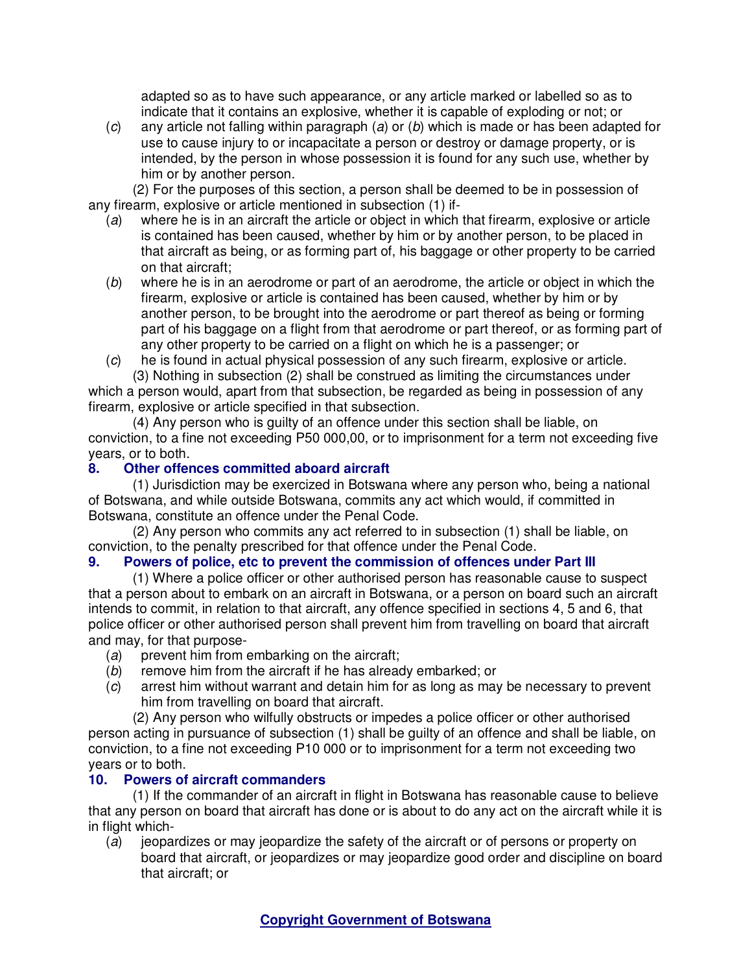adapted so as to have such appearance, or any article marked or labelled so as to indicate that it contains an explosive, whether it is capable of exploding or not; or

 $(c)$  any article not falling within paragraph (a) or (b) which is made or has been adapted for use to cause injury to or incapacitate a person or destroy or damage property, or is intended, by the person in whose possession it is found for any such use, whether by him or by another person.

(2) For the purposes of this section, a person shall be deemed to be in possession of any firearm, explosive or article mentioned in subsection (1) if-

- (a) where he is in an aircraft the article or object in which that firearm, explosive or article is contained has been caused, whether by him or by another person, to be placed in that aircraft as being, or as forming part of, his baggage or other property to be carried on that aircraft;
- (b) where he is in an aerodrome or part of an aerodrome, the article or object in which the firearm, explosive or article is contained has been caused, whether by him or by another person, to be brought into the aerodrome or part thereof as being or forming part of his baggage on a flight from that aerodrome or part thereof, or as forming part of any other property to be carried on a flight on which he is a passenger; or
- (c) he is found in actual physical possession of any such firearm, explosive or article. (3) Nothing in subsection (2) shall be construed as limiting the circumstances under

which a person would, apart from that subsection, be regarded as being in possession of any firearm, explosive or article specified in that subsection.

(4) Any person who is guilty of an offence under this section shall be liable, on conviction, to a fine not exceeding P50 000,00, or to imprisonment for a term not exceeding five years, or to both.

# **8. Other offences committed aboard aircraft**

(1) Jurisdiction may be exercized in Botswana where any person who, being a national of Botswana, and while outside Botswana, commits any act which would, if committed in Botswana, constitute an offence under the Penal Code.

(2) Any person who commits any act referred to in subsection (1) shall be liable, on conviction, to the penalty prescribed for that offence under the Penal Code.

# **9. Powers of police, etc to prevent the commission of offences under Part III**

(1) Where a police officer or other authorised person has reasonable cause to suspect that a person about to embark on an aircraft in Botswana, or a person on board such an aircraft intends to commit, in relation to that aircraft, any offence specified in sections 4, 5 and 6, that police officer or other authorised person shall prevent him from travelling on board that aircraft and may, for that purpose-

- $(a)$  prevent him from embarking on the aircraft;
- (b) remove him from the aircraft if he has already embarked; or
- (c) arrest him without warrant and detain him for as long as may be necessary to prevent him from travelling on board that aircraft.

(2) Any person who wilfully obstructs or impedes a police officer or other authorised person acting in pursuance of subsection (1) shall be guilty of an offence and shall be liable, on conviction, to a fine not exceeding P10 000 or to imprisonment for a term not exceeding two years or to both.

# **10. Powers of aircraft commanders**

(1) If the commander of an aircraft in flight in Botswana has reasonable cause to believe that any person on board that aircraft has done or is about to do any act on the aircraft while it is in flight which-

(a) jeopardizes or may jeopardize the safety of the aircraft or of persons or property on board that aircraft, or jeopardizes or may jeopardize good order and discipline on board that aircraft; or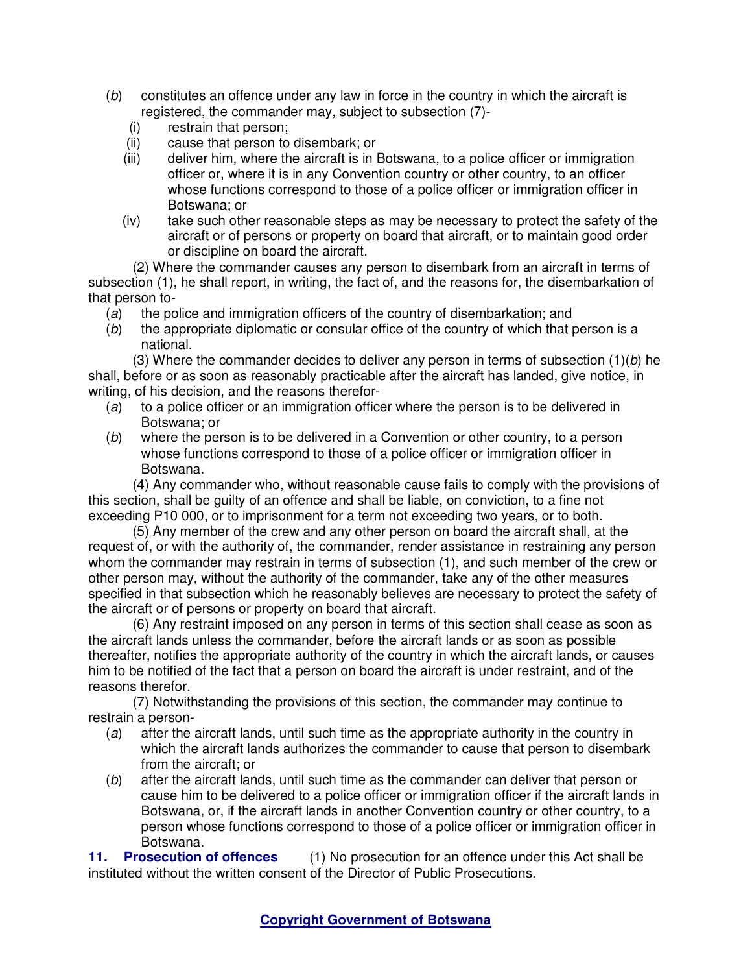- (b) constitutes an offence under any law in force in the country in which the aircraft is registered, the commander may, subject to subsection (7)-
	- (i) restrain that person;
	- (ii) cause that person to disembark; or
	- (iii) deliver him, where the aircraft is in Botswana, to a police officer or immigration officer or, where it is in any Convention country or other country, to an officer whose functions correspond to those of a police officer or immigration officer in Botswana; or
	- (iv) take such other reasonable steps as may be necessary to protect the safety of the aircraft or of persons or property on board that aircraft, or to maintain good order or discipline on board the aircraft.

(2) Where the commander causes any person to disembark from an aircraft in terms of subsection (1), he shall report, in writing, the fact of, and the reasons for, the disembarkation of that person to-

- (a) the police and immigration officers of the country of disembarkation; and
- (b) the appropriate diplomatic or consular office of the country of which that person is a national.

(3) Where the commander decides to deliver any person in terms of subsection  $(1)(b)$  he shall, before or as soon as reasonably practicable after the aircraft has landed, give notice, in writing, of his decision, and the reasons therefor-<br>(a) to a police officer or an immigration office

- to a police officer or an immigration officer where the person is to be delivered in Botswana; or
- (b) where the person is to be delivered in a Convention or other country, to a person whose functions correspond to those of a police officer or immigration officer in Botswana.

(4) Any commander who, without reasonable cause fails to comply with the provisions of this section, shall be guilty of an offence and shall be liable, on conviction, to a fine not exceeding P10 000, or to imprisonment for a term not exceeding two years, or to both.

(5) Any member of the crew and any other person on board the aircraft shall, at the request of, or with the authority of, the commander, render assistance in restraining any person whom the commander may restrain in terms of subsection (1), and such member of the crew or other person may, without the authority of the commander, take any of the other measures specified in that subsection which he reasonably believes are necessary to protect the safety of the aircraft or of persons or property on board that aircraft.

(6) Any restraint imposed on any person in terms of this section shall cease as soon as the aircraft lands unless the commander, before the aircraft lands or as soon as possible thereafter, notifies the appropriate authority of the country in which the aircraft lands, or causes him to be notified of the fact that a person on board the aircraft is under restraint, and of the reasons therefor.

(7) Notwithstanding the provisions of this section, the commander may continue to restrain a person-

- (a) after the aircraft lands, until such time as the appropriate authority in the country in which the aircraft lands authorizes the commander to cause that person to disembark from the aircraft; or
- (b) after the aircraft lands, until such time as the commander can deliver that person or cause him to be delivered to a police officer or immigration officer if the aircraft lands in Botswana, or, if the aircraft lands in another Convention country or other country, to a person whose functions correspond to those of a police officer or immigration officer in Botswana.<br>**Prosecution of offences**

**11. Prosecution of offences** (1) No prosecution for an offence under this Act shall be instituted without the written consent of the Director of Public Prosecutions.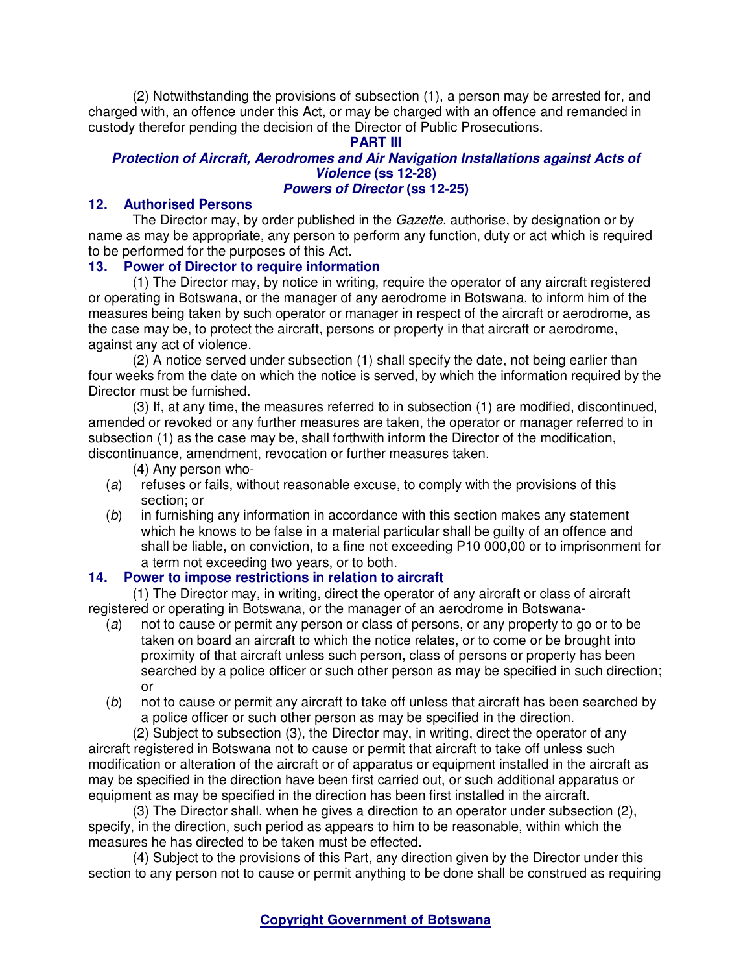(2) Notwithstanding the provisions of subsection (1), a person may be arrested for, and charged with, an offence under this Act, or may be charged with an offence and remanded in custody therefor pending the decision of the Director of Public Prosecutions.

# **PART III**

### **Protection of Aircraft, Aerodromes and Air Navigation Installations against Acts of Violence (ss 12-28) Powers of Director (ss 12-25)**

## **12. Authorised Persons**

The Director may, by order published in the *Gazette*, authorise, by designation or by name as may be appropriate, any person to perform any function, duty or act which is required to be performed for the purposes of this Act.

## **13. Power of Director to require information**

(1) The Director may, by notice in writing, require the operator of any aircraft registered or operating in Botswana, or the manager of any aerodrome in Botswana, to inform him of the measures being taken by such operator or manager in respect of the aircraft or aerodrome, as the case may be, to protect the aircraft, persons or property in that aircraft or aerodrome, against any act of violence.

(2) A notice served under subsection (1) shall specify the date, not being earlier than four weeks from the date on which the notice is served, by which the information required by the Director must be furnished.

(3) If, at any time, the measures referred to in subsection (1) are modified, discontinued, amended or revoked or any further measures are taken, the operator or manager referred to in subsection (1) as the case may be, shall forthwith inform the Director of the modification, discontinuance, amendment, revocation or further measures taken.

(4) Any person who-

- (a) refuses or fails, without reasonable excuse, to comply with the provisions of this section; or
- (b) in furnishing any information in accordance with this section makes any statement which he knows to be false in a material particular shall be guilty of an offence and shall be liable, on conviction, to a fine not exceeding P10 000,00 or to imprisonment for a term not exceeding two years, or to both.

## **14. Power to impose restrictions in relation to aircraft**

(1) The Director may, in writing, direct the operator of any aircraft or class of aircraft registered or operating in Botswana, or the manager of an aerodrome in Botswana-

- (a) not to cause or permit any person or class of persons, or any property to go or to be taken on board an aircraft to which the notice relates, or to come or be brought into proximity of that aircraft unless such person, class of persons or property has been searched by a police officer or such other person as may be specified in such direction; or
- (b) not to cause or permit any aircraft to take off unless that aircraft has been searched by a police officer or such other person as may be specified in the direction.

(2) Subject to subsection (3), the Director may, in writing, direct the operator of any aircraft registered in Botswana not to cause or permit that aircraft to take off unless such modification or alteration of the aircraft or of apparatus or equipment installed in the aircraft as may be specified in the direction have been first carried out, or such additional apparatus or equipment as may be specified in the direction has been first installed in the aircraft.

(3) The Director shall, when he gives a direction to an operator under subsection (2), specify, in the direction, such period as appears to him to be reasonable, within which the measures he has directed to be taken must be effected.

(4) Subject to the provisions of this Part, any direction given by the Director under this section to any person not to cause or permit anything to be done shall be construed as requiring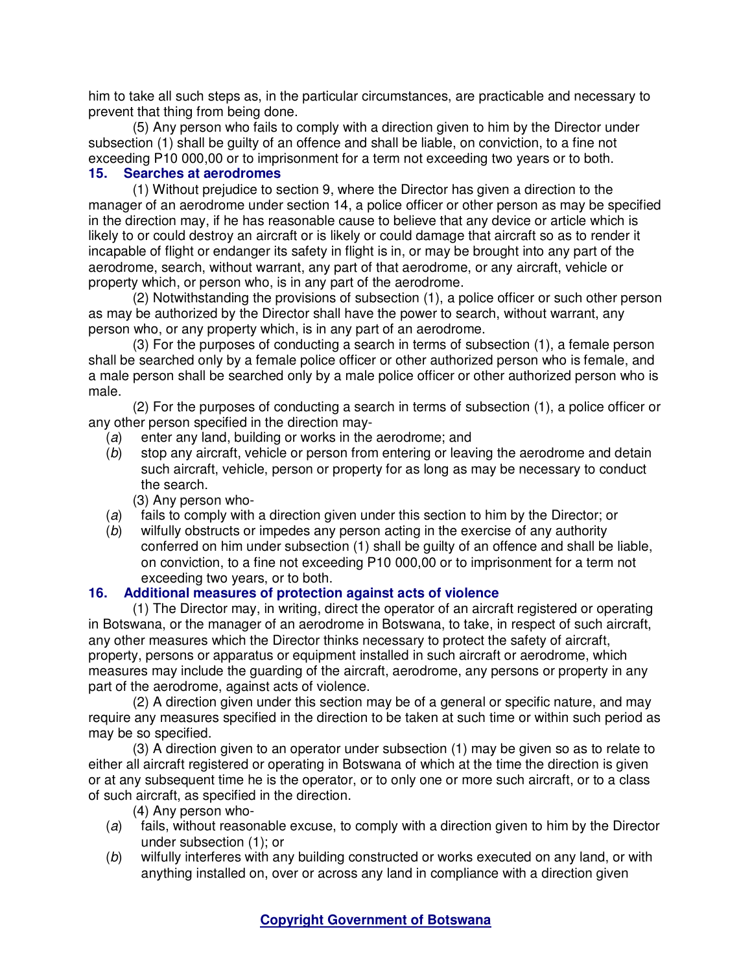him to take all such steps as, in the particular circumstances, are practicable and necessary to prevent that thing from being done.

(5) Any person who fails to comply with a direction given to him by the Director under subsection (1) shall be guilty of an offence and shall be liable, on conviction, to a fine not exceeding P10 000,00 or to imprisonment for a term not exceeding two years or to both.

## **15. Searches at aerodromes**

(1) Without prejudice to section 9, where the Director has given a direction to the manager of an aerodrome under section 14, a police officer or other person as may be specified in the direction may, if he has reasonable cause to believe that any device or article which is likely to or could destroy an aircraft or is likely or could damage that aircraft so as to render it incapable of flight or endanger its safety in flight is in, or may be brought into any part of the aerodrome, search, without warrant, any part of that aerodrome, or any aircraft, vehicle or property which, or person who, is in any part of the aerodrome.

(2) Notwithstanding the provisions of subsection (1), a police officer or such other person as may be authorized by the Director shall have the power to search, without warrant, any person who, or any property which, is in any part of an aerodrome.

(3) For the purposes of conducting a search in terms of subsection (1), a female person shall be searched only by a female police officer or other authorized person who is female, and a male person shall be searched only by a male police officer or other authorized person who is male.

(2) For the purposes of conducting a search in terms of subsection (1), a police officer or any other person specified in the direction may-

- (a) enter any land, building or works in the aerodrome; and
- (b) stop any aircraft, vehicle or person from entering or leaving the aerodrome and detain such aircraft, vehicle, person or property for as long as may be necessary to conduct the search.
	- (3) Any person who-
- (a) fails to comply with a direction given under this section to him by the Director; or
- (b) wilfully obstructs or impedes any person acting in the exercise of any authority conferred on him under subsection (1) shall be guilty of an offence and shall be liable, on conviction, to a fine not exceeding P10 000,00 or to imprisonment for a term not exceeding two years, or to both.

## **16. Additional measures of protection against acts of violence**

(1) The Director may, in writing, direct the operator of an aircraft registered or operating in Botswana, or the manager of an aerodrome in Botswana, to take, in respect of such aircraft, any other measures which the Director thinks necessary to protect the safety of aircraft, property, persons or apparatus or equipment installed in such aircraft or aerodrome, which measures may include the guarding of the aircraft, aerodrome, any persons or property in any part of the aerodrome, against acts of violence.

(2) A direction given under this section may be of a general or specific nature, and may require any measures specified in the direction to be taken at such time or within such period as may be so specified.

(3) A direction given to an operator under subsection (1) may be given so as to relate to either all aircraft registered or operating in Botswana of which at the time the direction is given or at any subsequent time he is the operator, or to only one or more such aircraft, or to a class of such aircraft, as specified in the direction.

(4) Any person who-

- (a) fails, without reasonable excuse, to comply with a direction given to him by the Director under subsection (1); or
- (b) wilfully interferes with any building constructed or works executed on any land, or with anything installed on, over or across any land in compliance with a direction given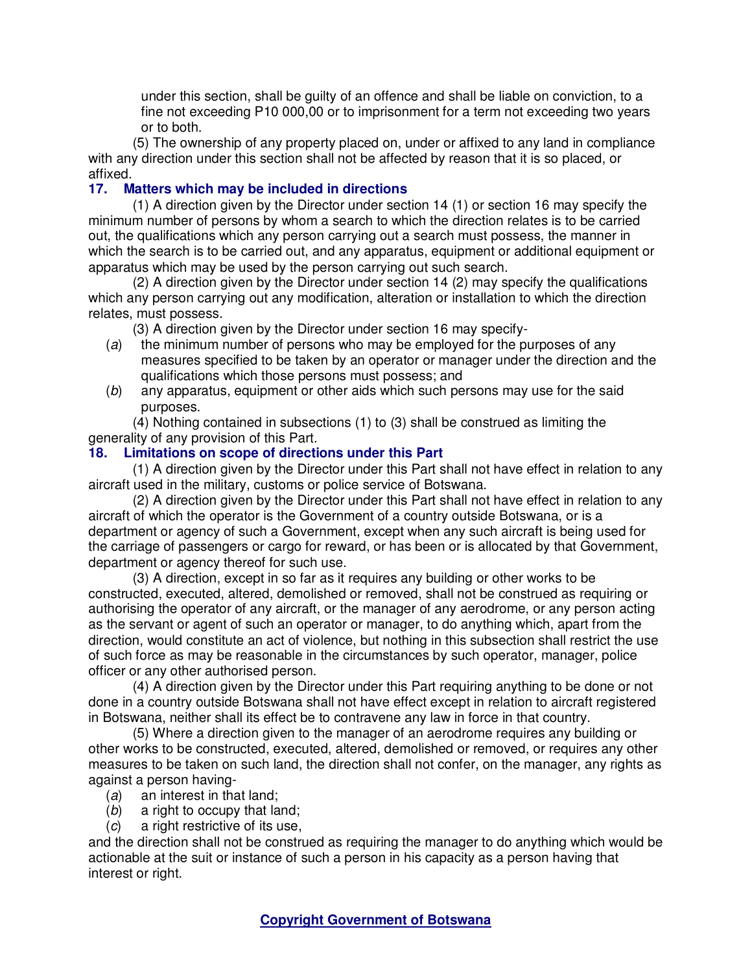under this section, shall be guilty of an offence and shall be liable on conviction, to a fine not exceeding P10 000,00 or to imprisonment for a term not exceeding two years or to both.

(5) The ownership of any property placed on, under or affixed to any land in compliance with any direction under this section shall not be affected by reason that it is so placed, or affixed.<br>17. M

# **Matters which may be included in directions**

(1) A direction given by the Director under section 14 (1) or section 16 may specify the minimum number of persons by whom a search to which the direction relates is to be carried out, the qualifications which any person carrying out a search must possess, the manner in which the search is to be carried out, and any apparatus, equipment or additional equipment or apparatus which may be used by the person carrying out such search.

(2) A direction given by the Director under section 14 (2) may specify the qualifications which any person carrying out any modification, alteration or installation to which the direction relates, must possess.

(3) A direction given by the Director under section 16 may specify-

- (a) the minimum number of persons who may be employed for the purposes of any measures specified to be taken by an operator or manager under the direction and the qualifications which those persons must possess; and
- (b) any apparatus, equipment or other aids which such persons may use for the said purposes.

(4) Nothing contained in subsections (1) to (3) shall be construed as limiting the generality of any provision of this Part.

# **18. Limitations on scope of directions under this Part**

(1) A direction given by the Director under this Part shall not have effect in relation to any aircraft used in the military, customs or police service of Botswana.

(2) A direction given by the Director under this Part shall not have effect in relation to any aircraft of which the operator is the Government of a country outside Botswana, or is a department or agency of such a Government, except when any such aircraft is being used for the carriage of passengers or cargo for reward, or has been or is allocated by that Government, department or agency thereof for such use.

(3) A direction, except in so far as it requires any building or other works to be constructed, executed, altered, demolished or removed, shall not be construed as requiring or authorising the operator of any aircraft, or the manager of any aerodrome, or any person acting as the servant or agent of such an operator or manager, to do anything which, apart from the direction, would constitute an act of violence, but nothing in this subsection shall restrict the use of such force as may be reasonable in the circumstances by such operator, manager, police officer or any other authorised person.

(4) A direction given by the Director under this Part requiring anything to be done or not done in a country outside Botswana shall not have effect except in relation to aircraft registered in Botswana, neither shall its effect be to contravene any law in force in that country.

(5) Where a direction given to the manager of an aerodrome requires any building or other works to be constructed, executed, altered, demolished or removed, or requires any other measures to be taken on such land, the direction shall not confer, on the manager, any rights as against a person having-

- (a) an interest in that land;
- (b) a right to occupy that land;
- (c) a right restrictive of its use,

and the direction shall not be construed as requiring the manager to do anything which would be actionable at the suit or instance of such a person in his capacity as a person having that interest or right.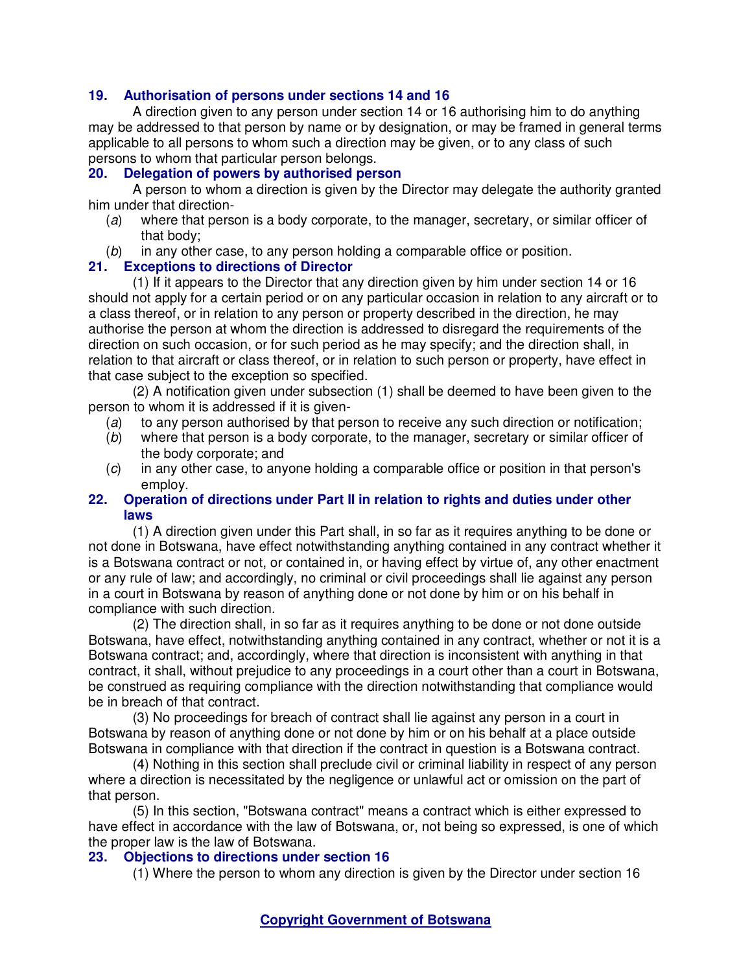## **19. Authorisation of persons under sections 14 and 16**

A direction given to any person under section 14 or 16 authorising him to do anything may be addressed to that person by name or by designation, or may be framed in general terms applicable to all persons to whom such a direction may be given, or to any class of such persons to whom that particular person belongs.

### **20. Delegation of powers by authorised person**

A person to whom a direction is given by the Director may delegate the authority granted him under that direction-

- (a) where that person is a body corporate, to the manager, secretary, or similar officer of that body;
- (b) in any other case, to any person holding a comparable office or position.

## **21. Exceptions to directions of Director**

(1) If it appears to the Director that any direction given by him under section 14 or 16 should not apply for a certain period or on any particular occasion in relation to any aircraft or to a class thereof, or in relation to any person or property described in the direction, he may authorise the person at whom the direction is addressed to disregard the requirements of the direction on such occasion, or for such period as he may specify; and the direction shall, in relation to that aircraft or class thereof, or in relation to such person or property, have effect in that case subject to the exception so specified.

(2) A notification given under subsection (1) shall be deemed to have been given to the person to whom it is addressed if it is given-

- (a) to any person authorised by that person to receive any such direction or notification;
- (b) where that person is a body corporate, to the manager, secretary or similar officer of the body corporate; and
- (c) in any other case, to anyone holding a comparable office or position in that person's employ.

## **22. Operation of directions under Part II in relation to rights and duties under other laws**

(1) A direction given under this Part shall, in so far as it requires anything to be done or not done in Botswana, have effect notwithstanding anything contained in any contract whether it is a Botswana contract or not, or contained in, or having effect by virtue of, any other enactment or any rule of law; and accordingly, no criminal or civil proceedings shall lie against any person in a court in Botswana by reason of anything done or not done by him or on his behalf in compliance with such direction.

(2) The direction shall, in so far as it requires anything to be done or not done outside Botswana, have effect, notwithstanding anything contained in any contract, whether or not it is a Botswana contract; and, accordingly, where that direction is inconsistent with anything in that contract, it shall, without prejudice to any proceedings in a court other than a court in Botswana, be construed as requiring compliance with the direction notwithstanding that compliance would be in breach of that contract.

(3) No proceedings for breach of contract shall lie against any person in a court in Botswana by reason of anything done or not done by him or on his behalf at a place outside Botswana in compliance with that direction if the contract in question is a Botswana contract.

(4) Nothing in this section shall preclude civil or criminal liability in respect of any person where a direction is necessitated by the negligence or unlawful act or omission on the part of that person.

(5) In this section, "Botswana contract" means a contract which is either expressed to have effect in accordance with the law of Botswana, or, not being so expressed, is one of which the proper law is the law of Botswana.<br>23. Objections to directions under

### **23. Objections to directions under section 16**

(1) Where the person to whom any direction is given by the Director under section 16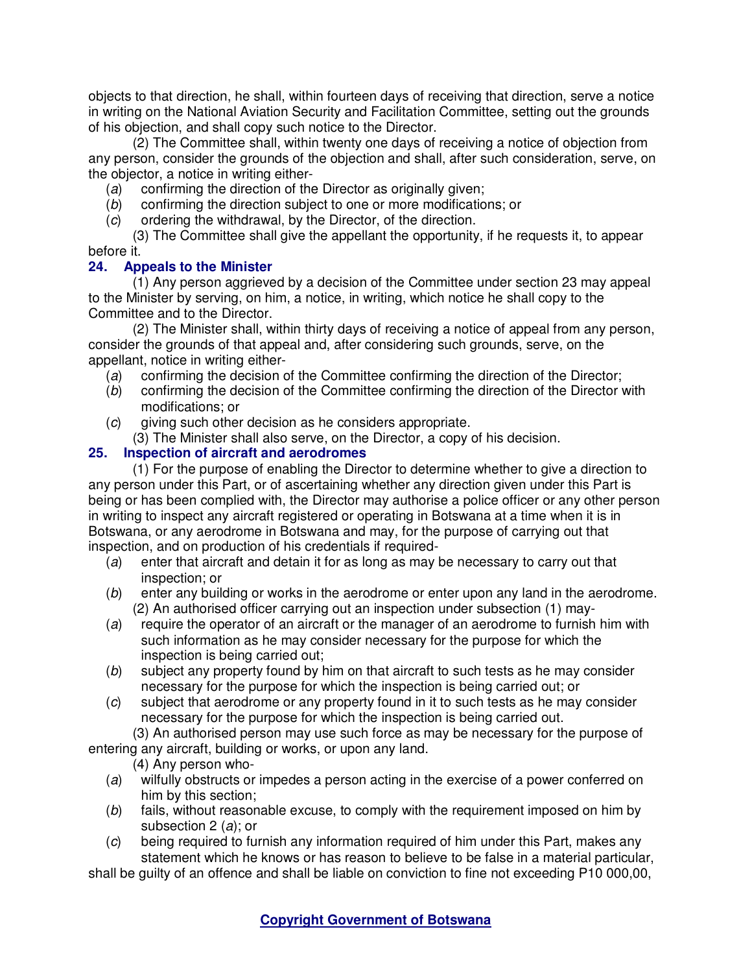objects to that direction, he shall, within fourteen days of receiving that direction, serve a notice in writing on the National Aviation Security and Facilitation Committee, setting out the grounds of his objection, and shall copy such notice to the Director.

(2) The Committee shall, within twenty one days of receiving a notice of objection from any person, consider the grounds of the objection and shall, after such consideration, serve, on the objector, a notice in writing either-

- (a) confirming the direction of the Director as originally given;
- (b) confirming the direction subject to one or more modifications; or
- (c) ordering the withdrawal, by the Director, of the direction.

(3) The Committee shall give the appellant the opportunity, if he requests it, to appear before it.

# **24. Appeals to the Minister**

(1) Any person aggrieved by a decision of the Committee under section 23 may appeal to the Minister by serving, on him, a notice, in writing, which notice he shall copy to the Committee and to the Director.

(2) The Minister shall, within thirty days of receiving a notice of appeal from any person, consider the grounds of that appeal and, after considering such grounds, serve, on the appellant, notice in writing either-

- (a) confirming the decision of the Committee confirming the direction of the Director;
- (b) confirming the decision of the Committee confirming the direction of the Director with modifications; or
- (c) giving such other decision as he considers appropriate.
	- (3) The Minister shall also serve, on the Director, a copy of his decision.

# **25. Inspection of aircraft and aerodromes**

(1) For the purpose of enabling the Director to determine whether to give a direction to any person under this Part, or of ascertaining whether any direction given under this Part is being or has been complied with, the Director may authorise a police officer or any other person in writing to inspect any aircraft registered or operating in Botswana at a time when it is in Botswana, or any aerodrome in Botswana and may, for the purpose of carrying out that inspection, and on production of his credentials if required-

- (a) enter that aircraft and detain it for as long as may be necessary to carry out that inspection; or
- (b) enter any building or works in the aerodrome or enter upon any land in the aerodrome. (2) An authorised officer carrying out an inspection under subsection (1) may-
- (a) require the operator of an aircraft or the manager of an aerodrome to furnish him with such information as he may consider necessary for the purpose for which the inspection is being carried out;
- (b) subject any property found by him on that aircraft to such tests as he may consider necessary for the purpose for which the inspection is being carried out; or
- (c) subject that aerodrome or any property found in it to such tests as he may consider necessary for the purpose for which the inspection is being carried out.

(3) An authorised person may use such force as may be necessary for the purpose of entering any aircraft, building or works, or upon any land.

(4) Any person who-

- (a) wilfully obstructs or impedes a person acting in the exercise of a power conferred on him by this section;
- (b) fails, without reasonable excuse, to comply with the requirement imposed on him by subsection 2 (a); or
- (c) being required to furnish any information required of him under this Part, makes any statement which he knows or has reason to believe to be false in a material particular,

shall be guilty of an offence and shall be liable on conviction to fine not exceeding P10 000,00,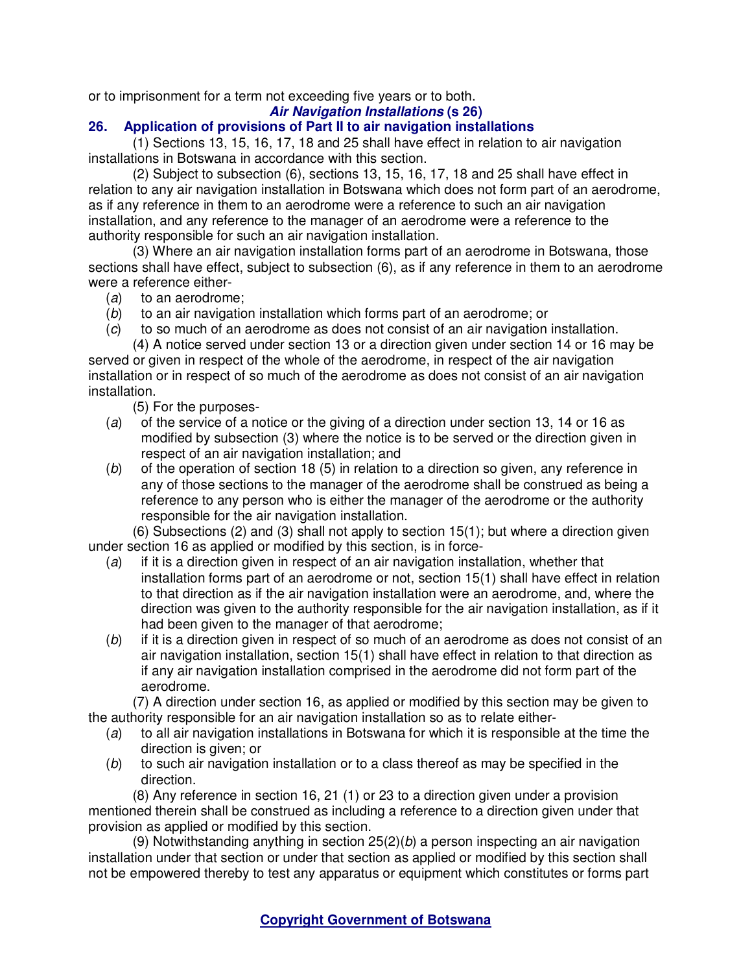or to imprisonment for a term not exceeding five years or to both.

### **Air Navigation Installations (s 26)**

# **26. Application of provisions of Part II to air navigation installations**

(1) Sections 13, 15, 16, 17, 18 and 25 shall have effect in relation to air navigation installations in Botswana in accordance with this section.

(2) Subject to subsection (6), sections 13, 15, 16, 17, 18 and 25 shall have effect in relation to any air navigation installation in Botswana which does not form part of an aerodrome, as if any reference in them to an aerodrome were a reference to such an air navigation installation, and any reference to the manager of an aerodrome were a reference to the authority responsible for such an air navigation installation.

(3) Where an air navigation installation forms part of an aerodrome in Botswana, those sections shall have effect, subject to subsection (6), as if any reference in them to an aerodrome were a reference either-

- (a) to an aerodrome;
- (b) to an air navigation installation which forms part of an aerodrome; or
- (c) to so much of an aerodrome as does not consist of an air navigation installation.

(4) A notice served under section 13 or a direction given under section 14 or 16 may be served or given in respect of the whole of the aerodrome, in respect of the air navigation installation or in respect of so much of the aerodrome as does not consist of an air navigation installation.

(5) For the purposes-

- (a) of the service of a notice or the giving of a direction under section 13, 14 or 16 as modified by subsection (3) where the notice is to be served or the direction given in respect of an air navigation installation; and
- (b) of the operation of section 18 (5) in relation to a direction so given, any reference in any of those sections to the manager of the aerodrome shall be construed as being a reference to any person who is either the manager of the aerodrome or the authority responsible for the air navigation installation.

(6) Subsections (2) and (3) shall not apply to section 15(1); but where a direction given under section 16 as applied or modified by this section, is in force-

- $(a)$  if it is a direction given in respect of an air navigation installation, whether that installation forms part of an aerodrome or not, section 15(1) shall have effect in relation to that direction as if the air navigation installation were an aerodrome, and, where the direction was given to the authority responsible for the air navigation installation, as if it had been given to the manager of that aerodrome;
- $(b)$  if it is a direction given in respect of so much of an aerodrome as does not consist of an air navigation installation, section 15(1) shall have effect in relation to that direction as if any air navigation installation comprised in the aerodrome did not form part of the aerodrome.

(7) A direction under section 16, as applied or modified by this section may be given to the authority responsible for an air navigation installation so as to relate either-

- (a) to all air navigation installations in Botswana for which it is responsible at the time the direction is given; or
- (b) to such air navigation installation or to a class thereof as may be specified in the direction.

(8) Any reference in section 16, 21 (1) or 23 to a direction given under a provision mentioned therein shall be construed as including a reference to a direction given under that provision as applied or modified by this section.

(9) Notwithstanding anything in section  $25(2)(b)$  a person inspecting an air navigation installation under that section or under that section as applied or modified by this section shall not be empowered thereby to test any apparatus or equipment which constitutes or forms part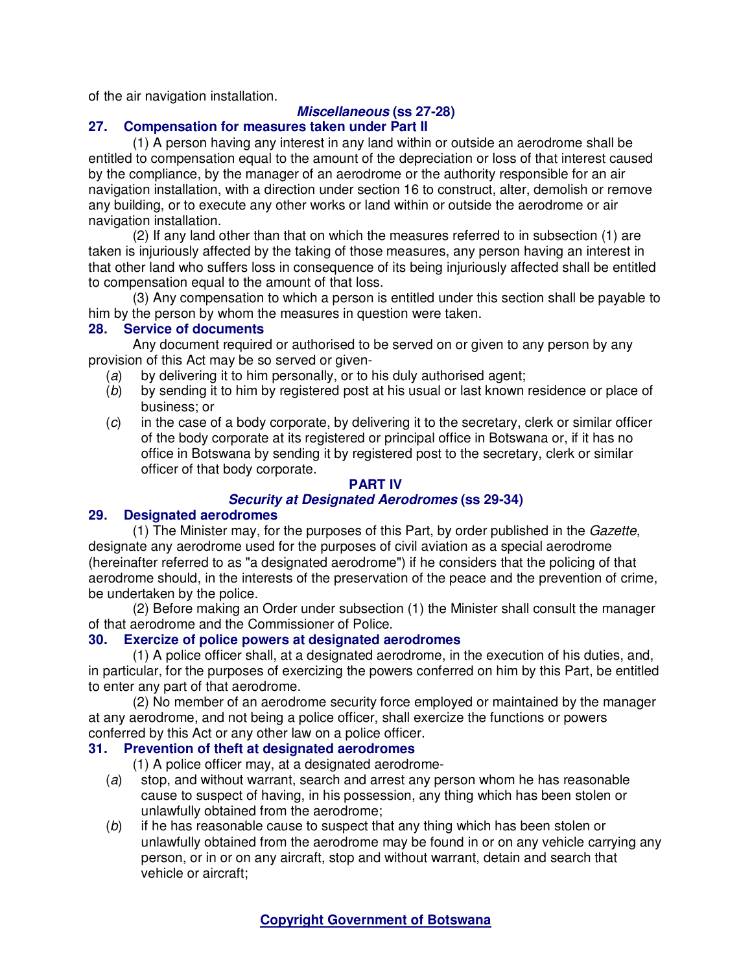of the air navigation installation.

# **Miscellaneous (ss 27-28)**

# **27. Compensation for measures taken under Part II**

(1) A person having any interest in any land within or outside an aerodrome shall be entitled to compensation equal to the amount of the depreciation or loss of that interest caused by the compliance, by the manager of an aerodrome or the authority responsible for an air navigation installation, with a direction under section 16 to construct, alter, demolish or remove any building, or to execute any other works or land within or outside the aerodrome or air navigation installation.

(2) If any land other than that on which the measures referred to in subsection (1) are taken is injuriously affected by the taking of those measures, any person having an interest in that other land who suffers loss in consequence of its being injuriously affected shall be entitled to compensation equal to the amount of that loss.

(3) Any compensation to which a person is entitled under this section shall be payable to him by the person by whom the measures in question were taken.

## **28. Service of documents**

Any document required or authorised to be served on or given to any person by any provision of this Act may be so served or given-

- (a) by delivering it to him personally, or to his duly authorised agent;
- (b) by sending it to him by registered post at his usual or last known residence or place of business; or
- $(c)$  in the case of a body corporate, by delivering it to the secretary, clerk or similar officer of the body corporate at its registered or principal office in Botswana or, if it has no office in Botswana by sending it by registered post to the secretary, clerk or similar officer of that body corporate.

## **PART IV**

## **Security at Designated Aerodromes (ss 29-34)**

## **29. Designated aerodromes**

(1) The Minister may, for the purposes of this Part, by order published in the Gazette, designate any aerodrome used for the purposes of civil aviation as a special aerodrome (hereinafter referred to as "a designated aerodrome") if he considers that the policing of that aerodrome should, in the interests of the preservation of the peace and the prevention of crime, be undertaken by the police.

(2) Before making an Order under subsection (1) the Minister shall consult the manager of that aerodrome and the Commissioner of Police.

## **30. Exercize of police powers at designated aerodromes**

(1) A police officer shall, at a designated aerodrome, in the execution of his duties, and, in particular, for the purposes of exercizing the powers conferred on him by this Part, be entitled to enter any part of that aerodrome.

(2) No member of an aerodrome security force employed or maintained by the manager at any aerodrome, and not being a police officer, shall exercize the functions or powers conferred by this Act or any other law on a police officer.

## **31. Prevention of theft at designated aerodromes**

(1) A police officer may, at a designated aerodrome-

- (a) stop, and without warrant, search and arrest any person whom he has reasonable cause to suspect of having, in his possession, any thing which has been stolen or unlawfully obtained from the aerodrome;
- (b) if he has reasonable cause to suspect that any thing which has been stolen or unlawfully obtained from the aerodrome may be found in or on any vehicle carrying any person, or in or on any aircraft, stop and without warrant, detain and search that vehicle or aircraft;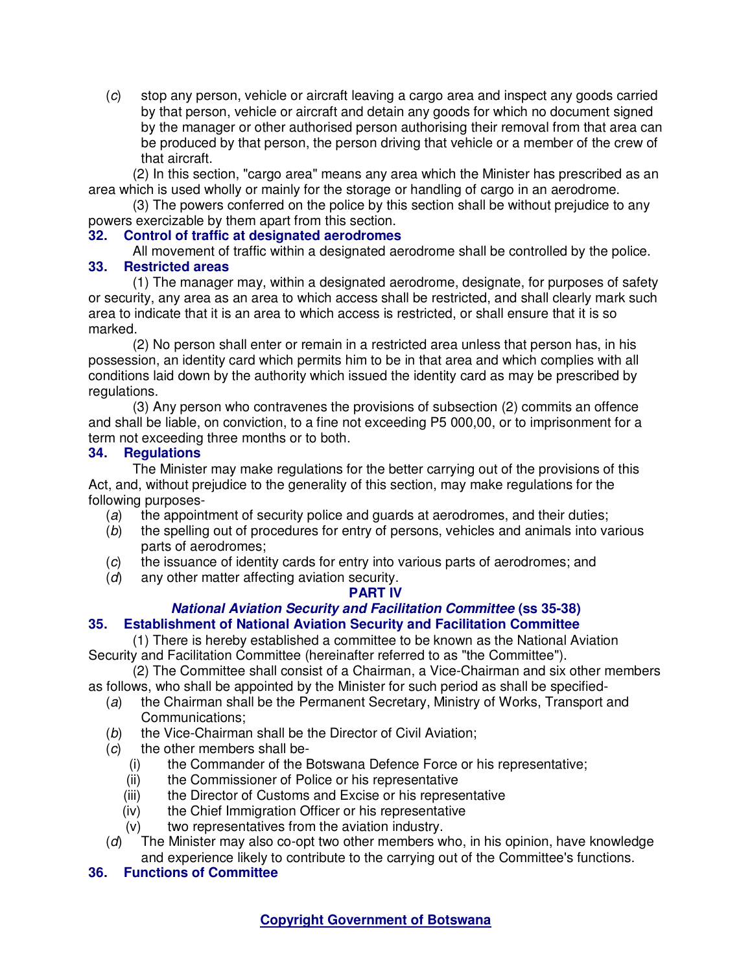(c) stop any person, vehicle or aircraft leaving a cargo area and inspect any goods carried by that person, vehicle or aircraft and detain any goods for which no document signed by the manager or other authorised person authorising their removal from that area can be produced by that person, the person driving that vehicle or a member of the crew of that aircraft.

(2) In this section, "cargo area" means any area which the Minister has prescribed as an area which is used wholly or mainly for the storage or handling of cargo in an aerodrome.

(3) The powers conferred on the police by this section shall be without prejudice to any powers exercizable by them apart from this section.

## **32. Control of traffic at designated aerodromes**

All movement of traffic within a designated aerodrome shall be controlled by the police.

## **33. Restricted areas**

(1) The manager may, within a designated aerodrome, designate, for purposes of safety or security, any area as an area to which access shall be restricted, and shall clearly mark such area to indicate that it is an area to which access is restricted, or shall ensure that it is so marked.

(2) No person shall enter or remain in a restricted area unless that person has, in his possession, an identity card which permits him to be in that area and which complies with all conditions laid down by the authority which issued the identity card as may be prescribed by regulations.

(3) Any person who contravenes the provisions of subsection (2) commits an offence and shall be liable, on conviction, to a fine not exceeding P5 000,00, or to imprisonment for a term not exceeding three months or to both.

## **34. Regulations**

The Minister may make regulations for the better carrying out of the provisions of this Act, and, without prejudice to the generality of this section, may make regulations for the following purposes-

- (a) the appointment of security police and guards at aerodromes, and their duties;
- (b) the spelling out of procedures for entry of persons, vehicles and animals into various parts of aerodromes;
- (c) the issuance of identity cards for entry into various parts of aerodromes; and
- (d) any other matter affecting aviation security.

## **PART IV**

## **National Aviation Security and Facilitation Committee (ss 35-38)**

## **35. Establishment of National Aviation Security and Facilitation Committee**

(1) There is hereby established a committee to be known as the National Aviation Security and Facilitation Committee (hereinafter referred to as "the Committee").

(2) The Committee shall consist of a Chairman, a Vice-Chairman and six other members as follows, who shall be appointed by the Minister for such period as shall be specified-

- (a) the Chairman shall be the Permanent Secretary, Ministry of Works, Transport and Communications;
- (b) the Vice-Chairman shall be the Director of Civil Aviation;
- $(c)$  the other members shall be-
	- (i) the Commander of the Botswana Defence Force or his representative;
	- (ii) the Commissioner of Police or his representative
	- (iii) the Director of Customs and Excise or his representative
	- (iv) the Chief Immigration Officer or his representative
	- (v) two representatives from the aviation industry.
- (d) The Minister may also co-opt two other members who, in his opinion, have knowledge and experience likely to contribute to the carrying out of the Committee's functions.

## **36. Functions of Committee**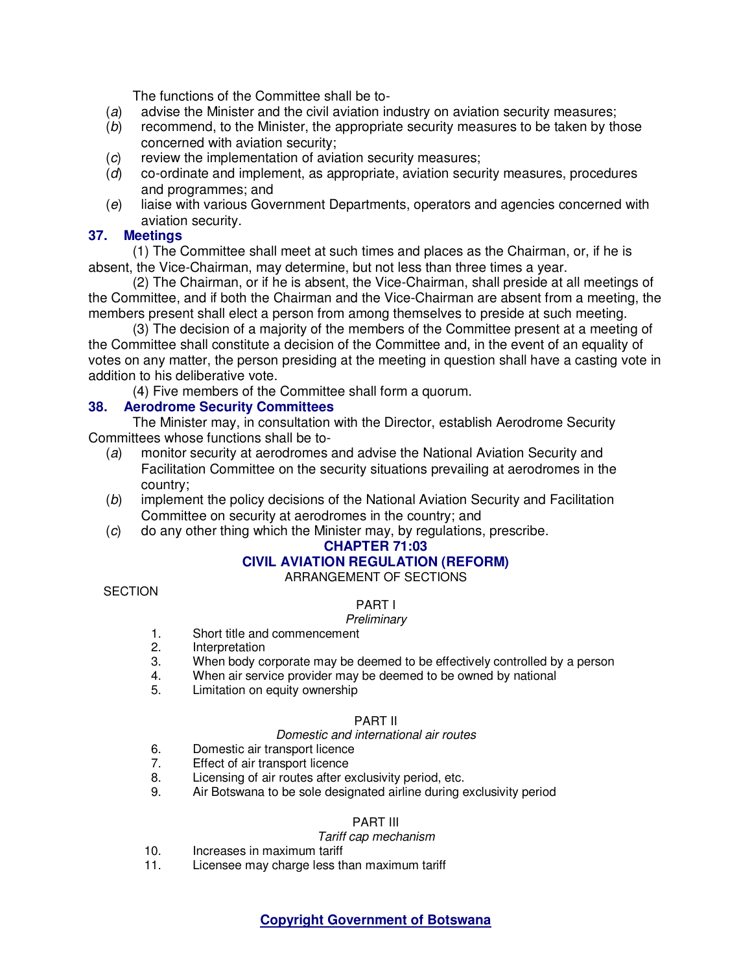The functions of the Committee shall be to-

- (a) advise the Minister and the civil aviation industry on aviation security measures;
- (b) recommend, to the Minister, the appropriate security measures to be taken by those concerned with aviation security;
- (c) review the implementation of aviation security measures;
- (d) co-ordinate and implement, as appropriate, aviation security measures, procedures and programmes; and
- (e) liaise with various Government Departments, operators and agencies concerned with aviation security.

## **37. Meetings**

(1) The Committee shall meet at such times and places as the Chairman, or, if he is absent, the Vice-Chairman, may determine, but not less than three times a year.

(2) The Chairman, or if he is absent, the Vice-Chairman, shall preside at all meetings of the Committee, and if both the Chairman and the Vice-Chairman are absent from a meeting, the members present shall elect a person from among themselves to preside at such meeting.

(3) The decision of a majority of the members of the Committee present at a meeting of the Committee shall constitute a decision of the Committee and, in the event of an equality of votes on any matter, the person presiding at the meeting in question shall have a casting vote in addition to his deliberative vote.

(4) Five members of the Committee shall form a quorum.

## **38. Aerodrome Security Committees**

The Minister may, in consultation with the Director, establish Aerodrome Security Committees whose functions shall be to-

- (a) monitor security at aerodromes and advise the National Aviation Security and Facilitation Committee on the security situations prevailing at aerodromes in the country;
- (b) implement the policy decisions of the National Aviation Security and Facilitation Committee on security at aerodromes in the country; and
- (c) do any other thing which the Minister may, by regulations, prescribe.

## **CHAPTER 71:03**

## **CIVIL AVIATION REGULATION (REFORM)**

ARRANGEMENT OF SECTIONS

## **SECTION**

# PART I

### **Preliminary**

- 1. Short title and commencement<br>2. Interpretation
- **Interpretation**
- 3. When body corporate may be deemed to be effectively controlled by a person
- 4. When air service provider may be deemed to be owned by national 5. Limitation on equity ownership
- Limitation on equity ownership

### PART II

### Domestic and international air routes

- 6. Domestic air transport licence
- 7. Effect of air transport licence
- 8. Licensing of air routes after exclusivity period, etc.
- 9. Air Botswana to be sole designated airline during exclusivity period

### PART III

### Tariff cap mechanism

- 10. Increases in maximum tariff
- 11. Licensee may charge less than maximum tariff

## **Copyright Government of Botswana**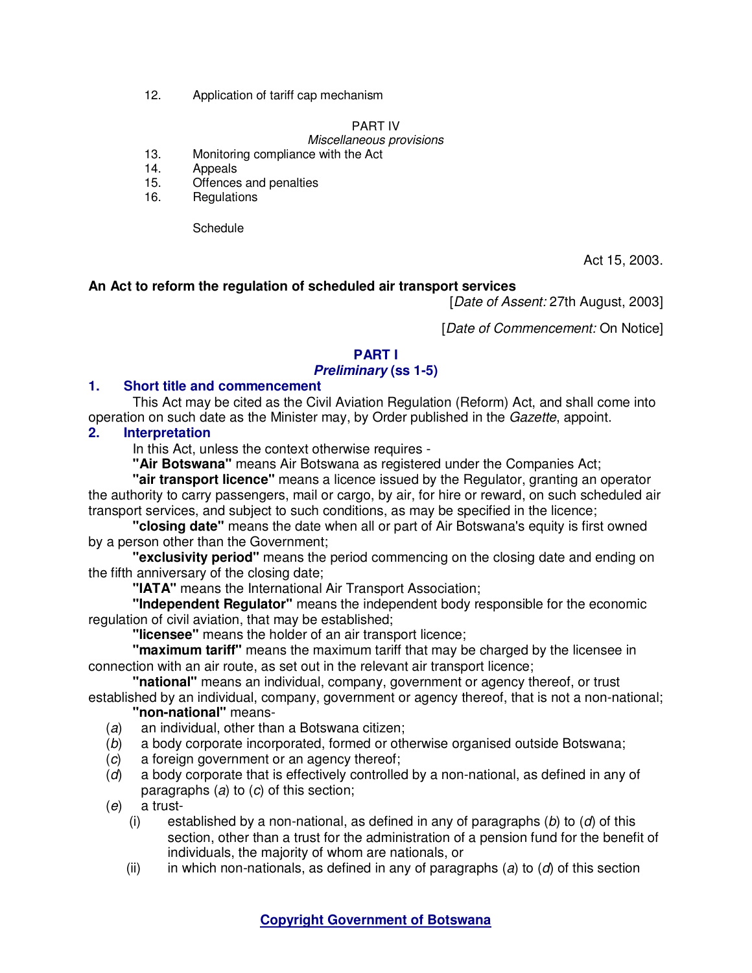12. Application of tariff cap mechanism

## PART IV

# Miscellaneous provisions

- 13. Monitoring compliance with the Act
- 14. Appeals
- 15. Offences and penalties
- 16. Regulations

**Schedule** 

Act 15, 2003.

## **An Act to reform the regulation of scheduled air transport services**

[Date of Assent: 27th August, 2003]

[Date of Commencement: On Notice]

## **PART I**

## **Preliminary (ss 1-5)**

## **1. Short title and commencement**

This Act may be cited as the Civil Aviation Regulation (Reform) Act, and shall come into operation on such date as the Minister may, by Order published in the Gazette, appoint.

## **2. Interpretation**

In this Act, unless the context otherwise requires -

**"Air Botswana"** means Air Botswana as registered under the Companies Act;

**"air transport licence"** means a licence issued by the Regulator, granting an operator the authority to carry passengers, mail or cargo, by air, for hire or reward, on such scheduled air transport services, and subject to such conditions, as may be specified in the licence;

**"closing date"** means the date when all or part of Air Botswana's equity is first owned by a person other than the Government;

**"exclusivity period"** means the period commencing on the closing date and ending on the fifth anniversary of the closing date;

**"IATA"** means the International Air Transport Association;

**"Independent Regulator"** means the independent body responsible for the economic regulation of civil aviation, that may be established;

**"licensee"** means the holder of an air transport licence;

**"maximum tariff"** means the maximum tariff that may be charged by the licensee in connection with an air route, as set out in the relevant air transport licence;

**"national"** means an individual, company, government or agency thereof, or trust

established by an individual, company, government or agency thereof, that is not a non-national; **"non-national"** means-

- (a) an individual, other than a Botswana citizen;
- (b) a body corporate incorporated, formed or otherwise organised outside Botswana;
- (c) a foreign government or an agency thereof;
- (d) a body corporate that is effectively controlled by a non-national, as defined in any of paragraphs (a) to (c) of this section;
- (e) a trust-
	- (i) established by a non-national, as defined in any of paragraphs  $(b)$  to  $(d)$  of this section, other than a trust for the administration of a pension fund for the benefit of individuals, the majority of whom are nationals, or
	- (ii) in which non-nationals, as defined in any of paragraphs (a) to (d) of this section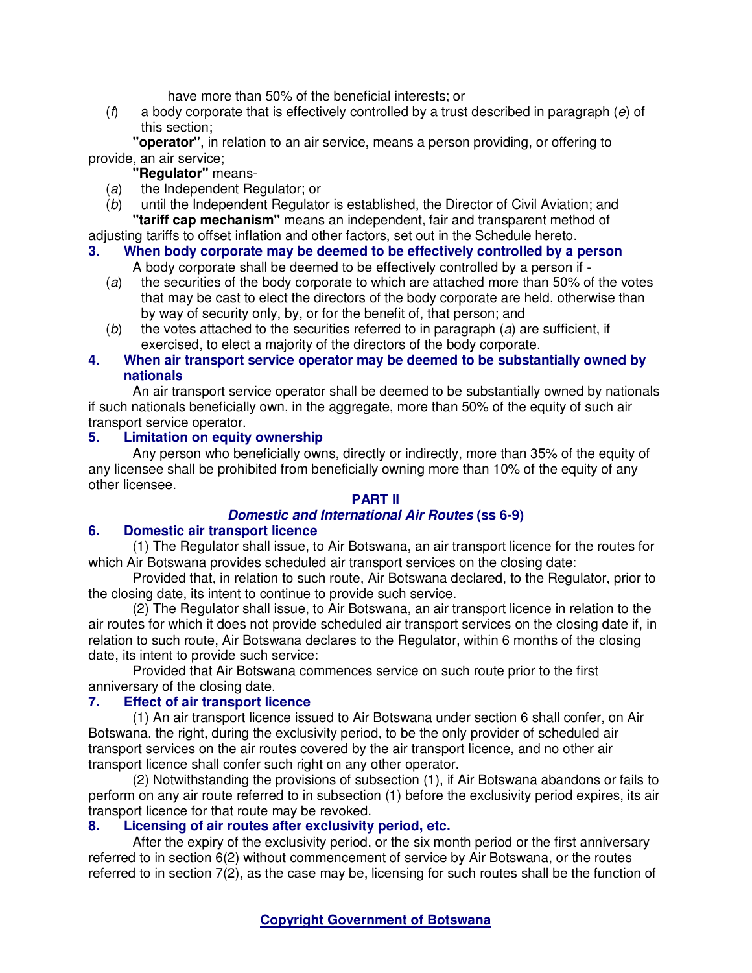have more than 50% of the beneficial interests; or

 $(f)$  a body corporate that is effectively controlled by a trust described in paragraph (e) of this section;

**"operator"**, in relation to an air service, means a person providing, or offering to provide, an air service;

**"Regulator"** means-

- (a) the Independent Regulator; or
- (b) until the Independent Regulator is established, the Director of Civil Aviation; and **"tariff cap mechanism"** means an independent, fair and transparent method of

adjusting tariffs to offset inflation and other factors, set out in the Schedule hereto.

# **3. When body corporate may be deemed to be effectively controlled by a person**

- A body corporate shall be deemed to be effectively controlled by a person if -
- (a) the securities of the body corporate to which are attached more than 50% of the votes that may be cast to elect the directors of the body corporate are held, otherwise than by way of security only, by, or for the benefit of, that person; and
- $(b)$  the votes attached to the securities referred to in paragraph (a) are sufficient, if exercised, to elect a majority of the directors of the body corporate.

# **4. When air transport service operator may be deemed to be substantially owned by nationals**

An air transport service operator shall be deemed to be substantially owned by nationals if such nationals beneficially own, in the aggregate, more than 50% of the equity of such air transport service operator.

# **5. Limitation on equity ownership**

Any person who beneficially owns, directly or indirectly, more than 35% of the equity of any licensee shall be prohibited from beneficially owning more than 10% of the equity of any other licensee.

# **PART II**

# **Domestic and International Air Routes (ss 6-9)**

## **6. Domestic air transport licence**

(1) The Regulator shall issue, to Air Botswana, an air transport licence for the routes for which Air Botswana provides scheduled air transport services on the closing date:

Provided that, in relation to such route, Air Botswana declared, to the Regulator, prior to the closing date, its intent to continue to provide such service.

(2) The Regulator shall issue, to Air Botswana, an air transport licence in relation to the air routes for which it does not provide scheduled air transport services on the closing date if, in relation to such route, Air Botswana declares to the Regulator, within 6 months of the closing date, its intent to provide such service:

Provided that Air Botswana commences service on such route prior to the first anniversary of the closing date.

## **7. Effect of air transport licence**

(1) An air transport licence issued to Air Botswana under section 6 shall confer, on Air Botswana, the right, during the exclusivity period, to be the only provider of scheduled air transport services on the air routes covered by the air transport licence, and no other air transport licence shall confer such right on any other operator.

(2) Notwithstanding the provisions of subsection (1), if Air Botswana abandons or fails to perform on any air route referred to in subsection (1) before the exclusivity period expires, its air transport licence for that route may be revoked.

# **8. Licensing of air routes after exclusivity period, etc.**

After the expiry of the exclusivity period, or the six month period or the first anniversary referred to in section 6(2) without commencement of service by Air Botswana, or the routes referred to in section 7(2), as the case may be, licensing for such routes shall be the function of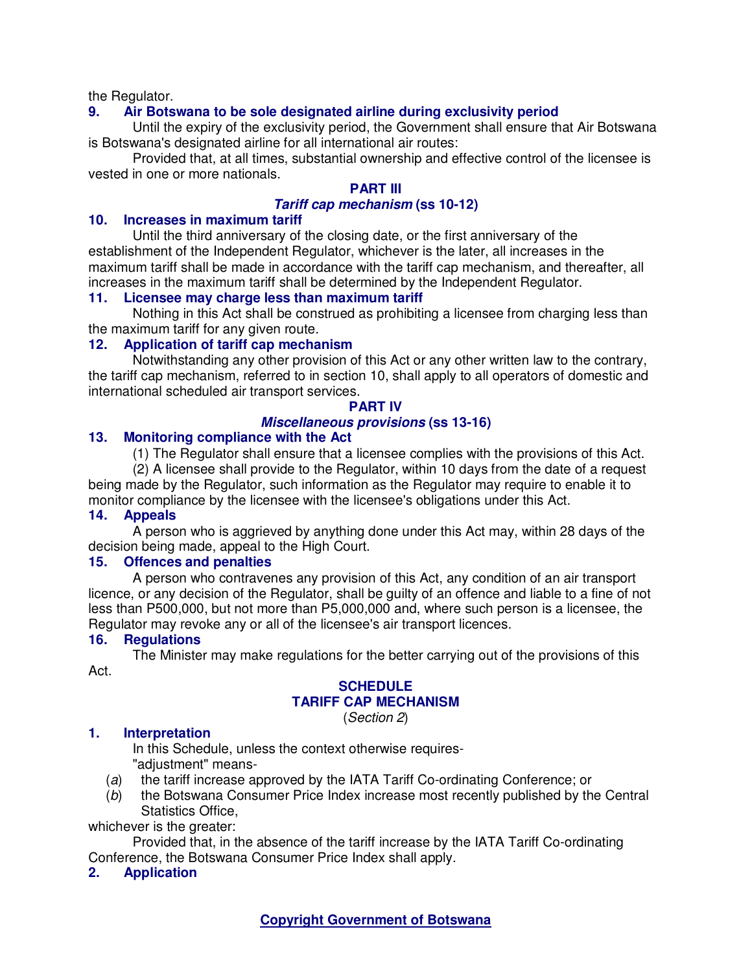the Regulator.

## **9. Air Botswana to be sole designated airline during exclusivity period**

Until the expiry of the exclusivity period, the Government shall ensure that Air Botswana is Botswana's designated airline for all international air routes:

Provided that, at all times, substantial ownership and effective control of the licensee is vested in one or more nationals.

# **PART III**

### **Tariff cap mechanism (ss 10-12)**

### **10. Increases in maximum tariff**

Until the third anniversary of the closing date, or the first anniversary of the establishment of the Independent Regulator, whichever is the later, all increases in the maximum tariff shall be made in accordance with the tariff cap mechanism, and thereafter, all increases in the maximum tariff shall be determined by the Independent Regulator.

### **11. Licensee may charge less than maximum tariff**

Nothing in this Act shall be construed as prohibiting a licensee from charging less than the maximum tariff for any given route.

## **12. Application of tariff cap mechanism**

Notwithstanding any other provision of this Act or any other written law to the contrary, the tariff cap mechanism, referred to in section 10, shall apply to all operators of domestic and international scheduled air transport services.

### **PART IV**

## **Miscellaneous provisions (ss 13-16)**

### **13. Monitoring compliance with the Act**

(1) The Regulator shall ensure that a licensee complies with the provisions of this Act. (2) A licensee shall provide to the Regulator, within 10 days from the date of a request being made by the Regulator, such information as the Regulator may require to enable it to

monitor compliance by the licensee with the licensee's obligations under this Act.

## **14. Appeals**

A person who is aggrieved by anything done under this Act may, within 28 days of the decision being made, appeal to the High Court.

## **15. Offences and penalties**

A person who contravenes any provision of this Act, any condition of an air transport licence, or any decision of the Regulator, shall be guilty of an offence and liable to a fine of not less than P500,000, but not more than P5,000,000 and, where such person is a licensee, the Regulator may revoke any or all of the licensee's air transport licences.

### **16. Regulations**

The Minister may make regulations for the better carrying out of the provisions of this Act.

### **SCHEDULE TARIFF CAP MECHANISM**

(Section 2)

## **1. Interpretation**

In this Schedule, unless the context otherwise requires- "adjustment" means-

- (a) the tariff increase approved by the IATA Tariff Co-ordinating Conference; or
- (b) the Botswana Consumer Price Index increase most recently published by the Central Statistics Office,

whichever is the greater:

Provided that, in the absence of the tariff increase by the IATA Tariff Co-ordinating Conference, the Botswana Consumer Price Index shall apply.

### **2. Application**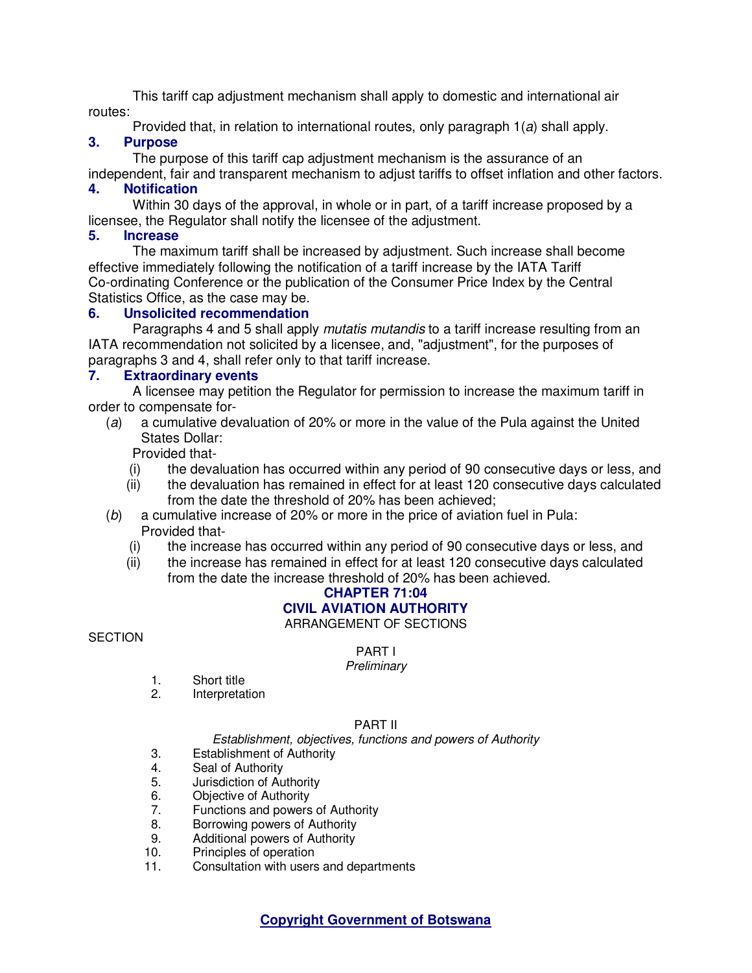This tariff cap adjustment mechanism shall apply to domestic and international air routes:

Provided that, in relation to international routes, only paragraph 1(a) shall apply.

# **3. Purpose**

The purpose of this tariff cap adjustment mechanism is the assurance of an

independent, fair and transparent mechanism to adjust tariffs to offset inflation and other factors.

# **4. Notification**

Within 30 days of the approval, in whole or in part, of a tariff increase proposed by a licensee, the Regulator shall notify the licensee of the adjustment.

## **5. Increase**

The maximum tariff shall be increased by adjustment. Such increase shall become effective immediately following the notification of a tariff increase by the IATA Tariff Co-ordinating Conference or the publication of the Consumer Price Index by the Central Statistics Office, as the case may be.

## **6. Unsolicited recommendation**

Paragraphs 4 and 5 shall apply *mutatis mutandis* to a tariff increase resulting from an IATA recommendation not solicited by a licensee, and, "adjustment", for the purposes of paragraphs 3 and 4, shall refer only to that tariff increase.

## **7. Extraordinary events**

A licensee may petition the Regulator for permission to increase the maximum tariff in order to compensate for-

(a) a cumulative devaluation of 20% or more in the value of the Pula against the United States Dollar:

Provided that-

- (i) the devaluation has occurred within any period of 90 consecutive days or less, and
- (ii) the devaluation has remained in effect for at least 120 consecutive days calculated from the date the threshold of 20% has been achieved;
- (b) a cumulative increase of 20% or more in the price of aviation fuel in Pula: Provided that-
	- (i) the increase has occurred within any period of 90 consecutive days or less, and<br>(ii) the increase has remained in effect for at least 120 consecutive days calculated
	- the increase has remained in effect for at least 120 consecutive days calculated from the date the increase threshold of 20% has been achieved.

# **CHAPTER 71:04 CIVIL AVIATION AUTHORITY**

ARRANGEMENT OF SECTIONS

### **SECTION**

PART I

## **Preliminary**

- 1. Short title
- 2. Interpretation

### PART II

### Establishment, objectives, functions and powers of Authority

- 3. Establishment of Authority
- 4. Seal of Authority
- 5. Jurisdiction of Authority
- 6. Objective of Authority<br>7. Functions and powers
- Functions and powers of Authority
- 8. Borrowing powers of Authority<br>9. Additional powers of Authority
- Additional powers of Authority
- 10. Principles of operation
- 11. Consultation with users and departments

**Copyright Government of Botswana**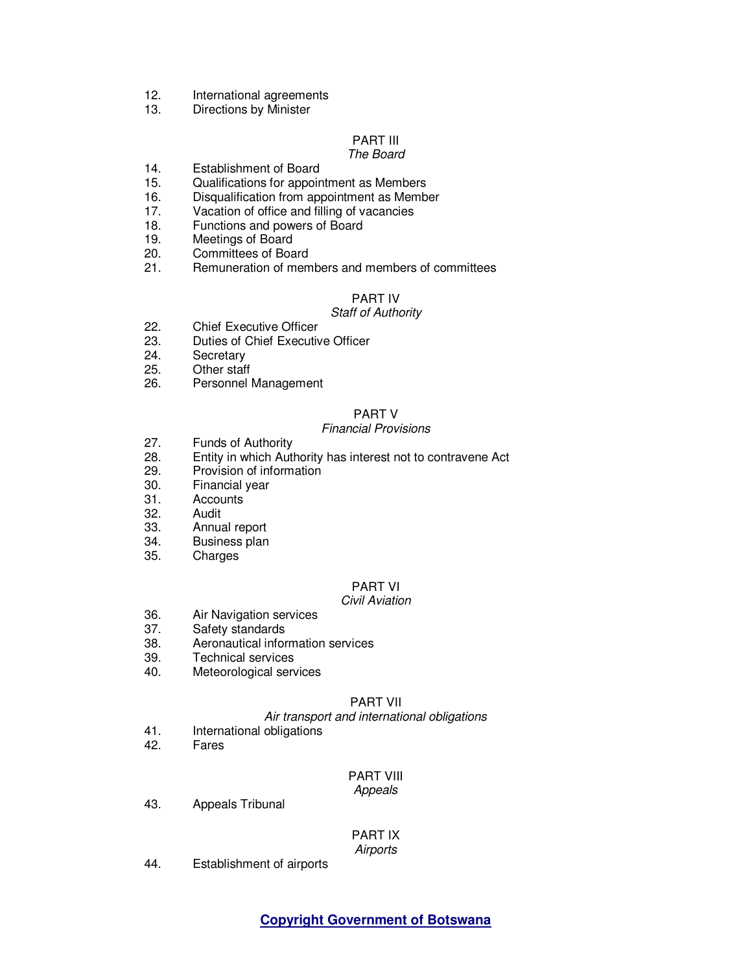- 12. International agreements
- 13. Directions by Minister

## PART III

### The Board

- 14. Establishment of Board
- 15. Qualifications for appointment as Members
- 16. Disqualification from appointment as Member
- 17. Vacation of office and filling of vacancies
- 18. Functions and powers of Board
- 19. Meetings of Board
- 20. Committees of Board<br>21. Remuneration of men
- Remuneration of members and members of committees

### PART IV

### Staff of Authority

- 22. Chief Executive Officer
- 23. Duties of Chief Executive Officer<br>24. Secretary
- Secretary
- 25. Other staff
- 26. Personnel Management

### PART V

### Financial Provisions

- 27. Funds of Authority
- 28. Entity in which Authority has interest not to contravene Act
- 29. Provision of information
- 30. Financial year
- 31. Accounts<br>32. Audit
- **Audit**
- 33. Annual report
- 34. Business plan
- 35. Charges

# PART VI

#### Civil Aviation

- 36. Air Navigation services<br>37. Safety standards
- Safety standards
- 38. Aeronautical information services
- **Technical services**
- 40. Meteorological services

### PART VII

#### Air transport and international obligations

- 41. International obligations<br>42. Fares
- **Fares**

### PART VIII

#### Appeals

43. Appeals Tribunal

# PART IX

**Airports** 

44. Establishment of airports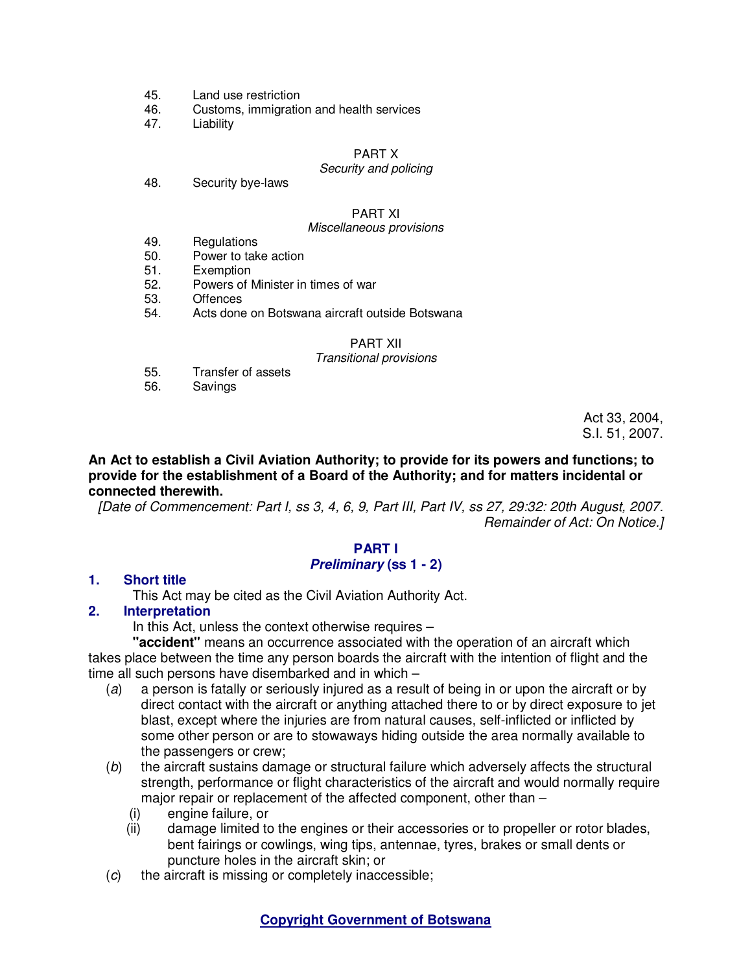- 45. Land use restriction
- 46. Customs, immigration and health services
- 47. Liability

#### PART X

### Security and policing

48. Security bye-laws

#### PART XI

#### Miscellaneous provisions

- 49. Regulations
- 50. Power to take action
- 51. Exemption<br>52. Powers of N
- Powers of Minister in times of war
- 53. Offences<br>54. Acts done
- Acts done on Botswana aircraft outside Botswana

### PART XII

#### Transitional provisions

- 55. Transfer of assets
- 56. Savings

Act 33, 2004, S.I. 51, 2007.

### **An Act to establish a Civil Aviation Authority; to provide for its powers and functions; to provide for the establishment of a Board of the Authority; and for matters incidental or connected therewith.**

[Date of Commencement: Part I, ss 3, 4, 6, 9, Part III, Part IV, ss 27, 29:32: 20th August, 2007. Remainder of Act: On Notice.]

### **PART I Preliminary (ss 1 - 2)**

### **1. Short title**

This Act may be cited as the Civil Aviation Authority Act.

## **2. Interpretation**

In this Act, unless the context otherwise requires –

**"accident"** means an occurrence associated with the operation of an aircraft which takes place between the time any person boards the aircraft with the intention of flight and the time all such persons have disembarked and in which –

- (a) a person is fatally or seriously injured as a result of being in or upon the aircraft or by direct contact with the aircraft or anything attached there to or by direct exposure to jet blast, except where the injuries are from natural causes, self-inflicted or inflicted by some other person or are to stowaways hiding outside the area normally available to the passengers or crew;
- (b) the aircraft sustains damage or structural failure which adversely affects the structural strength, performance or flight characteristics of the aircraft and would normally require major repair or replacement of the affected component, other than –
	- (i) engine failure, or
	- (ii) damage limited to the engines or their accessories or to propeller or rotor blades, bent fairings or cowlings, wing tips, antennae, tyres, brakes or small dents or puncture holes in the aircraft skin; or
- (c) the aircraft is missing or completely inaccessible;

### **Copyright Government of Botswana**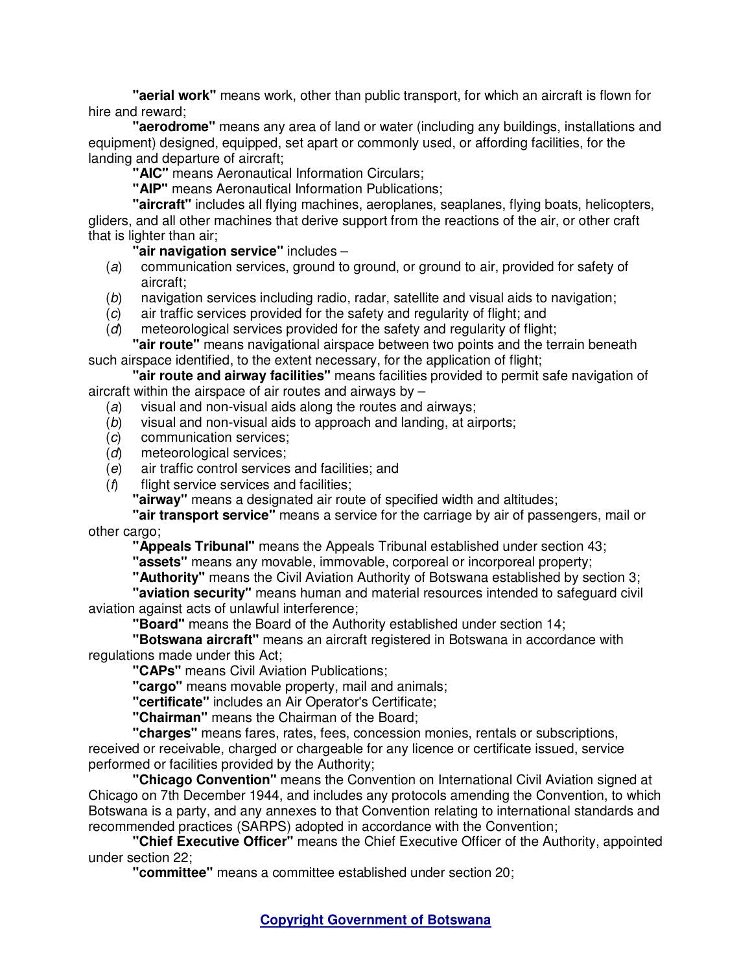**"aerial work"** means work, other than public transport, for which an aircraft is flown for hire and reward;

**"aerodrome"** means any area of land or water (including any buildings, installations and equipment) designed, equipped, set apart or commonly used, or affording facilities, for the landing and departure of aircraft;

**"AIC"** means Aeronautical Information Circulars;

**"AIP"** means Aeronautical Information Publications;

**"aircraft"** includes all flying machines, aeroplanes, seaplanes, flying boats, helicopters, gliders, and all other machines that derive support from the reactions of the air, or other craft that is lighter than air;

**"air navigation service"** includes –

- (a) communication services, ground to ground, or ground to air, provided for safety of aircraft;
- (b) navigation services including radio, radar, satellite and visual aids to navigation;
- (c) air traffic services provided for the safety and regularity of flight; and
- (d) meteorological services provided for the safety and regularity of flight;

**"air route"** means navigational airspace between two points and the terrain beneath such airspace identified, to the extent necessary, for the application of flight;

**"air route and airway facilities"** means facilities provided to permit safe navigation of aircraft within the airspace of air routes and airways by –

- (a) visual and non-visual aids along the routes and airways;
- (b) visual and non-visual aids to approach and landing, at airports;
- (c) communication services;
- (d) meteorological services;
- (e) air traffic control services and facilities; and
- $(f)$  flight service services and facilities;

**"airway"** means a designated air route of specified width and altitudes;

**"air transport service"** means a service for the carriage by air of passengers, mail or other cargo;

**"Appeals Tribunal"** means the Appeals Tribunal established under section 43;

**"assets"** means any movable, immovable, corporeal or incorporeal property;

**"Authority"** means the Civil Aviation Authority of Botswana established by section 3;

**"aviation security"** means human and material resources intended to safeguard civil aviation against acts of unlawful interference;

**"Board"** means the Board of the Authority established under section 14;

**"Botswana aircraft"** means an aircraft registered in Botswana in accordance with regulations made under this Act;

**"CAPs"** means Civil Aviation Publications;

**"cargo"** means movable property, mail and animals;

**"certificate"** includes an Air Operator's Certificate;

**"Chairman"** means the Chairman of the Board;

**"charges"** means fares, rates, fees, concession monies, rentals or subscriptions, received or receivable, charged or chargeable for any licence or certificate issued, service performed or facilities provided by the Authority;

**"Chicago Convention"** means the Convention on International Civil Aviation signed at Chicago on 7th December 1944, and includes any protocols amending the Convention, to which Botswana is a party, and any annexes to that Convention relating to international standards and recommended practices (SARPS) adopted in accordance with the Convention;

**"Chief Executive Officer"** means the Chief Executive Officer of the Authority, appointed under section 22;

**"committee"** means a committee established under section 20;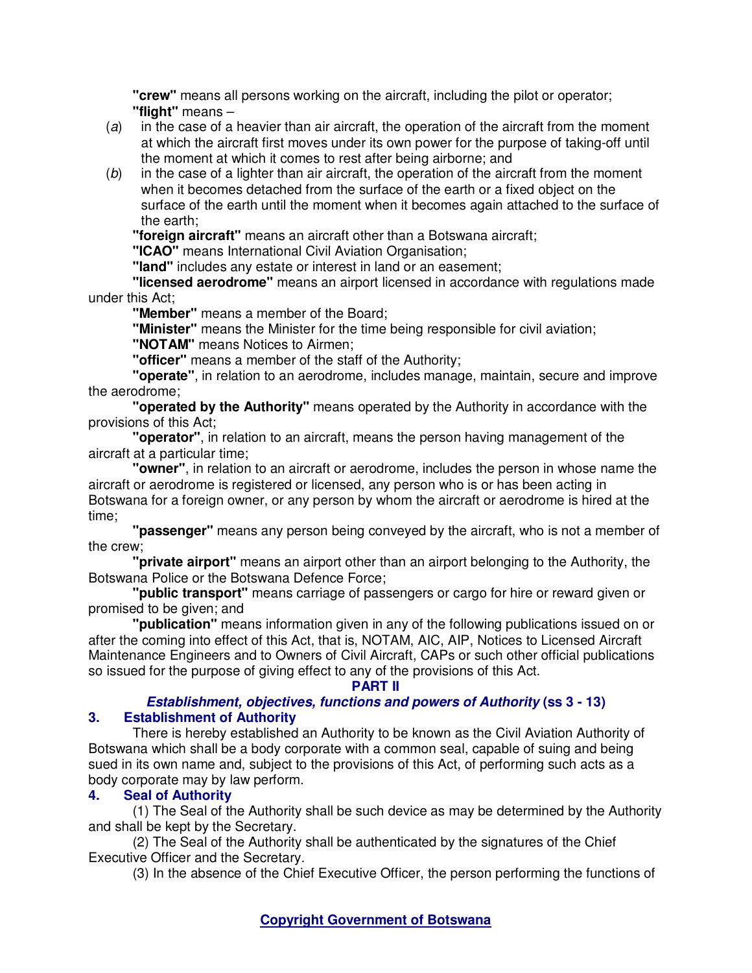**"crew"** means all persons working on the aircraft, including the pilot or operator; **"flight"** means –

- (a) in the case of a heavier than air aircraft, the operation of the aircraft from the moment at which the aircraft first moves under its own power for the purpose of taking-off until the moment at which it comes to rest after being airborne; and
- $(b)$  in the case of a lighter than air aircraft, the operation of the aircraft from the moment when it becomes detached from the surface of the earth or a fixed object on the surface of the earth until the moment when it becomes again attached to the surface of the earth;

**"foreign aircraft"** means an aircraft other than a Botswana aircraft;

**"ICAO"** means International Civil Aviation Organisation;

**"land"** includes any estate or interest in land or an easement;

**"licensed aerodrome"** means an airport licensed in accordance with regulations made under this Act;

**"Member"** means a member of the Board;

**"Minister"** means the Minister for the time being responsible for civil aviation;

**"NOTAM"** means Notices to Airmen;

**"officer"** means a member of the staff of the Authority;

**"operate"**, in relation to an aerodrome, includes manage, maintain, secure and improve the aerodrome;

**"operated by the Authority"** means operated by the Authority in accordance with the provisions of this Act;

**"operator"**, in relation to an aircraft, means the person having management of the aircraft at a particular time;

**"owner"**, in relation to an aircraft or aerodrome, includes the person in whose name the aircraft or aerodrome is registered or licensed, any person who is or has been acting in Botswana for a foreign owner, or any person by whom the aircraft or aerodrome is hired at the time;

**"passenger"** means any person being conveyed by the aircraft, who is not a member of the crew;

**"private airport"** means an airport other than an airport belonging to the Authority, the Botswana Police or the Botswana Defence Force;

**"public transport"** means carriage of passengers or cargo for hire or reward given or promised to be given; and

**"publication"** means information given in any of the following publications issued on or after the coming into effect of this Act, that is, NOTAM, AIC, AIP, Notices to Licensed Aircraft Maintenance Engineers and to Owners of Civil Aircraft, CAPs or such other official publications so issued for the purpose of giving effect to any of the provisions of this Act.

## **PART II**

# **Establishment, objectives, functions and powers of Authority (ss 3 - 13) 3. Establishment of Authority**

There is hereby established an Authority to be known as the Civil Aviation Authority of Botswana which shall be a body corporate with a common seal, capable of suing and being sued in its own name and, subject to the provisions of this Act, of performing such acts as a body corporate may by law perform.

# **4. Seal of Authority**

(1) The Seal of the Authority shall be such device as may be determined by the Authority and shall be kept by the Secretary.

(2) The Seal of the Authority shall be authenticated by the signatures of the Chief Executive Officer and the Secretary.

(3) In the absence of the Chief Executive Officer, the person performing the functions of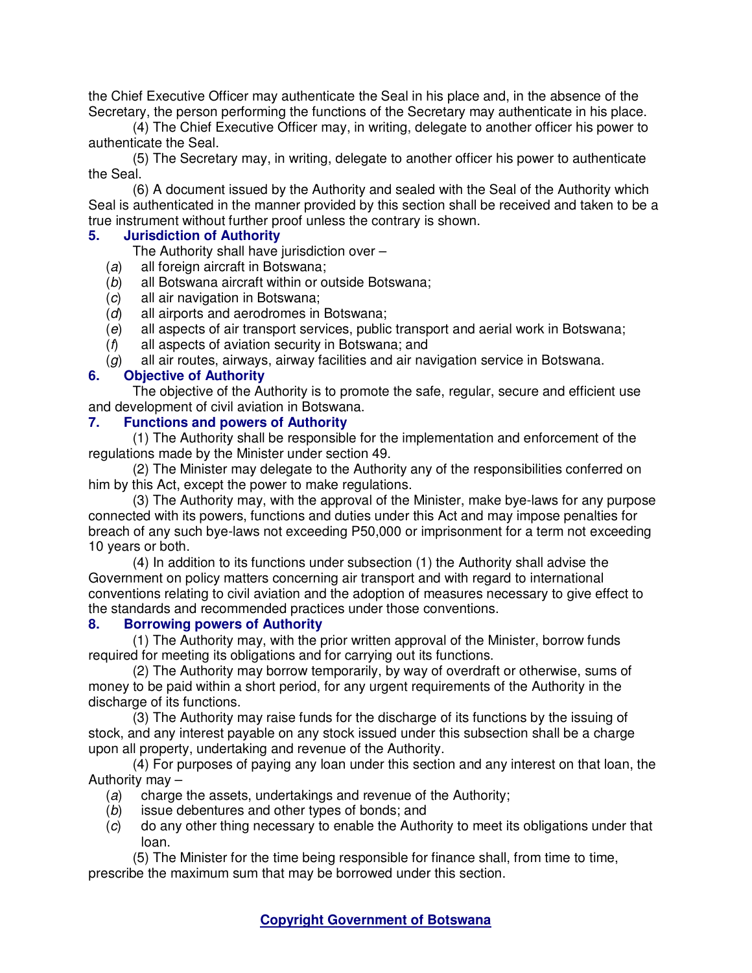the Chief Executive Officer may authenticate the Seal in his place and, in the absence of the Secretary, the person performing the functions of the Secretary may authenticate in his place.

(4) The Chief Executive Officer may, in writing, delegate to another officer his power to authenticate the Seal.

(5) The Secretary may, in writing, delegate to another officer his power to authenticate the Seal.

(6) A document issued by the Authority and sealed with the Seal of the Authority which Seal is authenticated in the manner provided by this section shall be received and taken to be a true instrument without further proof unless the contrary is shown.

## **5. Jurisdiction of Authority**

The Authority shall have jurisdiction over –

- (a) all foreign aircraft in Botswana;
- (b) all Botswana aircraft within or outside Botswana;
- (c) all air navigation in Botswana;
- (d) all airports and aerodromes in Botswana;
- (e) all aspects of air transport services, public transport and aerial work in Botswana;
- (f) all aspects of aviation security in Botswana; and
- $(g)$  all air routes, airways, airway facilities and air navigation service in Botswana.

### **6. Objective of Authority**

The objective of the Authority is to promote the safe, regular, secure and efficient use and development of civil aviation in Botswana.

## **7. Functions and powers of Authority**

(1) The Authority shall be responsible for the implementation and enforcement of the regulations made by the Minister under section 49.

(2) The Minister may delegate to the Authority any of the responsibilities conferred on him by this Act, except the power to make regulations.

(3) The Authority may, with the approval of the Minister, make bye-laws for any purpose connected with its powers, functions and duties under this Act and may impose penalties for breach of any such bye-laws not exceeding P50,000 or imprisonment for a term not exceeding 10 years or both.

(4) In addition to its functions under subsection (1) the Authority shall advise the Government on policy matters concerning air transport and with regard to international conventions relating to civil aviation and the adoption of measures necessary to give effect to the standards and recommended practices under those conventions.

### **8. Borrowing powers of Authority**

(1) The Authority may, with the prior written approval of the Minister, borrow funds required for meeting its obligations and for carrying out its functions.

(2) The Authority may borrow temporarily, by way of overdraft or otherwise, sums of money to be paid within a short period, for any urgent requirements of the Authority in the discharge of its functions.

(3) The Authority may raise funds for the discharge of its functions by the issuing of stock, and any interest payable on any stock issued under this subsection shall be a charge upon all property, undertaking and revenue of the Authority.

(4) For purposes of paying any loan under this section and any interest on that loan, the Authority may –

- (a) charge the assets, undertakings and revenue of the Authority;
- (b) issue debentures and other types of bonds; and
- (c) do any other thing necessary to enable the Authority to meet its obligations under that loan.

(5) The Minister for the time being responsible for finance shall, from time to time, prescribe the maximum sum that may be borrowed under this section.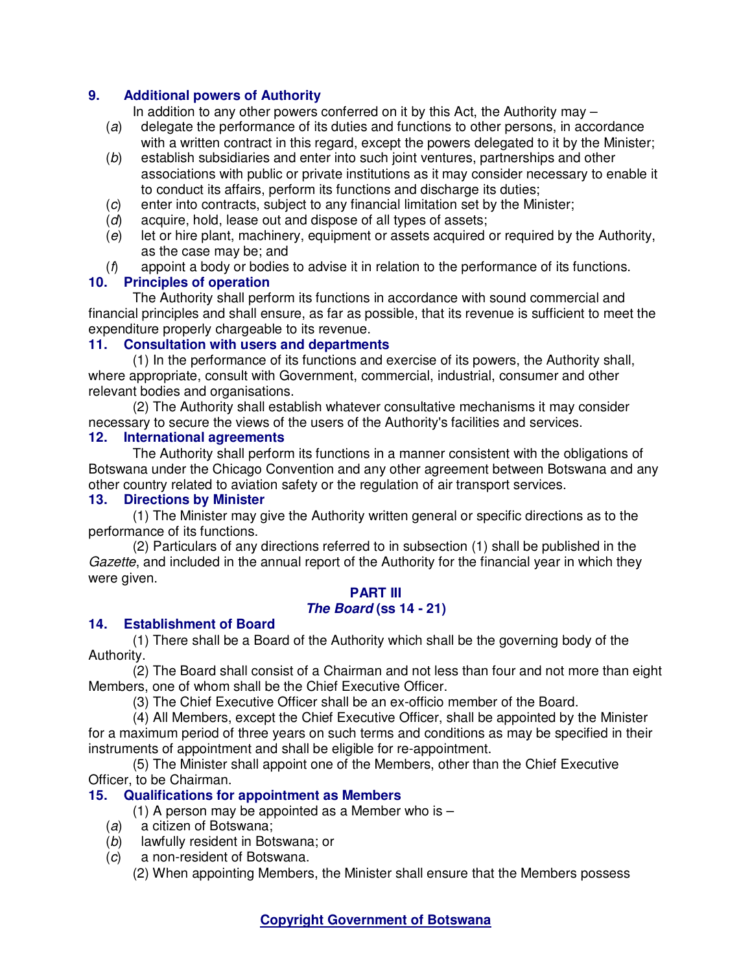# **9. Additional powers of Authority**

In addition to any other powers conferred on it by this Act, the Authority may  $-$ 

- (a) delegate the performance of its duties and functions to other persons, in accordance with a written contract in this regard, except the powers delegated to it by the Minister;
- (b) establish subsidiaries and enter into such joint ventures, partnerships and other associations with public or private institutions as it may consider necessary to enable it to conduct its affairs, perform its functions and discharge its duties;
- (c) enter into contracts, subject to any financial limitation set by the Minister;
- (d) acquire, hold, lease out and dispose of all types of assets;
- (e) let or hire plant, machinery, equipment or assets acquired or required by the Authority, as the case may be; and
- $(f)$  appoint a body or bodies to advise it in relation to the performance of its functions.

# **10. Principles of operation**

The Authority shall perform its functions in accordance with sound commercial and financial principles and shall ensure, as far as possible, that its revenue is sufficient to meet the expenditure properly chargeable to its revenue.

# **11. Consultation with users and departments**

(1) In the performance of its functions and exercise of its powers, the Authority shall, where appropriate, consult with Government, commercial, industrial, consumer and other relevant bodies and organisations.

(2) The Authority shall establish whatever consultative mechanisms it may consider necessary to secure the views of the users of the Authority's facilities and services.

# **12. International agreements**

The Authority shall perform its functions in a manner consistent with the obligations of Botswana under the Chicago Convention and any other agreement between Botswana and any other country related to aviation safety or the regulation of air transport services.

# **13. Directions by Minister**

(1) The Minister may give the Authority written general or specific directions as to the performance of its functions.

(2) Particulars of any directions referred to in subsection (1) shall be published in the Gazette, and included in the annual report of the Authority for the financial year in which they were given.

#### **PART III The Board (ss 14 - 21)**

# **14. Establishment of Board**

(1) There shall be a Board of the Authority which shall be the governing body of the Authority.

(2) The Board shall consist of a Chairman and not less than four and not more than eight Members, one of whom shall be the Chief Executive Officer.

(3) The Chief Executive Officer shall be an ex-officio member of the Board.

(4) All Members, except the Chief Executive Officer, shall be appointed by the Minister for a maximum period of three years on such terms and conditions as may be specified in their instruments of appointment and shall be eligible for re-appointment.

(5) The Minister shall appoint one of the Members, other than the Chief Executive Officer, to be Chairman.

# **15. Qualifications for appointment as Members**

(1) A person may be appointed as a Member who is  $-$ 

- (a) a citizen of Botswana;
- (b) lawfully resident in Botswana; or
- (c) a non-resident of Botswana.

(2) When appointing Members, the Minister shall ensure that the Members possess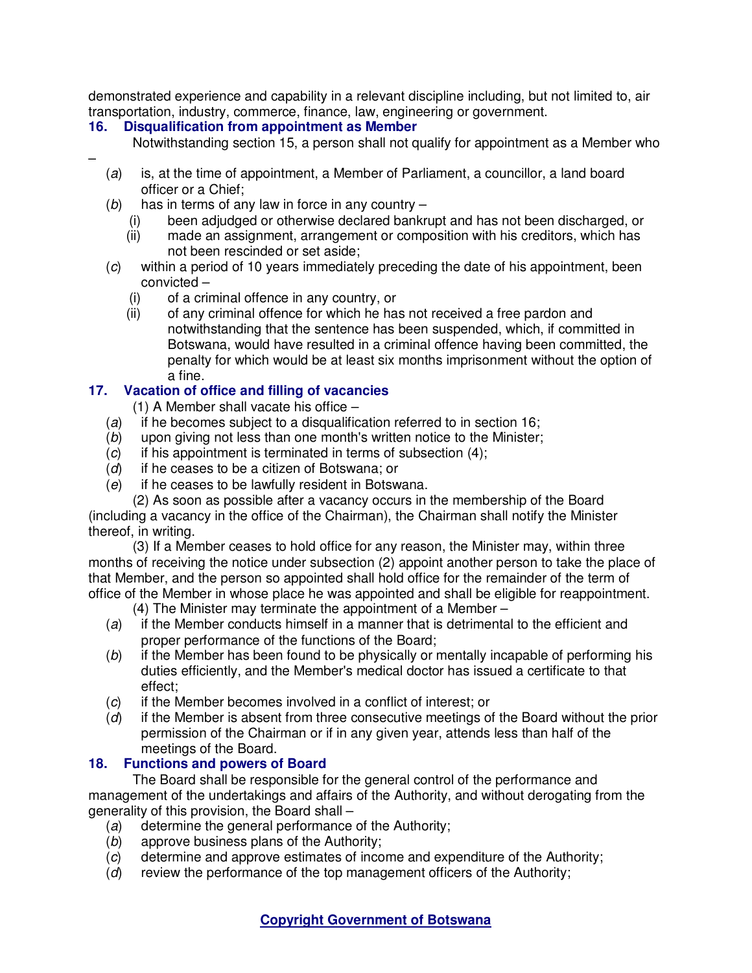demonstrated experience and capability in a relevant discipline including, but not limited to, air transportation, industry, commerce, finance, law, engineering or government.

# **16. Disqualification from appointment as Member**

–

Notwithstanding section 15, a person shall not qualify for appointment as a Member who

- (a) is, at the time of appointment, a Member of Parliament, a councillor, a land board officer or a Chief;
- $(b)$  has in terms of any law in force in any country
	- (i) been adjudged or otherwise declared bankrupt and has not been discharged, or (ii) made an assignment, arrangement or composition with his creditors, which has
	- made an assignment, arrangement or composition with his creditors, which has not been rescinded or set aside;
- (c) within a period of 10 years immediately preceding the date of his appointment, been convicted –
	- (i) of a criminal offence in any country, or
	- (ii) of any criminal offence for which he has not received a free pardon and notwithstanding that the sentence has been suspended, which, if committed in Botswana, would have resulted in a criminal offence having been committed, the penalty for which would be at least six months imprisonment without the option of a fine.

# **17. Vacation of office and filling of vacancies**

(1) A Member shall vacate his office –

- (a) if he becomes subject to a disqualification referred to in section 16;
- (b) upon giving not less than one month's written notice to the Minister;
- $(c)$  if his appointment is terminated in terms of subsection  $(4)$ ;
- (d) if he ceases to be a citizen of Botswana; or
- (e) if he ceases to be lawfully resident in Botswana.

(2) As soon as possible after a vacancy occurs in the membership of the Board

(including a vacancy in the office of the Chairman), the Chairman shall notify the Minister thereof, in writing.

(3) If a Member ceases to hold office for any reason, the Minister may, within three months of receiving the notice under subsection (2) appoint another person to take the place of that Member, and the person so appointed shall hold office for the remainder of the term of office of the Member in whose place he was appointed and shall be eligible for reappointment.

(4) The Minister may terminate the appointment of a Member –

- (a) if the Member conducts himself in a manner that is detrimental to the efficient and proper performance of the functions of the Board;
- (b) if the Member has been found to be physically or mentally incapable of performing his duties efficiently, and the Member's medical doctor has issued a certificate to that effect;
- (c) if the Member becomes involved in a conflict of interest; or
- (d) if the Member is absent from three consecutive meetings of the Board without the prior permission of the Chairman or if in any given year, attends less than half of the meetings of the Board.

# **18. Functions and powers of Board**

The Board shall be responsible for the general control of the performance and management of the undertakings and affairs of the Authority, and without derogating from the generality of this provision, the Board shall –

- (a) determine the general performance of the Authority;
- (b) approve business plans of the Authority;
- (c) determine and approve estimates of income and expenditure of the Authority;
- (d) review the performance of the top management officers of the Authority;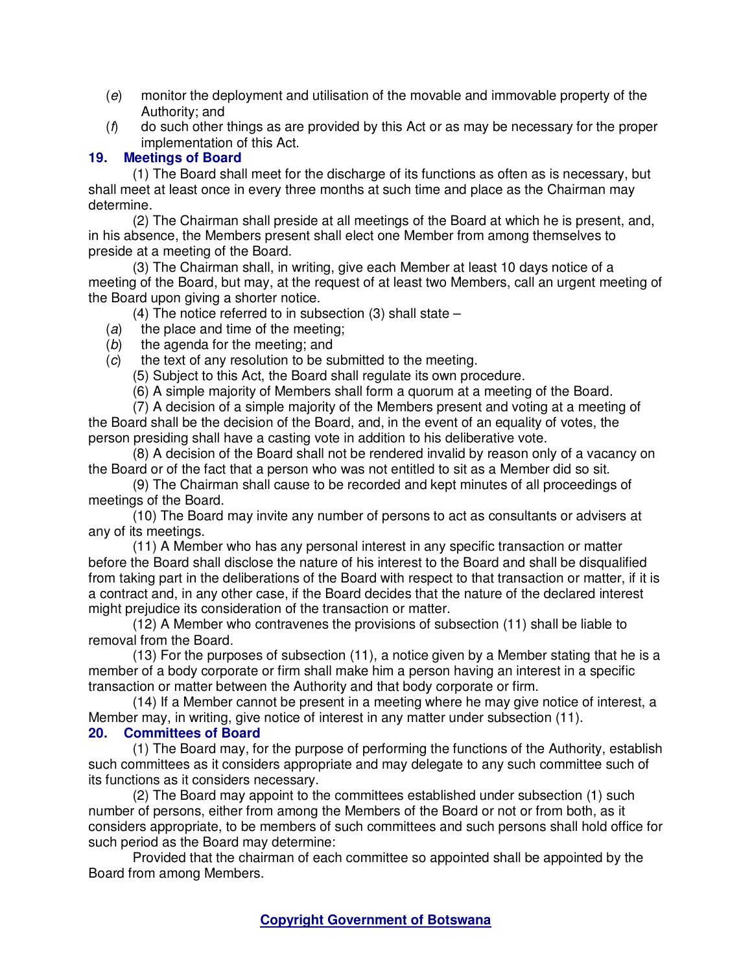- (e) monitor the deployment and utilisation of the movable and immovable property of the Authority; and
- $(f)$  do such other things as are provided by this Act or as may be necessary for the proper implementation of this Act.

# **19. Meetings of Board**

(1) The Board shall meet for the discharge of its functions as often as is necessary, but shall meet at least once in every three months at such time and place as the Chairman may determine.

(2) The Chairman shall preside at all meetings of the Board at which he is present, and, in his absence, the Members present shall elect one Member from among themselves to preside at a meeting of the Board.

(3) The Chairman shall, in writing, give each Member at least 10 days notice of a meeting of the Board, but may, at the request of at least two Members, call an urgent meeting of the Board upon giving a shorter notice.

(4) The notice referred to in subsection (3) shall state –

- (a) the place and time of the meeting;
- (b) the agenda for the meeting; and

(c) the text of any resolution to be submitted to the meeting.

(5) Subject to this Act, the Board shall regulate its own procedure.

(6) A simple majority of Members shall form a quorum at a meeting of the Board.

(7) A decision of a simple majority of the Members present and voting at a meeting of the Board shall be the decision of the Board, and, in the event of an equality of votes, the person presiding shall have a casting vote in addition to his deliberative vote.

(8) A decision of the Board shall not be rendered invalid by reason only of a vacancy on the Board or of the fact that a person who was not entitled to sit as a Member did so sit.

(9) The Chairman shall cause to be recorded and kept minutes of all proceedings of meetings of the Board.

(10) The Board may invite any number of persons to act as consultants or advisers at any of its meetings.

(11) A Member who has any personal interest in any specific transaction or matter before the Board shall disclose the nature of his interest to the Board and shall be disqualified from taking part in the deliberations of the Board with respect to that transaction or matter, if it is a contract and, in any other case, if the Board decides that the nature of the declared interest might prejudice its consideration of the transaction or matter.

(12) A Member who contravenes the provisions of subsection (11) shall be liable to removal from the Board.

(13) For the purposes of subsection (11), a notice given by a Member stating that he is a member of a body corporate or firm shall make him a person having an interest in a specific transaction or matter between the Authority and that body corporate or firm.

(14) If a Member cannot be present in a meeting where he may give notice of interest, a Member may, in writing, give notice of interest in any matter under subsection (11).

# **20. Committees of Board**

(1) The Board may, for the purpose of performing the functions of the Authority, establish such committees as it considers appropriate and may delegate to any such committee such of its functions as it considers necessary.

(2) The Board may appoint to the committees established under subsection (1) such number of persons, either from among the Members of the Board or not or from both, as it considers appropriate, to be members of such committees and such persons shall hold office for such period as the Board may determine:

Provided that the chairman of each committee so appointed shall be appointed by the Board from among Members.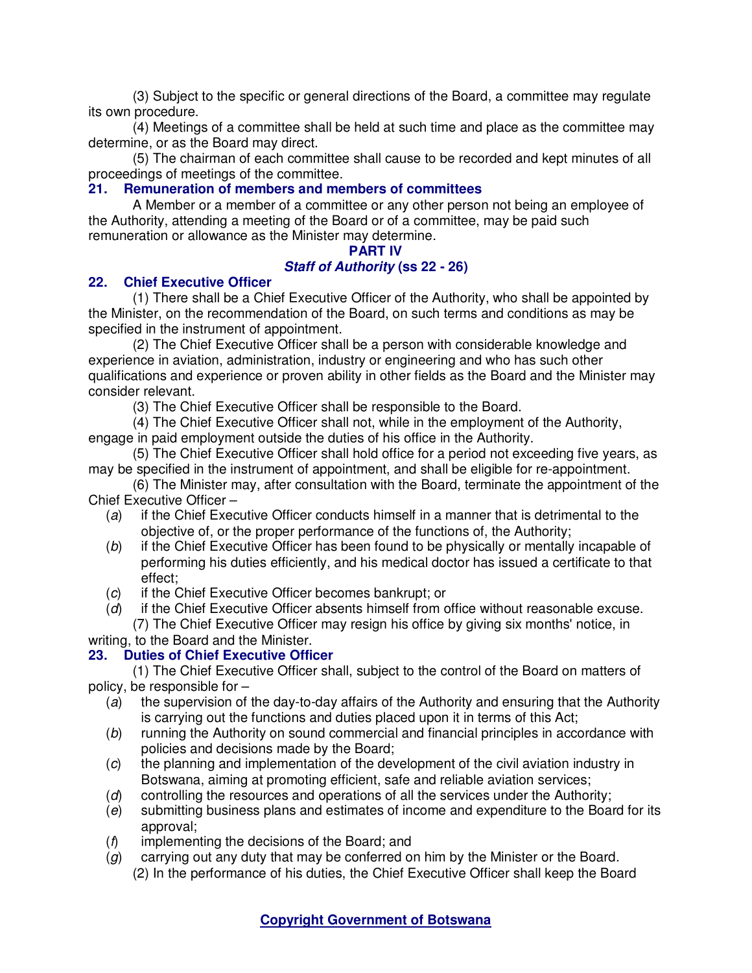(3) Subject to the specific or general directions of the Board, a committee may regulate its own procedure.

(4) Meetings of a committee shall be held at such time and place as the committee may determine, or as the Board may direct.

(5) The chairman of each committee shall cause to be recorded and kept minutes of all proceedings of meetings of the committee.

# **21. Remuneration of members and members of committees**

A Member or a member of a committee or any other person not being an employee of the Authority, attending a meeting of the Board or of a committee, may be paid such remuneration or allowance as the Minister may determine.

#### **PART IV**

#### **Staff of Authority (ss 22 - 26)**

#### **22. Chief Executive Officer**

(1) There shall be a Chief Executive Officer of the Authority, who shall be appointed by the Minister, on the recommendation of the Board, on such terms and conditions as may be specified in the instrument of appointment.

(2) The Chief Executive Officer shall be a person with considerable knowledge and experience in aviation, administration, industry or engineering and who has such other qualifications and experience or proven ability in other fields as the Board and the Minister may consider relevant.

(3) The Chief Executive Officer shall be responsible to the Board.

(4) The Chief Executive Officer shall not, while in the employment of the Authority, engage in paid employment outside the duties of his office in the Authority.

(5) The Chief Executive Officer shall hold office for a period not exceeding five years, as may be specified in the instrument of appointment, and shall be eligible for re-appointment.

- (6) The Minister may, after consultation with the Board, terminate the appointment of the Chief Executive Officer –
	- (a) if the Chief Executive Officer conducts himself in a manner that is detrimental to the objective of, or the proper performance of the functions of, the Authority;
	- (b) if the Chief Executive Officer has been found to be physically or mentally incapable of performing his duties efficiently, and his medical doctor has issued a certificate to that effect;
	- (c) if the Chief Executive Officer becomes bankrupt; or
	- (d) if the Chief Executive Officer absents himself from office without reasonable excuse. (7) The Chief Executive Officer may resign his office by giving six months' notice, in

writing, to the Board and the Minister.

# **23. Duties of Chief Executive Officer**

(1) The Chief Executive Officer shall, subject to the control of the Board on matters of policy, be responsible for –

- (a) the supervision of the day-to-day affairs of the Authority and ensuring that the Authority is carrying out the functions and duties placed upon it in terms of this Act;
- (b) running the Authority on sound commercial and financial principles in accordance with policies and decisions made by the Board;
- (c) the planning and implementation of the development of the civil aviation industry in Botswana, aiming at promoting efficient, safe and reliable aviation services;
- (d) controlling the resources and operations of all the services under the Authority;
- (e) submitting business plans and estimates of income and expenditure to the Board for its approval;
- (f) implementing the decisions of the Board; and
- $(q)$  carrying out any duty that may be conferred on him by the Minister or the Board. (2) In the performance of his duties, the Chief Executive Officer shall keep the Board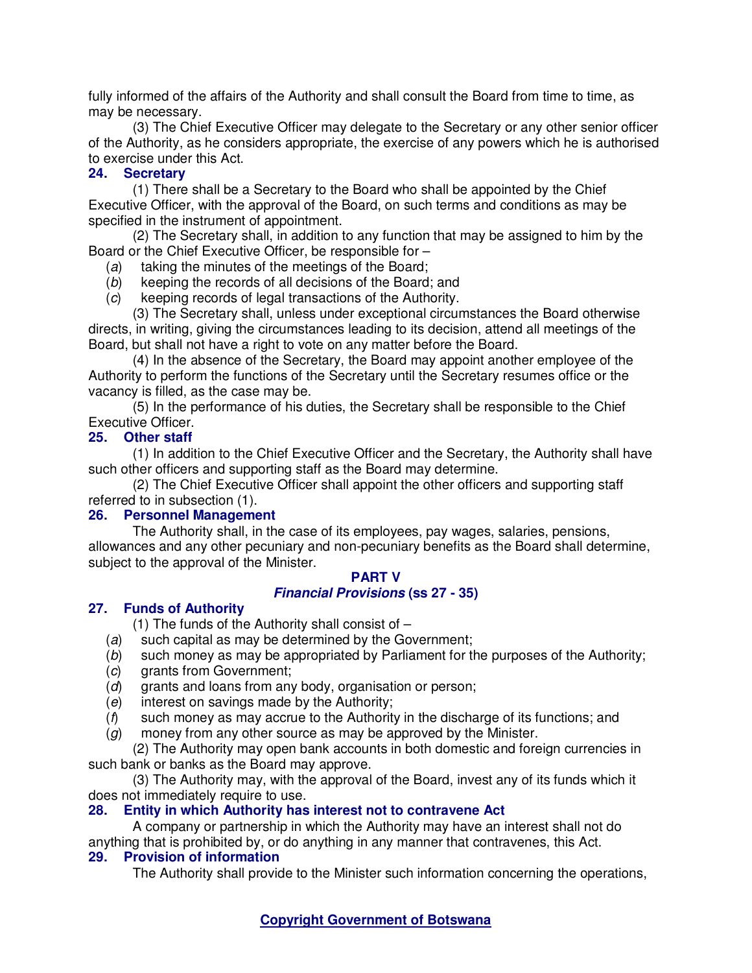fully informed of the affairs of the Authority and shall consult the Board from time to time, as may be necessary.

(3) The Chief Executive Officer may delegate to the Secretary or any other senior officer of the Authority, as he considers appropriate, the exercise of any powers which he is authorised to exercise under this Act.

# **24. Secretary**

(1) There shall be a Secretary to the Board who shall be appointed by the Chief Executive Officer, with the approval of the Board, on such terms and conditions as may be specified in the instrument of appointment.

(2) The Secretary shall, in addition to any function that may be assigned to him by the Board or the Chief Executive Officer, be responsible for –

- (a) taking the minutes of the meetings of the Board;
- (b) keeping the records of all decisions of the Board; and
- (c) keeping records of legal transactions of the Authority.

(3) The Secretary shall, unless under exceptional circumstances the Board otherwise directs, in writing, giving the circumstances leading to its decision, attend all meetings of the Board, but shall not have a right to vote on any matter before the Board.

(4) In the absence of the Secretary, the Board may appoint another employee of the Authority to perform the functions of the Secretary until the Secretary resumes office or the vacancy is filled, as the case may be.

(5) In the performance of his duties, the Secretary shall be responsible to the Chief Executive Officer.

# **25. Other staff**

(1) In addition to the Chief Executive Officer and the Secretary, the Authority shall have such other officers and supporting staff as the Board may determine.

(2) The Chief Executive Officer shall appoint the other officers and supporting staff referred to in subsection (1).

# **26. Personnel Management**

The Authority shall, in the case of its employees, pay wages, salaries, pensions, allowances and any other pecuniary and non-pecuniary benefits as the Board shall determine, subject to the approval of the Minister.

# **PART V**

# **Financial Provisions (ss 27 - 35)**

# **27. Funds of Authority**

(1) The funds of the Authority shall consist of  $-$ 

- (a) such capital as may be determined by the Government;
- (b) such money as may be appropriated by Parliament for the purposes of the Authority;
- (c) grants from Government:
- (d) grants and loans from any body, organisation or person;
- (e) interest on savings made by the Authority;
- $(f)$  such money as may accrue to the Authority in the discharge of its functions; and
- $(q)$  money from any other source as may be approved by the Minister.

(2) The Authority may open bank accounts in both domestic and foreign currencies in such bank or banks as the Board may approve.

(3) The Authority may, with the approval of the Board, invest any of its funds which it does not immediately require to use.

# **28. Entity in which Authority has interest not to contravene Act**

A company or partnership in which the Authority may have an interest shall not do anything that is prohibited by, or do anything in any manner that contravenes, this Act.

# **29. Provision of information**

The Authority shall provide to the Minister such information concerning the operations,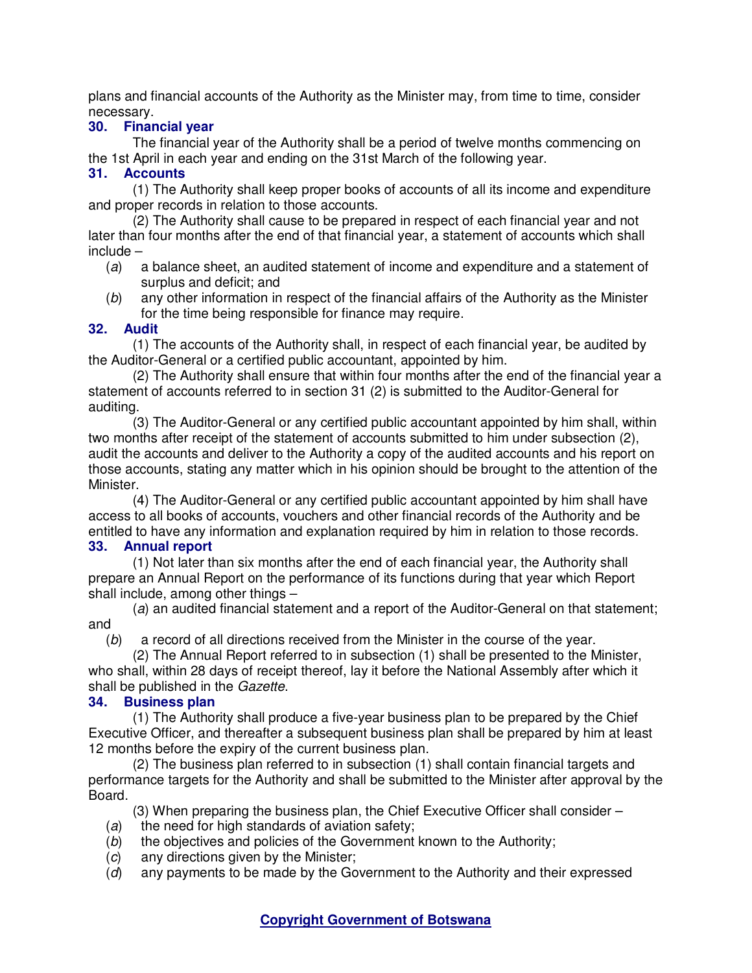plans and financial accounts of the Authority as the Minister may, from time to time, consider necessary.

# **30. Financial year**

The financial year of the Authority shall be a period of twelve months commencing on the 1st April in each year and ending on the 31st March of the following year.

# **31. Accounts**

(1) The Authority shall keep proper books of accounts of all its income and expenditure and proper records in relation to those accounts.

(2) The Authority shall cause to be prepared in respect of each financial year and not later than four months after the end of that financial year, a statement of accounts which shall include –

- (a) a balance sheet, an audited statement of income and expenditure and a statement of surplus and deficit; and
- (b) any other information in respect of the financial affairs of the Authority as the Minister for the time being responsible for finance may require.

# **32. Audit**

(1) The accounts of the Authority shall, in respect of each financial year, be audited by the Auditor-General or a certified public accountant, appointed by him.

(2) The Authority shall ensure that within four months after the end of the financial year a statement of accounts referred to in section 31 (2) is submitted to the Auditor-General for auditing.

(3) The Auditor-General or any certified public accountant appointed by him shall, within two months after receipt of the statement of accounts submitted to him under subsection (2), audit the accounts and deliver to the Authority a copy of the audited accounts and his report on those accounts, stating any matter which in his opinion should be brought to the attention of the Minister.

(4) The Auditor-General or any certified public accountant appointed by him shall have access to all books of accounts, vouchers and other financial records of the Authority and be entitled to have any information and explanation required by him in relation to those records.<br>33. Annual report **33. Annual report** 

(1) Not later than six months after the end of each financial year, the Authority shall prepare an Annual Report on the performance of its functions during that year which Report shall include, among other things –

(a) an audited financial statement and a report of the Auditor-General on that statement; and

(b) a record of all directions received from the Minister in the course of the year.

(2) The Annual Report referred to in subsection (1) shall be presented to the Minister, who shall, within 28 days of receipt thereof, lay it before the National Assembly after which it shall be published in the Gazette.

# **34. Business plan**

(1) The Authority shall produce a five-year business plan to be prepared by the Chief Executive Officer, and thereafter a subsequent business plan shall be prepared by him at least 12 months before the expiry of the current business plan.

(2) The business plan referred to in subsection (1) shall contain financial targets and performance targets for the Authority and shall be submitted to the Minister after approval by the Board.

(3) When preparing the business plan, the Chief Executive Officer shall consider –

- $(a)$  the need for high standards of aviation safety;
- (b) the objectives and policies of the Government known to the Authority;
- (c) any directions given by the Minister;
- (d) any payments to be made by the Government to the Authority and their expressed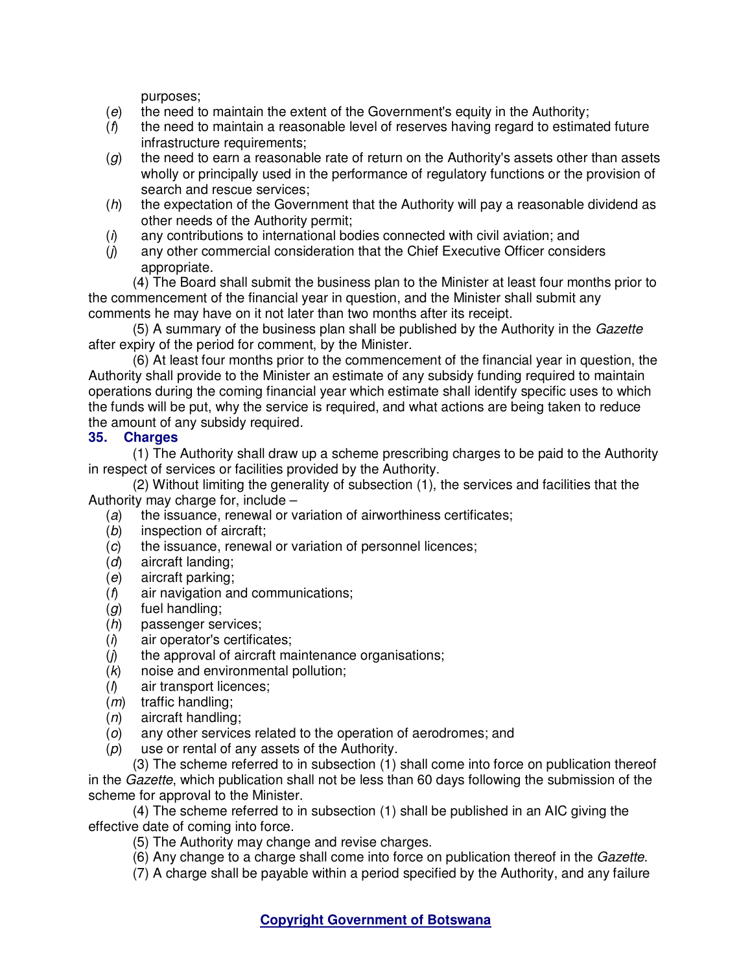purposes;

- $(e)$  the need to maintain the extent of the Government's equity in the Authority;
- $(f)$  the need to maintain a reasonable level of reserves having regard to estimated future infrastructure requirements;
- $(g)$  the need to earn a reasonable rate of return on the Authority's assets other than assets wholly or principally used in the performance of regulatory functions or the provision of search and rescue services;
- $(h)$  the expectation of the Government that the Authority will pay a reasonable dividend as other needs of the Authority permit;
- $(i)$  any contributions to international bodies connected with civil aviation; and
- (j) any other commercial consideration that the Chief Executive Officer considers appropriate.

(4) The Board shall submit the business plan to the Minister at least four months prior to the commencement of the financial year in question, and the Minister shall submit any comments he may have on it not later than two months after its receipt.

(5) A summary of the business plan shall be published by the Authority in the Gazette after expiry of the period for comment, by the Minister.

(6) At least four months prior to the commencement of the financial year in question, the Authority shall provide to the Minister an estimate of any subsidy funding required to maintain operations during the coming financial year which estimate shall identify specific uses to which the funds will be put, why the service is required, and what actions are being taken to reduce the amount of any subsidy required.

# **35. Charges**

(1) The Authority shall draw up a scheme prescribing charges to be paid to the Authority in respect of services or facilities provided by the Authority.

(2) Without limiting the generality of subsection (1), the services and facilities that the Authority may charge for, include –

- (a) the issuance, renewal or variation of airworthiness certificates;
- (b) inspection of aircraft;
- (c) the issuance, renewal or variation of personnel licences;
- (d) aircraft landing;
- (e) aircraft parking;
- (f) air navigation and communications;
- $(g)$  fuel handling;
- (h) passenger services;
- $(i)$  air operator's certificates;
- $(j)$  the approval of aircraft maintenance organisations;
- $(k)$  noise and environmental pollution;
- $($ ) air transport licences;
- $(m)$  traffic handling;
- (n) aircraft handling;
- (o) any other services related to the operation of aerodromes; and
- $(p)$  use or rental of any assets of the Authority.

(3) The scheme referred to in subsection (1) shall come into force on publication thereof in the Gazette, which publication shall not be less than 60 days following the submission of the scheme for approval to the Minister.

(4) The scheme referred to in subsection (1) shall be published in an AIC giving the effective date of coming into force.

- (5) The Authority may change and revise charges.
- (6) Any change to a charge shall come into force on publication thereof in the Gazette.
- (7) A charge shall be payable within a period specified by the Authority, and any failure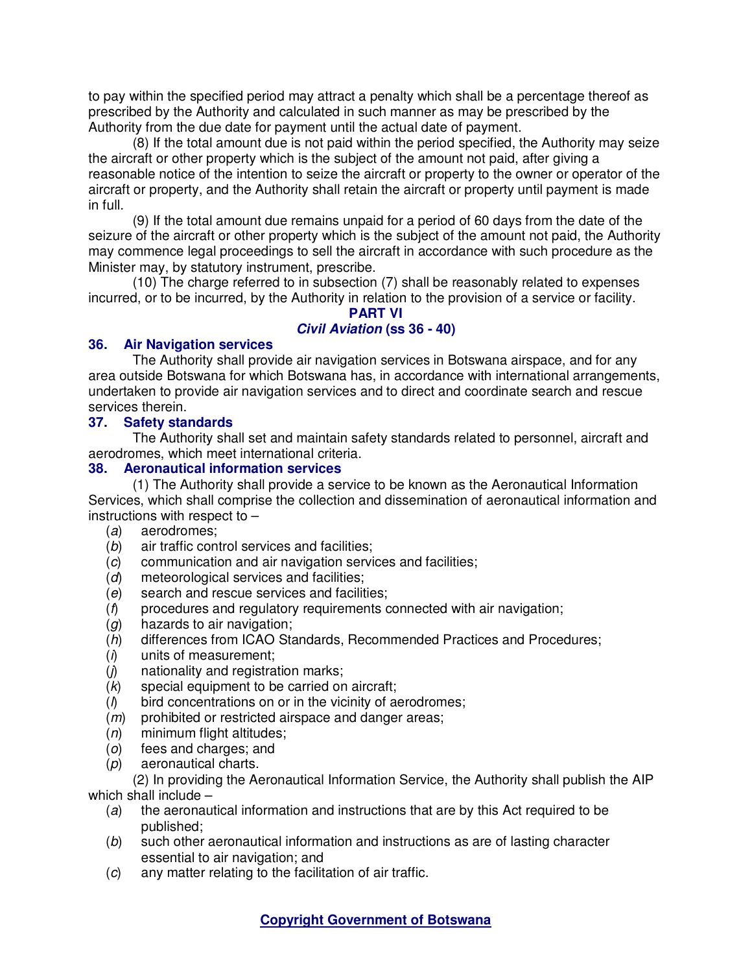to pay within the specified period may attract a penalty which shall be a percentage thereof as prescribed by the Authority and calculated in such manner as may be prescribed by the Authority from the due date for payment until the actual date of payment.

(8) If the total amount due is not paid within the period specified, the Authority may seize the aircraft or other property which is the subject of the amount not paid, after giving a reasonable notice of the intention to seize the aircraft or property to the owner or operator of the aircraft or property, and the Authority shall retain the aircraft or property until payment is made in full.

(9) If the total amount due remains unpaid for a period of 60 days from the date of the seizure of the aircraft or other property which is the subject of the amount not paid, the Authority may commence legal proceedings to sell the aircraft in accordance with such procedure as the Minister may, by statutory instrument, prescribe.

(10) The charge referred to in subsection (7) shall be reasonably related to expenses incurred, or to be incurred, by the Authority in relation to the provision of a service or facility.

#### **PART VI**

# **Civil Aviation (ss 36 - 40)**

# **36. Air Navigation services**

The Authority shall provide air navigation services in Botswana airspace, and for any area outside Botswana for which Botswana has, in accordance with international arrangements, undertaken to provide air navigation services and to direct and coordinate search and rescue services therein.

# **37. Safety standards**

The Authority shall set and maintain safety standards related to personnel, aircraft and aerodromes, which meet international criteria.

# **38. Aeronautical information services**

(1) The Authority shall provide a service to be known as the Aeronautical Information Services, which shall comprise the collection and dissemination of aeronautical information and instructions with respect to –

- (a) aerodromes;
- (b) air traffic control services and facilities;
- (c) communication and air navigation services and facilities;
- (d) meteorological services and facilities;
- (e) search and rescue services and facilities;
- (f) procedures and regulatory requirements connected with air navigation;
- $(g)$  hazards to air navigation;
- (h) differences from ICAO Standards, Recommended Practices and Procedures;
- $(i)$  units of measurement;
- $(i)$  nationality and registration marks;
- (k) special equipment to be carried on aircraft;
- $(l)$  bird concentrations on or in the vicinity of aerodromes;
- (*m*) prohibited or restricted airspace and danger areas;
- $(n)$  minimum flight altitudes;
- (o) fees and charges; and
- (p) aeronautical charts.

(2) In providing the Aeronautical Information Service, the Authority shall publish the AIP which shall include –

- (a) the aeronautical information and instructions that are by this Act required to be published;
- (b) such other aeronautical information and instructions as are of lasting character essential to air navigation; and
- (c) any matter relating to the facilitation of air traffic.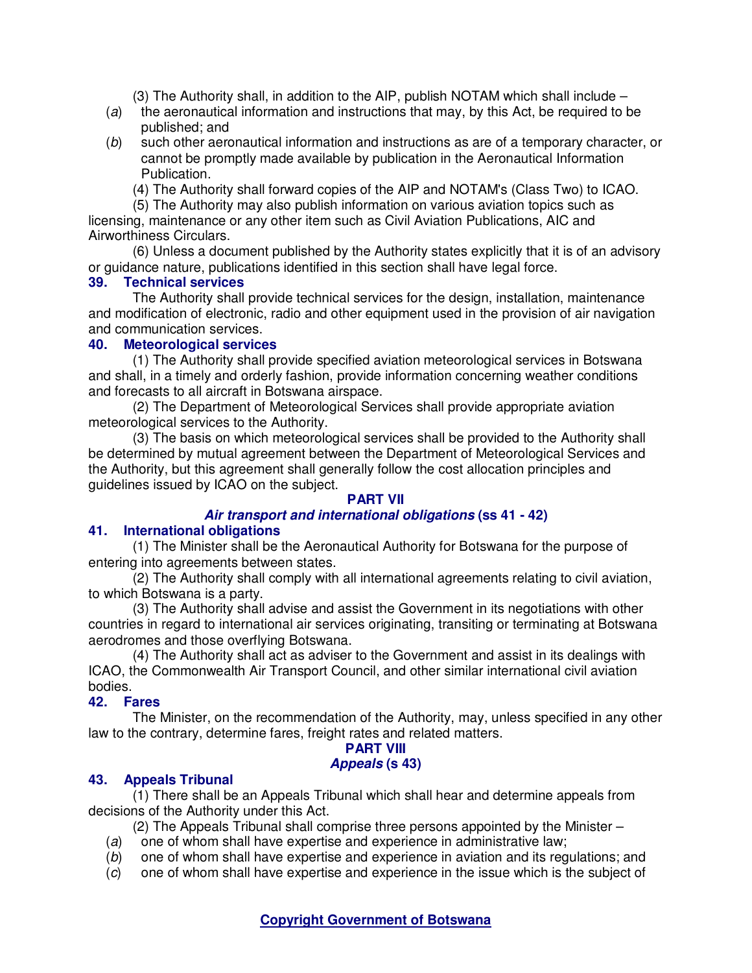(3) The Authority shall, in addition to the AIP, publish NOTAM which shall include –

- $(a)$  the aeronautical information and instructions that may, by this Act, be required to be published; and
- (b) such other aeronautical information and instructions as are of a temporary character, or cannot be promptly made available by publication in the Aeronautical Information Publication.

(4) The Authority shall forward copies of the AIP and NOTAM's (Class Two) to ICAO.

(5) The Authority may also publish information on various aviation topics such as licensing, maintenance or any other item such as Civil Aviation Publications, AIC and Airworthiness Circulars.

(6) Unless a document published by the Authority states explicitly that it is of an advisory or guidance nature, publications identified in this section shall have legal force.

#### **39. Technical services**

The Authority shall provide technical services for the design, installation, maintenance and modification of electronic, radio and other equipment used in the provision of air navigation and communication services.

#### **40. Meteorological services**

(1) The Authority shall provide specified aviation meteorological services in Botswana and shall, in a timely and orderly fashion, provide information concerning weather conditions and forecasts to all aircraft in Botswana airspace.

(2) The Department of Meteorological Services shall provide appropriate aviation meteorological services to the Authority.

(3) The basis on which meteorological services shall be provided to the Authority shall be determined by mutual agreement between the Department of Meteorological Services and the Authority, but this agreement shall generally follow the cost allocation principles and guidelines issued by ICAO on the subject.

# **PART VII**

# **Air transport and international obligations (ss 41 - 42)**

# **41. International obligations**

(1) The Minister shall be the Aeronautical Authority for Botswana for the purpose of entering into agreements between states.

(2) The Authority shall comply with all international agreements relating to civil aviation, to which Botswana is a party.

(3) The Authority shall advise and assist the Government in its negotiations with other countries in regard to international air services originating, transiting or terminating at Botswana aerodromes and those overflying Botswana.

(4) The Authority shall act as adviser to the Government and assist in its dealings with ICAO, the Commonwealth Air Transport Council, and other similar international civil aviation bodies.

# **42. Fares**

The Minister, on the recommendation of the Authority, may, unless specified in any other law to the contrary, determine fares, freight rates and related matters.

#### **PART VIII Appeals (s 43)**

# **43. Appeals Tribunal**

(1) There shall be an Appeals Tribunal which shall hear and determine appeals from decisions of the Authority under this Act.

(2) The Appeals Tribunal shall comprise three persons appointed by the Minister –

- (a) one of whom shall have expertise and experience in administrative law;
- (b) one of whom shall have expertise and experience in aviation and its regulations; and
- (c) one of whom shall have expertise and experience in the issue which is the subject of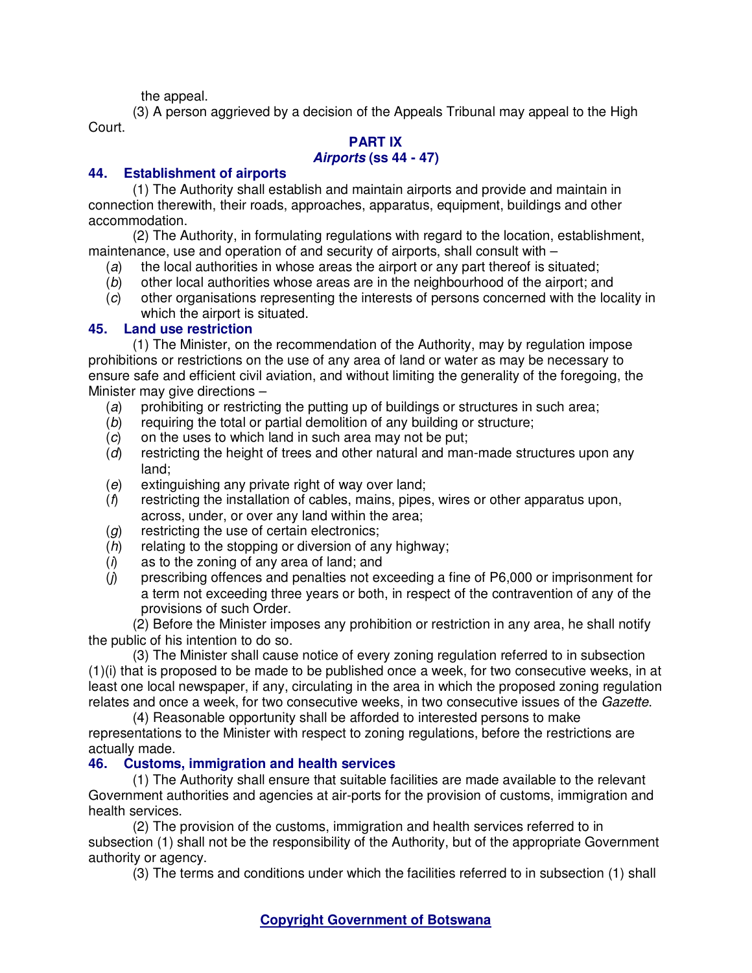the appeal.

(3) A person aggrieved by a decision of the Appeals Tribunal may appeal to the High Court.

#### **PART IX Airports (ss 44 - 47)**

# **44. Establishment of airports**

(1) The Authority shall establish and maintain airports and provide and maintain in connection therewith, their roads, approaches, apparatus, equipment, buildings and other accommodation.

(2) The Authority, in formulating regulations with regard to the location, establishment, maintenance, use and operation of and security of airports, shall consult with –

- (a) the local authorities in whose areas the airport or any part thereof is situated;
- (b) other local authorities whose areas are in the neighbourhood of the airport; and
- (c) other organisations representing the interests of persons concerned with the locality in which the airport is situated.

# **45. Land use restriction**

(1) The Minister, on the recommendation of the Authority, may by regulation impose prohibitions or restrictions on the use of any area of land or water as may be necessary to ensure safe and efficient civil aviation, and without limiting the generality of the foregoing, the Minister may give directions –

- (a) prohibiting or restricting the putting up of buildings or structures in such area;
- (b) requiring the total or partial demolition of any building or structure;
- (c) on the uses to which land in such area may not be put;
- (d) restricting the height of trees and other natural and man-made structures upon any land;
- (e) extinguishing any private right of way over land;
- $(f)$  restricting the installation of cables, mains, pipes, wires or other apparatus upon, across, under, or over any land within the area;
- (g) restricting the use of certain electronics;
- (h) relating to the stopping or diversion of any highway;
- $(i)$  as to the zoning of any area of land; and
- $(j)$  prescribing offences and penalties not exceeding a fine of P6,000 or imprisonment for a term not exceeding three years or both, in respect of the contravention of any of the provisions of such Order.

(2) Before the Minister imposes any prohibition or restriction in any area, he shall notify the public of his intention to do so.

(3) The Minister shall cause notice of every zoning regulation referred to in subsection (1)(i) that is proposed to be made to be published once a week, for two consecutive weeks, in at least one local newspaper, if any, circulating in the area in which the proposed zoning regulation relates and once a week, for two consecutive weeks, in two consecutive issues of the Gazette.

(4) Reasonable opportunity shall be afforded to interested persons to make representations to the Minister with respect to zoning regulations, before the restrictions are actually made.

# **46. Customs, immigration and health services**

(1) The Authority shall ensure that suitable facilities are made available to the relevant Government authorities and agencies at air-ports for the provision of customs, immigration and health services.

(2) The provision of the customs, immigration and health services referred to in subsection (1) shall not be the responsibility of the Authority, but of the appropriate Government authority or agency.

(3) The terms and conditions under which the facilities referred to in subsection (1) shall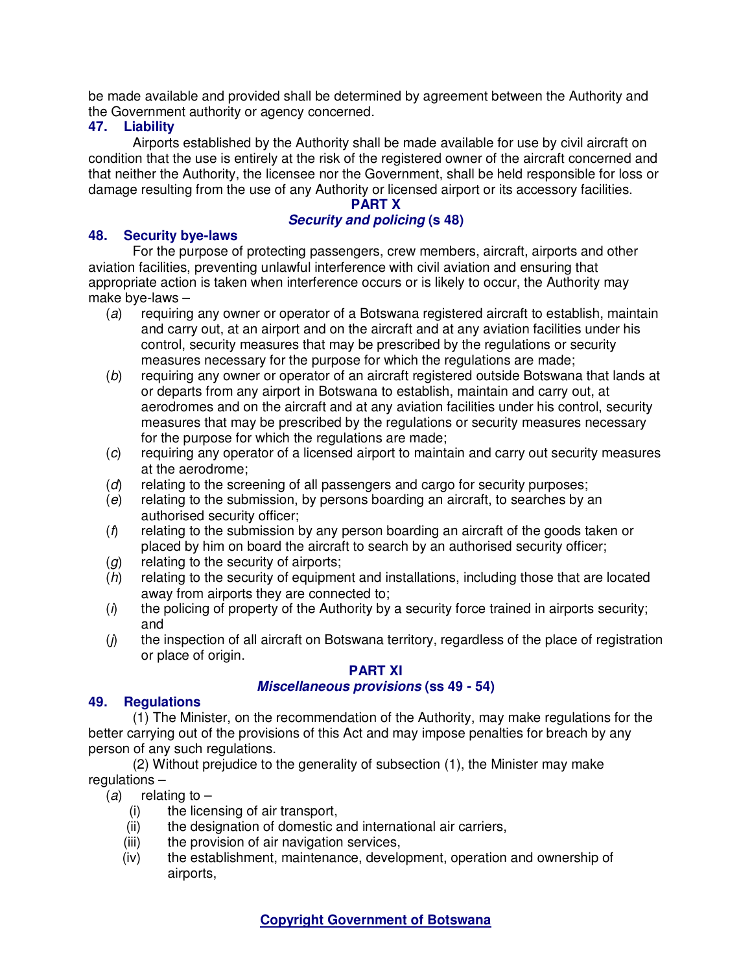be made available and provided shall be determined by agreement between the Authority and the Government authority or agency concerned.

# **47. Liability**

Airports established by the Authority shall be made available for use by civil aircraft on condition that the use is entirely at the risk of the registered owner of the aircraft concerned and that neither the Authority, the licensee nor the Government, shall be held responsible for loss or damage resulting from the use of any Authority or licensed airport or its accessory facilities.

# **PART X**

# **Security and policing (s 48)**

# **48. Security bye-laws**

For the purpose of protecting passengers, crew members, aircraft, airports and other aviation facilities, preventing unlawful interference with civil aviation and ensuring that appropriate action is taken when interference occurs or is likely to occur, the Authority may make bye-laws –

- (a) requiring any owner or operator of a Botswana registered aircraft to establish, maintain and carry out, at an airport and on the aircraft and at any aviation facilities under his control, security measures that may be prescribed by the regulations or security measures necessary for the purpose for which the regulations are made;
- (b) requiring any owner or operator of an aircraft registered outside Botswana that lands at or departs from any airport in Botswana to establish, maintain and carry out, at aerodromes and on the aircraft and at any aviation facilities under his control, security measures that may be prescribed by the regulations or security measures necessary for the purpose for which the regulations are made;
- (c) requiring any operator of a licensed airport to maintain and carry out security measures at the aerodrome;
- (d) relating to the screening of all passengers and cargo for security purposes;
- (e) relating to the submission, by persons boarding an aircraft, to searches by an authorised security officer;
- $(f)$  relating to the submission by any person boarding an aircraft of the goods taken or placed by him on board the aircraft to search by an authorised security officer;
- (*g*) relating to the security of airports;
- (h) relating to the security of equipment and installations, including those that are located away from airports they are connected to;
- $(i)$  the policing of property of the Authority by a security force trained in airports security; and
- $(j)$  the inspection of all aircraft on Botswana territory, regardless of the place of registration or place of origin.

# **PART XI**

# **Miscellaneous provisions (ss 49 - 54)**

# **49. Regulations**

(1) The Minister, on the recommendation of the Authority, may make regulations for the better carrying out of the provisions of this Act and may impose penalties for breach by any person of any such regulations.

(2) Without prejudice to the generality of subsection (1), the Minister may make regulations –

(a) relating to  $-$ 

- (i) the licensing of air transport,
- (ii) the designation of domestic and international air carriers,
- (iii) the provision of air navigation services,
- (iv) the establishment, maintenance, development, operation and ownership of airports,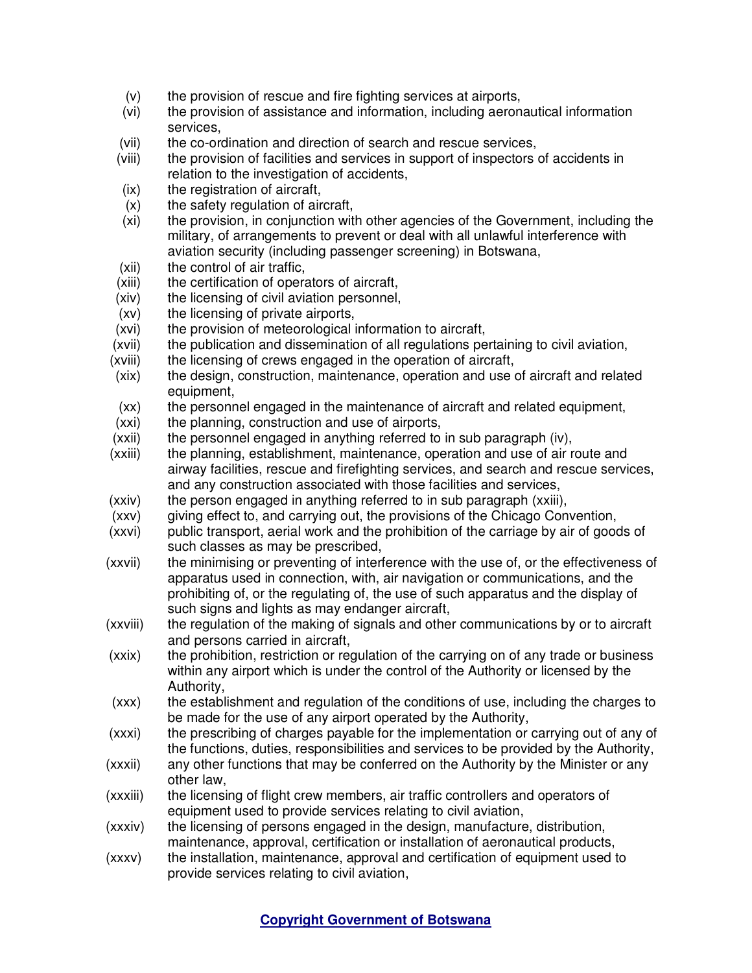- (v) the provision of rescue and fire fighting services at airports,
- (vi) the provision of assistance and information, including aeronautical information services,
- (vii) the co-ordination and direction of search and rescue services,
- (viii) the provision of facilities and services in support of inspectors of accidents in relation to the investigation of accidents,
- (ix) the registration of aircraft,
- (x) the safety regulation of aircraft,
- (xi) the provision, in conjunction with other agencies of the Government, including the military, of arrangements to prevent or deal with all unlawful interference with aviation security (including passenger screening) in Botswana,
- (xii) the control of air traffic,
- (xiii) the certification of operators of aircraft,
- (xiv) the licensing of civil aviation personnel,
- (xv) the licensing of private airports,
- (xvi) the provision of meteorological information to aircraft,
- (xvii) the publication and dissemination of all regulations pertaining to civil aviation,
- (xviii) the licensing of crews engaged in the operation of aircraft,
- (xix) the design, construction, maintenance, operation and use of aircraft and related equipment,
- (xx) the personnel engaged in the maintenance of aircraft and related equipment,
- (xxi) the planning, construction and use of airports,
- $(xxii)$  the personnel engaged in anything referred to in sub paragraph (iv),
- (xxiii) the planning, establishment, maintenance, operation and use of air route and airway facilities, rescue and firefighting services, and search and rescue services, and any construction associated with those facilities and services,
- (xxiv) the person engaged in anything referred to in sub paragraph (xxiii),
- (xxv) giving effect to, and carrying out, the provisions of the Chicago Convention,
- (xxvi) public transport, aerial work and the prohibition of the carriage by air of goods of such classes as may be prescribed,
- (xxvii) the minimising or preventing of interference with the use of, or the effectiveness of apparatus used in connection, with, air navigation or communications, and the prohibiting of, or the regulating of, the use of such apparatus and the display of such signs and lights as may endanger aircraft,
- (xxviii) the regulation of the making of signals and other communications by or to aircraft and persons carried in aircraft,
- (xxix) the prohibition, restriction or regulation of the carrying on of any trade or business within any airport which is under the control of the Authority or licensed by the Authority,
- (xxx) the establishment and regulation of the conditions of use, including the charges to be made for the use of any airport operated by the Authority,
- (xxxi) the prescribing of charges payable for the implementation or carrying out of any of the functions, duties, responsibilities and services to be provided by the Authority,
- (xxxii) any other functions that may be conferred on the Authority by the Minister or any other law,
- (xxxiii) the licensing of flight crew members, air traffic controllers and operators of equipment used to provide services relating to civil aviation,
- (xxxiv) the licensing of persons engaged in the design, manufacture, distribution, maintenance, approval, certification or installation of aeronautical products,
- (xxxv) the installation, maintenance, approval and certification of equipment used to provide services relating to civil aviation,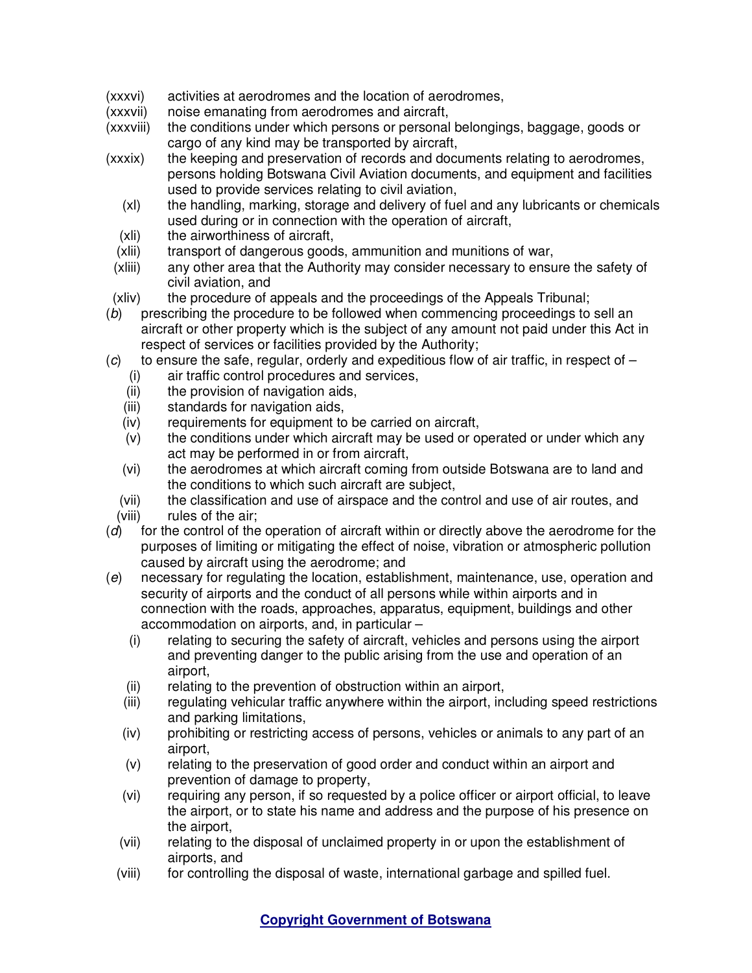- (xxxvi) activities at aerodromes and the location of aerodromes,
- (xxxvii) noise emanating from aerodromes and aircraft,
- (xxxviii) the conditions under which persons or personal belongings, baggage, goods or cargo of any kind may be transported by aircraft,
- (xxxix) the keeping and preservation of records and documents relating to aerodromes, persons holding Botswana Civil Aviation documents, and equipment and facilities used to provide services relating to civil aviation,
	- (xl) the handling, marking, storage and delivery of fuel and any lubricants or chemicals used during or in connection with the operation of aircraft,
	- (xli) the airworthiness of aircraft,
	- (xlii) transport of dangerous goods, ammunition and munitions of war,
- (xliii) any other area that the Authority may consider necessary to ensure the safety of civil aviation, and
- (xliv) the procedure of appeals and the proceedings of the Appeals Tribunal;
- (b) prescribing the procedure to be followed when commencing proceedings to sell an aircraft or other property which is the subject of any amount not paid under this Act in respect of services or facilities provided by the Authority;
- $(c)$  to ensure the safe, regular, orderly and expeditious flow of air traffic, in respect of
	- (i) air traffic control procedures and services,
	- (ii) the provision of navigation aids,
	- (iii) standards for navigation aids,
	- (iv) requirements for equipment to be carried on aircraft,
	- (v) the conditions under which aircraft may be used or operated or under which any act may be performed in or from aircraft,
	- (vi) the aerodromes at which aircraft coming from outside Botswana are to land and the conditions to which such aircraft are subject,
	- (vii) the classification and use of airspace and the control and use of air routes, and
	- (viii) rules of the air;
- $(d)$  for the control of the operation of aircraft within or directly above the aerodrome for the purposes of limiting or mitigating the effect of noise, vibration or atmospheric pollution caused by aircraft using the aerodrome; and
- (e) necessary for regulating the location, establishment, maintenance, use, operation and security of airports and the conduct of all persons while within airports and in connection with the roads, approaches, apparatus, equipment, buildings and other accommodation on airports, and, in particular –
	- (i) relating to securing the safety of aircraft, vehicles and persons using the airport and preventing danger to the public arising from the use and operation of an airport,
	-
	- (ii) relating to the prevention of obstruction within an airport,<br>(iii) regulating vehicular traffic anywhere within the airport, ing regulating vehicular traffic anywhere within the airport, including speed restrictions and parking limitations,
	- (iv) prohibiting or restricting access of persons, vehicles or animals to any part of an airport,
	- (v) relating to the preservation of good order and conduct within an airport and prevention of damage to property,
	- (vi) requiring any person, if so requested by a police officer or airport official, to leave the airport, or to state his name and address and the purpose of his presence on the airport,
	- (vii) relating to the disposal of unclaimed property in or upon the establishment of airports, and
	- (viii) for controlling the disposal of waste, international garbage and spilled fuel.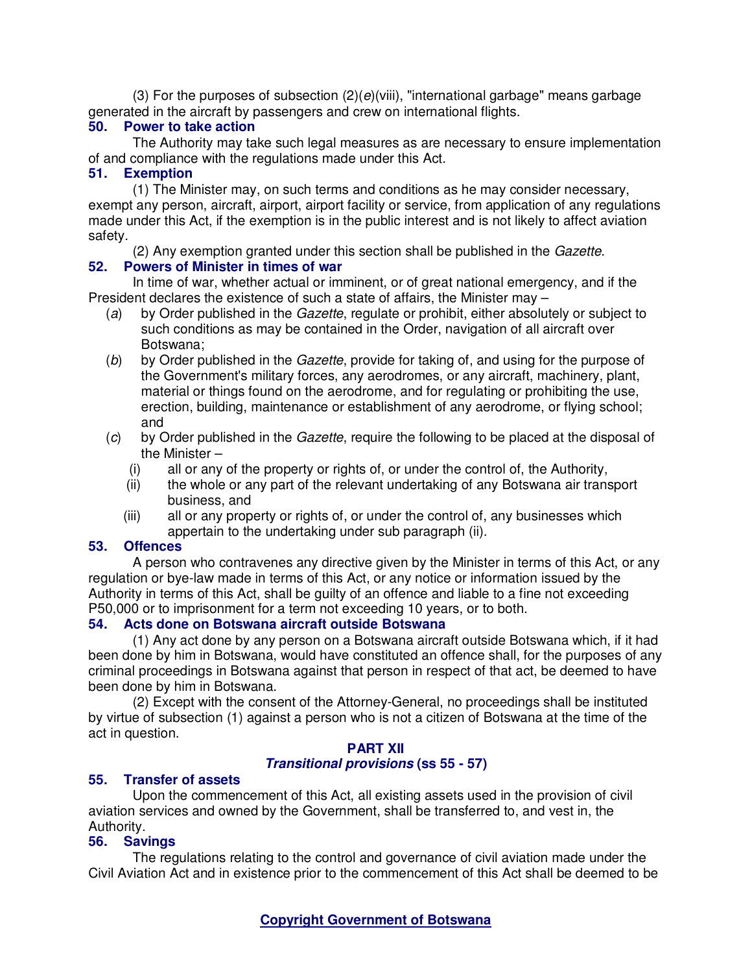(3) For the purposes of subsection  $(2)(e)(viii)$ , "international garbage" means garbage generated in the aircraft by passengers and crew on international flights.

#### **50. Power to take action**

The Authority may take such legal measures as are necessary to ensure implementation of and compliance with the regulations made under this Act.

#### **51. Exemption**

(1) The Minister may, on such terms and conditions as he may consider necessary, exempt any person, aircraft, airport, airport facility or service, from application of any regulations made under this Act, if the exemption is in the public interest and is not likely to affect aviation safety.

(2) Any exemption granted under this section shall be published in the Gazette.

# **52. Powers of Minister in times of war**

In time of war, whether actual or imminent, or of great national emergency, and if the President declares the existence of such a state of affairs, the Minister may –

- (a) by Order published in the *Gazette*, regulate or prohibit, either absolutely or subject to such conditions as may be contained in the Order, navigation of all aircraft over Botswana;
- (b) by Order published in the Gazette, provide for taking of, and using for the purpose of the Government's military forces, any aerodromes, or any aircraft, machinery, plant, material or things found on the aerodrome, and for regulating or prohibiting the use, erection, building, maintenance or establishment of any aerodrome, or flying school; and
- (c) by Order published in the Gazette, require the following to be placed at the disposal of the Minister –
	- (i) all or any of the property or rights of, or under the control of, the Authority,
	- (ii) the whole or any part of the relevant undertaking of any Botswana air transport business, and
	- (iii) all or any property or rights of, or under the control of, any businesses which appertain to the undertaking under sub paragraph (ii).

# **53. Offences**

A person who contravenes any directive given by the Minister in terms of this Act, or any regulation or bye-law made in terms of this Act, or any notice or information issued by the Authority in terms of this Act, shall be guilty of an offence and liable to a fine not exceeding P50,000 or to imprisonment for a term not exceeding 10 years, or to both.

# **54. Acts done on Botswana aircraft outside Botswana**

(1) Any act done by any person on a Botswana aircraft outside Botswana which, if it had been done by him in Botswana, would have constituted an offence shall, for the purposes of any criminal proceedings in Botswana against that person in respect of that act, be deemed to have been done by him in Botswana.

(2) Except with the consent of the Attorney-General, no proceedings shall be instituted by virtue of subsection (1) against a person who is not a citizen of Botswana at the time of the act in question.

# **PART XII**

# **Transitional provisions (ss 55 - 57)**

#### **55. Transfer of assets**

Upon the commencement of this Act, all existing assets used in the provision of civil aviation services and owned by the Government, shall be transferred to, and vest in, the Authority.

# **56. Savings**

The regulations relating to the control and governance of civil aviation made under the Civil Aviation Act and in existence prior to the commencement of this Act shall be deemed to be